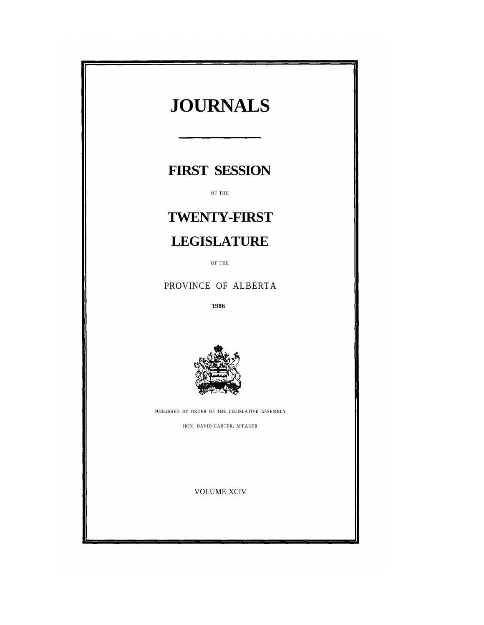| <b>JOURNALS</b>                                |  |
|------------------------------------------------|--|
| <b>FIRST SESSION</b>                           |  |
| OF THE                                         |  |
| <b>TWENTY-FIRST</b>                            |  |
| <b>LEGISLATURE</b>                             |  |
| OF THE                                         |  |
| PROVINCE OF ALBERTA                            |  |
| 1986                                           |  |
|                                                |  |
| PUBLISHED BY ORDER OF THE LEGISLATIVE ASSEMBLY |  |
| HON. DAVID CARTER, SPEAKER                     |  |
| <b>VOLUME XCIV</b>                             |  |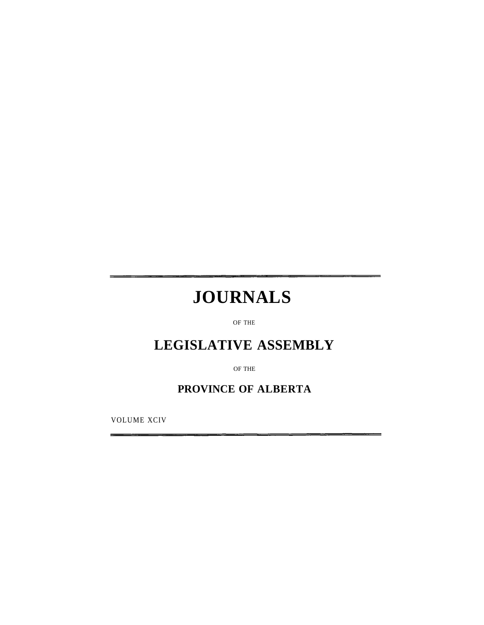# **JOURNALS**

OF THE

# **LEGISLATIVE ASSEMBLY**

OF THE

# **PROVINCE OF ALBERTA**

VOLUME XCIV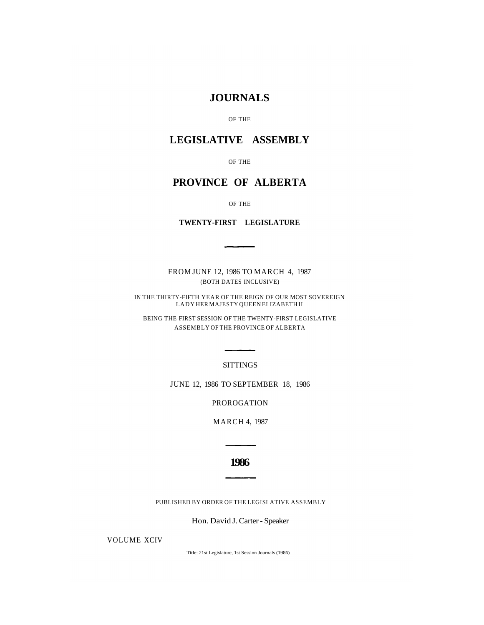# **JOURNALS**

OF THE

# **LEGISLATIVE ASSEMBLY**

OF THE

# **PROVINCE OF ALBERTA**

OF THE

**TWENTY-FIRST LEGISLATURE** 

FROM JUNE 12, 1986 TO MARCH 4, 1987 (BOTH DATES INCLUSIVE)

IN THE THIRTY-FIFTH YEAR OF THE REIGN OF OUR MOST SOVEREIGN LADY HER MAJESTY QUEEN ELIZABETH II

BEING THE FIRST SESSION OF THE TWENTY-FIRST LEGISLATIVE ASSEMBLY OF THE PROVINCE OF ALBERTA

SITTINGS

JUNE 12, 1986 TO SEPTEMBER 18, 1986

PROROGATION

MARCH 4, 1987

**1986** 

PUBLISHED BY ORDER OF THE LEGISLATIVE ASSEMBLY

Hon. David J. Carter - Speaker

VOLUME XCIV

Title: 21st Legislature, 1st Session Journals (1986)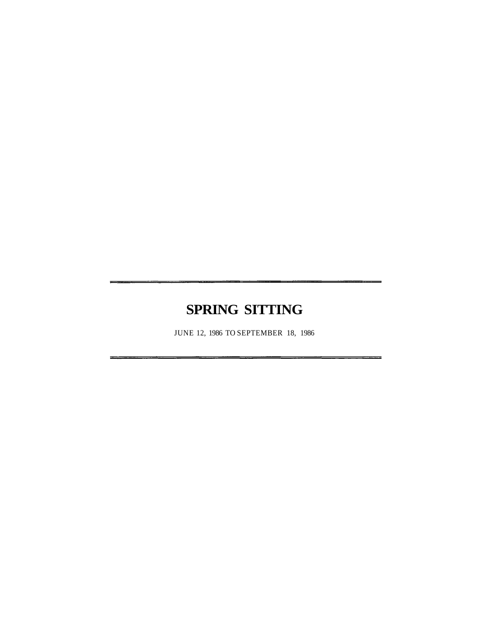# **SPRING SITTING**

JUNE 12, 1986 TO SEPTEMBER 18, 1986

z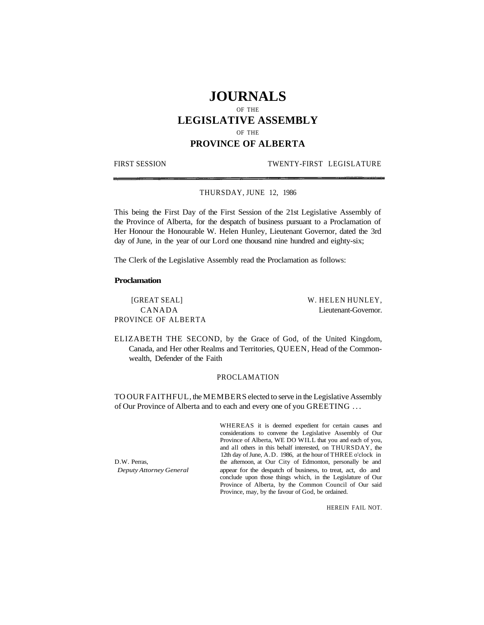# **JOURNALS**

OF THE

# **LEGISLATIVE ASSEMBLY**

OF THE

# **PROVINCE OF ALBERTA**

#### FIRST SESSION TWENTY-FIRST LEGISLATURE

#### THURSDAY, JUNE 12, 1986

This being the First Day of the First Session of the 21st Legislative Assembly of the Province of Alberta, for the despatch of business pursuant to a Proclamation of Her Honour the Honourable W. Helen Hunley, Lieutenant Governor, dated the 3rd day of June, in the year of our Lord one thousand nine hundred and eighty-six;

The Clerk of the Legislative Assembly read the Proclamation as follows:

#### **Proclamation**

[GREAT SEAL] W. HELEN HUNLEY, PROVINCE OF ALBERTA

CANADA Lieutenant-Governor.

ELIZABETH THE SECOND, by the Grace of God, of the United Kingdom, Canada, and Her other Realms and Territories, QUEEN, Head of the Commonwealth, Defender of the Faith

# PROCLAMATION

TO OUR FAITHFUL, the MEMBERS elected to serve in the Legislative Assembly of Our Province of Alberta and to each and every one of you GREETING .. .

WHEREAS it is deemed expedient for certain causes and considerations to convene the Legislative Assembly of Our Province of Alberta, WE DO WILL that you and each of you, and all others in this behalf interested, on THURSDAY, the 12th day of June, A.D. 1986, at the hour of THREE o'clock in D.W. Perras, the afternoon, at Our City of Edmonton, personally be and *Deputy Attorney General* appear for the despatch of business, to treat, act, do and conclude upon those things which, in the Legislature of Our Province of Alberta, by the Common Council of Our said Province, may, by the favour of God, be ordained.

HEREIN FAIL NOT.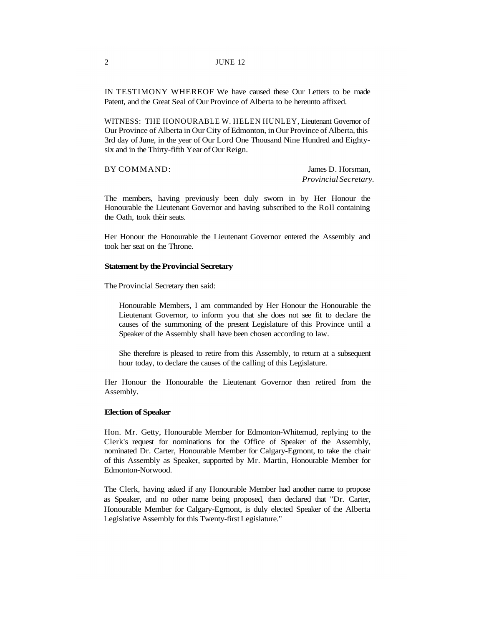IN TESTIMONY WHEREOF We have caused these Our Letters to be made Patent, and the Great Seal of Our Province of Alberta to be hereunto affixed.

WITNESS: THE HONOURABLE W. HELEN HUNLEY, Lieutenant Governor of Our Province of Alberta in Our City of Edmonton, in Our Province of Alberta, this 3rd day of June, in the year of Our Lord One Thousand Nine Hundred and Eightysix and in the Thirty-fifth Year of Our Reign.

BY COMMAND: James D. Horsman,

*Provincial Secretary.* 

The members, having previously been duly sworn in by Her Honour the Honourable the Lieutenant Governor and having subscribed to the Roll containing the Oath, took their seats.

Her Honour the Honourable the Lieutenant Governor entered the Assembly and took her seat on the Throne.

#### **Statement by the Provincial Secretary**

The Provincial Secretary then said:

Honourable Members, I am commanded by Her Honour the Honourable the Lieutenant Governor, to inform you that she does not see fit to declare the causes of the summoning of the present Legislature of this Province until a Speaker of the Assembly shall have been chosen according to law.

She therefore is pleased to retire from this Assembly, to return at a subsequent hour today, to declare the causes of the calling of this Legislature.

Her Honour the Honourable the Lieutenant Governor then retired from the Assembly.

#### **Election of Speaker**

Hon. Mr. Getty, Honourable Member for Edmonton-Whitemud, replying to the Clerk's request for nominations for the Office of Speaker of the Assembly, nominated Dr. Carter, Honourable Member for Calgary-Egmont, to take the chair of this Assembly as Speaker, supported by Mr. Martin, Honourable Member for Edmonton-Norwood.

The Clerk, having asked if any Honourable Member had another name to propose as Speaker, and no other name being proposed, then declared that "Dr. Carter, Honourable Member for Calgary-Egmont, is duly elected Speaker of the Alberta Legislative Assembly for this Twenty-first Legislature."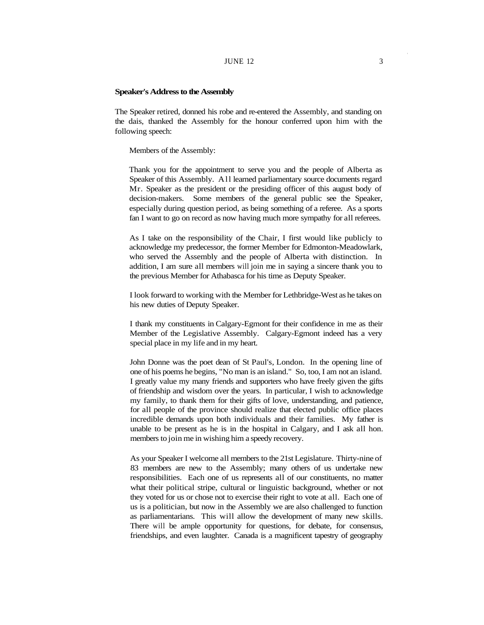#### **Speaker's Address to the Assembly**

The Speaker retired, donned his robe and re-entered the Assembly, and standing on the dais, thanked the Assembly for the honour conferred upon him with the following speech:

Members of the Assembly:

Thank you for the appointment to serve you and the people of Alberta as Speaker of this Assembly. All learned parliamentary source documents regard Mr. Speaker as the president or the presiding officer of this august body of decision-makers. Some members of the general public see the Speaker, especially during question period, as being something of a referee. As a sports fan I want to go on record as now having much more sympathy for all referees.

As I take on the responsibility of the Chair, I first would like publicly to acknowledge my predecessor, the former Member for Edmonton-Meadowlark, who served the Assembly and the people of Alberta with distinction. In addition, I am sure all members will join me in saying a sincere thank you to the previous Member for Athabasca for his time as Deputy Speaker.

I look forward to working with the Member for Lethbridge-West as he takes on his new duties of Deputy Speaker.

I thank my constituents in Calgary-Egmont for their confidence in me as their Member of the Legislative Assembly. Calgary-Egmont indeed has a very special place in my life and in my heart.

John Donne was the poet dean of St Paul's, London. In the opening line of one of his poems he begins, "No man is an island." So, too, I am not an island. I greatly value my many friends and supporters who have freely given the gifts of friendship and wisdom over the years. In particular, I wish to acknowledge my family, to thank them for their gifts of love, understanding, and patience, for all people of the province should realize that elected public office places incredible demands upon both individuals and their families. My father is unable to be present as he is in the hospital in Calgary, and I ask all hon. members to join me in wishing him a speedy recovery.

As your Speaker I welcome all members to the 21st Legislature. Thirty-nine of 83 members are new to the Assembly; many others of us undertake new responsibilities. Each one of us represents all of our constituents, no matter what their political stripe, cultural or linguistic background, whether or not they voted for us or chose not to exercise their right to vote at all. Each one of us is a politician, but now in the Assembly we are also challenged to function as parliamentarians. This will allow the development of many new skills. There will be ample opportunity for questions, for debate, for consensus, friendships, and even laughter. Canada is a magnificent tapestry of geography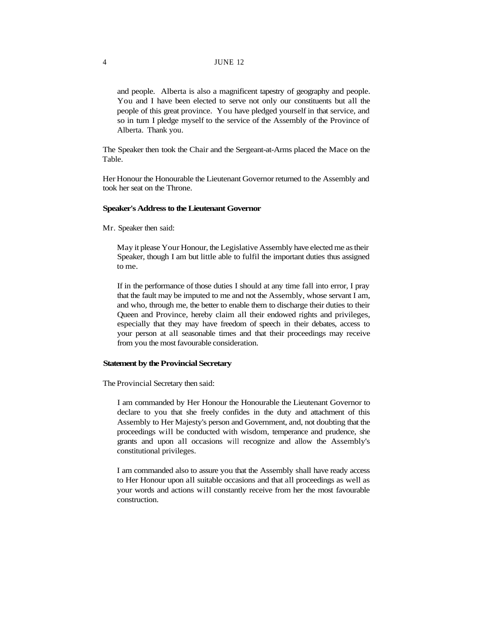#### 4 JUNE 12

and people. Alberta is also a magnificent tapestry of geography and people. You and I have been elected to serve not only our constituents but all the people of this great province. You have pledged yourself in that service, and so in turn I pledge myself to the service of the Assembly of the Province of Alberta. Thank you.

The Speaker then took the Chair and the Sergeant-at-Arms placed the Mace on the Table.

Her Honour the Honourable the Lieutenant Governor returned to the Assembly and took her seat on the Throne.

#### **Speaker's Address to the Lieutenant Governor**

Mr. Speaker then said:

May it please Your Honour, the Legislative Assembly have elected me as their Speaker, though I am but little able to fulfil the important duties thus assigned to me.

If in the performance of those duties I should at any time fall into error, I pray that the fault may be imputed to me and not the Assembly, whose servant I am, and who, through me, the better to enable them to discharge their duties to their Queen and Province, hereby claim all their endowed rights and privileges, especially that they may have freedom of speech in their debates, access to your person at all seasonable times and that their proceedings may receive from you the most favourable consideration.

#### **Statement by the Provincial Secretary**

The Provincial Secretary then said:

I am commanded by Her Honour the Honourable the Lieutenant Governor to declare to you that she freely confides in the duty and attachment of this Assembly to Her Majesty's person and Government, and, not doubting that the proceedings will be conducted with wisdom, temperance and prudence, she grants and upon all occasions will recognize and allow the Assembly's constitutional privileges.

I am commanded also to assure you that the Assembly shall have ready access to Her Honour upon all suitable occasions and that all proceedings as well as your words and actions will constantly receive from her the most favourable construction.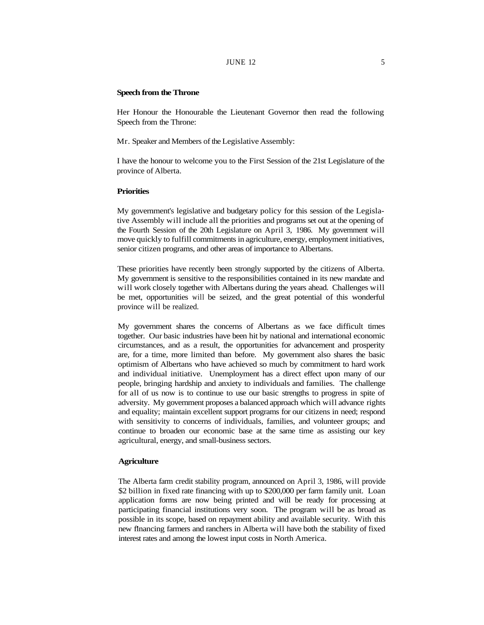## JUNE  $12$  5

#### **Speech from the Throne**

Her Honour the Honourable the Lieutenant Governor then read the following Speech from the Throne:

Mr. Speaker and Members of the Legislative Assembly:

I have the honour to welcome you to the First Session of the 21st Legislature of the province of Alberta.

#### **Priorities**

My government's legislative and budgetary policy for this session of the Legislative Assembly will include all the priorities and programs set out at the opening of the Fourth Session of the 20th Legislature on April 3, 1986. My government will move quickly to fulfill commitments in agriculture, energy, employment initiatives, senior citizen programs, and other areas of importance to Albertans.

These priorities have recently been strongly supported by the citizens of Alberta. My government is sensitive to the responsibilities contained in its new mandate and will work closely together with Albertans during the years ahead. Challenges will be met, opportunities will be seized, and the great potential of this wonderful province will be realized.

My government shares the concerns of Albertans as we face difficult times together. Our basic industries have been hit by national and international economic circumstances, and as a result, the opportunities for advancement and prosperity are, for a time, more limited than before. My government also shares the basic optimism of Albertans who have achieved so much by commitment to hard work and individual initiative. Unemployment has a direct effect upon many of our people, bringing hardship and anxiety to individuals and families. The challenge for all of us now is to continue to use our basic strengths to progress in spite of adversity. My government proposes a balanced approach which will advance rights and equality; maintain excellent support programs for our citizens in need; respond with sensitivity to concerns of individuals, families, and volunteer groups; and continue to broaden our economic base at the same time as assisting our key agricultural, energy, and small-business sectors.

#### **Agriculture**

The Alberta farm credit stability program, announced on April 3, 1986, will provide \$2 billion in fixed rate financing with up to \$200,000 per farm family unit. Loan application forms are now being printed and will be ready for processing at participating financial institutions very soon. The program will be as broad as possible in its scope, based on repayment ability and available security. With this new financing farmers and ranchers in Alberta will have both the stability of fixed interest rates and among the lowest input costs in North America.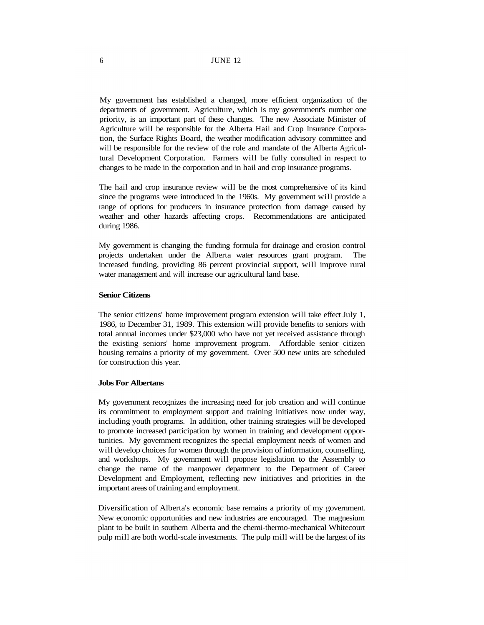# 6 JUNE 12

My government has established a changed, more efficient organization of the departments of government. Agriculture, which is my government's number one priority, is an important part of these changes. The new Associate Minister of Agriculture will be responsible for the Alberta Hail and Crop Insurance Corporation, the Surface Rights Board, the weather modification advisory committee and will be responsible for the review of the role and mandate of the Alberta Agricultural Development Corporation. Farmers will be fully consulted in respect to changes to be made in the corporation and in hail and crop insurance programs.

The hail and crop insurance review will be the most comprehensive of its kind since the programs were introduced in the 1960s. My government will provide a range of options for producers in insurance protection from damage caused by weather and other hazards affecting crops. Recommendations are anticipated during 1986.

My government is changing the funding formula for drainage and erosion control projects undertaken under the Alberta water resources grant program. The increased funding, providing 86 percent provincial support, will improve rural water management and will increase our agricultural land base.

# **Senior Citizens**

The senior citizens' home improvement program extension will take effect July 1, 1986, to December 31, 1989. This extension will provide benefits to seniors with total annual incomes under \$23,000 who have not yet received assistance through the existing seniors' home improvement program. Affordable senior citizen housing remains a priority of my government. Over 500 new units are scheduled for construction this year.

#### **Jobs For Albertans**

My government recognizes the increasing need for job creation and will continue its commitment to employment support and training initiatives now under way, including youth programs. In addition, other training strategies will be developed to promote increased participation by women in training and development opportunities. My government recognizes the special employment needs of women and will develop choices for women through the provision of information, counselling, and workshops. My government will propose legislation to the Assembly to change the name of the manpower department to the Department of Career Development and Employment, reflecting new initiatives and priorities in the important areas of training and employment.

Diversification of Alberta's economic base remains a priority of my government. New economic opportunities and new industries are encouraged. The magnesium plant to be built in southern Alberta and the chemi-thermo-mechanical Whitecourt pulp mill are both world-scale investments. The pulp mill will be the largest of its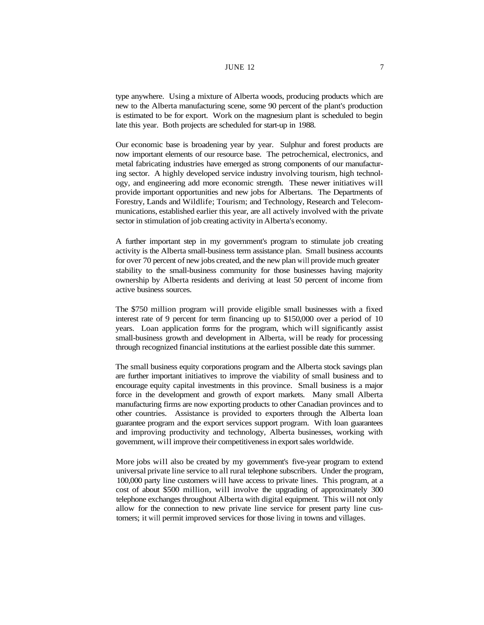# JUNE 12  $\overline{7}$

type anywhere. Using a mixture of Alberta woods, producing products which are new to the Alberta manufacturing scene, some 90 percent of the plant's production is estimated to be for export. Work on the magnesium plant is scheduled to begin late this year. Both projects are scheduled for start-up in 1988.

Our economic base is broadening year by year. Sulphur and forest products are now important elements of our resource base. The petrochemical, electronics, and metal fabricating industries have emerged as strong components of our manufacturing sector. A highly developed service industry involving tourism, high technology, and engineering add more economic strength. These newer initiatives will provide important opportunities and new jobs for Albertans. The Departments of Forestry, Lands and Wildlife; Tourism; and Technology, Research and Telecommunications, established earlier this year, are all actively involved with the private sector in stimulation of job creating activity in Alberta's economy.

A further important step in my government's program to stimulate job creating activity is the Alberta small-business term assistance plan. Small business accounts for over 70 percent of new jobs created, and the new plan will provide much greater stability to the small-business community for those businesses having majority ownership by Alberta residents and deriving at least 50 percent of income from active business sources.

The \$750 million program will provide eligible small businesses with a fixed interest rate of 9 percent for term financing up to \$150,000 over a period of 10 years. Loan application forms for the program, which will significantly assist small-business growth and development in Alberta, will be ready for processing through recognized financial institutions at the earliest possible date this summer.

The small business equity corporations program and the Alberta stock savings plan are further important initiatives to improve the viability of small business and to encourage equity capital investments in this province. Small business is a major force in the development and growth of export markets. Many small Alberta manufacturing firms are now exporting products to other Canadian provinces and to other countries. Assistance is provided to exporters through the Alberta loan guarantee program and the export services support program. With loan guarantees and improving productivity and technology, Alberta businesses, working with government, will improve their competitiveness in export sales worldwide.

More jobs will also be created by my government's five-year program to extend universal private line service to all rural telephone subscribers. Under the program, 100,000 party line customers will have access to private lines. This program, at a cost of about \$500 million, will involve the upgrading of approximately 300 telephone exchanges throughout Alberta with digital equipment. This will not only allow for the connection to new private line service for present party line customers; it will permit improved services for those living in towns and villages.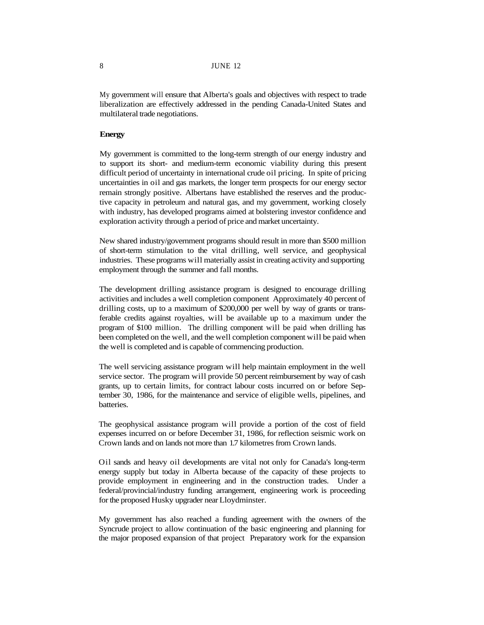My government will ensure that Alberta's goals and objectives with respect to trade liberalization are effectively addressed in the pending Canada-United States and multilateral trade negotiations.

#### **Energy**

My government is committed to the long-term strength of our energy industry and to support its short- and medium-term economic viability during this present difficult period of uncertainty in international crude oil pricing. In spite of pricing uncertainties in oil and gas markets, the longer term prospects for our energy sector remain strongly positive. Albertans have established the reserves and the productive capacity in petroleum and natural gas, and my government, working closely with industry, has developed programs aimed at bolstering investor confidence and exploration activity through a period of price and market uncertainty.

New shared industry/government programs should result in more than \$500 million of short-term stimulation to the vital drilling, well service, and geophysical industries. These programs will materially assist in creating activity and supporting employment through the summer and fall months.

The development drilling assistance program is designed to encourage drilling activities and includes a well completion component Approximately 40 percent of drilling costs, up to a maximum of \$200,000 per well by way of grants or transferable credits against royalties, will be available up to a maximum under the program of \$100 million. The drilling component will be paid when drilling has been completed on the well, and the well completion component will be paid when the well is completed and is capable of commencing production.

The well servicing assistance program will help maintain employment in the well service sector. The program will provide 50 percent reimbursement by way of cash grants, up to certain limits, for contract labour costs incurred on or before September 30, 1986, for the maintenance and service of eligible wells, pipelines, and batteries.

The geophysical assistance program will provide a portion of the cost of field expenses incurred on or before December 31, 1986, for reflection seismic work on Crown lands and on lands not more than 1.7 kilometres from Crown lands.

Oil sands and heavy oil developments are vital not only for Canada's long-term energy supply but today in Alberta because of the capacity of these projects to provide employment in engineering and in the construction trades. Under a federal/provincial/industry funding arrangement, engineering work is proceeding for the proposed Husky upgrader near Lloydminster.

My government has also reached a funding agreement with the owners of the Syncrude project to allow continuation of the basic engineering and planning for the major proposed expansion of that project Preparatory work for the expansion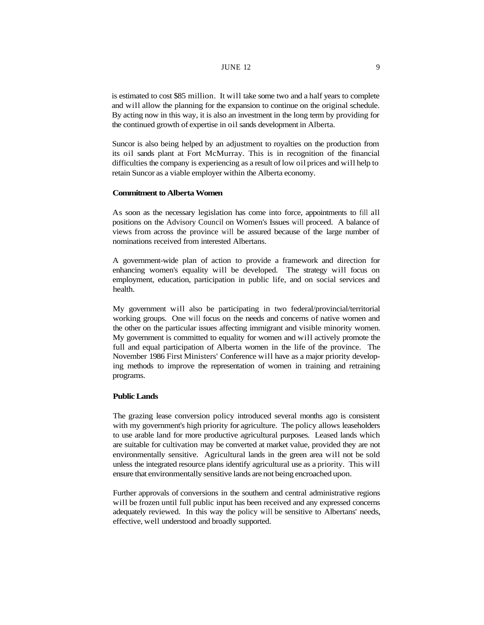#### JUNE 12  $\qquad \qquad$  9

is estimated to cost \$85 million. It will take some two and a half years to complete and will allow the planning for the expansion to continue on the original schedule. By acting now in this way, it is also an investment in the long term by providing for the continued growth of expertise in oil sands development in Alberta.

Suncor is also being helped by an adjustment to royalties on the production from its oil sands plant at Fort McMurray. This is in recognition of the financial difficulties the company is experiencing as a result of low oil prices and will help to retain Suncor as a viable employer within the Alberta economy.

#### **Commitment to Alberta Women**

As soon as the necessary legislation has come into force, appointments to fill all positions on the Advisory Council on Women's Issues will proceed. A balance of views from across the province will be assured because of the large number of nominations received from interested Albertans.

A government-wide plan of action to provide a framework and direction for enhancing women's equality will be developed. The strategy will focus on employment, education, participation in public life, and on social services and health.

My government will also be participating in two federal/provincial/territorial working groups. One will focus on the needs and concerns of native women and the other on the particular issues affecting immigrant and visible minority women. My government is committed to equality for women and will actively promote the full and equal participation of Alberta women in the life of the province. The November 1986 First Ministers' Conference will have as a major priority developing methods to improve the representation of women in training and retraining programs.

# **Public Lands**

The grazing lease conversion policy introduced several months ago is consistent with my government's high priority for agriculture. The policy allows leaseholders to use arable land for more productive agricultural purposes. Leased lands which are suitable for cultivation may be converted at market value, provided they are not environmentally sensitive. Agricultural lands in the green area will not be sold unless the integrated resource plans identify agricultural use as a priority. This will ensure that environmentally sensitive lands are not being encroached upon.

Further approvals of conversions in the southern and central administrative regions will be frozen until full public input has been received and any expressed concerns adequately reviewed. In this way the policy will be sensitive to Albertans' needs, effective, well understood and broadly supported.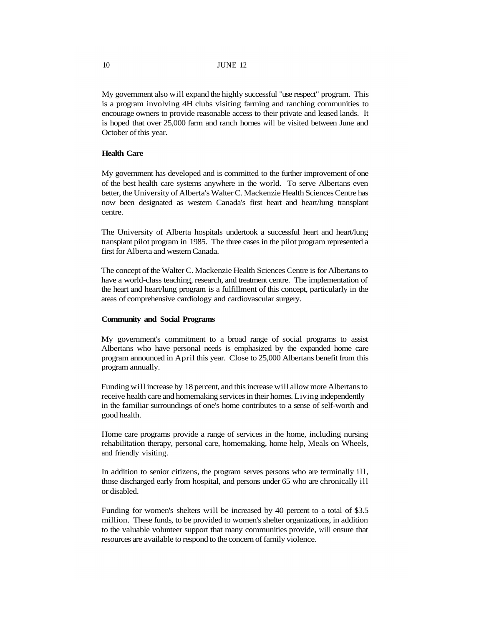My government also will expand the highly successful "use respect" program. This is a program involving 4H clubs visiting farming and ranching communities to encourage owners to provide reasonable access to their private and leased lands. It is hoped that over 25,000 farm and ranch homes will be visited between June and October of this year.

#### **Health Care**

My government has developed and is committed to the further improvement of one of the best health care systems anywhere in the world. To serve Albertans even better, the University of Alberta's Walter C. Mackenzie Health Sciences Centre has now been designated as western Canada's first heart and heart/lung transplant centre.

The University of Alberta hospitals undertook a successful heart and heart/lung transplant pilot program in 1985. The three cases in the pilot program represented a first for Alberta and western Canada.

The concept of the Walter C. Mackenzie Health Sciences Centre is for Albertans to have a world-class teaching, research, and treatment centre. The implementation of the heart and heart/lung program is a fulfillment of this concept, particularly in the areas of comprehensive cardiology and cardiovascular surgery.

#### **Community and Social Programs**

My government's commitment to a broad range of social programs to assist Albertans who have personal needs is emphasized by the expanded home care program announced in April this year. Close to 25,000 Albertans benefit from this program annually.

Funding will increase by 18 percent, and this increase will allow more Albertans to receive health care and homemaking services in their homes. Living independently in the familiar surroundings of one's home contributes to a sense of self-worth and good health.

Home care programs provide a range of services in the home, including nursing rehabilitation therapy, personal care, homemaking, home help, Meals on Wheels, and friendly visiting.

In addition to senior citizens, the program serves persons who are terminally ill, those discharged early from hospital, and persons under 65 who are chronically ill or disabled.

Funding for women's shelters will be increased by 40 percent to a total of \$3.5 million. These funds, to be provided to women's shelter organizations, in addition to the valuable volunteer support that many communities provide, will ensure that resources are available to respond to the concern of family violence.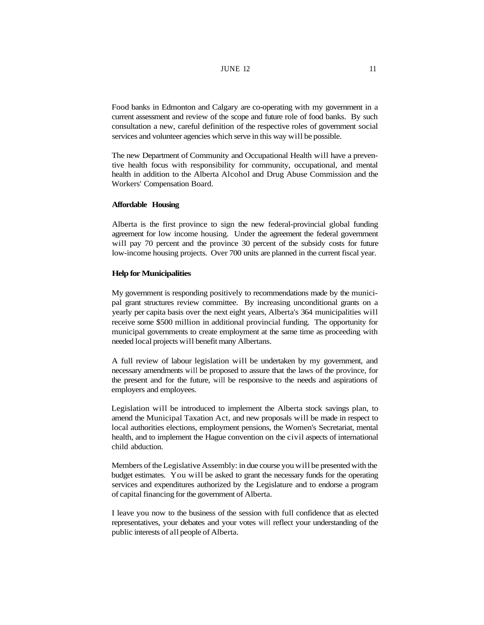# **JUNE 12** 11

Food banks in Edmonton and Calgary are co-operating with my government in a current assessment and review of the scope and future role of food banks. By such consultation a new, careful definition of the respective roles of government social services and volunteer agencies which serve in this way will be possible.

The new Department of Community and Occupational Health will have a preventive health focus with responsibility for community, occupational, and mental health in addition to the Alberta Alcohol and Drug Abuse Commission and the Workers' Compensation Board.

#### **Affordable Housing**

Alberta is the first province to sign the new federal-provincial global funding agreement for low income housing. Under the agreement the federal government will pay 70 percent and the province 30 percent of the subsidy costs for future low-income housing projects. Over 700 units are planned in the current fiscal year.

## **Help for Municipalities**

My government is responding positively to recommendations made by the municipal grant structures review committee. By increasing unconditional grants on a yearly per capita basis over the next eight years, Alberta's 364 municipalities will receive some \$500 million in additional provincial funding. The opportunity for municipal governments to create employment at the same time as proceeding with needed local projects will benefit many Albertans.

A full review of labour legislation will be undertaken by my government, and necessary amendments will be proposed to assure that the laws of the province, for the present and for the future, will be responsive to the needs and aspirations of employers and employees.

Legislation will be introduced to implement the Alberta stock savings plan, to amend the Municipal Taxation Act, and new proposals will be made in respect to local authorities elections, employment pensions, the Women's Secretariat, mental health, and to implement the Hague convention on the civil aspects of international child abduction.

Members of the Legislative Assembly: in due course you will be presented with the budget estimates. You will be asked to grant the necessary funds for the operating services and expenditures authorized by the Legislature and to endorse a program of capital financing for the government of Alberta.

I leave you now to the business of the session with full confidence that as elected representatives, your debates and your votes will reflect your understanding of the public interests of all people of Alberta.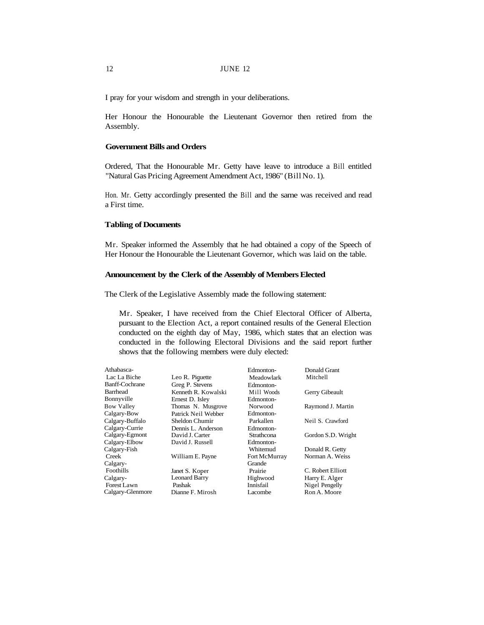I pray for your wisdom and strength in your deliberations.

Her Honour the Honourable the Lieutenant Governor then retired from the Assembly.

#### **Government Bills and Orders**

Ordered, That the Honourable Mr. Getty have leave to introduce a Bill entitled "Natural Gas Pricing Agreement Amendment Act, 1986" (Bill No. 1).

Hon. Mr. Getty accordingly presented the Bill and the same was received and read a First time.

#### **Tabling of Documents**

Mr. Speaker informed the Assembly that he had obtained a copy of the Speech of Her Honour the Honourable the Lieutenant Governor, which was laid on the table.

#### **Announcement by the Clerk of the Assembly of Members Elected**

The Clerk of the Legislative Assembly made the following statement:

Mr. Speaker, I have received from the Chief Electoral Officer of Alberta, pursuant to the Election Act, a report contained results of the General Election conducted on the eighth day of May, 1986, which states that an election was conducted in the following Electoral Divisions and the said report further shows that the following members were duly elected:

| Athabasca-            |                      | Edmonton-     | Donald Grant       |
|-----------------------|----------------------|---------------|--------------------|
| Lac La Biche          | Leo R. Piquette      | Meadowlark    | Mitchell           |
| <b>Banff-Cochrane</b> | Greg P. Stevens      | Edmonton-     |                    |
| Barrhead              | Kenneth R. Kowalski  | Mill Woods    | Gerry Gibeault     |
| Bonnyville            | Ernest D. Isley      | Edmonton-     |                    |
| <b>Bow Valley</b>     | Thomas N. Musgrove   | Norwood       | Raymond J. Martin  |
| Calgary-Bow           | Patrick Neil Webber  | Edmonton-     |                    |
| Calgary-Buffalo       | Sheldon Chumir       | Parkallen     | Neil S. Crawford   |
| Calgary-Currie        | Dennis L. Anderson   | Edmonton-     |                    |
| Calgary-Egmont        | David J. Carter      | Strathcona    | Gordon S.D. Wright |
| Calgary-Elbow         | David J. Russell     | Edmonton-     |                    |
| Calgary-Fish          |                      | Whitemud      | Donald R. Getty    |
| Creek                 | William E. Payne     | Fort McMurray | Norman A. Weiss    |
| Calgary-              |                      | Grande        |                    |
| Foothills             | Janet S. Koper       | Prairie       | C. Robert Elliott  |
| Calgary-              | <b>Leonard Barry</b> | Highwood      | Harry E. Alger     |
| Forest Lawn           | Pashak               | Innisfail     | Nigel Pengelly     |
| Calgary-Glenmore      | Dianne F. Mirosh     | Lacombe       | Ron A. Moore       |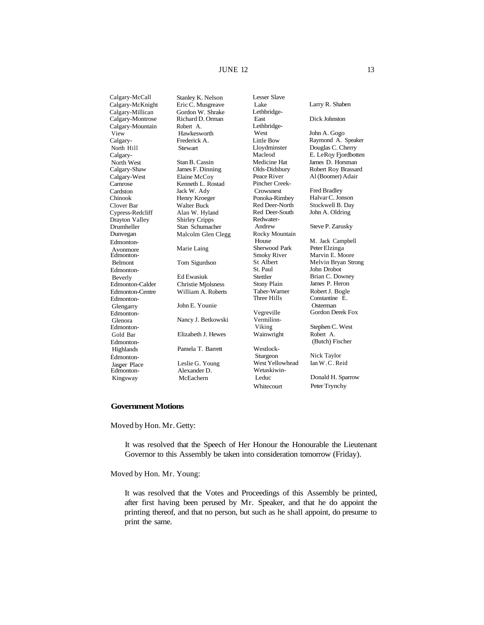# **JUNE 12** 13

Calgary-Millican Gordon W. Shrake Calgary-Mountain View<br>Calgary-North Hill Stewart Calgary-North West Stan B. Cassin<br>Calgary-Shaw James F. Dinni Calgary-West<br>Camrose Cardston Chinook Clover Bar Walter Buck<br>
Cypress-Redcliff Alan W. Hyland Cypress-Redcliff Drayton Valley Shirley Cripps Drumheller Stan Schumacher Edmonton-Avonmore Marie Laing Edmonton-<br>Belmont Edmonton-Beverly Ed Ewasiuk Edmonton-Calder Christie Mjolsness<br>Edmonton-Centre William A. Roberts Edmonton-Glengarry John E. Younie Edmonton-Edmonton-Edmonton-Highlands Pamela T. Barrett Edmonton-Jasper Place Leslie G. Young Edmonton-Kingsway

Calgary-McCall Stanley K. Nelson<br>Calgary-McKnight Eric C. Musgreave Eric C. Musgreave Richard D. Orman Robert A. Hawkesworth Frederick A. James F. Dinning<br>Elaine McCoy Kenneth L. Rostad Jack W. Ady Henry Kroeger Dunvegan Malcolm Glen Clegg Tom Sigurdson William A. Roberts Nancy J. Betkowski Gold Bar Elizabeth J. Hewes

> Alexander D. McEachern

Lesser Slave Lethbridge-East Dick Johnston Lethbridge-West John A. Gogo<br>Little Bow Raymond A. Lloydminster Douglas C. Cherry<br>
Macleod E. LeRov Fiordbot Medicine Hat James D. Horsman Pincher Creek-Crowsnest Fred Bradley<br>Ponoka-Rimbey Halvar C. Jon Red Deer-North Stockwell B. Day<br>Red Deer-South John A. Oldring Redwater-Andrew Steve P. Zarusky Rocky Mountain House M. Jack Campbell<br>Sherwood Park Peter Elzinga Sherwood Park Smoky River Marvin E. Moore<br>St Albert Melvin Bryan Str Stettler Brian C. Downey<br>Stony Plain James P. Heron Taber-Warner Robert J. Bogle<br>Three Hills Constantine E. Vegreville Gordon Derek Fox Vermilion-Viking Stephen C. West Wainwright Robert A. Westlock-<br>Sturgeon West Yellowhead Wetaskiwin-Leduc Donald H. Sparrow Whitecourt Peter Trynchy

Larry R. Shaben Raymond A. Speaker E. LeRoy Fjordbotten Olds-Didsbury Robert Roy Brassard<br>Peace River Al (Boomer) Adair Al (Boomer) Adair Halvar C. Jonson John A. Oldring St Albert Melvin Bryan Strong<br>St. Paul John Drobot John Drobot James P. Heron Constantine E. Osterman (Butch) Fischer Nick Taylor<br>Ian W.C. Reid

#### **Government Motions**

Moved by Hon. Mr. Getty:

It was resolved that the Speech of Her Honour the Honourable the Lieutenant Governor to this Assembly be taken into consideration tomorrow (Friday).

Moved by Hon. Mr. Young:

It was resolved that the Votes and Proceedings of this Assembly be printed, after first having been perused by Mr. Speaker, and that he do appoint the printing thereof, and that no person, but such as he shall appoint, do presume to print the same.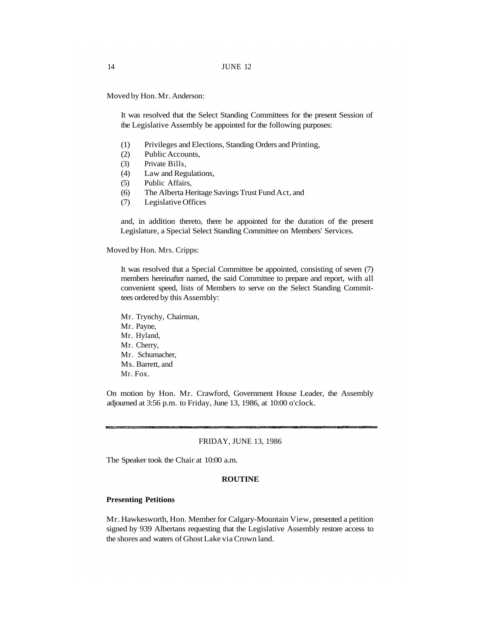Moved by Hon. Mr. Anderson:

It was resolved that the Select Standing Committees for the present Session of the Legislative Assembly be appointed for the following purposes:

- (1) Privileges and Elections, Standing Orders and Printing,
- (2) Public Accounts,
- (3) Private Bills,
- (4) Law and Regulations,
- (5) Public Affairs,
- (6) The Alberta Heritage Savings Trust Fund Act, and
- (7) Legislative Offices

and, in addition thereto, there be appointed for the duration of the present Legislature, a Special Select Standing Committee on Members' Services.

Moved by Hon. Mrs. Cripps:

It was resolved that a Special Committee be appointed, consisting of seven (7) members hereinafter named, the said Committee to prepare and report, with all convenient speed, lists of Members to serve on the Select Standing Committees ordered by this Assembly:

Mr. Trynchy, Chairman, Mr. Payne, Mr. Hyland, Mr. Cherry, Mr. Schumacher, Ms. Barrett, and Mr. Fox.

On motion by Hon. Mr. Crawford, Government House Leader, the Assembly adjourned at 3:56 p.m. to Friday, June 13, 1986, at 10:00 o'clock.

#### FRIDAY, JUNE 13, 1986

The Speaker took the Chair at 10:00 a.m.

#### **ROUTINE**

#### **Presenting Petitions**

Mr. Hawkesworth, Hon. Member for Calgary-Mountain View, presented a petition signed by 939 Albertans requesting that the Legislative Assembly restore access to the shores and waters of Ghost Lake via Crown land.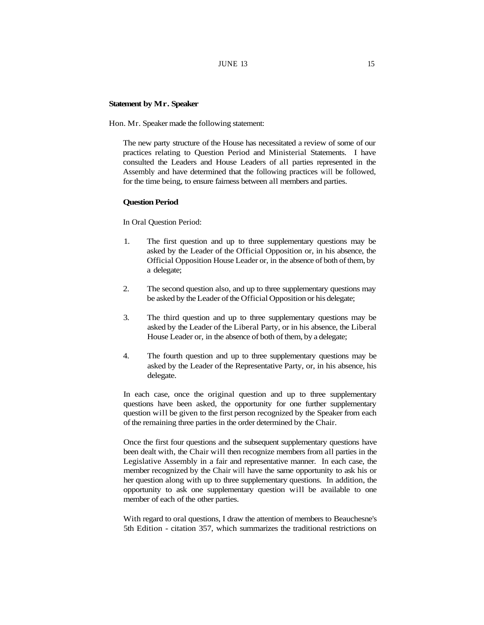#### **Statement by Mr. Speaker**

Hon. Mr. Speaker made the following statement:

The new party structure of the House has necessitated a review of some of our practices relating to Question Period and Ministerial Statements. I have consulted the Leaders and House Leaders of all parties represented in the Assembly and have determined that the following practices will be followed, for the time being, to ensure fairness between all members and parties.

#### **Question Period**

In Oral Question Period:

- 1. The first question and up to three supplementary questions may be asked by the Leader of the Official Opposition or, in his absence, the Official Opposition House Leader or, in the absence of both of them, by a delegate;
- 2. The second question also, and up to three supplementary questions may be asked by the Leader of the Official Opposition or his delegate;
- 3. The third question and up to three supplementary questions may be asked by the Leader of the Liberal Party, or in his absence, the Liberal House Leader or, in the absence of both of them, by a delegate;
- 4. The fourth question and up to three supplementary questions may be asked by the Leader of the Representative Party, or, in his absence, his delegate.

In each case, once the original question and up to three supplementary questions have been asked, the opportunity for one further supplementary question will be given to the first person recognized by the Speaker from each of the remaining three parties in the order determined by the Chair.

Once the first four questions and the subsequent supplementary questions have been dealt with, the Chair will then recognize members from all parties in the Legislative Assembly in a fair and representative manner. In each case, the member recognized by the Chair will have the same opportunity to ask his or her question along with up to three supplementary questions. In addition, the opportunity to ask one supplementary question will be available to one member of each of the other parties.

With regard to oral questions, I draw the attention of members to Beauchesne's 5th Edition - citation 357, which summarizes the traditional restrictions on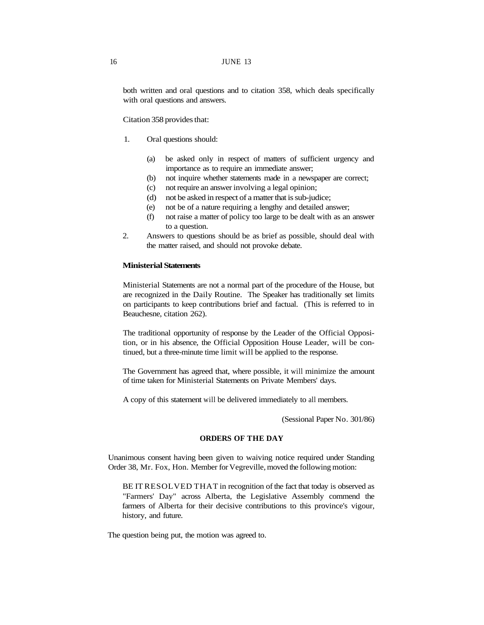#### 16 JUNE 13

both written and oral questions and to citation 358, which deals specifically with oral questions and answers.

Citation 358 provides that:

- 1. Oral questions should:
	- (a) be asked only in respect of matters of sufficient urgency and importance as to require an immediate answer;
	- (b) not inquire whether statements made in a newspaper are correct;
	- (c) not require an answer involving a legal opinion;
	- (d) not be asked in respect of a matter that is sub-judice;
	- (e) not be of a nature requiring a lengthy and detailed answer;
	- (f) not raise a matter of policy too large to be dealt with as an answer to a question.
- 2. Answers to questions should be as brief as possible, should deal with the matter raised, and should not provoke debate.

# **Ministerial Statements**

Ministerial Statements are not a normal part of the procedure of the House, but are recognized in the Daily Routine. The Speaker has traditionally set limits on participants to keep contributions brief and factual. (This is referred to in Beauchesne, citation 262).

The traditional opportunity of response by the Leader of the Official Opposition, or in his absence, the Official Opposition House Leader, will be continued, but a three-minute time limit will be applied to the response.

The Government has agreed that, where possible, it will minimize the amount of time taken for Ministerial Statements on Private Members' days.

A copy of this statement will be delivered immediately to all members.

(Sessional Paper No. 301/86)

# **ORDERS OF THE DAY**

Unanimous consent having been given to waiving notice required under Standing Order 38, Mr. Fox, Hon. Member for Vegreville, moved the following motion:

BE IT RESOLVED THAT in recognition of the fact that today is observed as "Farmers' Day" across Alberta, the Legislative Assembly commend the farmers of Alberta for their decisive contributions to this province's vigour, history, and future.

The question being put, the motion was agreed to.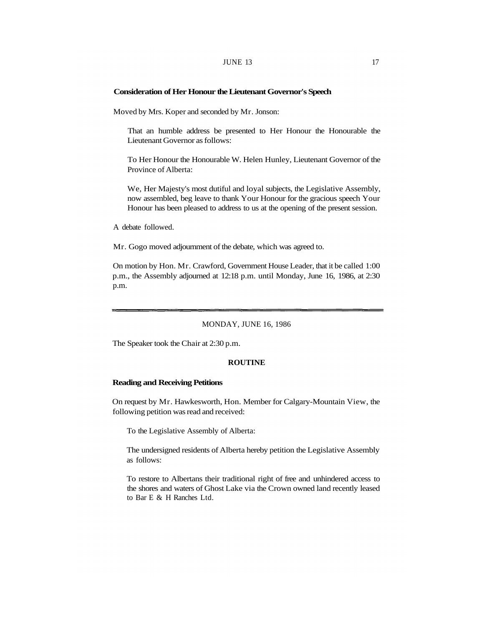#### **JUNE 13** 17

#### **Consideration of Her Honour the Lieutenant Governor's Speech**

Moved by Mrs. Koper and seconded by Mr. Jonson:

That an humble address be presented to Her Honour the Honourable the Lieutenant Governor as follows:

To Her Honour the Honourable W. Helen Hunley, Lieutenant Governor of the Province of Alberta:

We, Her Majesty's most dutiful and loyal subjects, the Legislative Assembly, now assembled, beg leave to thank Your Honour for the gracious speech Your Honour has been pleased to address to us at the opening of the present session.

A debate followed.

Mr. Gogo moved adjournment of the debate, which was agreed to.

On motion by Hon. Mr. Crawford, Government House Leader, that it be called 1:00 p.m., the Assembly adjourned at 12:18 p.m. until Monday, June 16, 1986, at 2:30 p.m.

# MONDAY, JUNE 16, 1986

The Speaker took the Chair at 2:30 p.m.

#### **ROUTINE**

#### **Reading and Receiving Petitions**

On request by Mr. Hawkesworth, Hon. Member for Calgary-Mountain View, the following petition was read and received:

To the Legislative Assembly of Alberta:

The undersigned residents of Alberta hereby petition the Legislative Assembly as follows:

To restore to Albertans their traditional right of free and unhindered access to the shores and waters of Ghost Lake via the Crown owned land recently leased to Bar E & H Ranches Ltd.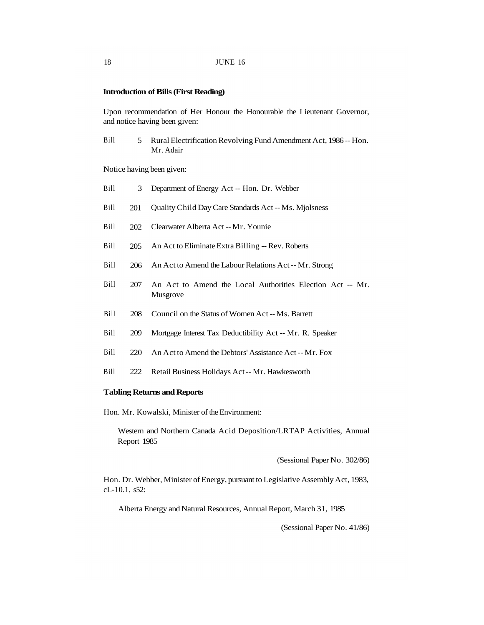# **Introduction of Bills (First Reading)**

Upon recommendation of Her Honour the Honourable the Lieutenant Governor, and notice having been given:

Bill 5 Rural Electrification Revolving Fund Amendment Act, 1986 -- Hon. Mr. Adair

Notice having been given:

| Bill | 3   | Department of Energy Act -- Hon. Dr. Webber                           |
|------|-----|-----------------------------------------------------------------------|
| Bill | 201 | Quality Child Day Care Standards Act -- Ms. Miolsness                 |
| Bill | 202 | Clearwater Alberta Act -- Mr. Younie                                  |
| Bill | 205 | An Act to Eliminate Extra Billing -- Rev. Roberts                     |
| Bill | 206 | An Act to Amend the Labour Relations Act -- Mr. Strong                |
| Bill | 207 | An Act to Amend the Local Authorities Election Act -- Mr.<br>Musgrove |
| Bill | 208 | Council on the Status of Women Act -- Ms. Barrett                     |
| Bill | 209 | Mortgage Interest Tax Deductibility Act -- Mr. R. Speaker             |
| Bill | 220 | An Act to Amend the Debtors' Assistance Act -- Mr. Fox                |
| Bill | 222 | Retail Business Holidays Act -- Mr. Hawkesworth                       |

# **Tabling Returns and Reports**

Hon. Mr. Kowalski, Minister of the Environment:

Western and Northern Canada Acid Deposition/LRTAP Activities, Annual Report 1985

(Sessional Paper No. 302/86)

Hon. Dr. Webber, Minister of Energy, pursuant to Legislative Assembly Act, 1983, cL-10.1, s52:

Alberta Energy and Natural Resources, Annual Report, March 31, 1985

(Sessional Paper No. 41/86)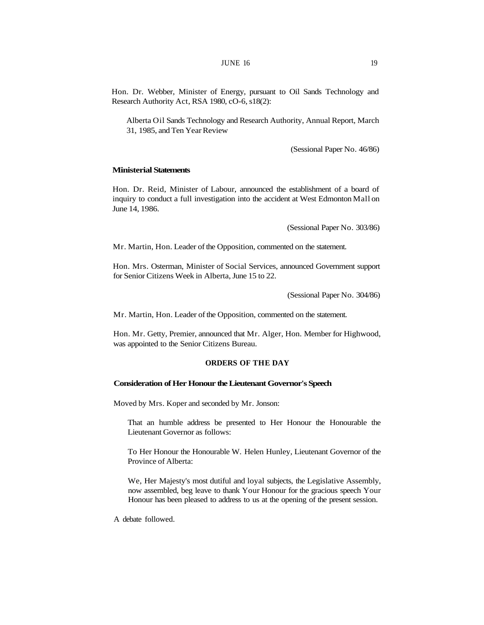Hon. Dr. Webber, Minister of Energy, pursuant to Oil Sands Technology and Research Authority Act, RSA 1980, cO-6, s18(2):

Alberta Oil Sands Technology and Research Authority, Annual Report, March 31, 1985, and Ten Year Review

(Sessional Paper No. 46/86)

# **Ministerial Statements**

Hon. Dr. Reid, Minister of Labour, announced the establishment of a board of inquiry to conduct a full investigation into the accident at West Edmonton Mall on June 14, 1986.

(Sessional Paper No. 303/86)

Mr. Martin, Hon. Leader of the Opposition, commented on the statement.

Hon. Mrs. Osterman, Minister of Social Services, announced Government support for Senior Citizens Week in Alberta, June 15 to 22.

(Sessional Paper No. 304/86)

Mr. Martin, Hon. Leader of the Opposition, commented on the statement.

Hon. Mr. Getty, Premier, announced that Mr. Alger, Hon. Member for Highwood, was appointed to the Senior Citizens Bureau.

#### **ORDERS OF THE DAY**

#### **Consideration of Her Honour the Lieutenant Governor's Speech**

Moved by Mrs. Koper and seconded by Mr. Jonson:

That an humble address be presented to Her Honour the Honourable the Lieutenant Governor as follows:

To Her Honour the Honourable W. Helen Hunley, Lieutenant Governor of the Province of Alberta:

We, Her Majesty's most dutiful and loyal subjects, the Legislative Assembly, now assembled, beg leave to thank Your Honour for the gracious speech Your Honour has been pleased to address to us at the opening of the present session.

A debate followed.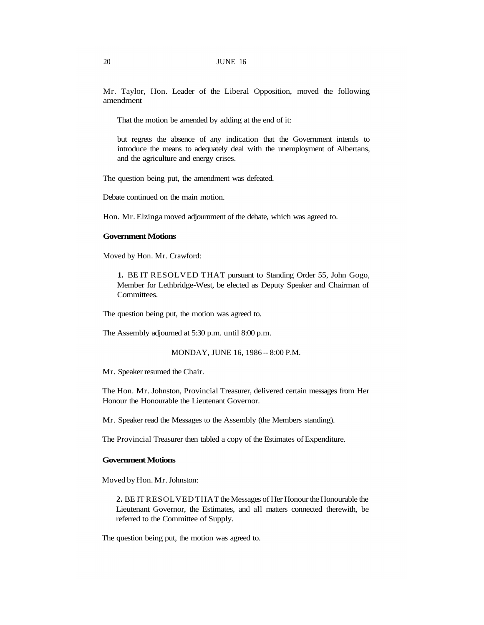Mr. Taylor, Hon. Leader of the Liberal Opposition, moved the following amendment

That the motion be amended by adding at the end of it:

but regrets the absence of any indication that the Government intends to introduce the means to adequately deal with the unemployment of Albertans, and the agriculture and energy crises.

The question being put, the amendment was defeated.

Debate continued on the main motion.

Hon. Mr. Elzinga moved adjournment of the debate, which was agreed to.

#### **Government Motions**

Moved by Hon. Mr. Crawford:

**1.** BE IT RESOLVED THAT pursuant to Standing Order 55, John Gogo, Member for Lethbridge-West, be elected as Deputy Speaker and Chairman of Committees.

The question being put, the motion was agreed to.

The Assembly adjourned at 5:30 p.m. until 8:00 p.m.

MONDAY, JUNE 16, 1986 -- 8:00 P.M.

Mr. Speaker resumed the Chair.

The Hon. Mr. Johnston, Provincial Treasurer, delivered certain messages from Her Honour the Honourable the Lieutenant Governor.

Mr. Speaker read the Messages to the Assembly (the Members standing).

The Provincial Treasurer then tabled a copy of the Estimates of Expenditure.

#### **Government Motions**

Moved by Hon. Mr. Johnston:

**2.** BE IT RESOLVED THAT the Messages of Her Honour the Honourable the Lieutenant Governor, the Estimates, and all matters connected therewith, be referred to the Committee of Supply.

The question being put, the motion was agreed to.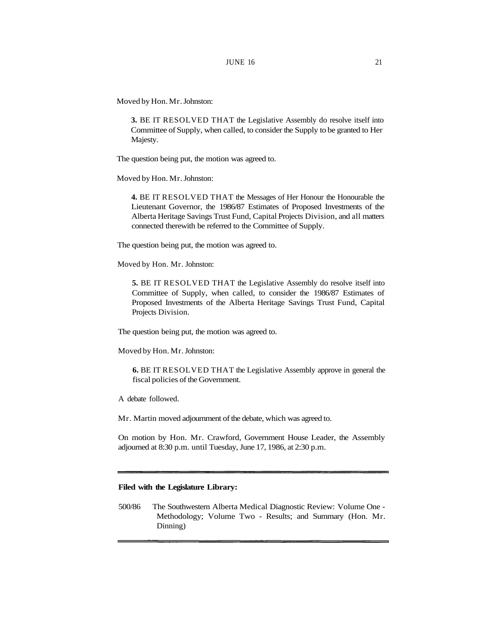Moved by Hon. Mr. Johnston:

**3.** BE IT RESOLVED THAT the Legislative Assembly do resolve itself into Committee of Supply, when called, to consider the Supply to be granted to Her Majesty.

The question being put, the motion was agreed to.

Moved by Hon. Mr. Johnston:

**4.** BE IT RESOLVED THAT the Messages of Her Honour the Honourable the Lieutenant Governor, the 1986/87 Estimates of Proposed Investments of the Alberta Heritage Savings Trust Fund, Capital Projects Division, and all matters connected therewith be referred to the Committee of Supply.

The question being put, the motion was agreed to.

Moved by Hon. Mr. Johnston:

**5.** BE IT RESOLVED THAT the Legislative Assembly do resolve itself into Committee of Supply, when called, to consider the 1986/87 Estimates of Proposed Investments of the Alberta Heritage Savings Trust Fund, Capital Projects Division.

The question being put, the motion was agreed to.

Moved by Hon. Mr. Johnston:

**6.** BE IT RESOLVED THAT the Legislative Assembly approve in general the fiscal policies of the Government.

A debate followed.

Mr. Martin moved adjournment of the debate, which was agreed to.

On motion by Hon. Mr. Crawford, Government House Leader, the Assembly adjourned at 8:30 p.m. until Tuesday, June 17, 1986, at 2:30 p.m.

# **Filed with the Legislature Library:**

500/86 The Southwestern Alberta Medical Diagnostic Review: Volume One - Methodology; Volume Two - Results; and Summary (Hon. Mr. Dinning)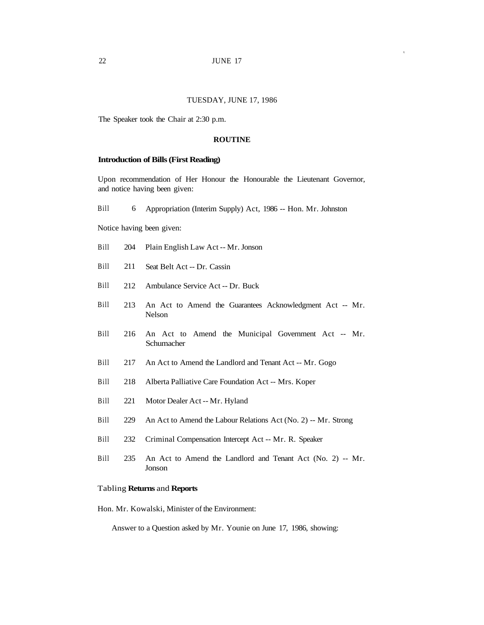# TUESDAY, JUNE 17, 1986

The Speaker took the Chair at 2:30 p.m.

#### **ROUTINE**

#### **Introduction of Bills (First Reading)**

Upon recommendation of Her Honour the Honourable the Lieutenant Governor, and notice having been given:

Bill 6 Appropriation (Interim Supply) Act, 1986 -- Hon. Mr. Johnston

Notice having been given:

- Bill 204 Plain English Law Act -- Mr. Jonson
- Bill 211 Seat Belt Act -- Dr. Cassin
- Bill 212 Ambulance Service Act -- Dr. Buck
- Bill 213 An Act to Amend the Guarantees Acknowledgment Act -- Mr. Nelson
- Bill 216 An Act to Amend the Municipal Government Act -- Mr. Schumacher
- Bill 217 An Act to Amend the Landlord and Tenant Act -- Mr. Gogo
- Bill 218 Alberta Palliative Care Foundation Act -- Mrs. Koper
- Bill 221 Motor Dealer Act -- Mr. Hyland
- Bill 229 An Act to Amend the Labour Relations Act (No. 2) -- Mr. Strong
- Bill 232 Criminal Compensation Intercept Act -- Mr. R. Speaker
- Bill 235 An Act to Amend the Landlord and Tenant Act (No. 2) -- Mr. Jonson

#### Tabling **Returns** and **Reports**

Hon. Mr. Kowalski, Minister of the Environment:

Answer to a Question asked by Mr. Younie on June 17, 1986, showing: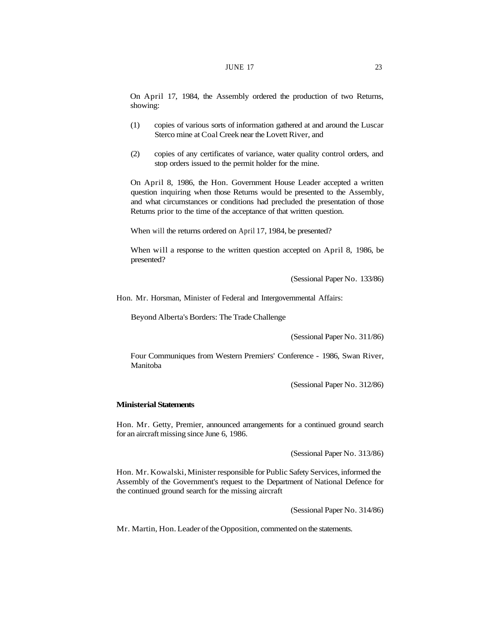On April 17, 1984, the Assembly ordered the production of two Returns, showing:

- (1) copies of various sorts of information gathered at and around the Luscar Sterco mine at Coal Creek near the Lovett River, and
- (2) copies of any certificates of variance, water quality control orders, and stop orders issued to the permit holder for the mine.

On April 8, 1986, the Hon. Government House Leader accepted a written question inquiring when those Returns would be presented to the Assembly, and what circumstances or conditions had precluded the presentation of those Returns prior to the time of the acceptance of that written question.

When will the returns ordered on April 17, 1984, be presented?

When will a response to the written question accepted on April 8, 1986, be presented?

(Sessional Paper No. 133/86)

Hon. Mr. Horsman, Minister of Federal and Intergovernmental Affairs:

Beyond Alberta's Borders: The Trade Challenge

(Sessional Paper No. 311/86)

Four Communiques from Western Premiers' Conference - 1986, Swan River, Manitoba

(Sessional Paper No. 312/86)

### **Ministerial Statements**

Hon. Mr. Getty, Premier, announced arrangements for a continued ground search for an aircraft missing since June 6, 1986.

(Sessional Paper No. 313/86)

Hon. Mr. Kowalski, Minister responsible for Public Safety Services, informed the Assembly of the Government's request to the Department of National Defence for the continued ground search for the missing aircraft

(Sessional Paper No. 314/86)

Mr. Martin, Hon. Leader of the Opposition, commented on the statements.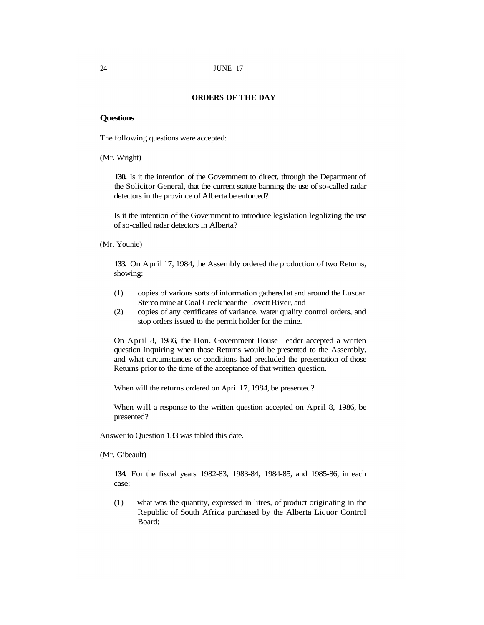#### **ORDERS OF THE DAY**

#### **Questions**

The following questions were accepted:

(Mr. Wright)

**130.** Is it the intention of the Government to direct, through the Department of the Solicitor General, that the current statute banning the use of so-called radar detectors in the province of Alberta be enforced?

Is it the intention of the Government to introduce legislation legalizing the use of so-called radar detectors in Alberta?

(Mr. Younie)

**133.** On April 17, 1984, the Assembly ordered the production of two Returns, showing:

- (1) copies of various sorts of information gathered at and around the Luscar Sterco mine at Coal Creek near the Lovett River, and
- (2) copies of any certificates of variance, water quality control orders, and stop orders issued to the permit holder for the mine.

On April 8, 1986, the Hon. Government House Leader accepted a written question inquiring when those Returns would be presented to the Assembly, and what circumstances or conditions had precluded the presentation of those Returns prior to the time of the acceptance of that written question.

When will the returns ordered on April 17, 1984, be presented?

When will a response to the written question accepted on April 8, 1986, be presented?

Answer to Question 133 was tabled this date.

(Mr. Gibeault)

**134.** For the fiscal years 1982-83, 1983-84, 1984-85, and 1985-86, in each case:

(1) what was the quantity, expressed in litres, of product originating in the Republic of South Africa purchased by the Alberta Liquor Control Board;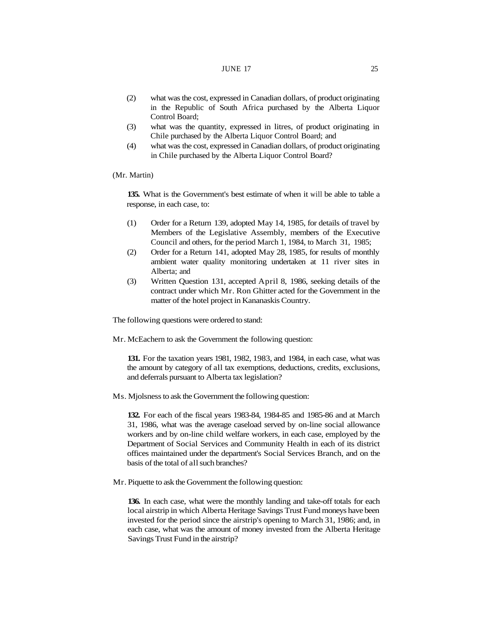#### JUNE 17 25

- (2) what was the cost, expressed in Canadian dollars, of product originating in the Republic of South Africa purchased by the Alberta Liquor Control Board;
- (3) what was the quantity, expressed in litres, of product originating in Chile purchased by the Alberta Liquor Control Board; and
- (4) what was the cost, expressed in Canadian dollars, of product originating in Chile purchased by the Alberta Liquor Control Board?

#### (Mr. Martin)

**135.** What is the Government's best estimate of when it will be able to table a response, in each case, to:

- (1) Order for a Return 139, adopted May 14, 1985, for details of travel by Members of the Legislative Assembly, members of the Executive Council and others, for the period March 1, 1984, to March 31, 1985;
- (2) Order for a Return 141, adopted May 28, 1985, for results of monthly ambient water quality monitoring undertaken at 11 river sites in Alberta; and
- (3) Written Question 131, accepted April 8, 1986, seeking details of the contract under which Mr. Ron Ghitter acted for the Government in the matter of the hotel project in Kananaskis Country.

The following questions were ordered to stand:

Mr. McEachern to ask the Government the following question:

**131.** For the taxation years 1981, 1982, 1983, and 1984, in each case, what was the amount by category of all tax exemptions, deductions, credits, exclusions, and deferrals pursuant to Alberta tax legislation?

Ms. Mjolsness to ask the Government the following question:

**132.** For each of the fiscal years 1983-84, 1984-85 and 1985-86 and at March 31, 1986, what was the average caseload served by on-line social allowance workers and by on-line child welfare workers, in each case, employed by the Department of Social Services and Community Health in each of its district offices maintained under the department's Social Services Branch, and on the basis of the total of all such branches?

Mr. Piquette to ask the Government the following question:

**136.** In each case, what were the monthly landing and take-off totals for each local airstrip in which Alberta Heritage Savings Trust Fund moneys have been invested for the period since the airstrip's opening to March 31, 1986; and, in each case, what was the amount of money invested from the Alberta Heritage Savings Trust Fund in the airstrip?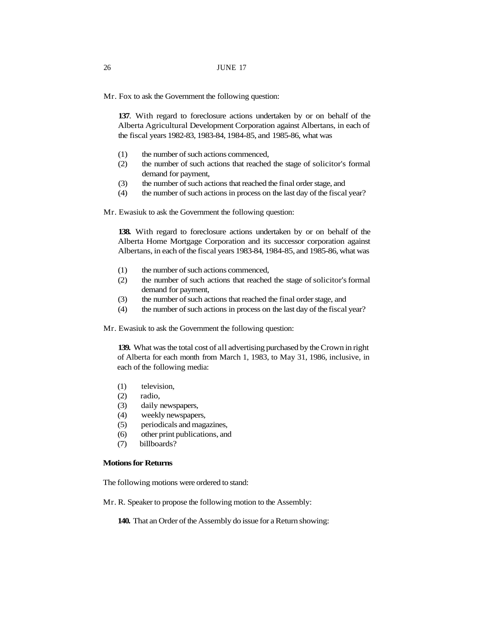Mr. Fox to ask the Government the following question:

**137**. With regard to foreclosure actions undertaken by or on behalf of the Alberta Agricultural Development Corporation against Albertans, in each of the fiscal years 1982-83, 1983-84, 1984-85, and 1985-86, what was

- (1) the number of such actions commenced,
- (2) the number of such actions that reached the stage of solicitor's formal demand for payment,
- (3) the number of such actions that reached the final order stage, and
- (4) the number of such actions in process on the last day of the fiscal year?

Mr. Ewasiuk to ask the Government the following question:

**138.** With regard to foreclosure actions undertaken by or on behalf of the Alberta Home Mortgage Corporation and its successor corporation against Albertans, in each of the fiscal years 1983-84, 1984-85, and 1985-86, what was

- (1) the number of such actions commenced,
- (2) the number of such actions that reached the stage of solicitor's formal demand for payment,
- (3) the number of such actions that reached the final order stage, and
- (4) the number of such actions in process on the last day of the fiscal year?

Mr. Ewasiuk to ask the Government the following question:

**139.** What was the total cost of all advertising purchased by the Crown in right of Alberta for each month from March 1, 1983, to May 31, 1986, inclusive, in each of the following media:

- (1) television,
- (2) radio,
- (3) daily newspapers,
- (4) weekly newspapers,
- (5) periodicals and magazines,
- (6) other print publications, and
- (7) billboards?

# **Motions for Returns**

The following motions were ordered to stand:

Mr. R. Speaker to propose the following motion to the Assembly:

**140.** That an Order of the Assembly do issue for a Return showing: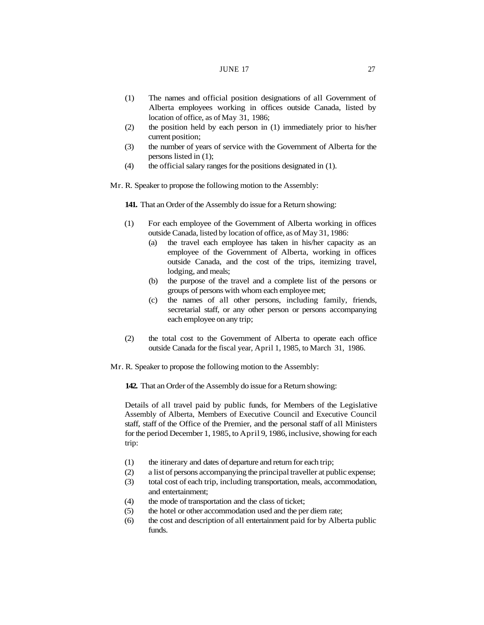#### JUNE 17 27

- (1) The names and official position designations of all Government of Alberta employees working in offices outside Canada, listed by location of office, as of May 31, 1986;
- (2) the position held by each person in (1) immediately prior to his/her current position;
- (3) the number of years of service with the Government of Alberta for the persons listed in (1);
- (4) the official salary ranges for the positions designated in (1).

Mr. R. Speaker to propose the following motion to the Assembly:

**141.** That an Order of the Assembly do issue for a Return showing:

- (1) For each employee of the Government of Alberta working in offices outside Canada, listed by location of office, as of May 31, 1986:
	- (a) the travel each employee has taken in his/her capacity as an employee of the Government of Alberta, working in offices outside Canada, and the cost of the trips, itemizing travel, lodging, and meals;
	- (b) the purpose of the travel and a complete list of the persons or groups of persons with whom each employee met;
	- (c) the names of all other persons, including family, friends, secretarial staff, or any other person or persons accompanying each employee on any trip;
- (2) the total cost to the Government of Alberta to operate each office outside Canada for the fiscal year, April 1, 1985, to March 31, 1986.

Mr. R. Speaker to propose the following motion to the Assembly:

**142.** That an Order of the Assembly do issue for a Return showing:

Details of all travel paid by public funds, for Members of the Legislative Assembly of Alberta, Members of Executive Council and Executive Council staff, staff of the Office of the Premier, and the personal staff of all Ministers for the period December 1, 1985, to April 9, 1986, inclusive, showing for each trip:

- (1) the itinerary and dates of departure and return for each trip;
- (2) a list of persons accompanying the principal traveller at public expense;
- (3) total cost of each trip, including transportation, meals, accommodation, and entertainment;
- (4) the mode of transportation and the class of ticket;
- (5) the hotel or other accommodation used and the per diem rate;
- (6) the cost and description of all entertainment paid for by Alberta public funds.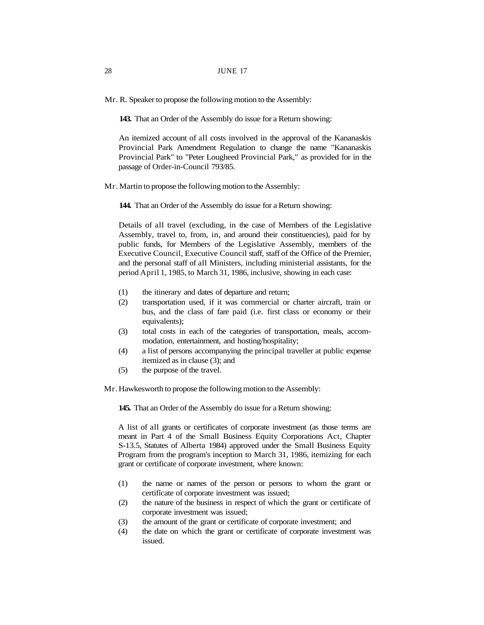Mr. R. Speaker to propose the following motion to the Assembly:

**143.** That an Order of the Assembly do issue for a Return showing:

An itemized account of all costs involved in the approval of the Kananaskis Provincial Park Amendment Regulation to change the name "Kananaskis Provincial Park" to "Peter Lougheed Provincial Park," as provided for in the passage of Order-in-Council 793/85.

Mr. Martin to propose the following motion to the Assembly:

**144.** That an Order of the Assembly do issue for a Return showing:

Details of all travel (excluding, in the case of Members of the Legislative Assembly, travel to, from, in, and around their constituencies), paid for by public funds, for Members of the Legislative Assembly, members of the Executive Council, Executive Council staff, staff of the Office of the Premier, and the personal staff of all Ministers, including ministerial assistants, for the period April 1, 1985, to March 31, 1986, inclusive, showing in each case:

- (1) the itinerary and dates of departure and return;
- (2) transportation used, if it was commercial or charter aircraft, train or bus, and the class of fare paid (i.e. first class or economy or their equivalents);
- (3) total costs in each of the categories of transportation, meals, accommodation, entertainment, and hosting/hospitality;
- (4) a list of persons accompanying the principal traveller at public expense itemized as in clause (3); and
- (5) the purpose of the travel.

Mr. Hawkesworth to propose the following motion to the Assembly:

**145.** That an Order of the Assembly do issue for a Return showing:

A list of all grants or certificates of corporate investment (as those terms are meant in Part 4 of the Small Business Equity Corporations Act, Chapter S-13.5, Statutes of Alberta 1984) approved under the Small Business Equity Program from the program's inception to March 31, 1986, itemizing for each grant or certificate of corporate investment, where known:

- (1) the name or names of the person or persons to whom the grant or certificate of corporate investment was issued;
- (2) the nature of the business in respect of which the grant or certificate of corporate investment was issued;
- (3) the amount of the grant or certificate of corporate investment; and
- (4) the date on which the grant or certificate of corporate investment was issued.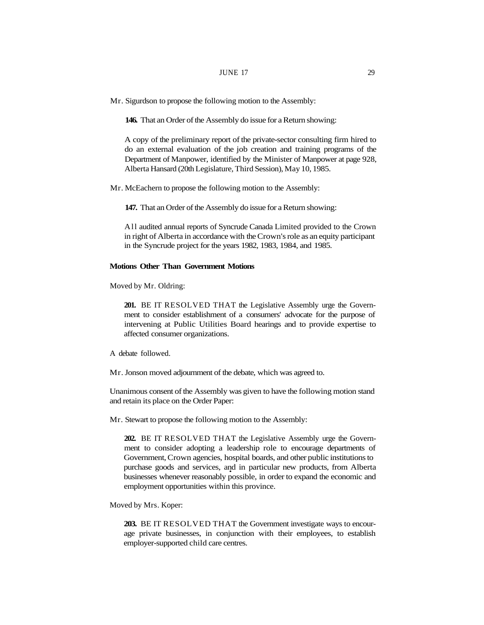Mr. Sigurdson to propose the following motion to the Assembly:

**146.** That an Order of the Assembly do issue for a Return showing:

A copy of the preliminary report of the private-sector consulting firm hired to do an external evaluation of the job creation and training programs of the Department of Manpower, identified by the Minister of Manpower at page 928, Alberta Hansard (20th Legislature, Third Session), May 10, 1985.

Mr. McEachern to propose the following motion to the Assembly:

**147.** That an Order of the Assembly do issue for a Return showing:

All audited annual reports of Syncrude Canada Limited provided to the Crown in right of Alberta in accordance with the Crown's role as an equity participant in the Syncrude project for the years 1982, 1983, 1984, and 1985.

#### **Motions Other Than Government Motions**

Moved by Mr. Oldring:

**201.** BE IT RESOLVED THAT the Legislative Assembly urge the Government to consider establishment of a consumers' advocate for the purpose of intervening at Public Utilities Board hearings and to provide expertise to affected consumer organizations.

A debate followed.

Mr. Jonson moved adjournment of the debate, which was agreed to.

Unanimous consent of the Assembly was given to have the following motion stand and retain its place on the Order Paper:

Mr. Stewart to propose the following motion to the Assembly:

**202.** BE IT RESOLVED THAT the Legislative Assembly urge the Government to consider adopting a leadership role to encourage departments of Government, Crown agencies, hospital boards, and other public institutions to purchase goods and services, and in particular new products, from Alberta businesses whenever reasonably possible, in order to expand the economic and employment opportunities within this province.

Moved by Mrs. Koper:

**203.** BE IT RESOLVED THAT the Government investigate ways to encourage private businesses, in conjunction with their employees, to establish employer-supported child care centres.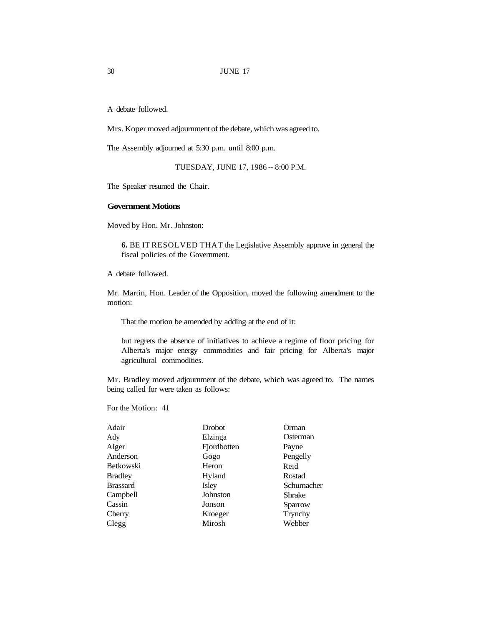A debate followed.

Mrs. Koper moved adjournment of the debate, which was agreed to.

The Assembly adjourned at 5:30 p.m. until 8:00 p.m.

TUESDAY, JUNE 17, 1986 -- 8:00 P.M.

The Speaker resumed the Chair.

#### **Government Motions**

Moved by Hon. Mr. Johnston:

**6.** BE IT RESOLVED THAT the Legislative Assembly approve in general the fiscal policies of the Government.

A debate followed.

Mr. Martin, Hon. Leader of the Opposition, moved the following amendment to the motion:

That the motion be amended by adding at the end of it:

but regrets the absence of initiatives to achieve a regime of floor pricing for Alberta's major energy commodities and fair pricing for Alberta's major agricultural commodities.

Mr. Bradley moved adjournment of the debate, which was agreed to. The names being called for were taken as follows:

For the Motion: 41

| Adair           | <b>Drobot</b> | Orman      |
|-----------------|---------------|------------|
| Ady             | Elzinga       | Osterman   |
| Alger           | Fjordbotten   | Payne      |
| Anderson        | Gogo          | Pengelly   |
| Betkowski       | Heron         | Reid       |
| <b>Bradley</b>  | Hyland        | Rostad     |
| <b>Brassard</b> | Isley         | Schumacher |
| Campbell        | Johnston      | Shrake     |
| Cassin          | Jonson        | Sparrow    |
| Cherry          | Kroeger       | Trynchy    |
| Clegg           | Mirosh        | Webber     |
|                 |               |            |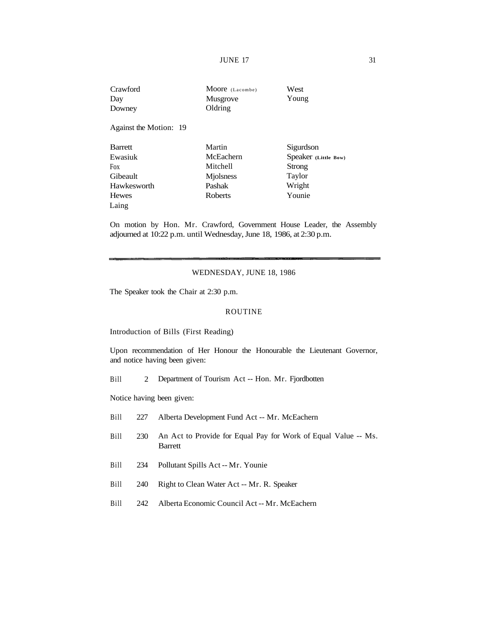**JUNE 17** 31

| Crawford               | Moore (Lacombe) | West                 |
|------------------------|-----------------|----------------------|
| Day                    | Musgrove        | Young                |
| Downey                 | Oldring         |                      |
| Against the Motion: 19 |                 |                      |
| <b>Barrett</b>         | Martin          | Sigurdson            |
| Ewasiuk                | McEachern       | Speaker (Little Bow) |
| <b>Fox</b>             | Mitchell        | Strong               |
| Gibeault               | Miolsness       | Taylor               |
| Hawkesworth            | Pashak          | Wright               |
| Hewes                  | Roberts         | Younie               |
| Laing                  |                 |                      |

On motion by Hon. Mr. Crawford, Government House Leader, the Assembly adjourned at 10:22 p.m. until Wednesday, June 18, 1986, at 2:30 p.m.

### WEDNESDAY, JUNE 18, 1986

The Speaker took the Chair at 2:30 p.m.

#### ROUTINE

Introduction of Bills (First Reading)

Upon recommendation of Her Honour the Honourable the Lieutenant Governor, and notice having been given:

Bill 2 Department of Tourism Act -- Hon. Mr. Fjordbotten

Notice having been given:

- Bill 227 Alberta Development Fund Act -- Mr. McEachern
- Bill 230 An Act to Provide for Equal Pay for Work of Equal Value -- Ms. Barrett
- Bill 234 Pollutant Spills Act -- Mr. Younie
- Bill 240 Right to Clean Water Act -- Mr. R. Speaker
- Bill 242 Alberta Economic Council Act -- Mr. McEachern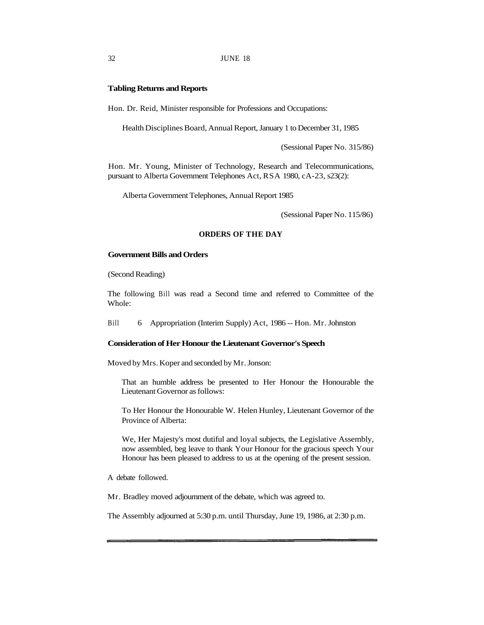#### 32 JUNE 18

#### **Tabling Returns and Reports**

Hon. Dr. Reid, Minister responsible for Professions and Occupations:

Health Disciplines Board, Annual Report, January 1 to December 31, 1985

(Sessional Paper No. 315/86)

Hon. Mr. Young, Minister of Technology, Research and Telecommunications, pursuant to Alberta Government Telephones Act, RSA 1980, cA-23, s23(2):

Alberta Government Telephones, Annual Report 1985

(Sessional Paper No. 115/86)

#### **ORDERS OF THE DAY**

# **Government Bills and Orders**

(Second Reading)

The following Bill was read a Second time and referred to Committee of the Whole:

Bill 6 Appropriation (Interim Supply) Act, 1986 -- Hon. Mr. Johnston

# **Consideration of Her Honour the Lieutenant Governor's Speech**

Moved by Mrs. Koper and seconded by Mr. Jonson:

That an humble address be presented to Her Honour the Honourable the Lieutenant Governor as follows:

To Her Honour the Honourable W. Helen Hunley, Lieutenant Governor of the Province of Alberta:

We, Her Majesty's most dutiful and loyal subjects, the Legislative Assembly, now assembled, beg leave to thank Your Honour for the gracious speech Your Honour has been pleased to address to us at the opening of the present session.

A debate followed.

Mr. Bradley moved adjournment of the debate, which was agreed to.

The Assembly adjourned at 5:30 p.m. until Thursday, June 19, 1986, at 2:30 p.m.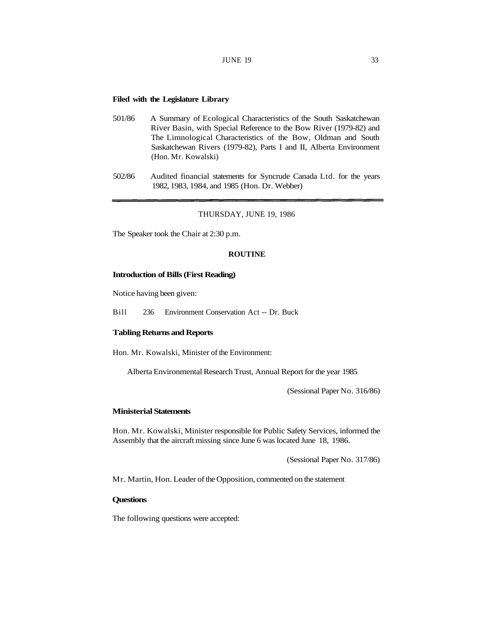## **Filed with the Legislature Library**

- 501/86 A Summary of Ecological Characteristics of the South Saskatchewan River Basin, with Special Reference to the Bow River (1979-82) and The Limnological Characteristics of the Bow, Oldman and South Saskatchewan Rivers (1979-82), Parts I and II, Alberta Environment (Hon. Mr. Kowalski)
- 502/86 Audited financial statements for Syncrude Canada Ltd. for the years 1982, 1983, 1984, and 1985 (Hon. Dr. Webber)

### THURSDAY, JUNE 19, 1986

The Speaker took the Chair at 2:30 p.m.

### **ROUTINE**

#### **Introduction of Bills (First Reading)**

Notice having been given:

Bill 236 Environment Conservation Act -- Dr. Buck

## **Tabling Returns and Reports**

Hon. Mr. Kowalski, Minister of the Environment:

Alberta Environmental Research Trust, Annual Report for the year 1985

(Sessional Paper No. 316/86)

### **Ministerial Statements**

Hon. Mr. Kowalski, Minister responsible for Public Safety Services, informed the Assembly that the aircraft missing since June 6 was located June 18, 1986.

(Sessional Paper No. 317/86)

Mr. Martin, Hon. Leader of the Opposition, commented on the statement

# **Questions**

The following questions were accepted: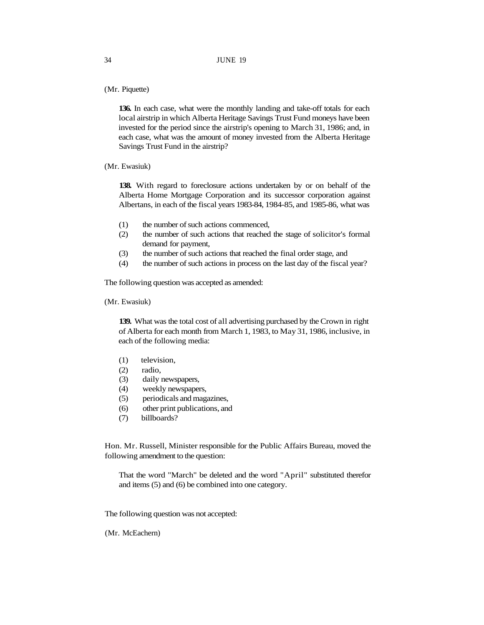(Mr. Piquette)

**136.** In each case, what were the monthly landing and take-off totals for each local airstrip in which Alberta Heritage Savings Trust Fund moneys have been invested for the period since the airstrip's opening to March 31, 1986; and, in each case, what was the amount of money invested from the Alberta Heritage Savings Trust Fund in the airstrip?

(Mr. Ewasiuk)

**138.** With regard to foreclosure actions undertaken by or on behalf of the Alberta Home Mortgage Corporation and its successor corporation against Albertans, in each of the fiscal years 1983-84, 1984-85, and 1985-86, what was

- (1) the number of such actions commenced,
- (2) the number of such actions that reached the stage of solicitor's formal demand for payment,
- (3) the number of such actions that reached the final order stage, and
- (4) the number of such actions in process on the last day of the fiscal year?

The following question was accepted as amended:

(Mr. Ewasiuk)

**139.** What was the total cost of all advertising purchased by the Crown in right of Alberta for each month from March 1, 1983, to May 31, 1986, inclusive, in each of the following media:

- (1) television,
- (2) radio,
- (3) daily newspapers,
- (4) weekly newspapers,
- (5) periodicals and magazines,
- (6) other print publications, and
- (7) billboards?

Hon. Mr. Russell, Minister responsible for the Public Affairs Bureau, moved the following amendment to the question:

That the word "March" be deleted and the word "April" substituted therefor and items (5) and (6) be combined into one category.

The following question was not accepted:

(Mr. McEachern)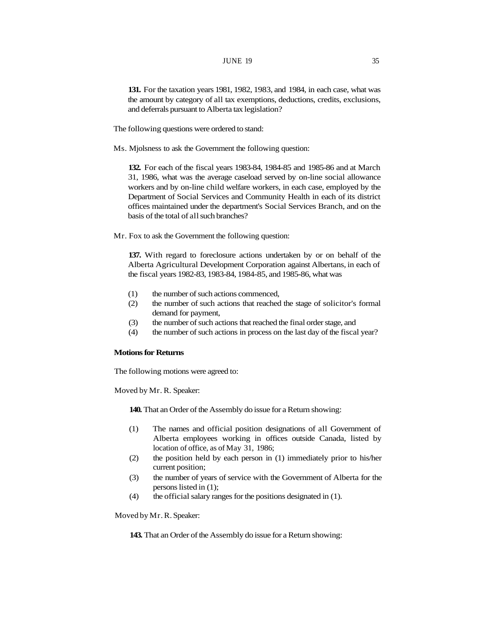**131.** For the taxation years 1981, 1982, 1983, and 1984, in each case, what was the amount by category of all tax exemptions, deductions, credits, exclusions, and deferrals pursuant to Alberta tax legislation?

- The following questions were ordered to stand:
- Ms. Mjolsness to ask the Government the following question:

**132.** For each of the fiscal years 1983-84, 1984-85 and 1985-86 and at March 31, 1986, what was the average caseload served by on-line social allowance workers and by on-line child welfare workers, in each case, employed by the Department of Social Services and Community Health in each of its district offices maintained under the department's Social Services Branch, and on the basis of the total of all such branches?

Mr. Fox to ask the Government the following question:

**137.** With regard to foreclosure actions undertaken by or on behalf of the Alberta Agricultural Development Corporation against Albertans, in each of the fiscal years 1982-83, 1983-84, 1984-85, and 1985-86, what was

- (1) the number of such actions commenced,
- (2) the number of such actions that reached the stage of solicitor's formal demand for payment,
- (3) the number of such actions that reached the final order stage, and
- (4) the number of such actions in process on the last day of the fiscal year?

# **Motions for Returns**

The following motions were agreed to:

Moved by Mr. R. Speaker:

**140.** That an Order of the Assembly do issue for a Return showing:

- (1) The names and official position designations of all Government of Alberta employees working in offices outside Canada, listed by location of office, as of May 31, 1986;
- (2) the position held by each person in (1) immediately prior to his/her current position;
- (3) the number of years of service with the Government of Alberta for the persons listed in (1);
- (4) the official salary ranges for the positions designated in (1).

Moved by Mr. R. Speaker:

**143.** That an Order of the Assembly do issue for a Return showing: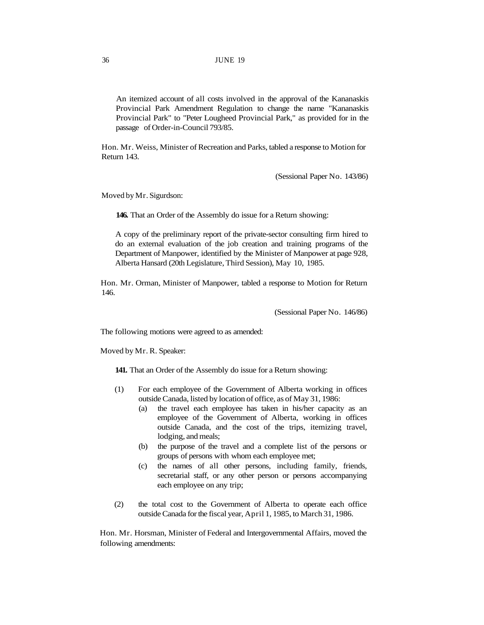An itemized account of all costs involved in the approval of the Kananaskis Provincial Park Amendment Regulation to change the name "Kananaskis Provincial Park" to "Peter Lougheed Provincial Park," as provided for in the passage of Order-in-Council 793/85.

Hon. Mr. Weiss, Minister of Recreation and Parks, tabled a response to Motion for Return 143.

(Sessional Paper No. 143/86)

Moved by Mr. Sigurdson:

**146.** That an Order of the Assembly do issue for a Return showing:

A copy of the preliminary report of the private-sector consulting firm hired to do an external evaluation of the job creation and training programs of the Department of Manpower, identified by the Minister of Manpower at page 928, Alberta Hansard (20th Legislature, Third Session), May 10, 1985.

Hon. Mr. Orman, Minister of Manpower, tabled a response to Motion for Return 146.

(Sessional Paper No. 146/86)

The following motions were agreed to as amended:

Moved by Mr. R. Speaker:

**141.** That an Order of the Assembly do issue for a Return showing:

- (1) For each employee of the Government of Alberta working in offices outside Canada, listed by location of office, as of May 31, 1986:
	- (a) the travel each employee has taken in his/her capacity as an employee of the Government of Alberta, working in offices outside Canada, and the cost of the trips, itemizing travel, lodging, and meals;
	- (b) the purpose of the travel and a complete list of the persons or groups of persons with whom each employee met;
	- (c) the names of all other persons, including family, friends, secretarial staff, or any other person or persons accompanying each employee on any trip;
- (2) the total cost to the Government of Alberta to operate each office outside Canada for the fiscal year, April 1, 1985, to March 31, 1986.

Hon. Mr. Horsman, Minister of Federal and Intergovernmental Affairs, moved the following amendments: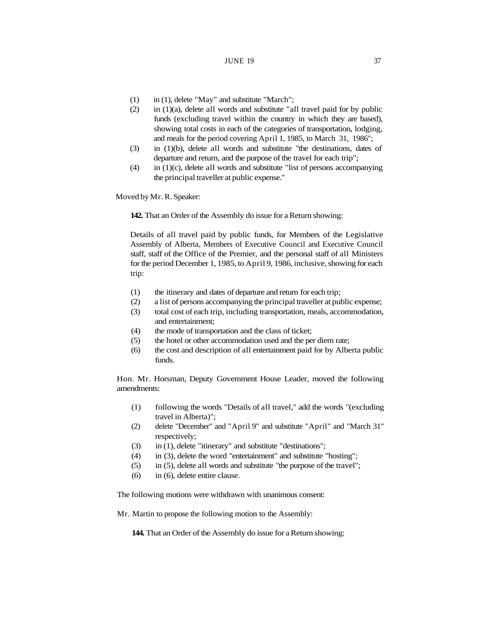# **JUNE 19** 37

- (1) in (1), delete "May" and substitute "March";
- $(2)$  in  $(1)(a)$ , delete all words and substitute "all travel paid for by public funds (excluding travel within the country in which they are based), showing total costs in each of the categories of transportation, lodging, and meals for the period covering April 1, 1985, to March 31, 1986";
- (3) in (1)(b), delete all words and substitute "the destinations, dates of departure and return, and the purpose of the travel for each trip";
- $(4)$  in  $(1)(c)$ , delete all words and substitute "list of persons accompanying the principal traveller at public expense."

Moved by Mr. R. Speaker:

**142.** That an Order of the Assembly do issue for a Return showing:

Details of all travel paid by public funds, for Members of the Legislative Assembly of Alberta, Members of Executive Council and Executive Council staff, staff of the Office of the Premier, and the personal staff of all Ministers for the period December 1, 1985, to April 9, 1986, inclusive, showing for each trip:

- (1) the itinerary and dates of departure and return for each trip;
- (2) a list of persons accompanying the principal traveller at public expense;
- (3) total cost of each trip, including transportation, meals, accommodation, and entertainment;
- (4) the mode of transportation and the class of ticket;
- (5) the hotel or other accommodation used and the per diem rate;
- (6) the cost and description of all entertainment paid for by Alberta public funds.

Hon. Mr. Horsman, Deputy Government House Leader, moved the following amendments:

- (1) following the words "Details of all travel," add the words "(excluding travel in Alberta)";
- (2) delete "December" and "April 9" and substitute "April" and "March 31" respectively;
- (3) in (1), delete "itinerary" and substitute "destinations";
- (4) in (3), delete the word "entertainment" and substitute "hosting";
- (5) in (5), delete all words and substitute "the purpose of the travel";
- (6) in (6), delete entire clause.

The following motions were withdrawn with unanimous consent:

Mr. Martin to propose the following motion to the Assembly:

**144.** That an Order of the Assembly do issue for a Return showing: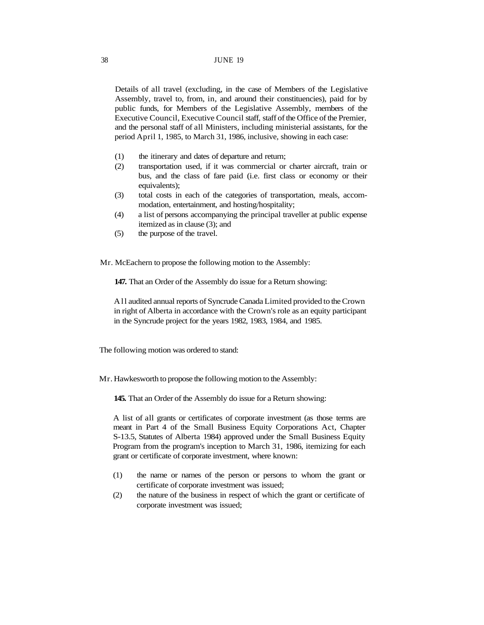#### 38 JUNE 19

Details of all travel (excluding, in the case of Members of the Legislative Assembly, travel to, from, in, and around their constituencies), paid for by public funds, for Members of the Legislative Assembly, members of the Executive Council, Executive Council staff, staff of the Office of the Premier, and the personal staff of all Ministers, including ministerial assistants, for the period April 1, 1985, to March 31, 1986, inclusive, showing in each case:

- (1) the itinerary and dates of departure and return;
- (2) transportation used, if it was commercial or charter aircraft, train or bus, and the class of fare paid (i.e. first class or economy or their equivalents);
- (3) total costs in each of the categories of transportation, meals, accommodation, entertainment, and hosting/hospitality;
- (4) a list of persons accompanying the principal traveller at public expense itemized as in clause (3); and
- (5) the purpose of the travel.

Mr. McEachern to propose the following motion to the Assembly:

**147.** That an Order of the Assembly do issue for a Return showing:

All audited annual reports of Syncrude Canada Limited provided to the Crown in right of Alberta in accordance with the Crown's role as an equity participant in the Syncrude project for the years 1982, 1983, 1984, and 1985.

The following motion was ordered to stand:

Mr. Hawkesworth to propose the following motion to the Assembly:

**145.** That an Order of the Assembly do issue for a Return showing:

A list of all grants or certificates of corporate investment (as those terms are meant in Part 4 of the Small Business Equity Corporations Act, Chapter S-13.5, Statutes of Alberta 1984) approved under the Small Business Equity Program from the program's inception to March 31, 1986, itemizing for each grant or certificate of corporate investment, where known:

- (1) the name or names of the person or persons to whom the grant or certificate of corporate investment was issued;
- (2) the nature of the business in respect of which the grant or certificate of corporate investment was issued;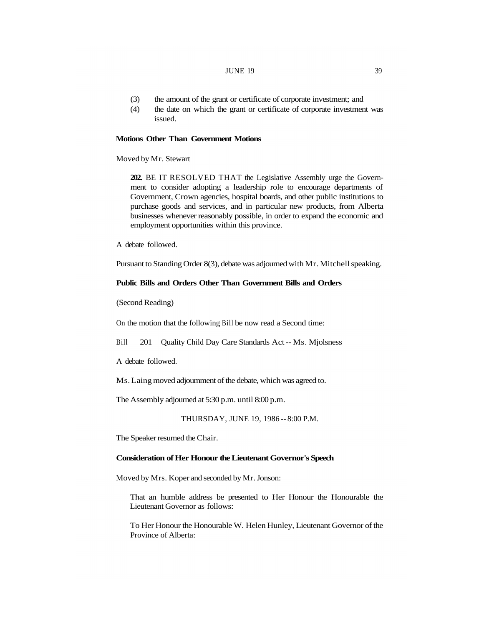#### JUNE  $19$  39

- (3) the amount of the grant or certificate of corporate investment; and
- (4) the date on which the grant or certificate of corporate investment was issued.

# **Motions Other Than Government Motions**

Moved by Mr. Stewart

**202.** BE IT RESOLVED THAT the Legislative Assembly urge the Government to consider adopting a leadership role to encourage departments of Government, Crown agencies, hospital boards, and other public institutions to purchase goods and services, and in particular new products, from Alberta businesses whenever reasonably possible, in order to expand the economic and employment opportunities within this province.

A debate followed.

Pursuant to Standing Order 8(3), debate was adjourned with Mr. Mitchell speaking.

# **Public Bills and Orders Other Than Government Bills and Orders**

(Second Reading)

On the motion that the following Bill be now read a Second time:

Bill 201 Quality Child Day Care Standards Act -- Ms. Mjolsness

A debate followed.

Ms. Laing moved adjournment of the debate, which was agreed to.

The Assembly adjourned at 5:30 p.m. until 8:00 p.m.

THURSDAY, JUNE 19, 1986 -- 8:00 P.M.

The Speaker resumed the Chair.

### **Consideration of Her Honour the Lieutenant Governor's Speech**

Moved by Mrs. Koper and seconded by Mr. Jonson:

That an humble address be presented to Her Honour the Honourable the Lieutenant Governor as follows:

To Her Honour the Honourable W. Helen Hunley, Lieutenant Governor of the Province of Alberta: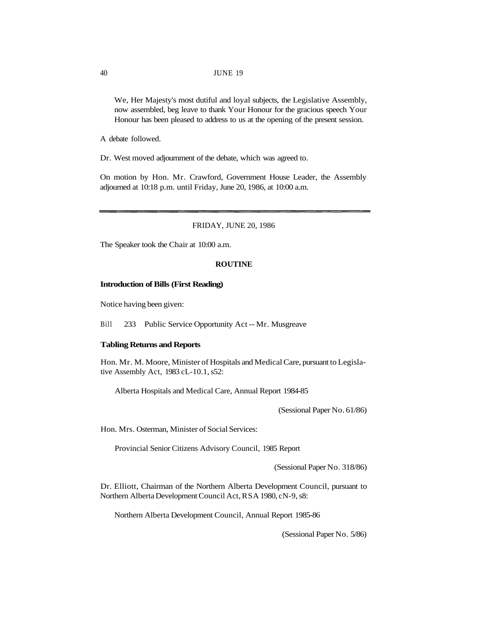We, Her Majesty's most dutiful and loyal subjects, the Legislative Assembly, now assembled, beg leave to thank Your Honour for the gracious speech Your Honour has been pleased to address to us at the opening of the present session.

A debate followed.

Dr. West moved adjournment of the debate, which was agreed to.

On motion by Hon. Mr. Crawford, Government House Leader, the Assembly adjourned at 10:18 p.m. until Friday, June 20, 1986, at 10:00 a.m.

FRIDAY, JUNE 20, 1986

The Speaker took the Chair at 10:00 a.m.

### **ROUTINE**

#### **Introduction of Bills (First Reading)**

Notice having been given:

Bill 233 Public Service Opportunity Act -- Mr. Musgreave

#### **Tabling Returns and Reports**

Hon. Mr. M. Moore, Minister of Hospitals and Medical Care, pursuant to Legislative Assembly Act, 1983 cL-10.1, s52:

Alberta Hospitals and Medical Care, Annual Report 1984-85

(Sessional Paper No. 61/86)

Hon. Mrs. Osterman, Minister of Social Services:

Provincial Senior Citizens Advisory Council, 1985 Report

(Sessional Paper No. 318/86)

Dr. Elliott, Chairman of the Northern Alberta Development Council, pursuant to Northern Alberta Development Council Act, RSA 1980, cN-9, s8:

Northern Alberta Development Council, Annual Report 1985-86

(Sessional Paper No. 5/86)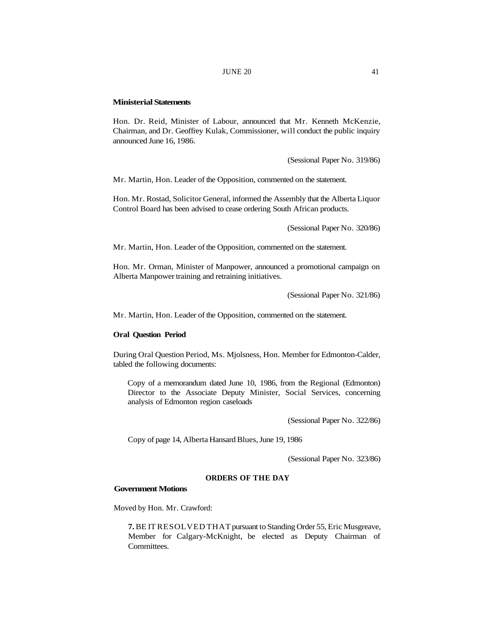### **Ministerial Statements**

Hon. Dr. Reid, Minister of Labour, announced that Mr. Kenneth McKenzie, Chairman, and Dr. Geoffrey Kulak, Commissioner, will conduct the public inquiry announced June 16, 1986.

(Sessional Paper No. 319/86)

Mr. Martin, Hon. Leader of the Opposition, commented on the statement.

Hon. Mr. Rostad, Solicitor General, informed the Assembly that the Alberta Liquor Control Board has been advised to cease ordering South African products.

(Sessional Paper No. 320/86)

Mr. Martin, Hon. Leader of the Opposition, commented on the statement.

Hon. Mr. Orman, Minister of Manpower, announced a promotional campaign on Alberta Manpower training and retraining initiatives.

(Sessional Paper No. 321/86)

Mr. Martin, Hon. Leader of the Opposition, commented on the statement.

### **Oral Question Period**

During Oral Question Period, Ms. Mjolsness, Hon. Member for Edmonton-Calder, tabled the following documents:

Copy of a memorandum dated June 10, 1986, from the Regional (Edmonton) Director to the Associate Deputy Minister, Social Services, concerning analysis of Edmonton region caseloads

(Sessional Paper No. 322/86)

Copy of page 14, Alberta Hansard Blues, June 19, 1986

(Sessional Paper No. 323/86)

## **ORDERS OF THE DAY**

## **Government Motions**

Moved by Hon. Mr. Crawford:

**7.** BE IT RESOLVED THAT pursuant to Standing Order 55, Eric Musgreave, Member for Calgary-McKnight, be elected as Deputy Chairman of Committees.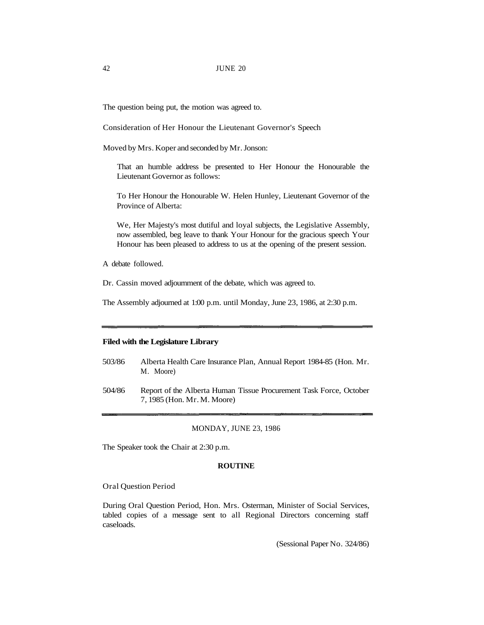The question being put, the motion was agreed to.

Consideration of Her Honour the Lieutenant Governor's Speech

Moved by Mrs. Koper and seconded by Mr. Jonson:

That an humble address be presented to Her Honour the Honourable the Lieutenant Governor as follows:

To Her Honour the Honourable W. Helen Hunley, Lieutenant Governor of the Province of Alberta:

We, Her Majesty's most dutiful and loyal subjects, the Legislative Assembly, now assembled, beg leave to thank Your Honour for the gracious speech Your Honour has been pleased to address to us at the opening of the present session.

A debate followed.

Dr. Cassin moved adjournment of the debate, which was agreed to.

The Assembly adjourned at 1:00 p.m. until Monday, June 23, 1986, at 2:30 p.m.

### **Filed with the Legislature Library**

- 503/86 Alberta Health Care Insurance Plan, Annual Report 1984-85 (Hon. Mr. M. Moore)
- 504/86 Report of the Alberta Human Tissue Procurement Task Force, October 7, 1985 (Hon. Mr. M. Moore)

#### MONDAY, JUNE 23, 1986

The Speaker took the Chair at 2:30 p.m.

#### **ROUTINE**

Oral Question Period

During Oral Question Period, Hon. Mrs. Osterman, Minister of Social Services, tabled copies of a message sent to all Regional Directors concerning staff caseloads.

(Sessional Paper No. 324/86)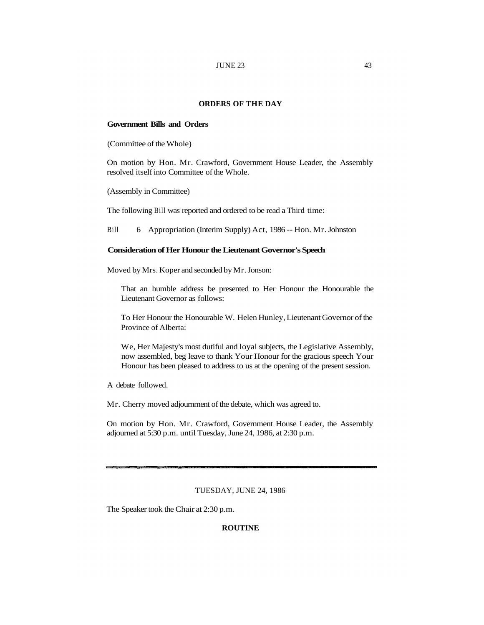# **ORDERS OF THE DAY**

# **Government Bills and Orders**

(Committee of the Whole)

On motion by Hon. Mr. Crawford, Government House Leader, the Assembly resolved itself into Committee of the Whole.

(Assembly in Committee)

The following Bill was reported and ordered to be read a Third time:

Bill 6 Appropriation (Interim Supply) Act, 1986 -- Hon. Mr. Johnston

### **Consideration of Her Honour the Lieutenant Governor's Speech**

Moved by Mrs. Koper and seconded by Mr. Jonson:

That an humble address be presented to Her Honour the Honourable the Lieutenant Governor as follows:

To Her Honour the Honourable W. Helen Hunley, Lieutenant Governor of the Province of Alberta:

We, Her Majesty's most dutiful and loyal subjects, the Legislative Assembly, now assembled, beg leave to thank Your Honour for the gracious speech Your Honour has been pleased to address to us at the opening of the present session.

A debate followed.

Mr. Cherry moved adjournment of the debate, which was agreed to.

On motion by Hon. Mr. Crawford, Government House Leader, the Assembly adjourned at 5:30 p.m. until Tuesday, June 24, 1986, at 2:30 p.m.

# TUESDAY, JUNE 24, 1986

The Speaker took the Chair at 2:30 p.m.

### **ROUTINE**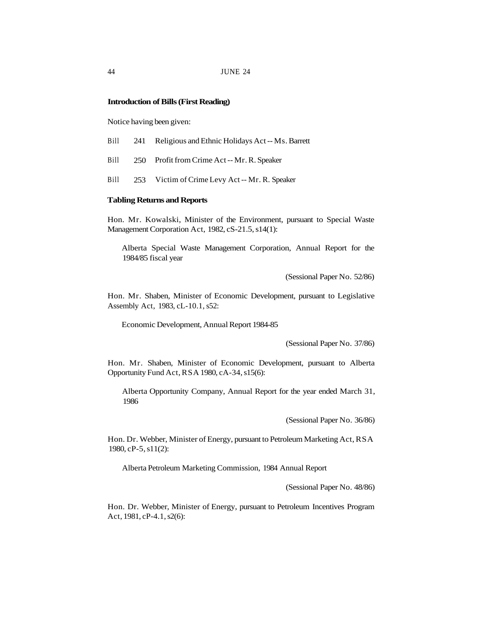### **Introduction of Bills (First Reading)**

Notice having been given:

- Bill 241 Religious and Ethnic Holidays Act -- Ms. Barrett
- Bill 250 Profit from Crime Act -- Mr. R. Speaker
- Bill 253 Victim of Crime Levy Act -- Mr. R. Speaker

### **Tabling Returns and Reports**

Hon. Mr. Kowalski, Minister of the Environment, pursuant to Special Waste Management Corporation Act, 1982, cS-21.5, s14(1):

Alberta Special Waste Management Corporation, Annual Report for the 1984/85 fiscal year

(Sessional Paper No. 52/86)

Hon. Mr. Shaben, Minister of Economic Development, pursuant to Legislative Assembly Act, 1983, cL-10.1, s52:

Economic Development, Annual Report 1984-85

(Sessional Paper No. 37/86)

Hon. Mr. Shaben, Minister of Economic Development, pursuant to Alberta Opportunity Fund Act, RSA 1980, cA-34, s15(6):

Alberta Opportunity Company, Annual Report for the year ended March 31, 1986

(Sessional Paper No. 36/86)

Hon. Dr. Webber, Minister of Energy, pursuant to Petroleum Marketing Act, RSA 1980, cP-5, s11(2):

Alberta Petroleum Marketing Commission, 1984 Annual Report

(Sessional Paper No. 48/86)

Hon. Dr. Webber, Minister of Energy, pursuant to Petroleum Incentives Program Act, 1981, cP-4.1, s2(6):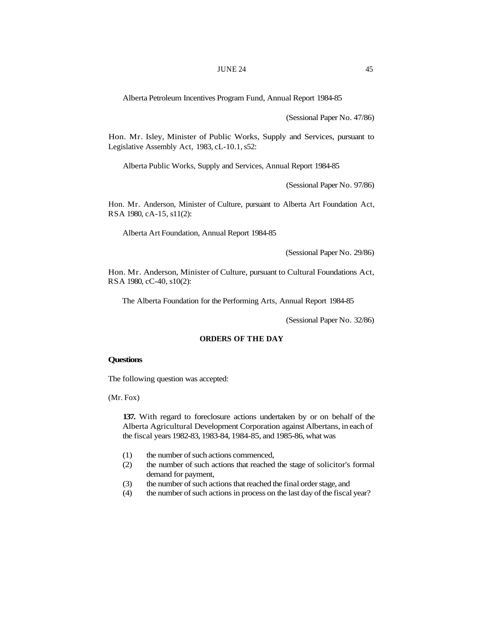Alberta Petroleum Incentives Program Fund, Annual Report 1984-85

(Sessional Paper No. 47/86)

Hon. Mr. Isley, Minister of Public Works, Supply and Services, pursuant to Legislative Assembly Act, 1983, cL-10.1, s52:

Alberta Public Works, Supply and Services, Annual Report 1984-85

(Sessional Paper No. 97/86)

Hon. Mr. Anderson, Minister of Culture, pursuant to Alberta Art Foundation Act, RSA 1980, cA-15, s11(2):

Alberta Art Foundation, Annual Report 1984-85

(Sessional Paper No. 29/86)

Hon. Mr. Anderson, Minister of Culture, pursuant to Cultural Foundations Act, RSA 1980, cC-40, s10(2):

The Alberta Foundation for the Performing Arts, Annual Report 1984-85

(Sessional Paper No. 32/86)

# **ORDERS OF THE DAY**

## **Questions**

The following question was accepted:

(Mr. Fox)

**137.** With regard to foreclosure actions undertaken by or on behalf of the Alberta Agricultural Development Corporation against Albertans, in each of the fiscal years 1982-83, 1983-84, 1984-85, and 1985-86, what was

- (1) the number of such actions commenced,
- (2) the number of such actions that reached the stage of solicitor's formal demand for payment,
- (3) the number of such actions that reached the final order stage, and
- (4) the number of such actions in process on the last day of the fiscal year?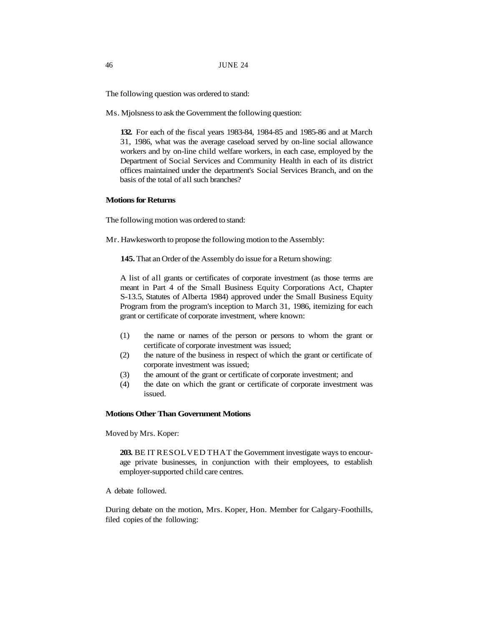The following question was ordered to stand:

Ms. Mjolsness to ask the Government the following question:

**132.** For each of the fiscal years 1983-84, 1984-85 and 1985-86 and at March 31, 1986, what was the average caseload served by on-line social allowance workers and by on-line child welfare workers, in each case, employed by the Department of Social Services and Community Health in each of its district offices maintained under the department's Social Services Branch, and on the basis of the total of all such branches?

# **Motions for Returns**

The following motion was ordered to stand:

Mr. Hawkesworth to propose the following motion to the Assembly:

**145.** That an Order of the Assembly do issue for a Return showing:

A list of all grants or certificates of corporate investment (as those terms are meant in Part 4 of the Small Business Equity Corporations Act, Chapter S-13.5, Statutes of Alberta 1984) approved under the Small Business Equity Program from the program's inception to March 31, 1986, itemizing for each grant or certificate of corporate investment, where known:

- (1) the name or names of the person or persons to whom the grant or certificate of corporate investment was issued;
- (2) the nature of the business in respect of which the grant or certificate of corporate investment was issued;
- (3) the amount of the grant or certificate of corporate investment; and
- (4) the date on which the grant or certificate of corporate investment was issued.

# **Motions Other Than Government Motions**

Moved by Mrs. Koper:

**203.** BE IT RESOLVED THAT the Government investigate ways to encourage private businesses, in conjunction with their employees, to establish employer-supported child care centres.

A debate followed.

During debate on the motion, Mrs. Koper, Hon. Member for Calgary-Foothills, filed copies of the following: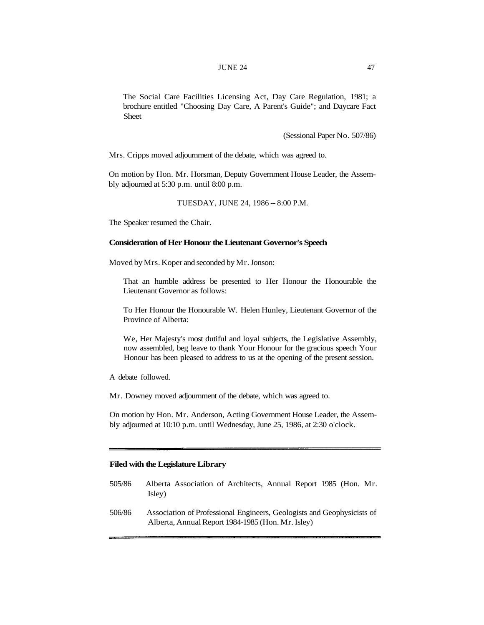The Social Care Facilities Licensing Act, Day Care Regulation, 1981; a brochure entitled "Choosing Day Care, A Parent's Guide"; and Daycare Fact Sheet

(Sessional Paper No. 507/86)

Mrs. Cripps moved adjournment of the debate, which was agreed to.

On motion by Hon. Mr. Horsman, Deputy Government House Leader, the Assembly adjourned at 5:30 p.m. until 8:00 p.m.

TUESDAY, JUNE 24, 1986 -- 8:00 P.M.

The Speaker resumed the Chair.

### **Consideration of Her Honour the Lieutenant Governor's Speech**

Moved by Mrs. Koper and seconded by Mr. Jonson:

That an humble address be presented to Her Honour the Honourable the Lieutenant Governor as follows:

To Her Honour the Honourable W. Helen Hunley, Lieutenant Governor of the Province of Alberta:

We, Her Majesty's most dutiful and loyal subjects, the Legislative Assembly, now assembled, beg leave to thank Your Honour for the gracious speech Your Honour has been pleased to address to us at the opening of the present session.

A debate followed.

Mr. Downey moved adjournment of the debate, which was agreed to.

On motion by Hon. Mr. Anderson, Acting Government House Leader, the Assembly adjourned at 10:10 p.m. until Wednesday, June 25, 1986, at 2:30 o'clock.

# **Filed with the Legislature Library**

- 505/86 Alberta Association of Architects, Annual Report 1985 (Hon. Mr. Isley)
- 506/86 Association of Professional Engineers, Geologists and Geophysicists of Alberta, Annual Report 1984-1985 (Hon. Mr. Isley)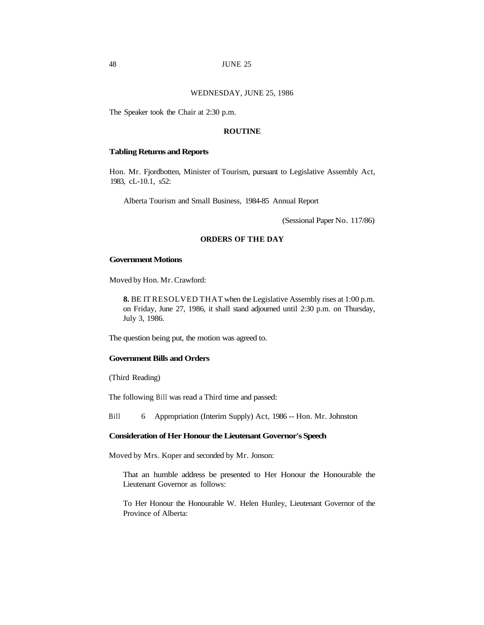### WEDNESDAY, JUNE 25, 1986

The Speaker took the Chair at 2:30 p.m.

### **ROUTINE**

# **Tabling Returns and Reports**

Hon. Mr. Fjordbotten, Minister of Tourism, pursuant to Legislative Assembly Act, 1983, cL-10.1, s52:

Alberta Tourism and Small Business, 1984-85 Annual Report

(Sessional Paper No. 117/86)

#### **ORDERS OF THE DAY**

### **Government Motions**

Moved by Hon. Mr. Crawford:

**8.** BE IT RESOLVED THAT when the Legislative Assembly rises at 1:00 p.m. on Friday, June 27, 1986, it shall stand adjourned until 2:30 p.m. on Thursday, July 3, 1986.

The question being put, the motion was agreed to.

### **Government Bills and Orders**

(Third Reading)

The following Bill was read a Third time and passed:

Bill 6 Appropriation (Interim Supply) Act, 1986 -- Hon. Mr. Johnston

# **Consideration of Her Honour the Lieutenant Governor's Speech**

Moved by Mrs. Koper and seconded by Mr. Jonson:

That an humble address be presented to Her Honour the Honourable the Lieutenant Governor as follows:

To Her Honour the Honourable W. Helen Hunley, Lieutenant Governor of the Province of Alberta: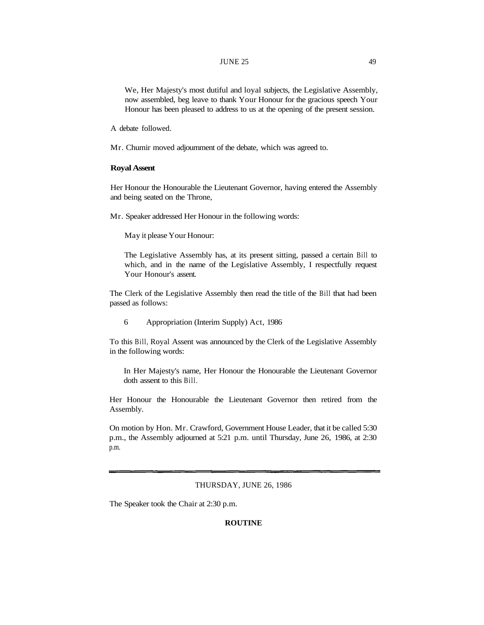#### JUNE 25 49

We, Her Majesty's most dutiful and loyal subjects, the Legislative Assembly, now assembled, beg leave to thank Your Honour for the gracious speech Your Honour has been pleased to address to us at the opening of the present session.

A debate followed.

Mr. Chumir moved adjournment of the debate, which was agreed to.

### **Royal Assent**

Her Honour the Honourable the Lieutenant Governor, having entered the Assembly and being seated on the Throne,

Mr. Speaker addressed Her Honour in the following words:

May it please Your Honour:

The Legislative Assembly has, at its present sitting, passed a certain Bill to which, and in the name of the Legislative Assembly, I respectfully request Your Honour's assent.

The Clerk of the Legislative Assembly then read the title of the Bill that had been passed as follows:

6 Appropriation (Interim Supply) Act, 1986

To this Bill, Royal Assent was announced by the Clerk of the Legislative Assembly in the following words:

In Her Majesty's name, Her Honour the Honourable the Lieutenant Governor doth assent to this Bill.

Her Honour the Honourable the Lieutenant Governor then retired from the Assembly.

On motion by Hon. Mr. Crawford, Government House Leader, that it be called 5:30 p.m., the Assembly adjourned at 5:21 p.m. until Thursday, June 26, 1986, at 2:30 p.m.

### THURSDAY, JUNE 26, 1986

The Speaker took the Chair at 2:30 p.m.

### **ROUTINE**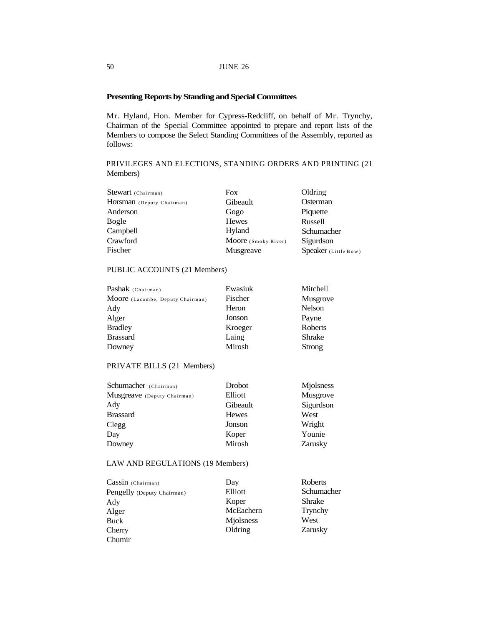# **Presenting Reports by Standing and Special Committees**

Mr. Hyland, Hon. Member for Cypress-Redcliff, on behalf of Mr. Trynchy, Chairman of the Special Committee appointed to prepare and report lists of the Members to compose the Select Standing Committees of the Assembly, reported as follows:

# PRIVILEGES AND ELECTIONS, STANDING ORDERS AND PRINTING (21 Members)

| <b>Fox</b>          | Oldring              |
|---------------------|----------------------|
| Gibeault            | Osterman             |
| Gogo                | Piquette             |
| <b>Hewes</b>        | Russell              |
| Hyland              | Schumacher           |
| Moore (Smoky River) | Sigurdson            |
| Musgreave           | Speaker (Little Bow) |
|                     |                      |

# PUBLIC ACCOUNTS (21 Members)

| Pashak (Chairman)                | Ewasiuk | Mitchell        |
|----------------------------------|---------|-----------------|
| Moore (Lacombe, Deputy Chairman) | Fischer | <b>Musgrove</b> |
| Ady                              | Heron   | Nelson          |
| Alger                            | Jonson  | Payne           |
| <b>Bradley</b>                   | Kroeger | <b>Roberts</b>  |
| <b>Brassard</b>                  | Laing   | <b>Shrake</b>   |
| Downey                           | Mirosh  | Strong          |

# PRIVATE BILLS (21 Members)

| Schumacher (Chairman)       | Drobot       | Mjolsness |
|-----------------------------|--------------|-----------|
| Musgreave (Deputy Chairman) | Elliott      | Musgrove  |
| Ady                         | Gibeault     | Sigurdson |
| <b>Brassard</b>             | <b>Hewes</b> | West      |
| Clegg                       | Jonson       | Wright    |
| Day                         | Koper        | Younie    |
| Downey                      | Mirosh       | Zarusky   |

# LAW AND REGULATIONS (19 Members)

| Cassin (Chairman)          | Day       | Roberts    |
|----------------------------|-----------|------------|
| Pengelly (Deputy Chairman) | Elliott   | Schumacher |
| Ady                        | Koper     | Shrake     |
| Alger                      | McEachern | Trynchy    |
| Buck                       | Miolsness | West       |
| Cherry                     | Oldring   | Zarusky    |
| Chumir                     |           |            |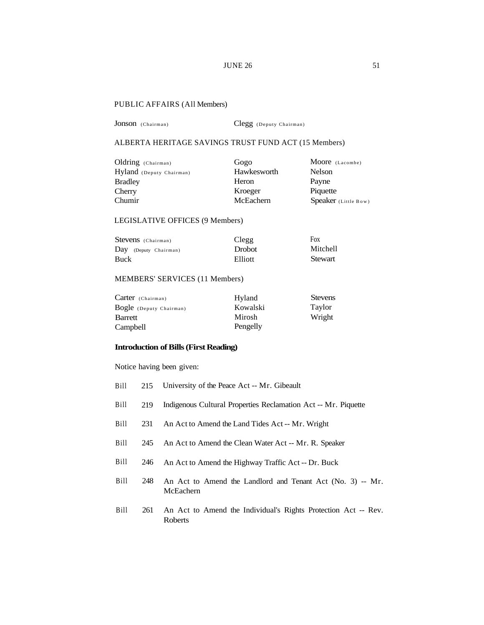# **JUNE 26** 51

# PUBLIC AFFAIRS (All Members)

Jonson (Chairman) Clegg (Deputy Chairman)

# ALBERTA HERITAGE SAVINGS TRUST FUND ACT (15 Members)

| Oldring (Chairman)       | Gogo        | Moore (Lacombe)      |
|--------------------------|-------------|----------------------|
| Hyland (Deputy Chairman) | Hawkesworth | Nelson               |
| <b>Bradley</b>           | Heron       | Payne                |
| Cherry                   | Kroeger     | Piquette             |
| Chumir                   | McEachern   | Speaker (Little Bow) |

# LEGISLATIVE OFFICES (9 Members)

| Stevens (Chairman)    | Clegg         | Fox             |
|-----------------------|---------------|-----------------|
| Day (Deputy Chairman) | <b>Drobot</b> | <b>Mitchell</b> |
| Buck                  | Elliott       | Stewart         |

# MEMBERS' SERVICES (11 Members)

| $Carter$ (Chairman)     | Hyland   | <b>Stevens</b> |
|-------------------------|----------|----------------|
| Bogle (Deputy Chairman) | Kowalski | Taylor         |
| Barrett                 | Mirosh   | Wright         |
| Campbell                | Pengelly |                |

# **Introduction of Bills (First Reading)**

Notice having been given:

| Bill | 215 University of the Peace Act -- Mr. Gibeault                    |
|------|--------------------------------------------------------------------|
| Bill | 219 Indigenous Cultural Properties Reclamation Act -- Mr. Piquette |

- Bill 231 An Act to Amend the Land Tides Act -- Mr. Wright
- Bill 245 An Act to Amend the Clean Water Act -- Mr. R. Speaker
- Bill 246 An Act to Amend the Highway Traffic Act -- Dr. Buck
- Bill 248 An Act to Amend the Landlord and Tenant Act (No. 3) -- Mr. McEachern
- Bill 261 An Act to Amend the Individual's Rights Protection Act -- Rev. Roberts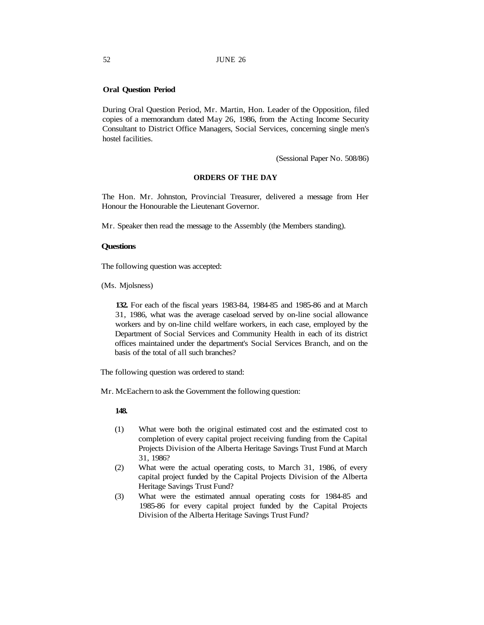## **Oral Question Period**

During Oral Question Period, Mr. Martin, Hon. Leader of the Opposition, filed copies of a memorandum dated May 26, 1986, from the Acting Income Security Consultant to District Office Managers, Social Services, concerning single men's hostel facilities.

(Sessional Paper No. 508/86)

# **ORDERS OF THE DAY**

The Hon. Mr. Johnston, Provincial Treasurer, delivered a message from Her Honour the Honourable the Lieutenant Governor.

Mr. Speaker then read the message to the Assembly (the Members standing).

### **Questions**

The following question was accepted:

(Ms. Mjolsness)

**132.** For each of the fiscal years 1983-84, 1984-85 and 1985-86 and at March 31, 1986, what was the average caseload served by on-line social allowance workers and by on-line child welfare workers, in each case, employed by the Department of Social Services and Community Health in each of its district offices maintained under the department's Social Services Branch, and on the basis of the total of all such branches?

The following question was ordered to stand:

Mr. McEachern to ask the Government the following question:

#### **148.**

- (1) What were both the original estimated cost and the estimated cost to completion of every capital project receiving funding from the Capital Projects Division of the Alberta Heritage Savings Trust Fund at March 31, 1986?
- (2) What were the actual operating costs, to March 31, 1986, of every capital project funded by the Capital Projects Division of the Alberta Heritage Savings Trust Fund?
- (3) What were the estimated annual operating costs for 1984-85 and 1985-86 for every capital project funded by the Capital Projects Division of the Alberta Heritage Savings Trust Fund?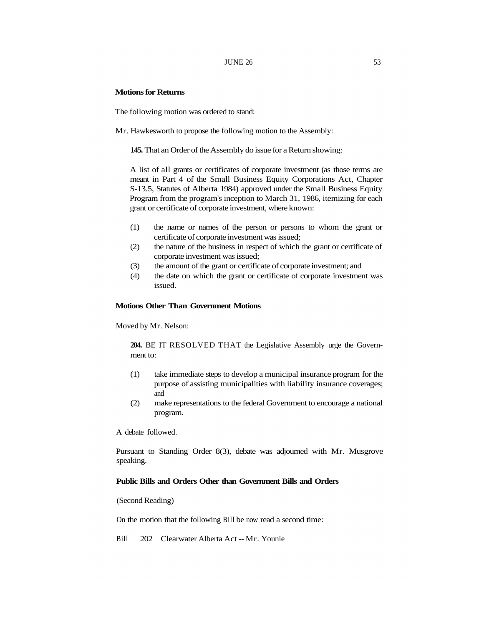### **JUNE 26 53 53**

# **Motions for Returns**

The following motion was ordered to stand:

Mr. Hawkesworth to propose the following motion to the Assembly:

**145.** That an Order of the Assembly do issue for a Return showing:

A list of all grants or certificates of corporate investment (as those terms are meant in Part 4 of the Small Business Equity Corporations Act, Chapter S-13.5, Statutes of Alberta 1984) approved under the Small Business Equity Program from the program's inception to March 31, 1986, itemizing for each grant or certificate of corporate investment, where known:

- (1) the name or names of the person or persons to whom the grant or certificate of corporate investment was issued;
- (2) the nature of the business in respect of which the grant or certificate of corporate investment was issued;
- (3) the amount of the grant or certificate of corporate investment; and
- (4) the date on which the grant or certificate of corporate investment was issued.

# **Motions Other Than Government Motions**

Moved by Mr. Nelson:

**204.** BE IT RESOLVED THAT the Legislative Assembly urge the Government to:

- (1) take immediate steps to develop a municipal insurance program for the purpose of assisting municipalities with liability insurance coverages; and
- (2) make representations to the federal Government to encourage a national program.

A debate followed.

Pursuant to Standing Order 8(3), debate was adjourned with Mr. Musgrove speaking.

# **Public Bills and Orders Other than Government Bills and Orders**

(Second Reading)

On the motion that the following Bill be now read a second time:

Bill 202 Clearwater Alberta Act -- Mr. Younie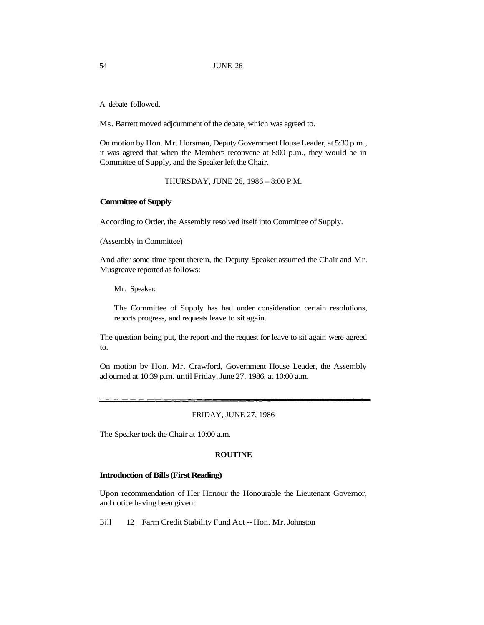A debate followed.

Ms. Barrett moved adjournment of the debate, which was agreed to.

On motion by Hon. Mr. Horsman, Deputy Government House Leader, at 5:30 p.m., it was agreed that when the Members reconvene at 8:00 p.m., they would be in Committee of Supply, and the Speaker left the Chair.

THURSDAY, JUNE 26, 1986 -- 8:00 P.M.

### **Committee of Supply**

According to Order, the Assembly resolved itself into Committee of Supply.

(Assembly in Committee)

And after some time spent therein, the Deputy Speaker assumed the Chair and Mr. Musgreave reported as follows:

Mr. Speaker:

The Committee of Supply has had under consideration certain resolutions, reports progress, and requests leave to sit again.

The question being put, the report and the request for leave to sit again were agreed to.

On motion by Hon. Mr. Crawford, Government House Leader, the Assembly adjourned at 10:39 p.m. until Friday, June 27, 1986, at 10:00 a.m.

#### FRIDAY, JUNE 27, 1986

The Speaker took the Chair at 10:00 a.m.

### **ROUTINE**

### **Introduction of Bills (First Reading)**

Upon recommendation of Her Honour the Honourable the Lieutenant Governor, and notice having been given:

Bill 12 Farm Credit Stability Fund Act -- Hon. Mr. Johnston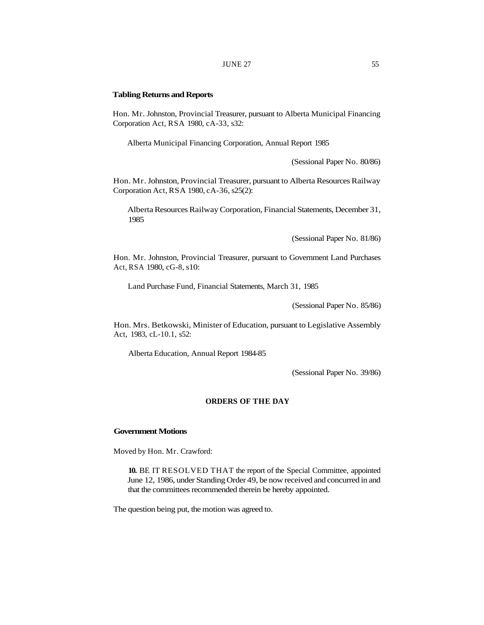#### **JUNE 27** 55

#### **Tabling Returns and Reports**

Hon. Mr. Johnston, Provincial Treasurer, pursuant to Alberta Municipal Financing Corporation Act, RSA 1980, cA-33, s32:

Alberta Municipal Financing Corporation, Annual Report 1985

(Sessional Paper No. 80/86)

Hon. Mr. Johnston, Provincial Treasurer, pursuant to Alberta Resources Railway Corporation Act, RSA 1980, cA-36, s25(2):

Alberta Resources Railway Corporation, Financial Statements, December 31, 1985

(Sessional Paper No. 81/86)

Hon. Mr. Johnston, Provincial Treasurer, pursuant to Government Land Purchases Act, RSA 1980, cG-8, s10:

Land Purchase Fund, Financial Statements, March 31, 1985

(Sessional Paper No. 85/86)

Hon. Mrs. Betkowski, Minister of Education, pursuant to Legislative Assembly Act, 1983, cL-10.1, s52:

Alberta Education, Annual Report 1984-85

(Sessional Paper No. 39/86)

# **ORDERS OF THE DAY**

#### **Government Motions**

Moved by Hon. Mr. Crawford:

**10.** BE IT RESOLVED THAT the report of the Special Committee, appointed June 12, 1986, under Standing Order 49, be now received and concurred in and that the committees recommended therein be hereby appointed.

The question being put, the motion was agreed to.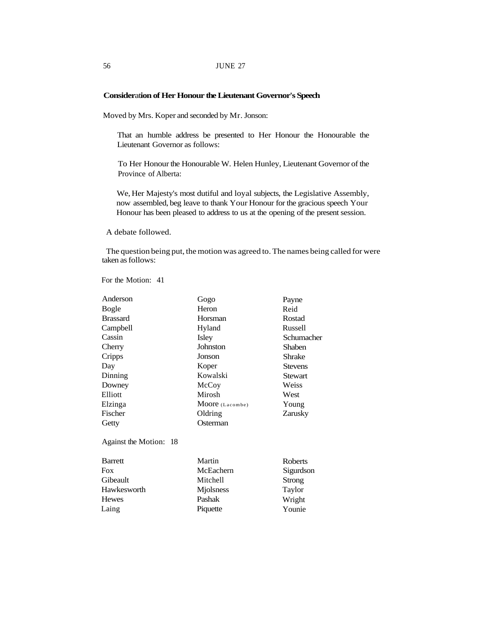# **Consider**at**ion of Her Honour the Lieutenant Governor's Speech**

Moved by Mrs. Koper and seconded by Mr. Jonson:

That an humble address be presented to Her Honour the Honourable the Lieutenant Governor as follows:

To Her Honour the Honourable W. Helen Hunley, Lieutenant Governor of the Province of Alberta:

We, Her Majesty's most dutiful and loyal subjects, the Legislative Assembly, now assembled, beg leave to thank Your Honour for the gracious speech Your Honour has been pleased to address to us at the opening of the present session.

A debate followed.

The question being put, the motion was agreed to. The names being called for were taken as follows:

For the Motion: 41

| Gogo            | Payne          |
|-----------------|----------------|
| Heron           | Reid           |
| Horsman         | Rostad         |
| Hyland          | Russell        |
| Isley           | Schumacher     |
| Johnston        | Shaben         |
| Jonson          | Shrake         |
| Koper           | <b>Stevens</b> |
| Kowalski        | Stewart        |
| McCoy           | Weiss          |
| Mirosh          | West           |
| Moore (Lacombe) | Young          |
| Oldring         | Zarusky        |
| Osterman        |                |
|                 |                |
| Martin          | Roberts        |
| McEachern       | Sigurdson      |
| Mitchell        | Strong         |
| Mjolsness       | Taylor         |
| Pashak          | Wright         |
| Piquette        | Younie         |
|                 |                |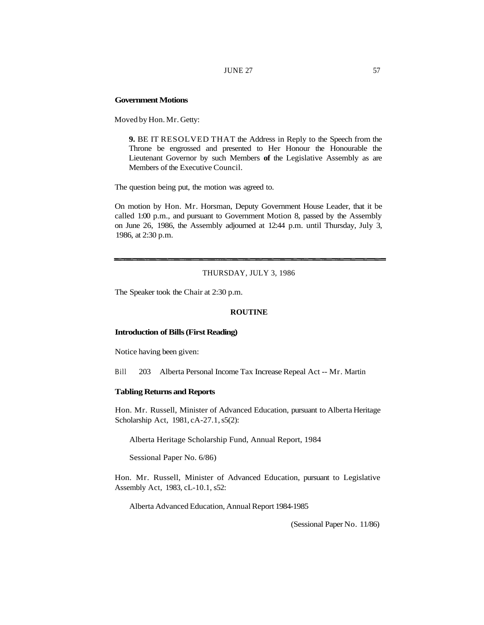#### JUNE 27 57

# **Government Motions**

Moved by Hon. Mr. Getty:

**9.** BE IT RESOLVED THAT the Address in Reply to the Speech from the Throne be engrossed and presented to Her Honour the Honourable the Lieutenant Governor by such Members **of** the Legislative Assembly as are Members of the Executive Council.

The question being put, the motion was agreed to.

On motion by Hon. Mr. Horsman, Deputy Government House Leader, that it be called 1:00 p.m., and pursuant to Government Motion 8, passed by the Assembly on June 26, 1986, the Assembly adjourned at 12:44 p.m. until Thursday, July 3, 1986, at 2:30 p.m.

# THURSDAY, JULY 3, 1986

The Speaker took the Chair at 2:30 p.m.

### **ROUTINE**

#### **Introduction of Bills (First Reading)**

Notice having been given:

Bill 203 Alberta Personal Income Tax Increase Repeal Act -- Mr. Martin

### **Tabling Returns and Reports**

Hon. Mr. Russell, Minister of Advanced Education, pursuant to Alberta Heritage Scholarship Act, 1981, cA-27.1, s5(2):

Alberta Heritage Scholarship Fund, Annual Report, 1984

Sessional Paper No. 6/86)

Hon. Mr. Russell, Minister of Advanced Education, pursuant to Legislative Assembly Act, 1983, cL-10.1, s52:

Alberta Advanced Education, Annual Report 1984-1985

(Sessional Paper No. 11/86)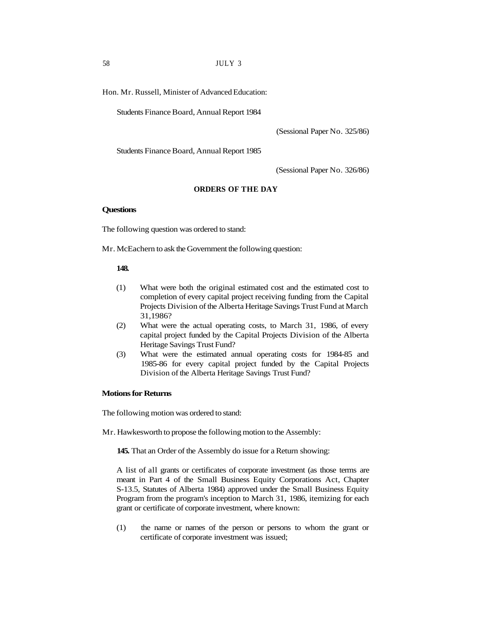Hon. Mr. Russell, Minister of Advanced Education:

Students Finance Board, Annual Report 1984

(Sessional Paper No. 325/86)

Students Finance Board, Annual Report 1985

(Sessional Paper No. 326/86)

### **ORDERS OF THE DAY**

### **Questions**

The following question was ordered to stand:

Mr. McEachern to ask the Government the following question:

### **148.**

- (1) What were both the original estimated cost and the estimated cost to completion of every capital project receiving funding from the Capital Projects Division of the Alberta Heritage Savings Trust Fund at March 31,1986?
- (2) What were the actual operating costs, to March 31, 1986, of every capital project funded by the Capital Projects Division of the Alberta Heritage Savings Trust Fund?
- (3) What were the estimated annual operating costs for 1984-85 and 1985-86 for every capital project funded by the Capital Projects Division of the Alberta Heritage Savings Trust Fund?

### **Motions for Returns**

The following motion was ordered to stand:

Mr. Hawkesworth to propose the following motion to the Assembly:

**145.** That an Order of the Assembly do issue for a Return showing:

A list of all grants or certificates of corporate investment (as those terms are meant in Part 4 of the Small Business Equity Corporations Act, Chapter S-13.5, Statutes of Alberta 1984) approved under the Small Business Equity Program from the program's inception to March 31, 1986, itemizing for each grant or certificate of corporate investment, where known:

(1) the name or names of the person or persons to whom the grant or certificate of corporate investment was issued;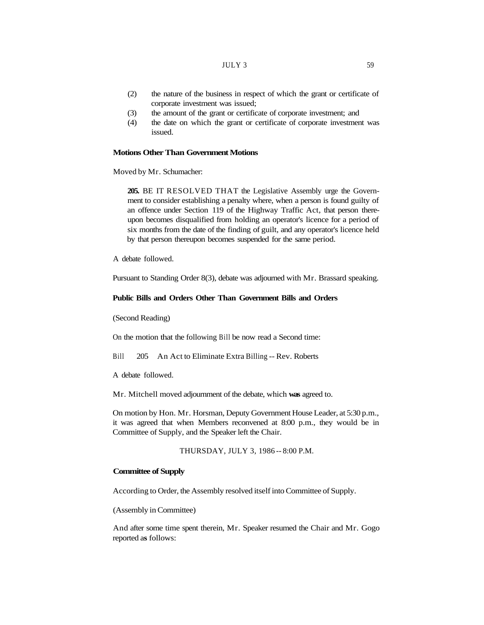- (2) the nature of the business in respect of which the grant or certificate of corporate investment was issued;
- (3) the amount of the grant or certificate of corporate investment; and
- (4) the date on which the grant or certificate of corporate investment was issued.

# **Motions Other Than Government Motions**

Moved by Mr. Schumacher:

**205.** BE IT RESOLVED THAT the Legislative Assembly urge the Government to consider establishing a penalty where, when a person is found guilty of an offence under Section 119 of the Highway Traffic Act, that person thereupon becomes disqualified from holding an operator's licence for a period of six months from the date of the finding of guilt, and any operator's licence held by that person thereupon becomes suspended for the same period.

A debate followed.

Pursuant to Standing Order 8(3), debate was adjourned with Mr. Brassard speaking.

#### **Public Bills and Orders Other Than Government Bills and Orders**

(Second Reading)

On the motion that the following Bill be now read a Second time:

Bill 205 An Act to Eliminate Extra Billing -- Rev. Roberts

A debate followed.

Mr. Mitchell moved adjournment of the debate, which **was** agreed to.

On motion by Hon. Mr. Horsman, Deputy Government House Leader, at 5:30 p.m., it was agreed that when Members reconvened at 8:00 p.m., they would be in Committee of Supply, and the Speaker left the Chair.

THURSDAY, JULY 3, 1986 -- 8:00 P.M.

#### **Committee of Supply**

According to Order, the Assembly resolved itself into Committee of Supply.

(Assembly in Committee)

And after some time spent therein, Mr. Speaker resumed the Chair and Mr. Gogo reported a**s** follows: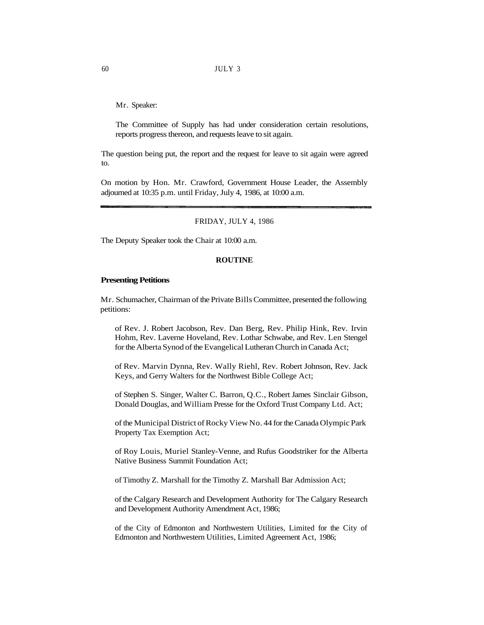Mr. Speaker:

The Committee of Supply has had under consideration certain resolutions, reports progress thereon, and requests leave to sit again.

The question being put, the report and the request for leave to sit again were agreed to.

On motion by Hon. Mr. Crawford, Government House Leader, the Assembly adjourned at 10:35 p.m. until Friday, July 4, 1986, at 10:00 a.m.

FRIDAY, JULY 4, 1986

The Deputy Speaker took the Chair at 10:00 a.m.

### **ROUTINE**

#### **Presenting Petitions**

Mr. Schumacher, Chairman of the Private Bills Committee, presented the following petitions:

of Rev. J. Robert Jacobson, Rev. Dan Berg, Rev. Philip Hink, Rev. Irvin Hohm, Rev. Laverne Hoveland, Rev. Lothar Schwabe, and Rev. Len Stengel for the Alberta Synod of the Evangelical Lutheran Church in Canada Act;

of Rev. Marvin Dynna, Rev. Wally Riehl, Rev. Robert Johnson, Rev. Jack Keys, and Gerry Walters for the Northwest Bible College Act;

of Stephen S. Singer, Walter C. Barron, Q.C., Robert James Sinclair Gibson, Donald Douglas, and William Presse for the Oxford Trust Company Ltd. Act;

of the Municipal District of Rocky View No. 44 for the Canada Olympic Park Property Tax Exemption Act;

of Roy Louis, Muriel Stanley-Venne, and Rufus Goodstriker for the Alberta Native Business Summit Foundation Act;

of Timothy Z. Marshall for the Timothy Z. Marshall Bar Admission Act;

of the Calgary Research and Development Authority for The Calgary Research and Development Authority Amendment Act, 1986;

of the City of Edmonton and Northwestern Utilities, Limited for the City of Edmonton and Northwestern Utilities, Limited Agreement Act, 1986;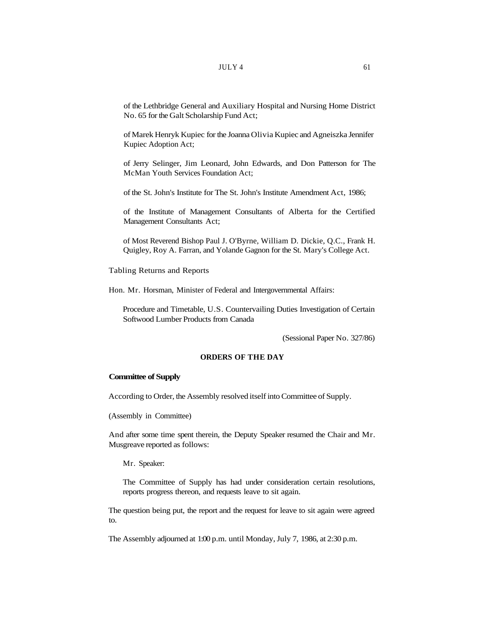of the Lethbridge General and Auxiliary Hospital and Nursing Home District No. 65 for the Galt Scholarship Fund Act;

of Marek Henryk Kupiec for the Joanna Olivia Kupiec and Agneiszka Jennifer Kupiec Adoption Act;

of Jerry Selinger, Jim Leonard, John Edwards, and Don Patterson for The McMan Youth Services Foundation Act;

of the St. John's Institute for The St. John's Institute Amendment Act, 1986;

of the Institute of Management Consultants of Alberta for the Certified Management Consultants Act;

of Most Reverend Bishop Paul J. O'Byrne, William D. Dickie, Q.C., Frank H. Quigley, Roy A. Farran, and Yolande Gagnon for the St. Mary's College Act.

Tabling Returns and Reports

Hon. Mr. Horsman, Minister of Federal and Intergovernmental Affairs:

Procedure and Timetable, U.S. Countervailing Duties Investigation of Certain Softwood Lumber Products from Canada

(Sessional Paper No. 327/86)

# **ORDERS OF THE DAY**

#### **Committee of Supply**

According to Order, the Assembly resolved itself into Committee of Supply.

(Assembly in Committee)

And after some time spent therein, the Deputy Speaker resumed the Chair and Mr. Musgreave reported as follows:

Mr. Speaker:

The Committee of Supply has had under consideration certain resolutions, reports progress thereon, and requests leave to sit again.

The question being put, the report and the request for leave to sit again were agreed to.

The Assembly adjourned at 1:00 p.m. until Monday, July 7, 1986, at 2:30 p.m.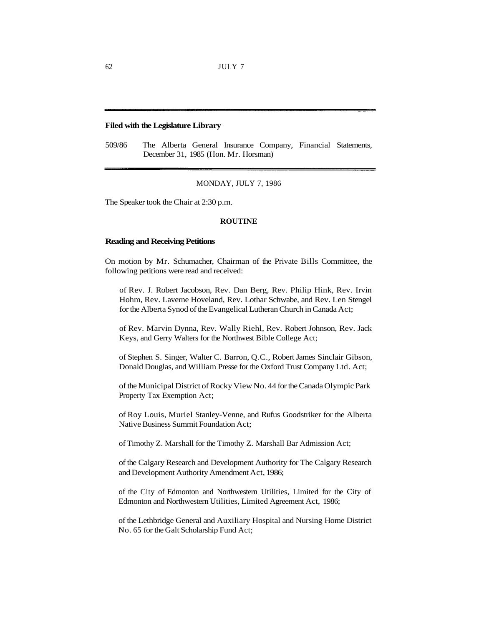62 JULY 7

# **Filed with the Legislature Library**

509/86 The Alberta General Insurance Company, Financial Statements, December 31, 1985 (Hon. Mr. Horsman)

#### MONDAY, JULY 7, 1986

The Speaker took the Chair at 2:30 p.m.

# **ROUTINE**

#### **Reading and Receiving Petitions**

On motion by Mr. Schumacher, Chairman of the Private Bills Committee, the following petitions were read and received:

of Rev. J. Robert Jacobson, Rev. Dan Berg, Rev. Philip Hink, Rev. Irvin Hohm, Rev. Laverne Hoveland, Rev. Lothar Schwabe, and Rev. Len Stengel for the Alberta Synod of the Evangelical Lutheran Church in Canada Act;

of Rev. Marvin Dynna, Rev. Wally Riehl, Rev. Robert Johnson, Rev. Jack Keys, and Gerry Walters for the Northwest Bible College Act;

of Stephen S. Singer, Walter C. Barron, Q.C., Robert James Sinclair Gibson, Donald Douglas, and William Presse for the Oxford Trust Company Ltd. Act;

of the Municipal District of Rocky View No. 44 for the Canada Olympic Park Property Tax Exemption Act;

of Roy Louis, Muriel Stanley-Venne, and Rufus Goodstriker for the Alberta Native Business Summit Foundation Act;

of Timothy Z. Marshall for the Timothy Z. Marshall Bar Admission Act;

of the Calgary Research and Development Authority for The Calgary Research and Development Authority Amendment Act, 1986;

of the City of Edmonton and Northwestern Utilities, Limited for the City of Edmonton and Northwestern Utilities, Limited Agreement Act, 1986;

of the Lethbridge General and Auxiliary Hospital and Nursing Home District No. 65 for the Galt Scholarship Fund Act;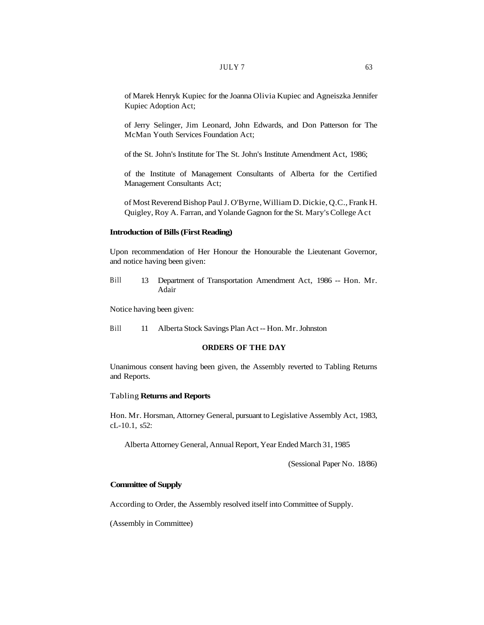of Marek Henryk Kupiec for the Joanna Olivia Kupiec and Agneiszka Jennifer Kupiec Adoption Act;

of Jerry Selinger, Jim Leonard, John Edwards, and Don Patterson for The McMan Youth Services Foundation Act;

of the St. John's Institute for The St. John's Institute Amendment Act, 1986;

of the Institute of Management Consultants of Alberta for the Certified Management Consultants Act;

of Most Reverend Bishop Paul J. O'Byrne, William D. Dickie, Q.C., Frank H. Quigley, Roy A. Farran, and Yolande Gagnon for the St. Mary's College Act

### **Introduction of Bills (First Reading)**

Upon recommendation of Her Honour the Honourable the Lieutenant Governor, and notice having been given:

Bill 13 Department of Transportation Amendment Act, 1986 -- Hon. Mr. Adair

Notice having been given:

Bill 11 Alberta Stock Savings Plan Act -- Hon. Mr. Johnston

# **ORDERS OF THE DAY**

Unanimous consent having been given, the Assembly reverted to Tabling Returns and Reports.

### Tabling **Returns and Reports**

Hon. Mr. Horsman, Attorney General, pursuant to Legislative Assembly Act, 1983, cL-10.1, s52:

Alberta Attorney General, Annual Report, Year Ended March 31, 1985

(Sessional Paper No. 18/86)

### **Committee of Supply**

According to Order, the Assembly resolved itself into Committee of Supply.

(Assembly in Committee)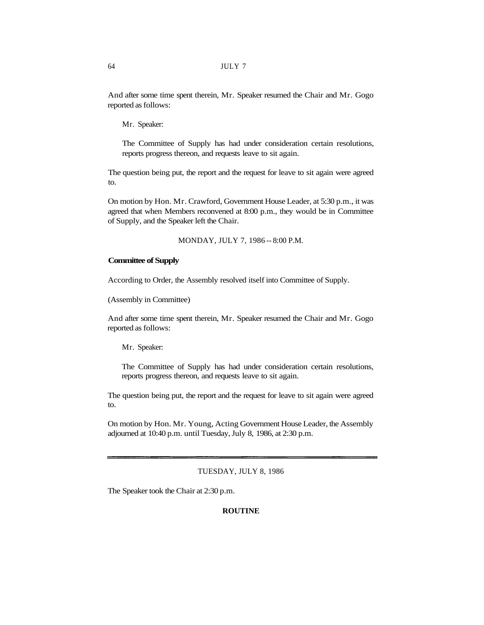And after some time spent therein, Mr. Speaker resumed the Chair and Mr. Gogo reported as follows:

Mr. Speaker:

The Committee of Supply has had under consideration certain resolutions, reports progress thereon, and requests leave to sit again.

The question being put, the report and the request for leave to sit again were agreed to.

On motion by Hon. Mr. Crawford, Government House Leader, at 5:30 p.m., it was agreed that when Members reconvened at 8:00 p.m., they would be in Committee of Supply, and the Speaker left the Chair.

MONDAY, JULY 7, 1986 -- 8:00 P.M.

### **Committee of Supply**

According to Order, the Assembly resolved itself into Committee of Supply.

(Assembly in Committee)

And after some time spent therein, Mr. Speaker resumed the Chair and Mr. Gogo reported as follows:

Mr. Speaker:

The Committee of Supply has had under consideration certain resolutions, reports progress thereon, and requests leave to sit again.

The question being put, the report and the request for leave to sit again were agreed to.

On motion by Hon. Mr. Young, Acting Government House Leader, the Assembly adjourned at 10:40 p.m. until Tuesday, July 8, 1986, at 2:30 p.m.

### TUESDAY, JULY 8, 1986

The Speaker took the Chair at 2:30 p.m.

### **ROUTINE**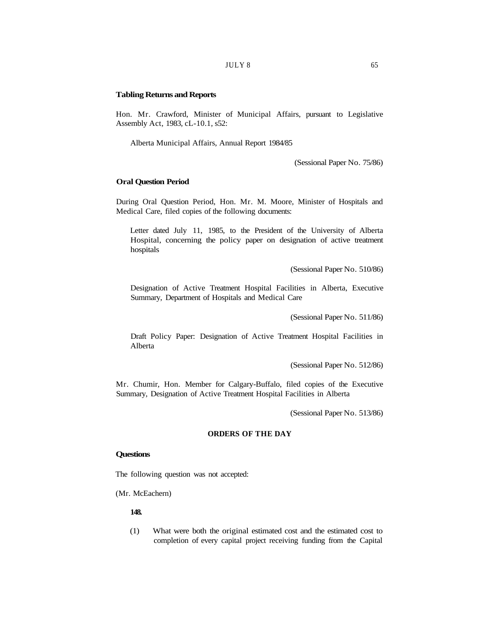### **Tabling Returns and Reports**

Hon. Mr. Crawford, Minister of Municipal Affairs, pursuant to Legislative Assembly Act, 1983, cL-10.1, s52:

Alberta Municipal Affairs, Annual Report 1984/85

(Sessional Paper No. 75/86)

# **Oral Question Period**

During Oral Question Period, Hon. Mr. M. Moore, Minister of Hospitals and Medical Care, filed copies of the following documents:

Letter dated July 11, 1985, to the President of the University of Alberta Hospital, concerning the policy paper on designation of active treatment hospitals

(Sessional Paper No. 510/86)

Designation of Active Treatment Hospital Facilities in Alberta, Executive Summary, Department of Hospitals and Medical Care

(Sessional Paper No. 511/86)

Draft Policy Paper: Designation of Active Treatment Hospital Facilities in Alberta

(Sessional Paper No. 512/86)

Mr. Chumir, Hon. Member for Calgary-Buffalo, filed copies of the Executive Summary, Designation of Active Treatment Hospital Facilities in Alberta

(Sessional Paper No. 513/86)

# **ORDERS OF THE DAY**

### **Questions**

The following question was not accepted:

(Mr. McEachern)

### **148.**

(1) What were both the original estimated cost and the estimated cost to completion of every capital project receiving funding from the Capital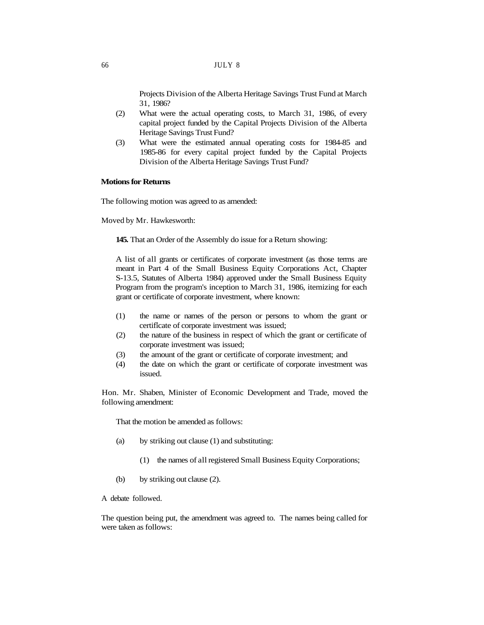Projects Division of the Alberta Heritage Savings Trust Fund at March 31, 1986?

- (2) What were the actual operating costs, to March 31, 1986, of every capital project funded by the Capital Projects Division of the Alberta Heritage Savings Trust Fund?
- (3) What were the estimated annual operating costs for 1984-85 and 1985-86 for every capital project funded by the Capital Projects Division of the Alberta Heritage Savings Trust Fund?

# **Motions for Returns**

The following motion was agreed to as amended:

Moved by Mr. Hawkesworth:

**145.** That an Order of the Assembly do issue for a Return showing:

A list of all grants or certificates of corporate investment (as those terms are meant in Part 4 of the Small Business Equity Corporations Act, Chapter S-13.5, Statutes of Alberta 1984) approved under the Small Business Equity Program from the program's inception to March 31, 1986, itemizing for each grant or certificate of corporate investment, where known:

- (1) the name or names of the person or persons to whom the grant or certificate of corporate investment was issued;
- (2) the nature of the business in respect of which the grant or certificate of corporate investment was issued;
- (3) the amount of the grant or certificate of corporate investment; and
- (4) the date on which the grant or certificate of corporate investment was issued.

Hon. Mr. Shaben, Minister of Economic Development and Trade, moved the following amendment:

That the motion be amended as follows:

- (a) by striking out clause (1) and substituting:
	- (1) the names of all registered Small Business Equity Corporations;
- (b) by striking out clause (2).

A debate followed.

The question being put, the amendment was agreed to. The names being called for were taken as follows: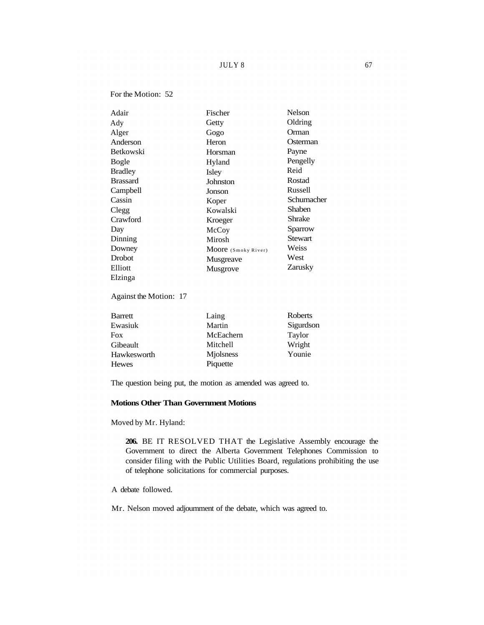# $JULY 8$  67

## For the Motion: 52

| Adair            | Fischer             | <b>Nelson</b> |
|------------------|---------------------|---------------|
| Ady              | Getty               | Oldring       |
| Alger            | Gogo                | Orman         |
| Anderson         | Heron               | Osterman      |
| <b>Betkowski</b> | Horsman             | Payne         |
| Bogle            | Hyland              | Pengelly      |
| <b>Bradley</b>   | Isley               | Reid          |
| <b>Brassard</b>  | Johnston            | Rostad        |
| Campbell         | Jonson              | Russell       |
| Cassin           | Koper               | Schumacher    |
| Clegg            | Kowalski            | Shaben        |
| Crawford         | Kroeger             | Shrake        |
| Day              | McCoy               | Sparrow       |
| Dinning          | Mirosh              | Stewart       |
| Downey           | Moore (Smoky River) | Weiss         |
| Drobot           | Musgreave           | West          |
| Elliott          | Musgrove            | Zarusky       |
| Elzinga          |                     |               |

# Against the Motion: 17

| Barrett     | Laing     | Roberts   |
|-------------|-----------|-----------|
| Ewasiuk     | Martin    | Sigurdson |
| Fox         | McEachern | Taylor    |
| Gibeault    | Mitchell  | Wright    |
| Hawkesworth | Miolsness | Younie    |
| Hewes       | Piquette  |           |

The question being put, the motion as amended was agreed to.

# **Motions Other Than Government Motions**

Moved by Mr. Hyland:

**206.** BE IT RESOLVED THAT the Legislative Assembly encourage the Government to direct the Alberta Government Telephones Commission to consider filing with the Public Utilities Board, regulations prohibiting the use of telephone solicitations for commercial purposes.

A debate followed.

Mr. Nelson moved adjournment of the debate, which was agreed to.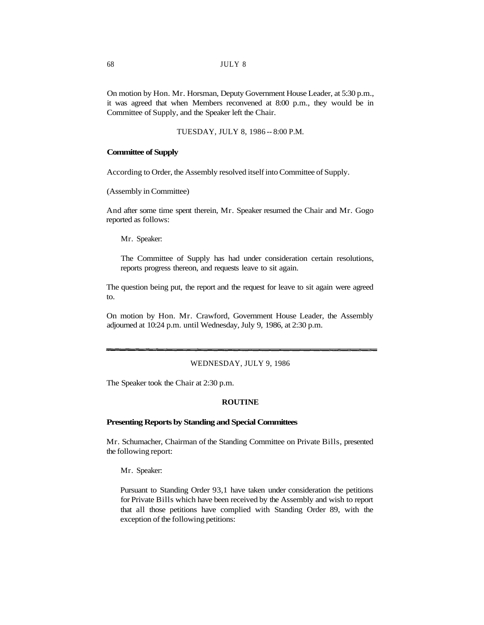On motion by Hon. Mr. Horsman, Deputy Government House Leader, at 5:30 p.m., it was agreed that when Members reconvened at 8:00 p.m., they would be in Committee of Supply, and the Speaker left the Chair.

TUESDAY, JULY 8, 1986 -- 8:00 P.M.

### **Committee of Supply**

According to Order, the Assembly resolved itself into Committee of Supply.

(Assembly in Committee)

And after some time spent therein, Mr. Speaker resumed the Chair and Mr. Gogo reported as follows:

Mr. Speaker:

The Committee of Supply has had under consideration certain resolutions, reports progress thereon, and requests leave to sit again.

The question being put, the report and the request for leave to sit again were agreed to.

On motion by Hon. Mr. Crawford, Government House Leader, the Assembly adjourned at 10:24 p.m. until Wednesday, July 9, 1986, at 2:30 p.m.

#### WEDNESDAY, JULY 9, 1986

The Speaker took the Chair at 2:30 p.m.

### **ROUTINE**

#### **Presenting Reports by Standing and Special Committees**

Mr. Schumacher, Chairman of the Standing Committee on Private Bills, presented the following report:

Mr. Speaker:

Pursuant to Standing Order 93,1 have taken under consideration the petitions for Private Bills which have been received by the Assembly and wish to report that all those petitions have complied with Standing Order 89, with the exception of the following petitions: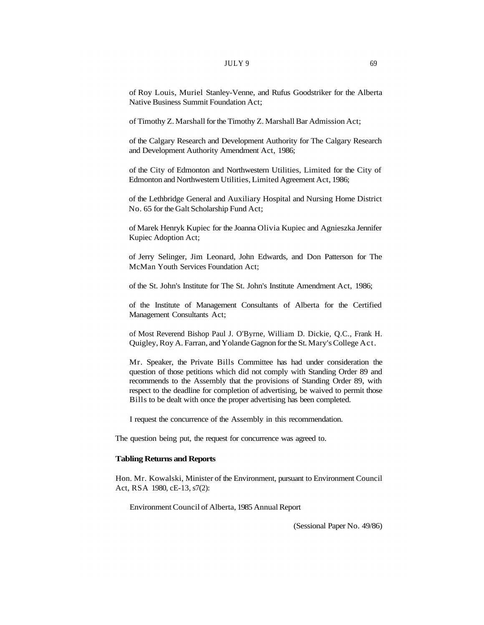#### $JULY$  9 69

of Roy Louis, Muriel Stanley-Venne, and Rufus Goodstriker for the Alberta Native Business Summit Foundation Act;

of Timothy Z. Marshall for the Timothy Z. Marshall Bar Admission Act;

of the Calgary Research and Development Authority for The Calgary Research and Development Authority Amendment Act, 1986;

of the City of Edmonton and Northwestern Utilities, Limited for the City of Edmonton and Northwestern Utilities, Limited Agreement Act, 1986;

of the Lethbridge General and Auxiliary Hospital and Nursing Home District No. 65 for the Galt Scholarship Fund Act;

of Marek Henryk Kupiec for the Joanna Olivia Kupiec and Agnieszka Jennifer Kupiec Adoption Act;

of Jerry Selinger, Jim Leonard, John Edwards, and Don Patterson for The McMan Youth Services Foundation Act;

of the St. John's Institute for The St. John's Institute Amendment Act, 1986;

of the Institute of Management Consultants of Alberta for the Certified Management Consultants Act;

of Most Reverend Bishop Paul J. O'Byrne, William D. Dickie, Q.C., Frank H. Quigley, Roy A. Farran, and Yolande Gagnon for the St. Mary's College Act.

Mr. Speaker, the Private Bills Committee has had under consideration the question of those petitions which did not comply with Standing Order 89 and recommends to the Assembly that the provisions of Standing Order 89, with respect to the deadline for completion of advertising, be waived to permit those Bills to be dealt with once the proper advertising has been completed.

I request the concurrence of the Assembly in this recommendation.

The question being put, the request for concurrence was agreed to.

### **Tabling Returns and Reports**

Hon. Mr. Kowalski, Minister of the Environment, pursuant to Environment Council Act, RSA 1980, cE-13, s7(2):

Environment Council of Alberta, 1985 Annual Report

(Sessional Paper No. 49/86)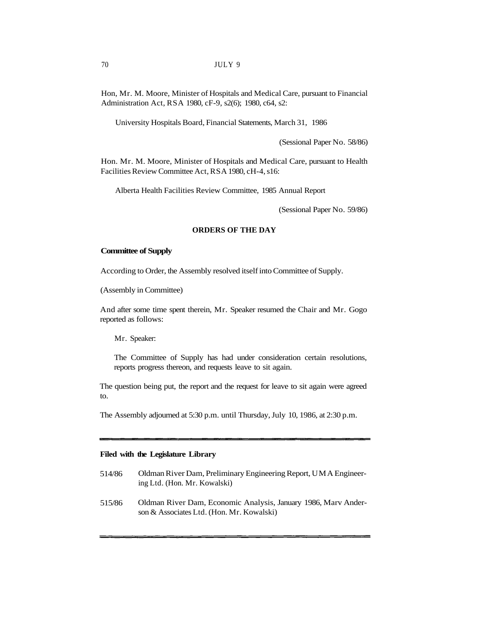Hon, Mr. M. Moore, Minister of Hospitals and Medical Care, pursuant to Financial Administration Act, RSA 1980, cF-9, s2(6); 1980, c64, s2:

University Hospitals Board, Financial Statements, March 31, 1986

(Sessional Paper No. 58/86)

Hon. Mr. M. Moore, Minister of Hospitals and Medical Care, pursuant to Health Facilities Review Committee Act, RSA 1980, cH-4, s16:

Alberta Health Facilities Review Committee, 1985 Annual Report

(Sessional Paper No. 59/86)

# **ORDERS OF THE DAY**

#### **Committee of Supply**

According to Order, the Assembly resolved itself into Committee of Supply.

(Assembly in Committee)

And after some time spent therein, Mr. Speaker resumed the Chair and Mr. Gogo reported as follows:

Mr. Speaker:

The Committee of Supply has had under consideration certain resolutions, reports progress thereon, and requests leave to sit again.

The question being put, the report and the request for leave to sit again were agreed to.

The Assembly adjourned at 5:30 p.m. until Thursday, July 10, 1986, at 2:30 p.m.

### **Filed with the Legislature Library**

- 514/86 Oldman River Dam, Preliminary Engineering Report, UMA Engineering Ltd. (Hon. Mr. Kowalski)
- 515/86 Oldman River Dam, Economic Analysis, January 1986, Marv Anderson & Associates Ltd. (Hon. Mr. Kowalski)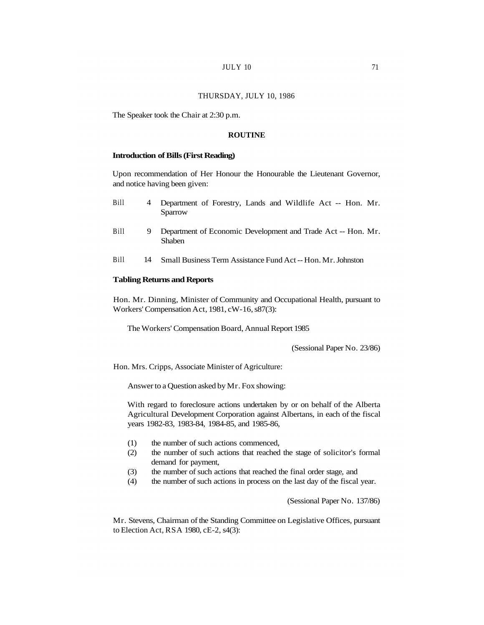## $JULY$  10  $71$

#### THURSDAY, JULY 10, 1986

The Speaker took the Chair at 2:30 p.m.

### **ROUTINE**

## **Introduction of Bills (First Reading)**

Upon recommendation of Her Honour the Honourable the Lieutenant Governor, and notice having been given:

| <b>Bill</b> | 4 Department of Forestry, Lands and Wildlife Act -- Hon. Mr. |  |  |  |  |
|-------------|--------------------------------------------------------------|--|--|--|--|
|             | Sparrow                                                      |  |  |  |  |
|             |                                                              |  |  |  |  |

- Bill 9 Department of Economic Development and Trade Act -- Hon. Mr. Shaben
- Bill 14 Small Business Term Assistance Fund Act -- Hon. Mr. Johnston

#### **Tabling Returns and Reports**

Hon. Mr. Dinning, Minister of Community and Occupational Health, pursuant to Workers' Compensation Act, 1981, cW-16, s87(3):

The Workers' Compensation Board, Annual Report 1985

(Sessional Paper No. 23/86)

Hon. Mrs. Cripps, Associate Minister of Agriculture:

Answer to a Question asked by Mr. Fox showing:

With regard to foreclosure actions undertaken by or on behalf of the Alberta Agricultural Development Corporation against Albertans, in each of the fiscal years 1982-83, 1983-84, 1984-85, and 1985-86,

- (1) the number of such actions commenced,
- (2) the number of such actions that reached the stage of solicitor's formal demand for payment,
- (3) the number of such actions that reached the final order stage, and
- (4) the number of such actions in process on the last day of the fiscal year.

(Sessional Paper No. 137/86)

Mr. Stevens, Chairman of the Standing Committee on Legislative Offices, pursuant to Election Act, RSA 1980, cE-2, s4(3):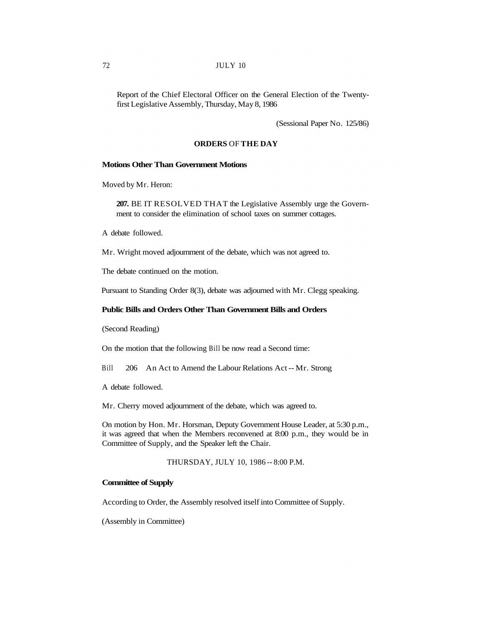# 72 JULY 10

Report of the Chief Electoral Officer on the General Election of the Twentyfirst Legislative Assembly, Thursday, May 8, 1986

(Sessional Paper No. 125/86)

### **ORDERS** OF **THE DAY**

## **Motions Other Than Government Motions**

Moved by Mr. Heron:

**207.** BE IT RESOLVED THAT the Legislative Assembly urge the Government to consider the elimination of school taxes on summer cottages.

A debate followed.

Mr. Wright moved adjournment of the debate, which was not agreed to.

The debate continued on the motion.

Pursuant to Standing Order 8(3), debate was adjourned with Mr. Clegg speaking.

### **Public Bills and Orders Other Than Government Bills and Orders**

(Second Reading)

On the motion that the following Bill be now read a Second time:

Bill 206 An Act to Amend the Labour Relations Act -- Mr. Strong

A debate followed.

Mr. Cherry moved adjournment of the debate, which was agreed to.

On motion by Hon. Mr. Horsman, Deputy Government House Leader, at 5:30 p.m., it was agreed that when the Members reconvened at 8:00 p.m., they would be in Committee of Supply, and the Speaker left the Chair.

THURSDAY, JULY 10, 1986 -- 8:00 P.M.

#### **Committee of Supply**

According to Order, the Assembly resolved itself into Committee of Supply.

(Assembly in Committee)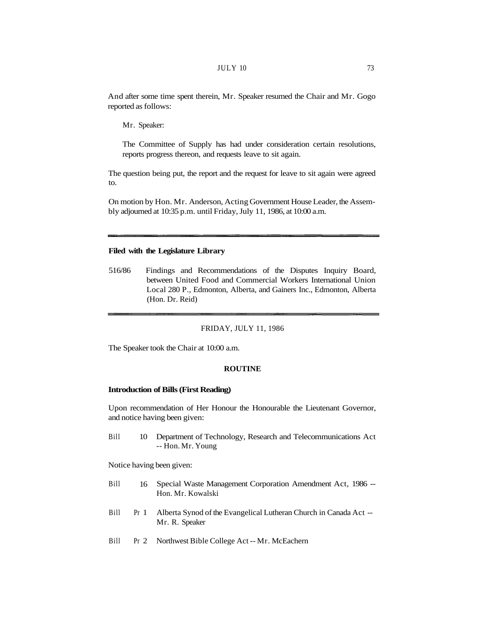And after some time spent therein, Mr. Speaker resumed the Chair and Mr. Gogo reported as follows:

Mr. Speaker:

The Committee of Supply has had under consideration certain resolutions, reports progress thereon, and requests leave to sit again.

The question being put, the report and the request for leave to sit again were agreed to.

On motion by Hon. Mr. Anderson, Acting Government House Leader, the Assembly adjourned at 10:35 p.m. until Friday, July 11, 1986, at 10:00 a.m.

### **Filed with the Legislature Library**

516/86 Findings and Recommendations of the Disputes Inquiry Board, between United Food and Commercial Workers International Union Local 280 P., Edmonton, Alberta, and Gainers Inc., Edmonton, Alberta (Hon. Dr. Reid)

#### FRIDAY, JULY 11, 1986

The Speaker took the Chair at 10:00 a.m.

#### **ROUTINE**

### **Introduction of Bills (First Reading)**

Upon recommendation of Her Honour the Honourable the Lieutenant Governor, and notice having been given:

Bill 10 Department of Technology, Research and Telecommunications Act -- Hon. Mr. Young

Notice having been given:

- Bill 16 Special Waste Management Corporation Amendment Act, 1986 -- Hon. Mr. Kowalski
- Bill Pr 1 Alberta Synod of the Evangelical Lutheran Church in Canada Act -- Mr. R. Speaker
- Bill Pr 2 Northwest Bible College Act -- Mr. McEachern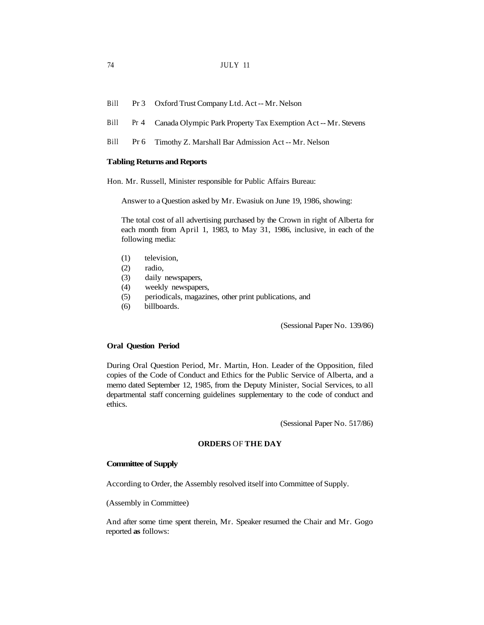- Bill Pr 3 Oxford Trust Company Ltd. Act -- Mr. Nelson
- Bill Pr 4 Canada Olympic Park Property Tax Exemption Act -- Mr. Stevens
- Bill Pr 6 Timothy Z. Marshall Bar Admission Act -- Mr. Nelson

### **Tabling Returns and Reports**

Hon. Mr. Russell, Minister responsible for Public Affairs Bureau:

Answer to a Question asked by Mr. Ewasiuk on June 19, 1986, showing:

The total cost of all advertising purchased by the Crown in right of Alberta for each month from April 1, 1983, to May 31, 1986, inclusive, in each of the following media:

- (1) television,
- (2) radio,
- (3) daily newspapers,
- (4) weekly newspapers,
- (5) periodicals, magazines, other print publications, and
- (6) billboards.

(Sessional Paper No. 139/86)

#### **Oral Question Period**

During Oral Question Period, Mr. Martin, Hon. Leader of the Opposition, filed copies of the Code of Conduct and Ethics for the Public Service of Alberta, and a memo dated September 12, 1985, from the Deputy Minister, Social Services, to all departmental staff concerning guidelines supplementary to the code of conduct and ethics.

(Sessional Paper No. 517/86)

#### **ORDERS** OF **THE DAY**

### **Committee of Supply**

According to Order, the Assembly resolved itself into Committee of Supply.

(Assembly in Committee)

And after some time spent therein, Mr. Speaker resumed the Chair and Mr. Gogo reported **as** follows: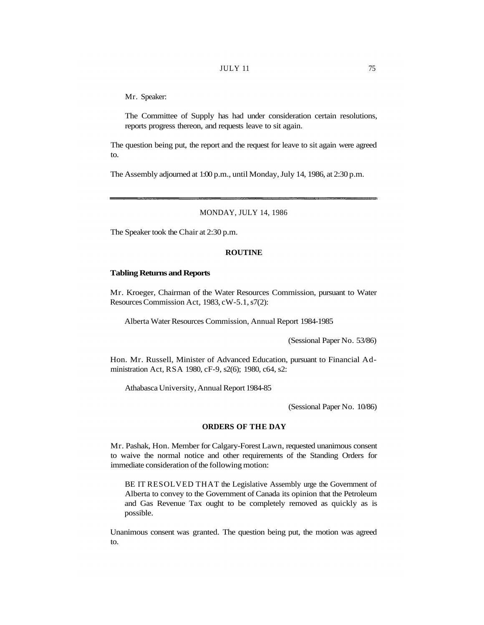### JULY 11 75

Mr. Speaker:

The Committee of Supply has had under consideration certain resolutions, reports progress thereon, and requests leave to sit again.

The question being put, the report and the request for leave to sit again were agreed to.

The Assembly adjourned at 1:00 p.m., until Monday, July 14, 1986, at 2:30 p.m.

# MONDAY, JULY 14, 1986

The Speaker took the Chair at 2:30 p.m.

# **ROUTINE**

## **Tabling Returns and Reports**

Mr. Kroeger, Chairman of the Water Resources Commission, pursuant to Water Resources Commission Act, 1983, cW-5.1, s7(2):

Alberta Water Resources Commission, Annual Report 1984-1985

(Sessional Paper No. 53/86)

Hon. Mr. Russell, Minister of Advanced Education, pursuant to Financial Administration Act, RSA 1980, cF-9, s2(6); 1980, c64, s2:

Athabasca University, Annual Report 1984-85

(Sessional Paper No. 10/86)

### **ORDERS OF THE DAY**

Mr. Pashak, Hon. Member for Calgary-Forest Lawn, requested unanimous consent to waive the normal notice and other requirements of the Standing Orders for immediate consideration of the following motion:

BE IT RESOLVED THAT the Legislative Assembly urge the Government of Alberta to convey to the Government of Canada its opinion that the Petroleum and Gas Revenue Tax ought to be completely removed as quickly as is possible.

Unanimous consent was granted. The question being put, the motion was agreed to.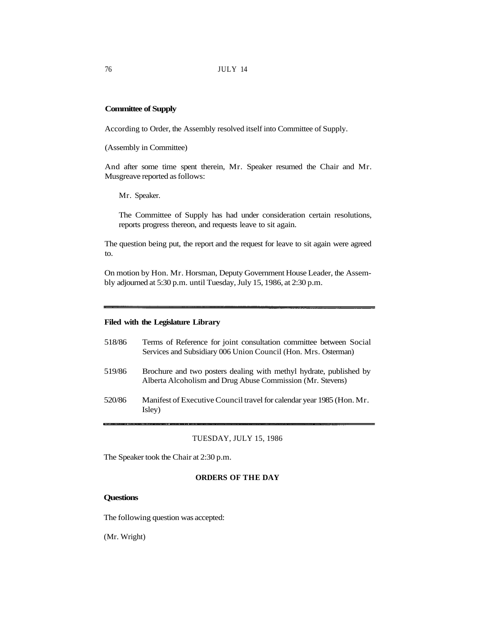# **Committee of Supply**

According to Order, the Assembly resolved itself into Committee of Supply.

(Assembly in Committee)

And after some time spent therein, Mr. Speaker resumed the Chair and Mr. Musgreave reported as follows:

Mr. Speaker.

The Committee of Supply has had under consideration certain resolutions, reports progress thereon, and requests leave to sit again.

The question being put, the report and the request for leave to sit again were agreed to.

On motion by Hon. Mr. Horsman, Deputy Government House Leader, the Assembly adjourned at 5:30 p.m. until Tuesday, July 15, 1986, at 2:30 p.m.

# **Filed with the Legislature Library**

| 518/86 | Terms of Reference for joint consultation committee between Social<br>Services and Subsidiary 006 Union Council (Hon. Mrs. Osterman) |
|--------|--------------------------------------------------------------------------------------------------------------------------------------|
| 519/86 | Brochure and two posters dealing with methyl hydrate, published by<br>Alberta Alcoholism and Drug Abuse Commission (Mr. Stevens)     |
| 520/86 | Manifest of Executive Council travel for calendar year 1985 (Hon. Mr.<br>Isley)                                                      |

# TUESDAY, JULY 15, 1986

The Speaker took the Chair at 2:30 p.m.

### **ORDERS OF THE DAY**

### **Questions**

The following question was accepted:

(Mr. Wright)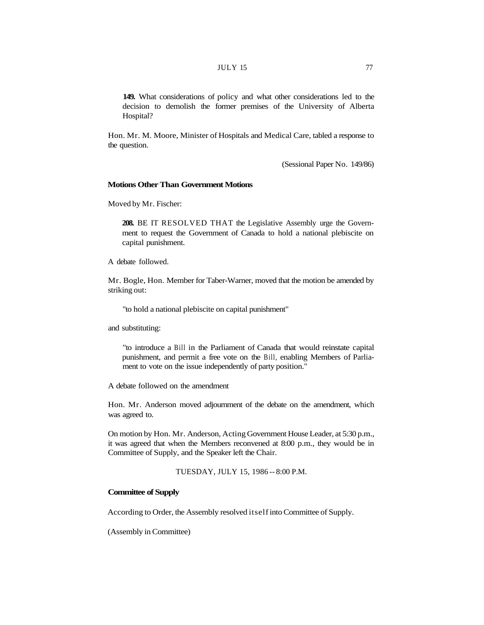**149.** What considerations of policy and what other considerations led to the decision to demolish the former premises of the University of Alberta Hospital?

Hon. Mr. M. Moore, Minister of Hospitals and Medical Care, tabled a response to the question.

(Sessional Paper No. 149/86)

# **Motions Other Than Government Motions**

Moved by Mr. Fischer:

**208.** BE IT RESOLVED THAT the Legislative Assembly urge the Government to request the Government of Canada to hold a national plebiscite on capital punishment.

A debate followed.

Mr. Bogle, Hon. Member for Taber-Warner, moved that the motion be amended by striking out:

"to hold a national plebiscite on capital punishment"

and substituting:

"to introduce a Bill in the Parliament of Canada that would reinstate capital punishment, and permit a free vote on the Bill, enabling Members of Parliament to vote on the issue independently of party position."

A debate followed on the amendment

Hon. Mr. Anderson moved adjournment of the debate on the amendment, which was agreed to.

On motion by Hon. Mr. Anderson, Acting Government House Leader, at 5:30 p.m., it was agreed that when the Members reconvened at 8:00 p.m., they would be in Committee of Supply, and the Speaker left the Chair.

TUESDAY, JULY 15, 1986 -- 8:00 P.M.

### **Committee of Supply**

According to Order, the Assembly resolved itself into Committee of Supply.

(Assembly in Committee)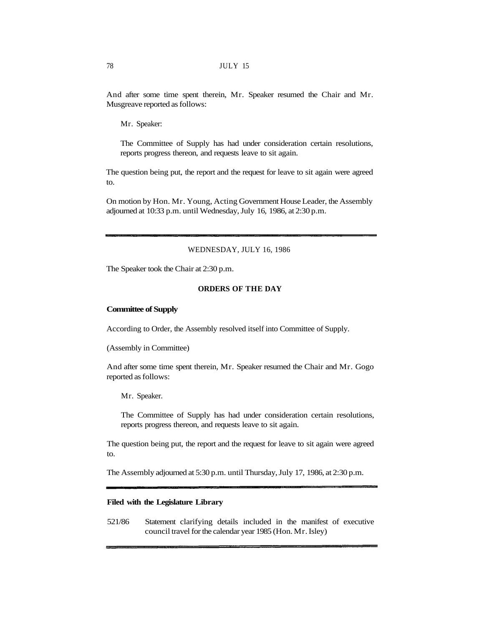And after some time spent therein, Mr. Speaker resumed the Chair and Mr. Musgreave reported as follows:

Mr. Speaker:

The Committee of Supply has had under consideration certain resolutions, reports progress thereon, and requests leave to sit again.

The question being put, the report and the request for leave to sit again were agreed to.

On motion by Hon. Mr. Young, Acting Government House Leader, the Assembly adjourned at 10:33 p.m. until Wednesday, July 16, 1986, at 2:30 p.m.

## WEDNESDAY, JULY 16, 1986

The Speaker took the Chair at 2:30 p.m.

# **ORDERS OF THE DAY**

### **Committee of Supply**

According to Order, the Assembly resolved itself into Committee of Supply.

(Assembly in Committee)

And after some time spent therein, Mr. Speaker resumed the Chair and Mr. Gogo reported as follows:

Mr. Speaker.

The Committee of Supply has had under consideration certain resolutions, reports progress thereon, and requests leave to sit again.

The question being put, the report and the request for leave to sit again were agreed to.

The Assembly adjourned at 5:30 p.m. until Thursday, July 17, 1986, at 2:30 p.m.

### **Filed with the Legislature Library**

521/86 Statement clarifying details included in the manifest of executive council travel for the calendar year 1985 (Hon. Mr. Isley)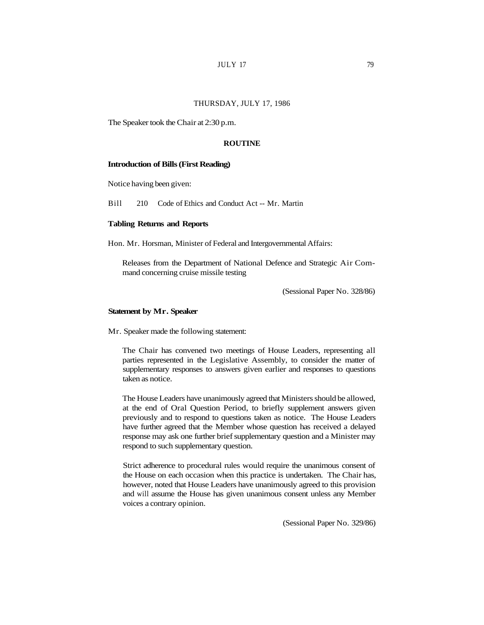#### THURSDAY, JULY 17, 1986

The Speaker took the Chair at 2:30 p.m.

### **ROUTINE**

#### **Introduction of Bills (First Reading)**

Notice having been given:

Bill 210 Code of Ethics and Conduct Act -- Mr. Martin

### **Tabling Returns and Reports**

Hon. Mr. Horsman, Minister of Federal and Intergovernmental Affairs:

Releases from the Department of National Defence and Strategic Air Command concerning cruise missile testing

(Sessional Paper No. 328/86)

## **Statement by Mr. Speaker**

Mr. Speaker made the following statement:

The Chair has convened two meetings of House Leaders, representing all parties represented in the Legislative Assembly, to consider the matter of supplementary responses to answers given earlier and responses to questions taken as notice.

The House Leaders have unanimously agreed that Ministers should be allowed, at the end of Oral Question Period, to briefly supplement answers given previously and to respond to questions taken as notice. The House Leaders have further agreed that the Member whose question has received a delayed response may ask one further brief supplementary question and a Minister may respond to such supplementary question.

Strict adherence to procedural rules would require the unanimous consent of the House on each occasion when this practice is undertaken. The Chair has, however, noted that House Leaders have unanimously agreed to this provision and will assume the House has given unanimous consent unless any Member voices a contrary opinion.

(Sessional Paper No. 329/86)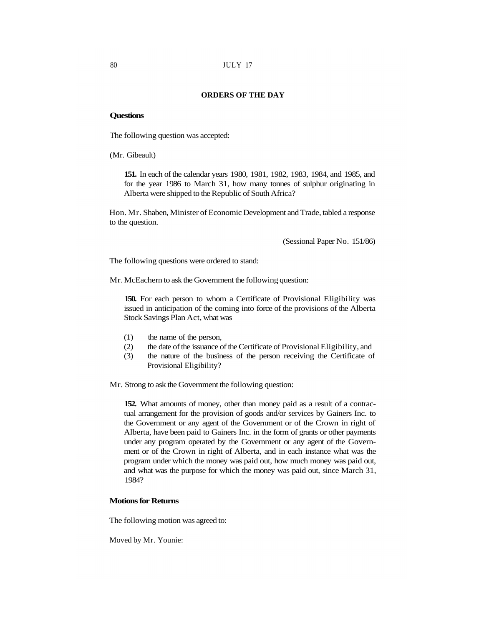# **ORDERS OF THE DAY**

### **Questions**

The following question was accepted:

(Mr. Gibeault)

**151.** In each of the calendar years 1980, 1981, 1982, 1983, 1984, and 1985, and for the year 1986 to March 31, how many tonnes of sulphur originating in Alberta were shipped to the Republic of South Africa?

Hon. Mr. Shaben, Minister of Economic Development and Trade, tabled a response to the question.

(Sessional Paper No. 151/86)

The following questions were ordered to stand:

Mr. McEachern to ask the Government the following question:

**150.** For each person to whom a Certificate of Provisional Eligibility was issued in anticipation of the coming into force of the provisions of the Alberta Stock Savings Plan Act, what was

- (1) the name of the person,
- (2) the date of the issuance of the Certificate of Provisional Eligibility, and
- (3) the nature of the business of the person receiving the Certificate of Provisional Eligibility?

Mr. Strong to ask the Government the following question:

**152.** What amounts of money, other than money paid as a result of a contractual arrangement for the provision of goods and/or services by Gainers Inc. to the Government or any agent of the Government or of the Crown in right of Alberta, have been paid to Gainers Inc. in the form of grants or other payments under any program operated by the Government or any agent of the Government or of the Crown in right of Alberta, and in each instance what was the program under which the money was paid out, how much money was paid out, and what was the purpose for which the money was paid out, since March 31, 1984?

# **Motions for Returns**

The following motion was agreed to:

Moved by Mr. Younie: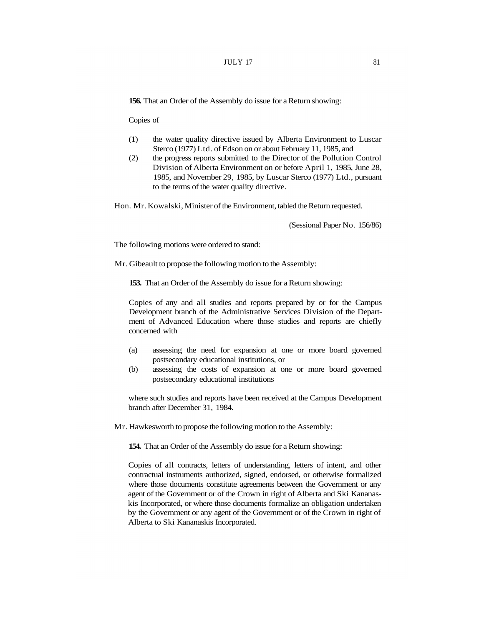### $JULY$  17 81

**156.** That an Order of the Assembly do issue for a Return showing:

Copies of

- (1) the water quality directive issued by Alberta Environment to Luscar Sterco (1977) Ltd. of Edson on or about February 11, 1985, and
- (2) the progress reports submitted to the Director of the Pollution Control Division of Alberta Environment on or before April 1, 1985, June 28, 1985, and November 29, 1985, by Luscar Sterco (1977) Ltd., pursuant to the terms of the water quality directive.

Hon. Mr. Kowalski, Minister of the Environment, tabled the Return requested.

(Sessional Paper No. 156/86)

The following motions were ordered to stand:

Mr. Gibeault to propose the following motion to the Assembly:

**153.** That an Order of the Assembly do issue for a Return showing:

Copies of any and all studies and reports prepared by or for the Campus Development branch of the Administrative Services Division of the Department of Advanced Education where those studies and reports are chiefly concerned with

- (a) assessing the need for expansion at one or more board governed postsecondary educational institutions, or
- (b) assessing the costs of expansion at one or more board governed postsecondary educational institutions

where such studies and reports have been received at the Campus Development branch after December 31, 1984.

Mr. Hawkesworth to propose the following motion to the Assembly:

**154.** That an Order of the Assembly do issue for a Return showing:

Copies of all contracts, letters of understanding, letters of intent, and other contractual instruments authorized, signed, endorsed, or otherwise formalized where those documents constitute agreements between the Government or any agent of the Government or of the Crown in right of Alberta and Ski Kananaskis Incorporated, or where those documents formalize an obligation undertaken by the Government or any agent of the Government or of the Crown in right of Alberta to Ski Kananaskis Incorporated.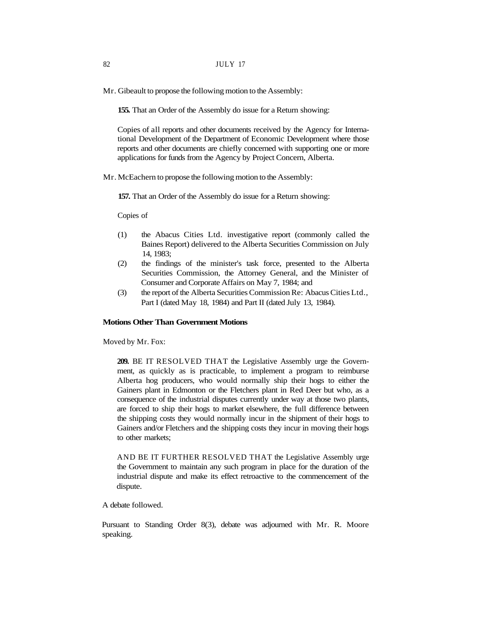Mr. Gibeault to propose the following motion to the Assembly:

**155.** That an Order of the Assembly do issue for a Return showing:

Copies of all reports and other documents received by the Agency for International Development of the Department of Economic Development where those reports and other documents are chiefly concerned with supporting one or more applications for funds from the Agency by Project Concern, Alberta.

Mr. McEachern to propose the following motion to the Assembly:

**157.** That an Order of the Assembly do issue for a Return showing:

Copies of

- (1) the Abacus Cities Ltd. investigative report (commonly called the Baines Report) delivered to the Alberta Securities Commission on July 14, 1983;
- (2) the findings of the minister's task force, presented to the Alberta Securities Commission, the Attorney General, and the Minister of Consumer and Corporate Affairs on May 7, 1984; and
- (3) the report of the Alberta Securities Commission Re: Abacus Cities Ltd., Part I (dated May 18, 1984) and Part II (dated July 13, 1984).

## **Motions Other Than Government Motions**

Moved by Mr. Fox:

**209.** BE IT RESOLVED THAT the Legislative Assembly urge the Government, as quickly as is practicable, to implement a program to reimburse Alberta hog producers, who would normally ship their hogs to either the Gainers plant in Edmonton or the Fletchers plant in Red Deer but who, as a consequence of the industrial disputes currently under way at those two plants, are forced to ship their hogs to market elsewhere, the full difference between the shipping costs they would normally incur in the shipment of their hogs to Gainers and/or Fletchers and the shipping costs they incur in moving their hogs to other markets;

AND BE IT FURTHER RESOLVED THAT the Legislative Assembly urge the Government to maintain any such program in place for the duration of the industrial dispute and make its effect retroactive to the commencement of the dispute.

A debate followed.

Pursuant to Standing Order 8(3), debate was adjourned with Mr. R. Moore speaking.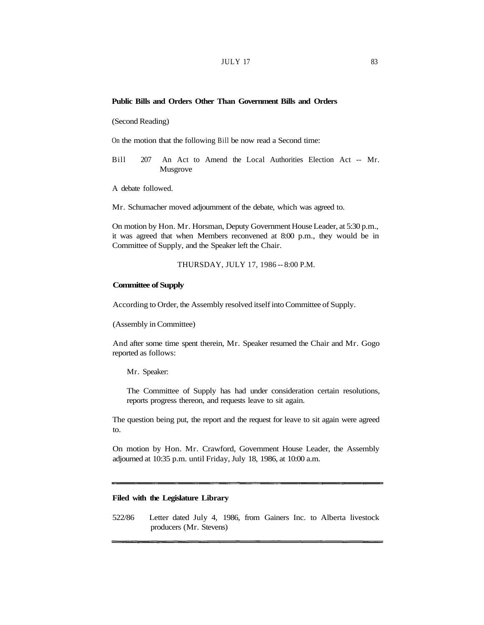# **Public Bills and Orders Other Than Government Bills and Orders**

(Second Reading)

On the motion that the following Bill be now read a Second time:

Bill 207 An Act to Amend the Local Authorities Election Act -- Mr. Musgrove

A debate followed.

Mr. Schumacher moved adjournment of the debate, which was agreed to.

On motion by Hon. Mr. Horsman, Deputy Government House Leader, at 5:30 p.m., it was agreed that when Members reconvened at 8:00 p.m., they would be in Committee of Supply, and the Speaker left the Chair.

THURSDAY, JULY 17, 1986 -- 8:00 P.M.

### **Committee of Supply**

According to Order, the Assembly resolved itself into Committee of Supply.

(Assembly in Committee)

And after some time spent therein, Mr. Speaker resumed the Chair and Mr. Gogo reported as follows:

Mr. Speaker:

The Committee of Supply has had under consideration certain resolutions, reports progress thereon, and requests leave to sit again.

The question being put, the report and the request for leave to sit again were agreed to.

On motion by Hon. Mr. Crawford, Government House Leader, the Assembly adjourned at 10:35 p.m. until Friday, July 18, 1986, at 10:00 a.m.

## **Filed with the Legislature Library**

522/86 Letter dated July 4, 1986, from Gainers Inc. to Alberta livestock producers (Mr. Stevens)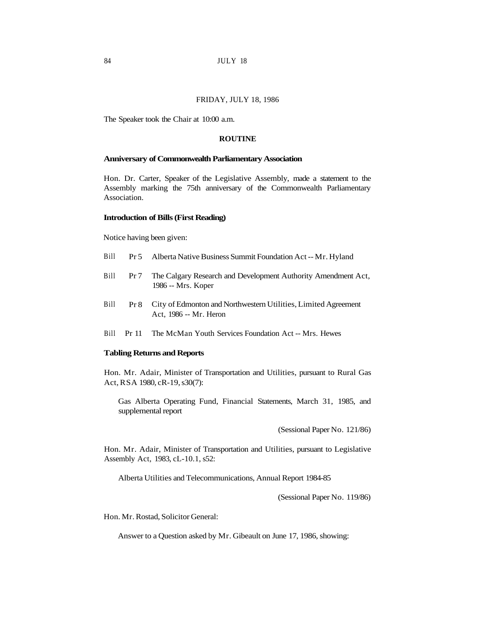### FRIDAY, JULY 18, 1986

The Speaker took the Chair at 10:00 a.m.

## **ROUTINE**

#### **Anniversary of Commonwealth Parliamentary Association**

Hon. Dr. Carter, Speaker of the Legislative Assembly, made a statement to the Assembly marking the 75th anniversary of the Commonwealth Parliamentary Association.

#### **Introduction of Bills (First Reading)**

Notice having been given:

- Bill Pr 5 Alberta Native Business Summit Foundation Act -- Mr. Hyland
- Bill Pr 7 The Calgary Research and Development Authority Amendment Act, 1986 -- Mrs. Koper
- Bill Pr 8 City of Edmonton and Northwestern Utilities, Limited Agreement Act, 1986 -- Mr. Heron
- Bill Pr 11 The McMan Youth Services Foundation Act -- Mrs. Hewes

#### **Tabling Returns and Reports**

Hon. Mr. Adair, Minister of Transportation and Utilities, pursuant to Rural Gas Act, RSA 1980, cR-19, s30(7):

Gas Alberta Operating Fund, Financial Statements, March 31, 1985, and supplemental report

(Sessional Paper No. 121/86)

Hon. Mr. Adair, Minister of Transportation and Utilities, pursuant to Legislative Assembly Act, 1983, cL-10.1, s52:

Alberta Utilities and Telecommunications, Annual Report 1984-85

(Sessional Paper No. 119/86)

Hon. Mr. Rostad, Solicitor General:

Answer to a Question asked by Mr. Gibeault on June 17, 1986, showing: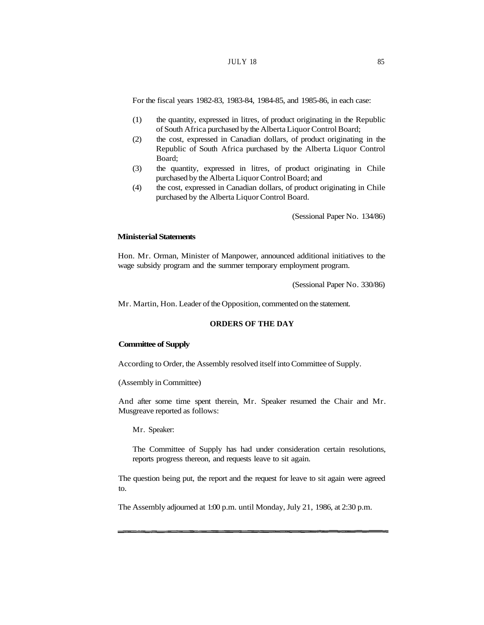# $JULY$  18  $85$

For the fiscal years 1982-83, 1983-84, 1984-85, and 1985-86, in each case:

- (1) the quantity, expressed in litres, of product originating in the Republic of South Africa purchased by the Alberta Liquor Control Board;
- (2) the cost, expressed in Canadian dollars, of product originating in the Republic of South Africa purchased by the Alberta Liquor Control Board;
- (3) the quantity, expressed in litres, of product originating in Chile purchased by the Alberta Liquor Control Board; and
- (4) the cost, expressed in Canadian dollars, of product originating in Chile purchased by the Alberta Liquor Control Board.

(Sessional Paper No. 134/86)

### **Ministerial Statements**

Hon. Mr. Orman, Minister of Manpower, announced additional initiatives to the wage subsidy program and the summer temporary employment program.

(Sessional Paper No. 330/86)

Mr. Martin, Hon. Leader of the Opposition, commented on the statement.

# **ORDERS OF THE DAY**

#### **Committee of Supply**

According to Order, the Assembly resolved itself into Committee of Supply.

#### (Assembly in Committee)

And after some time spent therein, Mr. Speaker resumed the Chair and Mr. Musgreave reported as follows:

Mr. Speaker:

The Committee of Supply has had under consideration certain resolutions, reports progress thereon, and requests leave to sit again.

The question being put, the report and the request for leave to sit again were agreed to.

The Assembly adjourned at 1:00 p.m. until Monday, July 21, 1986, at 2:30 p.m.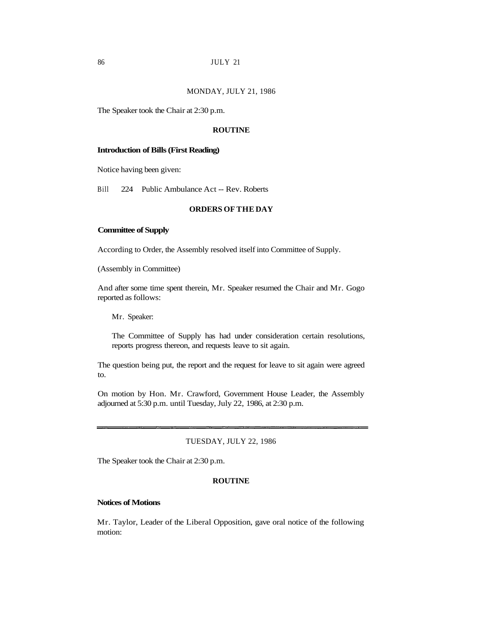### MONDAY, JULY 21, 1986

The Speaker took the Chair at 2:30 p.m.

# **ROUTINE**

#### **Introduction of Bills (First Reading)**

Notice having been given:

Bill 224 Public Ambulance Act -- Rev. Roberts

# **ORDERS OF THE DAY**

# **Committee of Supply**

According to Order, the Assembly resolved itself into Committee of Supply.

(Assembly in Committee)

And after some time spent therein, Mr. Speaker resumed the Chair and Mr. Gogo reported as follows:

Mr. Speaker:

The Committee of Supply has had under consideration certain resolutions, reports progress thereon, and requests leave to sit again.

The question being put, the report and the request for leave to sit again were agreed to.

On motion by Hon. Mr. Crawford, Government House Leader, the Assembly adjourned at 5:30 p.m. until Tuesday, July 22, 1986, at 2:30 p.m.

#### TUESDAY, JULY 22, 1986

The Speaker took the Chair at 2:30 p.m.

## **ROUTINE**

#### **Notices of Motions**

Mr. Taylor, Leader of the Liberal Opposition, gave oral notice of the following motion: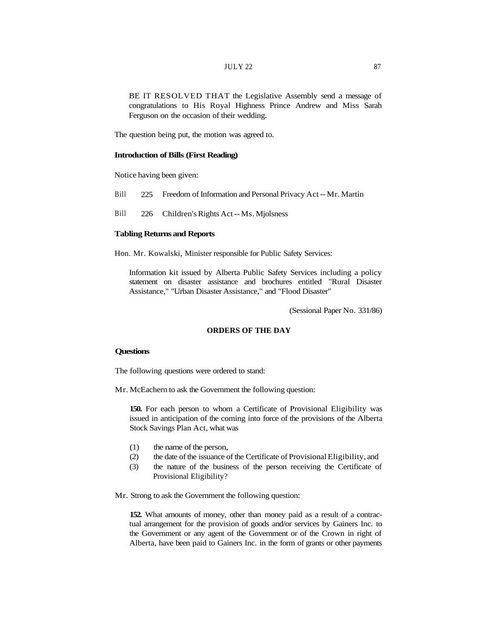BE IT RESOLVED THAT the Legislative Assembly send a message of congratulations to His Royal Highness Prince Andrew and Miss Sarah Ferguson on the occasion of their wedding.

The question being put, the motion was agreed to.

## **Introduction of Bills (First Reading)**

Notice having been given:

- Bill 225 Freedom of Information and Personal Privacy Act -- Mr. Martin
- Bill 226 Children's Rights Act -- Ms. Mjolsness

# **Tabling Returns and Reports**

Hon. Mr. Kowalski, Minister responsible for Public Safety Services:

Information kit issued by Alberta Public Safety Services including a policy statement on disaster assistance and brochures entitled "Rural Disaster Assistance," "Urban Disaster Assistance," and "Flood Disaster"

(Sessional Paper No. 331/86)

# **ORDERS OF THE DAY**

### **Questions**

The following questions were ordered to stand:

Mr. McEachern to ask the Government the following question:

**150.** For each person to whom a Certificate of Provisional Eligibility was issued in anticipation of the coming into force of the provisions of the Alberta Stock Savings Plan Act, what was

- (1) the name of the person,
- (2) the date of the issuance of the Certificate of Provisional Eligibility, and
- (3) the nature of the business of the person receiving the Certificate of Provisional Eligibility?

Mr. Strong to ask the Government the following question:

**152.** What amounts of money, other than money paid as a result of a contractual arrangement for the provision of goods and/or services by Gainers Inc. to the Government or any agent of the Government or of the Crown in right of Alberta, have been paid to Gainers Inc. in the form of grants or other payments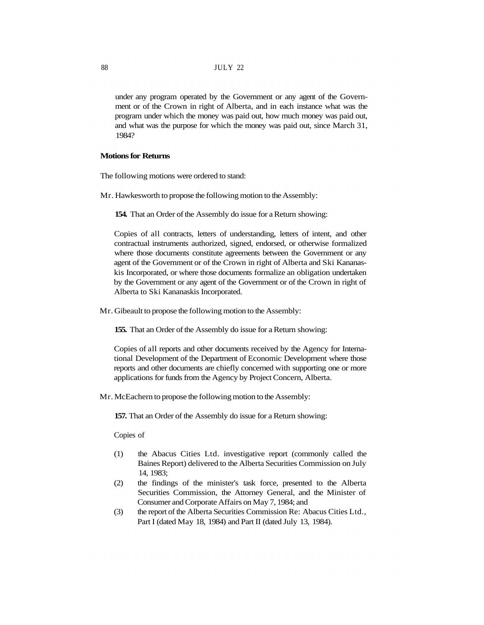under any program operated by the Government or any agent of the Government or of the Crown in right of Alberta, and in each instance what was the program under which the money was paid out, how much money was paid out, and what was the purpose for which the money was paid out, since March 31, 1984?

## **Motions for Returns**

The following motions were ordered to stand:

Mr. Hawkesworth to propose the following motion to the Assembly:

**154.** That an Order of the Assembly do issue for a Return showing:

Copies of all contracts, letters of understanding, letters of intent, and other contractual instruments authorized, signed, endorsed, or otherwise formalized where those documents constitute agreements between the Government or any agent of the Government or of the Crown in right of Alberta and Ski Kananaskis Incorporated, or where those documents formalize an obligation undertaken by the Government or any agent of the Government or of the Crown in right of Alberta to Ski Kananaskis Incorporated.

Mr. Gibeault to propose the following motion to the Assembly:

**155.** That an Order of the Assembly do issue for a Return showing:

Copies of all reports and other documents received by the Agency for International Development of the Department of Economic Development where those reports and other documents are chiefly concerned with supporting one or more applications for funds from the Agency by Project Concern, Alberta.

Mr. McEachern to propose the following motion to the Assembly:

**157.** That an Order of the Assembly do issue for a Return showing:

Copies of

- (1) the Abacus Cities Ltd. investigative report (commonly called the Baines Report) delivered to the Alberta Securities Commission on July 14, 1983;
- (2) the findings of the minister's task force, presented to the Alberta Securities Commission, the Attorney General, and the Minister of Consumer and Corporate Affairs on May 7, 1984; and
- (3) the report of the Alberta Securities Commission Re: Abacus Cities Ltd., Part I (dated May 18, 1984) and Part II (dated July 13, 1984).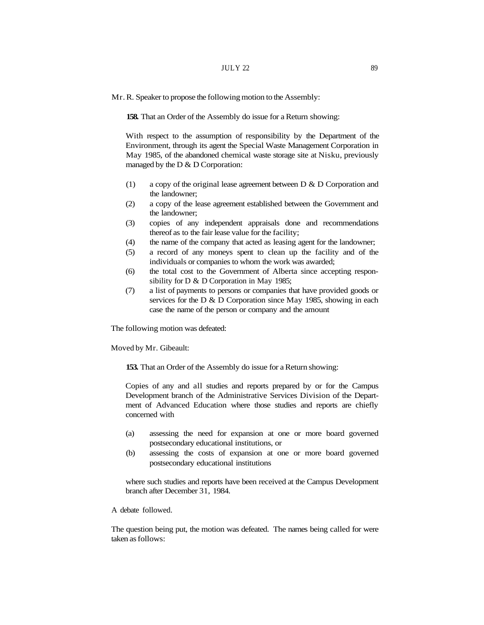Mr. R. Speaker to propose the following motion to the Assembly:

**158.** That an Order of the Assembly do issue for a Return showing:

With respect to the assumption of responsibility by the Department of the Environment, through its agent the Special Waste Management Corporation in May 1985, of the abandoned chemical waste storage site at Nisku, previously managed by the D & D Corporation:

- (1) a copy of the original lease agreement between D & D Corporation and the landowner;
- (2) a copy of the lease agreement established between the Government and the landowner;
- (3) copies of any independent appraisals done and recommendations thereof as to the fair lease value for the facility;
- (4) the name of the company that acted as leasing agent for the landowner;
- (5) a record of any moneys spent to clean up the facility and of the individuals or companies to whom the work was awarded;
- (6) the total cost to the Government of Alberta since accepting responsibility for D & D Corporation in May 1985;
- (7) a list of payments to persons or companies that have provided goods or services for the D & D Corporation since May 1985, showing in each case the name of the person or company and the amount

The following motion was defeated:

Moved by Mr. Gibeault:

**153.** That an Order of the Assembly do issue for a Return showing:

Copies of any and all studies and reports prepared by or for the Campus Development branch of the Administrative Services Division of the Department of Advanced Education where those studies and reports are chiefly concerned with

- (a) assessing the need for expansion at one or more board governed postsecondary educational institutions, or
- (b) assessing the costs of expansion at one or more board governed postsecondary educational institutions

where such studies and reports have been received at the Campus Development branch after December 31, 1984.

A debate followed.

The question being put, the motion was defeated. The names being called for were taken as follows: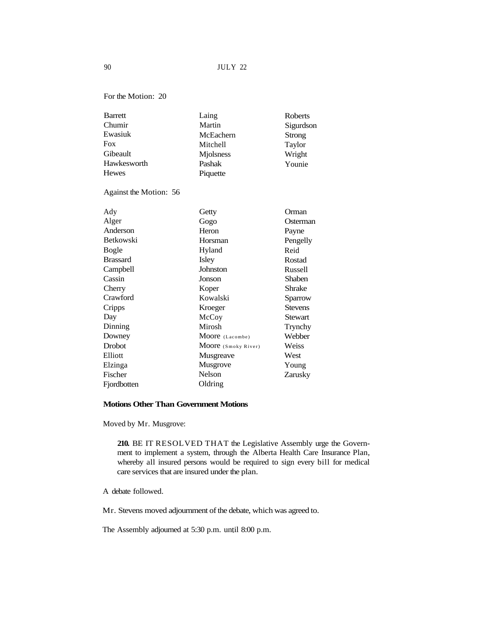For the Motion: 20

| Laing     | Roberts   |
|-----------|-----------|
| Martin    | Sigurdson |
| McEachern | Strong    |
| Mitchell  | Taylor    |
| Mjolsness | Wright    |
| Pashak    | Younie    |
| Piquette  |           |
|           |           |

Against the Motion: 56

| Ady             | Getty               | Orman          |
|-----------------|---------------------|----------------|
| Alger           | Gogo                | Osterman       |
| Anderson        | Heron               | Payne          |
| Betkowski       | Horsman             | Pengelly       |
| Bogle           | Hyland              | Reid           |
| <b>Brassard</b> | Isley               | Rostad         |
| Campbell        | Johnston            | Russell        |
| Cassin          | Jonson              | <b>Shaben</b>  |
| Cherry          | Koper               | Shrake         |
| Crawford        | Kowalski            | Sparrow        |
| Cripps          | Kroeger             | <b>Stevens</b> |
| Day             | McCoy               | Stewart        |
| Dinning         | Mirosh              | Trynchy        |
| Downey          | Moore (Lacombe)     | Webber         |
| <b>Drobot</b>   | Moore (Smoky River) | Weiss          |
| Elliott         | Musgreave           | West           |
| Elzinga         | Musgrove            | Young          |
| Fischer         | Nelson              | Zarusky        |
| Fjordbotten     | Oldring             |                |

# **Motions Other Than Government Motions**

Moved by Mr. Musgrove:

**210.** BE IT RESOLVED THAT the Legislative Assembly urge the Government to implement a system, through the Alberta Health Care Insurance Plan, whereby all insured persons would be required to sign every bill for medical care services that are insured under the plan.

A debate followed.

Mr. Stevens moved adjournment of the debate, which was agreed to.

The Assembly adjourned at 5:30 p.m. until 8:00 p.m.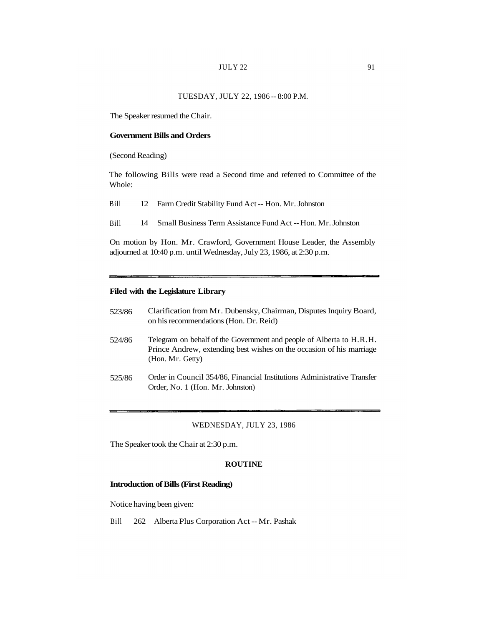# $JULY 22$  91

# TUESDAY, JULY 22, 1986 -- 8:00 P.M.

The Speaker resumed the Chair.

### **Government Bills and Orders**

(Second Reading)

The following Bills were read a Second time and referred to Committee of the Whole:

| <b>Bill</b> | 12 Farm Credit Stability Fund Act -- Hon. Mr. Johnston |
|-------------|--------------------------------------------------------|
|-------------|--------------------------------------------------------|

Bill 14 Small Business Term Assistance Fund Act -- Hon. Mr. Johnston

On motion by Hon. Mr. Crawford, Government House Leader, the Assembly adjourned at 10:40 p.m. until Wednesday, July 23, 1986, at 2:30 p.m.

# **Filed with the Legislature Library**

| 523/86 | Clarification from Mr. Dubensky, Chairman, Disputes Inquiry Board,<br>on his recommendations (Hon. Dr. Reid)                                                     |
|--------|------------------------------------------------------------------------------------------------------------------------------------------------------------------|
| 524/86 | Telegram on behalf of the Government and people of Alberta to H.R.H.<br>Prince Andrew, extending best wishes on the occasion of his marriage<br>(Hon. Mr. Getty) |
| EDE/OC | Order in Council 254/96 Einengiel Institutions Administrative Trensfer                                                                                           |

525/86 Order in Council 354/86, Financial Institutions Administrative Transfer Order, No. 1 (Hon. Mr. Johnston)

## WEDNESDAY, JULY 23, 1986

The Speaker took the Chair at 2:30 p.m.

## **ROUTINE**

### **Introduction of Bills (First Reading)**

Notice having been given:

Bill 262 Alberta Plus Corporation Act -- Mr. Pashak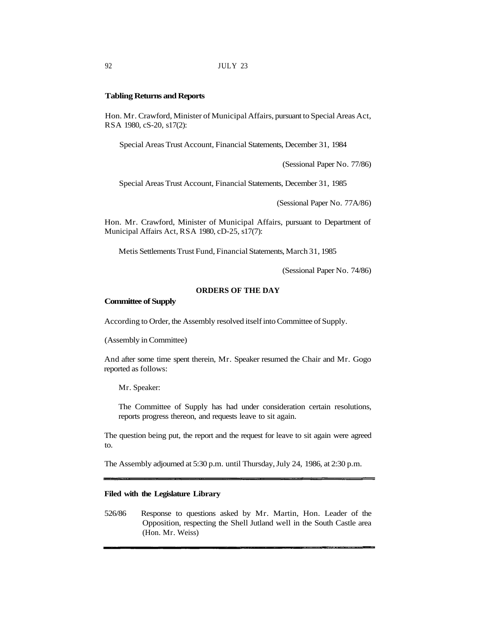### **Tabling Returns and Reports**

Hon. Mr. Crawford, Minister of Municipal Affairs, pursuant to Special Areas Act, RSA 1980, cS-20, s17(2):

Special Areas Trust Account, Financial Statements, December 31, 1984

(Sessional Paper No. 77/86)

Special Areas Trust Account, Financial Statements, December 31, 1985

(Sessional Paper No. 77A/86)

Hon. Mr. Crawford, Minister of Municipal Affairs, pursuant to Department of Municipal Affairs Act, RSA 1980, cD-25, s17(7):

Metis Settlements Trust Fund, Financial Statements, March 31, 1985

(Sessional Paper No. 74/86)

# **ORDERS OF THE DAY**

#### **Committee of Supply**

According to Order, the Assembly resolved itself into Committee of Supply.

(Assembly in Committee)

And after some time spent therein, Mr. Speaker resumed the Chair and Mr. Gogo reported as follows:

Mr. Speaker:

The Committee of Supply has had under consideration certain resolutions, reports progress thereon, and requests leave to sit again.

The question being put, the report and the request for leave to sit again were agreed to.

The Assembly adjourned at 5:30 p.m. until Thursday, July 24, 1986, at 2:30 p.m.

# **Filed with the Legislature Library**

526/86 Response to questions asked by Mr. Martin, Hon. Leader of the Opposition, respecting the Shell Jutland well in the South Castle area (Hon. Mr. Weiss)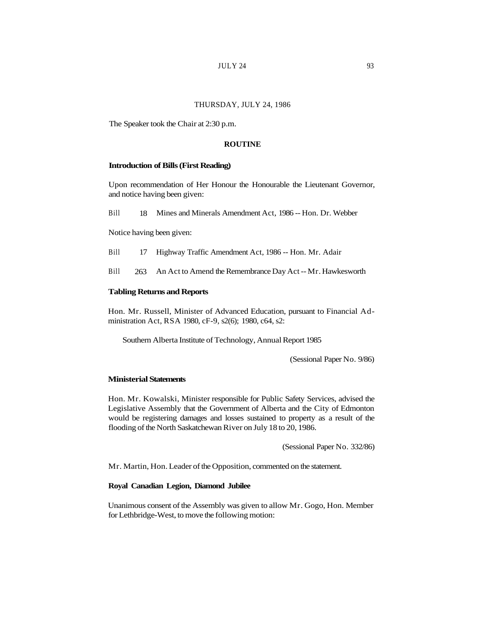# **JULY 24** 93

# THURSDAY, JULY 24, 1986

The Speaker took the Chair at 2:30 p.m.

### **ROUTINE**

#### **Introduction of Bills (First Reading)**

Upon recommendation of Her Honour the Honourable the Lieutenant Governor, and notice having been given:

Bill 18 Mines and Minerals Amendment Act, 1986 -- Hon. Dr. Webber

Notice having been given:

- Bill 17 Highway Traffic Amendment Act, 1986 -- Hon. Mr. Adair
- Bill 263 An Act to Amend the Remembrance Day Act -- Mr. Hawkesworth

### **Tabling Returns and Reports**

Hon. Mr. Russell, Minister of Advanced Education, pursuant to Financial Administration Act, RSA 1980, cF-9, s2(6); 1980, c64, s2:

Southern Alberta Institute of Technology, Annual Report 1985

(Sessional Paper No. 9/86)

#### **Ministerial Statements**

Hon. Mr. Kowalski, Minister responsible for Public Safety Services, advised the Legislative Assembly that the Government of Alberta and the City of Edmonton would be registering damages and losses sustained to property as a result of the flooding of the North Saskatchewan River on July 18 to 20, 1986.

(Sessional Paper No. 332/86)

Mr. Martin, Hon. Leader of the Opposition, commented on the statement.

# **Royal Canadian Legion, Diamond Jubilee**

Unanimous consent of the Assembly was given to allow Mr. Gogo, Hon. Member for Lethbridge-West, to move the following motion: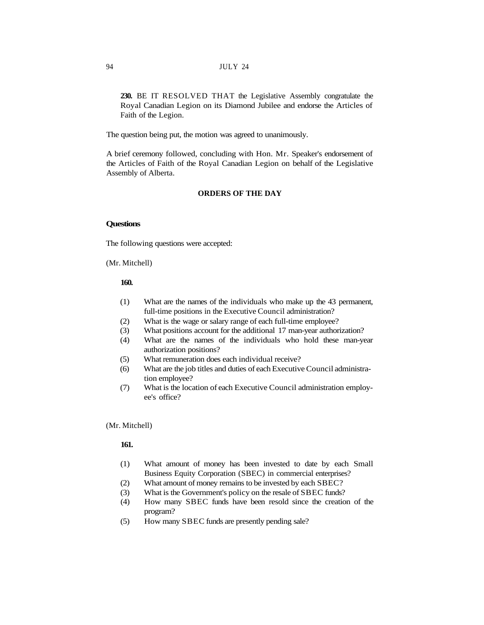**230.** BE IT RESOLVED THAT the Legislative Assembly congratulate the Royal Canadian Legion on its Diamond Jubilee and endorse the Articles of Faith of the Legion.

The question being put, the motion was agreed to unanimously.

A brief ceremony followed, concluding with Hon. Mr. Speaker's endorsement of the Articles of Faith of the Royal Canadian Legion on behalf of the Legislative Assembly of Alberta.

# **ORDERS OF THE DAY**

# **Questions**

The following questions were accepted:

(Mr. Mitchell)

### **160.**

- (1) What are the names of the individuals who make up the 43 permanent, full-time positions in the Executive Council administration?
- (2) What is the wage or salary range of each full-time employee?
- (3) What positions account for the additional 17 man-year authorization?
- (4) What are the names of the individuals who hold these man-year authorization positions?
- (5) What remuneration does each individual receive?
- (6) What are the job titles and duties of each Executive Council administration employee?
- (7) What is the location of each Executive Council administration employee's office?

(Mr. Mitchell)

# **161.**

- (1) What amount of money has been invested to date by each Small Business Equity Corporation (SBEC) in commercial enterprises?
- (2) What amount of money remains to be invested by each SBEC?
- (3) What is the Government's policy on the resale of SBEC funds?
- (4) How many SBEC funds have been resold since the creation of the program?
- (5) How many SBEC funds are presently pending sale?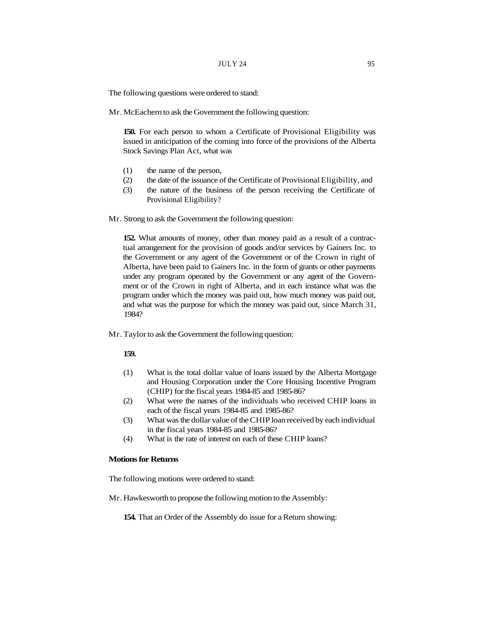The following questions were ordered to stand:

Mr. McEachern to ask the Government the following question:

**150.** For each person to whom a Certificate of Provisional Eligibility was issued in anticipation of the coming into force of the provisions of the Alberta Stock Savings Plan Act, what was

- (1) the name of the person,
- (2) the date of the issuance of the Certificate of Provisional Eligibility, and
- (3) the nature of the business of the person receiving the Certificate of Provisional Eligibility?
- Mr. Strong to ask the Government the following question:

**152.** What amounts of money, other than money paid as a result of a contractual arrangement for the provision of goods and/or services by Gainers Inc. to the Government or any agent of the Government or of the Crown in right of Alberta, have been paid to Gainers Inc. in the form of grants or other payments under any program operated by the Government or any agent of the Government or of the Crown in right of Alberta, and in each instance what was the program under which the money was paid out, how much money was paid out, and what was the purpose for which the money was paid out, since March 31, 1984?

Mr. Taylor to ask the Government the following question:

### **159.**

- (1) What is the total dollar value of loans issued by the Alberta Mortgage and Housing Corporation under the Core Housing Incentive Program (CHIP) for the fiscal years 1984-85 and 1985-86?
- (2) What were the names of the individuals who received CHIP loans in each of the fiscal years 1984-85 and 1985-86?
- (3) What was the dollar value of the CHIP loan received by each individual in the fiscal years 1984-85 and 1985-86?
- (4) What is the rate of interest on each of these CHIP loans?

## **Motions for Returns**

The following motions were ordered to stand:

Mr. Hawkesworth to propose the following motion to the Assembly:

**154.** That an Order of the Assembly do issue for a Return showing: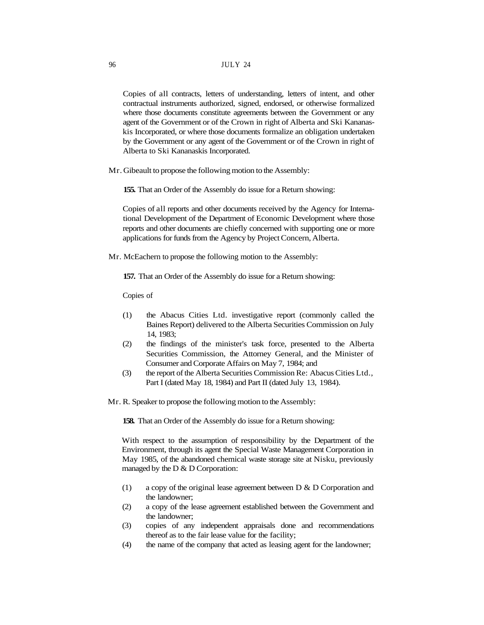Copies of all contracts, letters of understanding, letters of intent, and other contractual instruments authorized, signed, endorsed, or otherwise formalized where those documents constitute agreements between the Government or any agent of the Government or of the Crown in right of Alberta and Ski Kananaskis Incorporated, or where those documents formalize an obligation undertaken by the Government or any agent of the Government or of the Crown in right of Alberta to Ski Kananaskis Incorporated.

Mr. Gibeault to propose the following motion to the Assembly:

**155.** That an Order of the Assembly do issue for a Return showing:

Copies of all reports and other documents received by the Agency for International Development of the Department of Economic Development where those reports and other documents are chiefly concerned with supporting one or more applications for funds from the Agency by Project Concern, Alberta.

Mr. McEachern to propose the following motion to the Assembly:

**157.** That an Order of the Assembly do issue for a Return showing:

Copies of

- (1) the Abacus Cities Ltd. investigative report (commonly called the Baines Report) delivered to the Alberta Securities Commission on July 14, 1983;
- (2) the findings of the minister's task force, presented to the Alberta Securities Commission, the Attorney General, and the Minister of Consumer and Corporate Affairs on May 7, 1984; and
- (3) the report of the Alberta Securities Commission Re: Abacus Cities Ltd., Part I (dated May 18, 1984) and Part II (dated July 13, 1984).
- Mr. R. Speaker to propose the following motion to the Assembly:

**158.** That an Order of the Assembly do issue for a Return showing:

With respect to the assumption of responsibility by the Department of the Environment, through its agent the Special Waste Management Corporation in May 1985, of the abandoned chemical waste storage site at Nisku, previously managed by the D & D Corporation:

- (1) a copy of the original lease agreement between D & D Corporation and the landowner;
- (2) a copy of the lease agreement established between the Government and the landowner;
- (3) copies of any independent appraisals done and recommendations thereof as to the fair lease value for the facility;
- (4) the name of the company that acted as leasing agent for the landowner;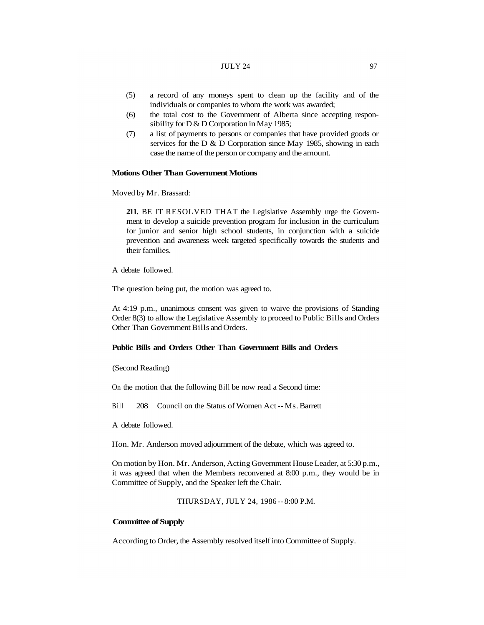#### $JULY 24$  97

- (5) a record of any moneys spent to clean up the facility and of the individuals or companies to whom the work was awarded;
- (6) the total cost to the Government of Alberta since accepting responsibility for D & D Corporation in May 1985;
- (7) a list of payments to persons or companies that have provided goods or services for the D & D Corporation since May 1985, showing in each case the name of the person or company and the amount.

# **Motions Other Than Government Motions**

Moved by Mr. Brassard:

**211.** BE IT RESOLVED THAT the Legislative Assembly urge the Government to develop a suicide prevention program for inclusion in the curriculum for junior and senior high school students, in conjunction with a suicide prevention and awareness week targeted specifically towards the students and their families.

A debate followed.

The question being put, the motion was agreed to.

At 4:19 p.m., unanimous consent was given to waive the provisions of Standing Order 8(3) to allow the Legislative Assembly to proceed to Public Bills and Orders Other Than Government Bills and Orders.

# **Public Bills and Orders Other Than Government Bills and Orders**

(Second Reading)

On the motion that the following Bill be now read a Second time:

Bill 208 Council on the Status of Women Act -- Ms. Barrett

A debate followed.

Hon. Mr. Anderson moved adjournment of the debate, which was agreed to.

On motion by Hon. Mr. Anderson, Acting Government House Leader, at 5:30 p.m., it was agreed that when the Members reconvened at 8:00 p.m., they would be in Committee of Supply, and the Speaker left the Chair.

THURSDAY, JULY 24, 1986 -- 8:00 P.M.

# **Committee of Supply**

According to Order, the Assembly resolved itself into Committee of Supply.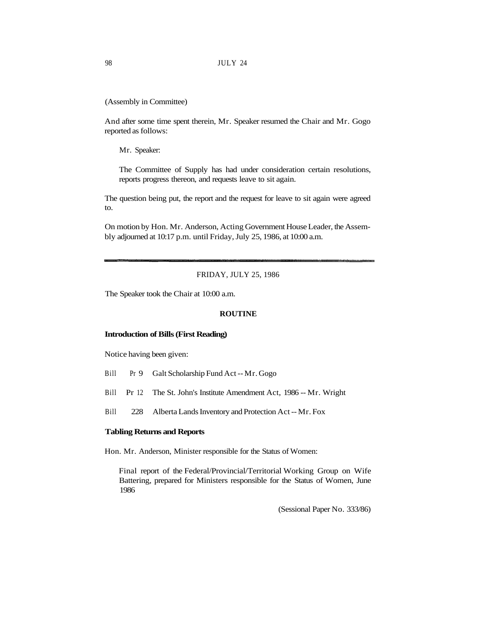(Assembly in Committee)

And after some time spent therein, Mr. Speaker resumed the Chair and Mr. Gogo reported as follows:

Mr. Speaker:

The Committee of Supply has had under consideration certain resolutions, reports progress thereon, and requests leave to sit again.

The question being put, the report and the request for leave to sit again were agreed to.

On motion by Hon. Mr. Anderson, Acting Government House Leader, the Assembly adjourned at 10:17 p.m. until Friday, July 25, 1986, at 10:00 a.m.

FRIDAY, JULY 25, 1986

The Speaker took the Chair at 10:00 a.m.

#### **ROUTINE**

## **Introduction of Bills (First Reading)**

Notice having been given:

- Bill Pr 9 Galt Scholarship Fund Act -- Mr. Gogo
- Bill Pr 12 The St. John's Institute Amendment Act, 1986 -- Mr. Wright
- Bill 228 Alberta Lands Inventory and Protection Act -- Mr. Fox

#### **Tabling Returns and Reports**

Hon. Mr. Anderson, Minister responsible for the Status of Women:

Final report of the Federal/Provincial/Territorial Working Group on Wife Battering, prepared for Ministers responsible for the Status of Women, June 1986

(Sessional Paper No. 333/86)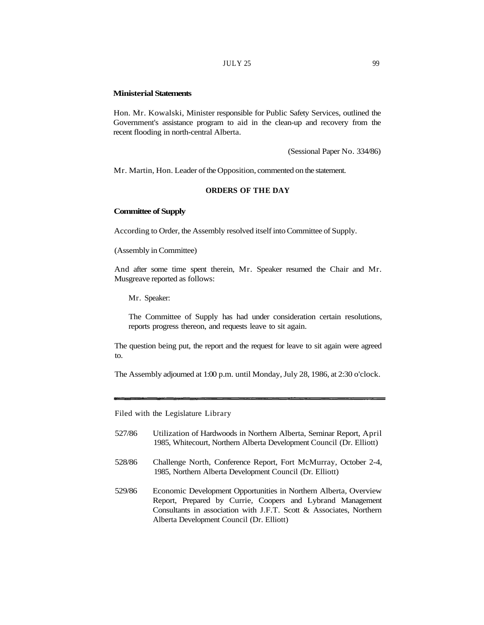#### **Ministerial Statements**

Hon. Mr. Kowalski, Minister responsible for Public Safety Services, outlined the Government's assistance program to aid in the clean-up and recovery from the recent flooding in north-central Alberta.

(Sessional Paper No. 334/86)

Mr. Martin, Hon. Leader of the Opposition, commented on the statement.

## **ORDERS OF THE DAY**

### **Committee of Supply**

According to Order, the Assembly resolved itself into Committee of Supply.

(Assembly in Committee)

And after some time spent therein, Mr. Speaker resumed the Chair and Mr. Musgreave reported as follows:

Mr. Speaker:

The Committee of Supply has had under consideration certain resolutions, reports progress thereon, and requests leave to sit again.

The question being put, the report and the request for leave to sit again were agreed to.

The Assembly adjourned at 1:00 p.m. until Monday, July 28, 1986, at 2:30 o'clock.

Filed with the Legislature Library

- 527/86 Utilization of Hardwoods in Northern Alberta, Seminar Report, April 1985, Whitecourt, Northern Alberta Development Council (Dr. Elliott)
- 528/86 Challenge North, Conference Report, Fort McMurray, October 2-4, 1985, Northern Alberta Development Council (Dr. Elliott)
- 529/86 Economic Development Opportunities in Northern Alberta, Overview Report, Prepared by Currie, Coopers and Lybrand Management Consultants in association with J.F.T. Scott & Associates, Northern Alberta Development Council (Dr. Elliott)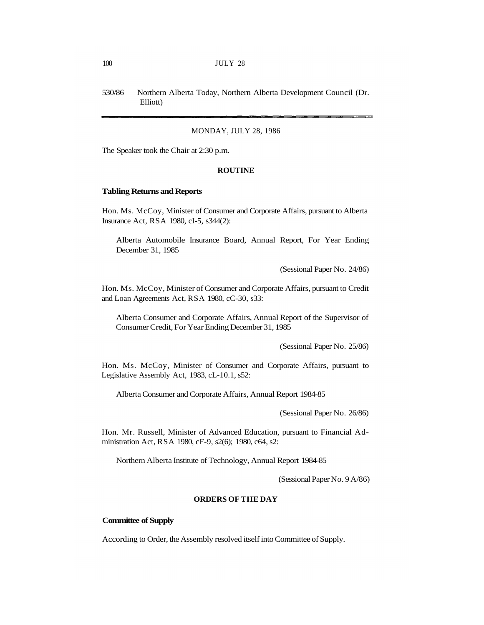530/86 Northern Alberta Today, Northern Alberta Development Council (Dr. Elliott)

### MONDAY, JULY 28, 1986

The Speaker took the Chair at 2:30 p.m.

#### **ROUTINE**

#### **Tabling Returns and Reports**

Hon. Ms. McCoy, Minister of Consumer and Corporate Affairs, pursuant to Alberta Insurance Act, RSA 1980, cI-5, s344(2):

Alberta Automobile Insurance Board, Annual Report, For Year Ending December 31, 1985

(Sessional Paper No. 24/86)

Hon. Ms. McCoy, Minister of Consumer and Corporate Affairs, pursuant to Credit and Loan Agreements Act, RSA 1980, cC-30, s33:

Alberta Consumer and Corporate Affairs, Annual Report of the Supervisor of Consumer Credit, For Year Ending December 31, 1985

(Sessional Paper No. 25/86)

Hon. Ms. McCoy, Minister of Consumer and Corporate Affairs, pursuant to Legislative Assembly Act, 1983, cL-10.1, s52:

Alberta Consumer and Corporate Affairs, Annual Report 1984-85

(Sessional Paper No. 26/86)

Hon. Mr. Russell, Minister of Advanced Education, pursuant to Financial Administration Act, RSA 1980, cF-9, s2(6); 1980, c64, s2:

Northern Alberta Institute of Technology, Annual Report 1984-85

(Sessional Paper No. 9 A/86)

# **ORDERS OF THE DAY**

# **Committee of Supply**

According to Order, the Assembly resolved itself into Committee of Supply.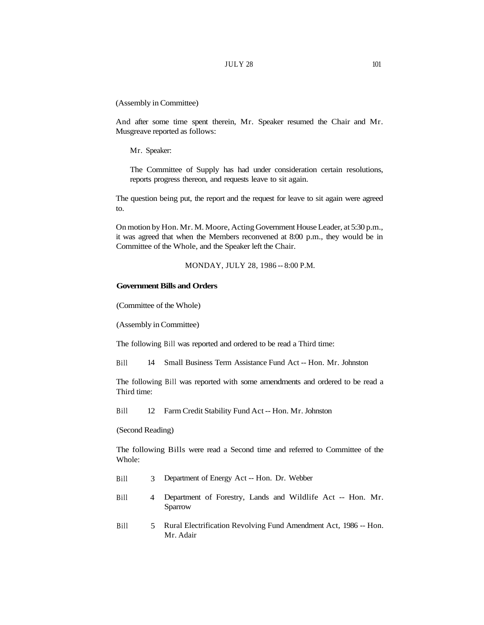(Assembly in Committee)

And after some time spent therein, Mr. Speaker resumed the Chair and Mr. Musgreave reported as follows:

Mr. Speaker:

The Committee of Supply has had under consideration certain resolutions, reports progress thereon, and requests leave to sit again.

The question being put, the report and the request for leave to sit again were agreed to.

On motion by Hon. Mr. M. Moore, Acting Government House Leader, at 5:30 p.m., it was agreed that when the Members reconvened at 8:00 p.m., they would be in Committee of the Whole, and the Speaker left the Chair.

MONDAY, JULY 28, 1986 -- 8:00 P.M.

## **Government Bills and Orders**

(Committee of the Whole)

(Assembly in Committee)

The following Bill was reported and ordered to be read a Third time:

Bill 14 Small Business Term Assistance Fund Act -- Hon. Mr. Johnston

The following Bill was reported with some amendments and ordered to be read a Third time:

Bill 12 Farm Credit Stability Fund Act -- Hon. Mr. Johnston

(Second Reading)

The following Bills were read a Second time and referred to Committee of the Whole:

- Bill 3 Department of Energy Act -- Hon. Dr. Webber
- Bill 4 Department of Forestry, Lands and Wildlife Act -- Hon. Mr. Sparrow
- Bill 5 Rural Electrification Revolving Fund Amendment Act, 1986 -- Hon. Mr. Adair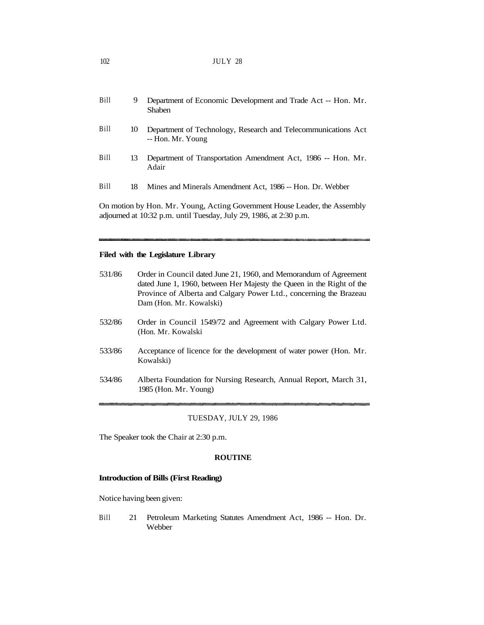| 102 | JULY 28 |  |
|-----|---------|--|
|     |         |  |

| Bill | 9  | Department of Economic Development and Trade Act -- Hon. Mr.<br>Shaben             |
|------|----|------------------------------------------------------------------------------------|
| Bill | 10 | Department of Technology, Research and Telecommunications Act<br>-- Hon. Mr. Young |
| Bill | 13 | Department of Transportation Amendment Act, 1986 -- Hon. Mr.<br>Adair              |
| Bill | 18 | Mines and Minerals Amendment Act, 1986 -- Hon. Dr. Webber                          |
|      |    |                                                                                    |

On motion by Hon. Mr. Young, Acting Government House Leader, the Assembly adjourned at 10:32 p.m. until Tuesday, July 29, 1986, at 2:30 p.m.

# **Filed with the Legislature Library**

| 531/86 | Order in Council dated June 21, 1960, and Memorandum of Agreement<br>dated June 1, 1960, between Her Majesty the Queen in the Right of the<br>Province of Alberta and Calgary Power Ltd., concerning the Brazeau<br>Dam (Hon. Mr. Kowalski) |
|--------|---------------------------------------------------------------------------------------------------------------------------------------------------------------------------------------------------------------------------------------------|
| 532/86 | Order in Council 1549/72 and Agreement with Calgary Power Ltd.<br>(Hon. Mr. Kowalski)                                                                                                                                                       |
| 533/86 | Acceptance of licence for the development of water power (Hon. Mr.<br>Kowalski)                                                                                                                                                             |
| 534/86 | Alberta Foundation for Nursing Research, Annual Report, March 31,<br>1985 (Hon. Mr. Young)                                                                                                                                                  |

### TUESDAY, JULY 29, 1986

The Speaker took the Chair at 2:30 p.m.

# **ROUTINE**

# **Introduction of Bills (First Reading)**

Notice having been given:

Bill 21 Petroleum Marketing Statutes Amendment Act, 1986 -- Hon. Dr. Webber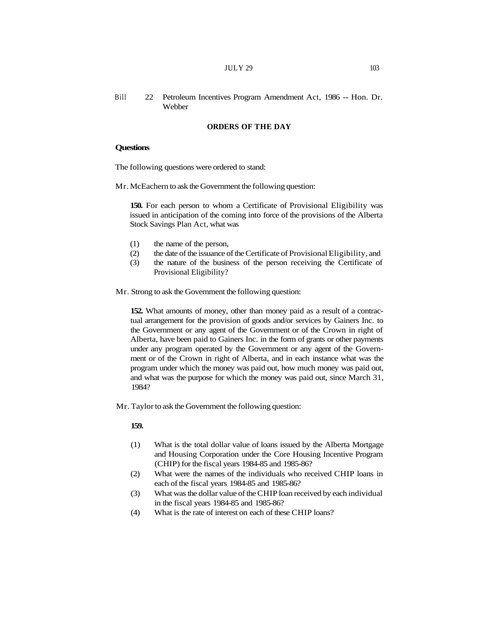# Bill 22 Petroleum Incentives Program Amendment Act, 1986 -- Hon. Dr. Webber

# **ORDERS OF THE DAY**

#### **Questions**

The following questions were ordered to stand:

Mr. McEachern to ask the Government the following question:

**150.** For each person to whom a Certificate of Provisional Eligibility was issued in anticipation of the coming into force of the provisions of the Alberta Stock Savings Plan Act, what was

- (1) the name of the person,
- (2) the date of the issuance of the Certificate of Provisional Eligibility, and
- (3) the nature of the business of the person receiving the Certificate of Provisional Eligibility?

Mr. Strong to ask the Government the following question:

**152.** What amounts of money, other than money paid as a result of a contractual arrangement for the provision of goods and/or services by Gainers Inc. to the Government or any agent of the Government or of the Crown in right of Alberta, have been paid to Gainers Inc. in the form of grants or other payments under any program operated by the Government or any agent of the Government or of the Crown in right of Alberta, and in each instance what was the program under which the money was paid out, how much money was paid out, and what was the purpose for which the money was paid out, since March 31, 1984?

Mr. Taylor to ask the Government the following question:

### **159.**

- (1) What is the total dollar value of loans issued by the Alberta Mortgage and Housing Corporation under the Core Housing Incentive Program (CHIP) for the fiscal years 1984-85 and 1985-86?
- (2) What were the names of the individuals who received CHIP loans in each of the fiscal years 1984-85 and 1985-86?
- (3) What was the dollar value of the CHIP loan received by each individual in the fiscal years 1984-85 and 1985-86?
- (4) What is the rate of interest on each of these CHIP loans?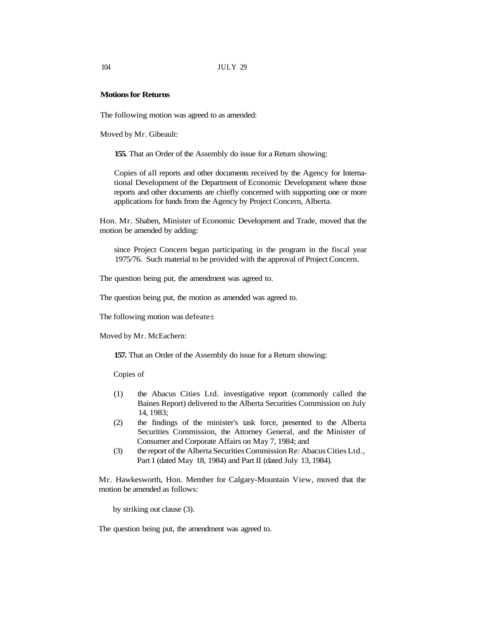#### **Motions for Returns**

The following motion was agreed to as amended:

Moved by Mr. Gibeault:

**155.** That an Order of the Assembly do issue for a Return showing:

Copies of all reports and other documents received by the Agency for International Development of the Department of Economic Development where those reports and other documents are chiefly concerned with supporting one or more applications for funds from the Agency by Project Concern, Alberta.

Hon. Mr. Shaben, Minister of Economic Development and Trade, moved that the motion be amended by adding:

since Project Concern began participating in the program in the fiscal year 1975/76. Such material to be provided with the approval of Project Concern.

The question being put, the amendment was agreed to.

The question being put, the motion as amended was agreed to.

The following motion was defeate±

Moved by Mr. McEachern:

**157.** That an Order of the Assembly do issue for a Return showing:

Copies of

- (1) the Abacus Cities Ltd. investigative report (commonly called the Baines Report) delivered to the Alberta Securities Commission on July 14, 1983;
- (2) the findings of the minister's task force, presented to the Alberta Securities Commission, the Attorney General, and the Minister of Consumer and Corporate Affairs on May 7, 1984; and
- (3) the report of the Alberta Securities Commission Re: Abacus Cities Ltd., Part I (dated May 18, 1984) and Part II (dated July 13, 1984).

Mr. Hawkesworth, Hon. Member for Calgary-Mountain View, moved that the motion be amended as follows:

by striking out clause (3).

The question being put, the amendment was agreed to.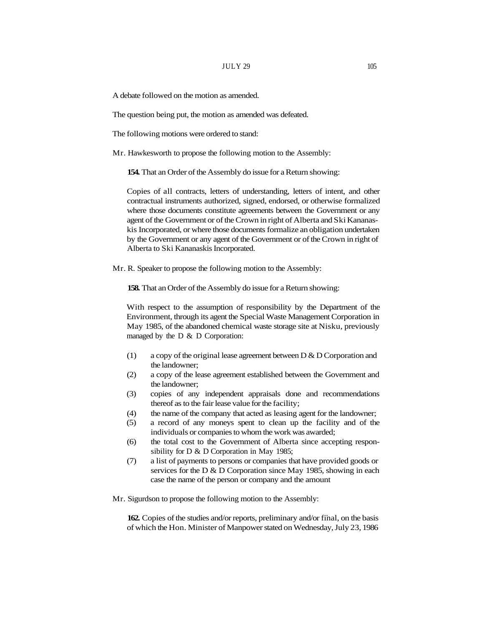A debate followed on the motion as amended.

The question being put, the motion as amended was defeated.

The following motions were ordered to stand:

Mr. Hawkesworth to propose the following motion to the Assembly:

**154.** That an Order of the Assembly do issue for a Return showing:

Copies of all contracts, letters of understanding, letters of intent, and other contractual instruments authorized, signed, endorsed, or otherwise formalized where those documents constitute agreements between the Government or any agent of the Government or of the Crown in right of Alberta and Ski Kananaskis Incorporated, or where those documents formalize an obligation undertaken by the Government or any agent of the Government or of the Crown in right of Alberta to Ski Kananaskis Incorporated.

Mr. R. Speaker to propose the following motion to the Assembly:

**158.** That an Order of the Assembly do issue for a Return showing:

With respect to the assumption of responsibility by the Department of the Environment, through its agent the Special Waste Management Corporation in May 1985, of the abandoned chemical waste storage site at Nisku, previously managed by the D & D Corporation:

- (1) a copy of the original lease agreement between D & D Corporation and the landowner;
- (2) a copy of the lease agreement established between the Government and the landowner;
- (3) copies of any independent appraisals done and recommendations thereof as to the fair lease value for the facility;
- (4) the name of the company that acted as leasing agent for the landowner;
- (5) a record of any moneys spent to clean up the facility and of the individuals or companies to whom the work was awarded;
- (6) the total cost to the Government of Alberta since accepting responsibility for D & D Corporation in May 1985;
- (7) a list of payments to persons or companies that have provided goods or services for the D & D Corporation since May 1985, showing in each case the name of the person or company and the amount

Mr. Sigurdson to propose the following motion to the Assembly:

**162.** Copies of the studies and/or reports, preliminary and/or final, on the basis of which the Hon. Minister of Manpower stated on Wednesday, July 23, 1986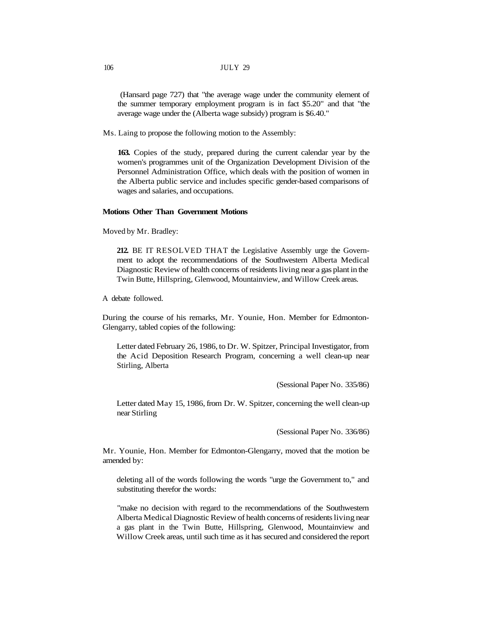#### 106 JULY 29

(Hansard page 727) that "the average wage under the community element of the summer temporary employment program is in fact \$5.20" and that "the average wage under the (Alberta wage subsidy) program is \$6.40."

Ms. Laing to propose the following motion to the Assembly:

**163.** Copies of the study, prepared during the current calendar year by the women's programmes unit of the Organization Development Division of the Personnel Administration Office, which deals with the position of women in the Alberta public service and includes specific gender-based comparisons of wages and salaries, and occupations.

#### **Motions Other Than Government Motions**

Moved by Mr. Bradley:

**212.** BE IT RESOLVED THAT the Legislative Assembly urge the Government to adopt the recommendations of the Southwestern Alberta Medical Diagnostic Review of health concerns of residents living near a gas plant in the Twin Butte, Hillspring, Glenwood, Mountainview, and Willow Creek areas.

A debate followed.

During the course of his remarks, Mr. Younie, Hon. Member for Edmonton-Glengarry, tabled copies of the following:

Letter dated February 26, 1986, to Dr. W. Spitzer, Principal Investigator, from the Acid Deposition Research Program, concerning a well clean-up near Stirling, Alberta

(Sessional Paper No. 335/86)

Letter dated May 15, 1986, from Dr. W. Spitzer, concerning the well clean-up near Stirling

(Sessional Paper No. 336/86)

Mr. Younie, Hon. Member for Edmonton-Glengarry, moved that the motion be amended by:

deleting all of the words following the words "urge the Government to," and substituting therefor the words:

"make no decision with regard to the recommendations of the Southwestern Alberta Medical Diagnostic Review of health concerns of residents living near a gas plant in the Twin Butte, Hillspring, Glenwood, Mountainview and Willow Creek areas, until such time as it has secured and considered the report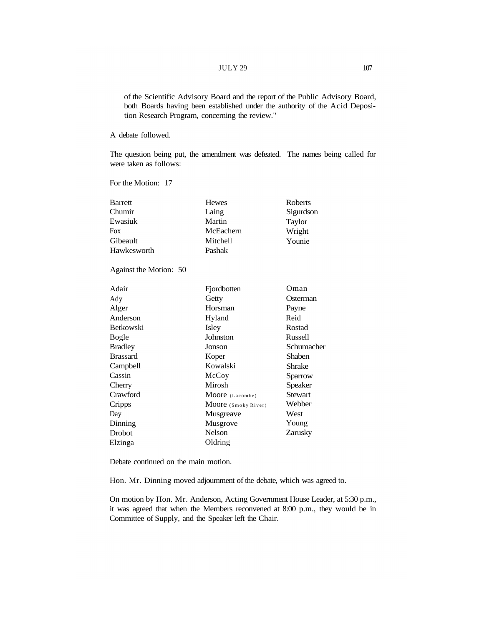### $JULY 29$  107

of the Scientific Advisory Board and the report of the Public Advisory Board, both Boards having been established under the authority of the Acid Deposition Research Program, concerning the review."

A debate followed.

The question being put, the amendment was defeated. The names being called for were taken as follows:

For the Motion: 17

| Barrett     | <b>Hewes</b> | Roberts   |
|-------------|--------------|-----------|
| Chumir      | Laing        | Sigurdson |
| Ewasiuk     | Martin       | Taylor    |
| Fox         | McEachern    | Wright    |
| Gibeault    | Mitchell     | Younie    |
| Hawkesworth | Pashak       |           |

Against the Motion: 50

| Adair            | Fjordbotten         | Oman           |
|------------------|---------------------|----------------|
| Ady              | Getty               | Osterman       |
| Alger            | Horsman             | Payne          |
| Anderson         | Hyland              | Reid           |
| <b>Betkowski</b> | Isley               | Rostad         |
| Bogle            | Johnston            | Russell        |
| <b>Bradley</b>   | Jonson              | Schumacher     |
| <b>Brassard</b>  | Koper               | Shaben         |
| Campbell         | Kowalski            | Shrake         |
| Cassin           | McCoy               | Sparrow        |
| Cherry           | Mirosh              | <b>Speaker</b> |
| Crawford         | Moore (Lacombe)     | Stewart        |
| Cripps           | Moore (Smoky River) | Webber         |
| Day              | Musgreave           | West           |
| Dinning          | Musgrove            | Young          |
| Drobot           | Nelson              | Zarusky        |
| Elzinga          | Oldring             |                |

Debate continued on the main motion.

Hon. Mr. Dinning moved adjournment of the debate, which was agreed to.

On motion by Hon. Mr. Anderson, Acting Government House Leader, at 5:30 p.m., it was agreed that when the Members reconvened at 8:00 p.m., they would be in Committee of Supply, and the Speaker left the Chair.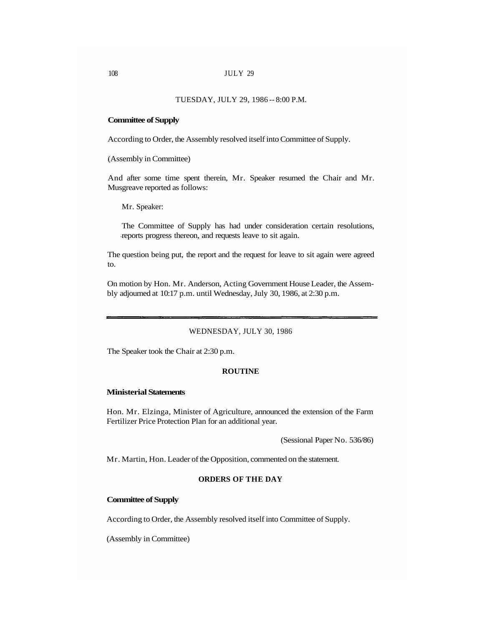#### TUESDAY, JULY 29, 1986 -- 8:00 P.M.

### **Committee of Supply**

According to Order, the Assembly resolved itself into Committee of Supply.

(Assembly in Committee)

And after some time spent therein, Mr. Speaker resumed the Chair and Mr. Musgreave reported as follows:

Mr. Speaker:

The Committee of Supply has had under consideration certain resolutions, reports progress thereon, and requests leave to sit again.

The question being put, the report and the request for leave to sit again were agreed to.

On motion by Hon. Mr. Anderson, Acting Government House Leader, the Assembly adjourned at 10:17 p.m. until Wednesday, July 30, 1986, at 2:30 p.m.

#### WEDNESDAY, JULY 30, 1986

The Speaker took the Chair at 2:30 p.m.

#### **ROUTINE**

### **Ministerial Statements**

Hon. Mr. Elzinga, Minister of Agriculture, announced the extension of the Farm Fertilizer Price Protection Plan for an additional year.

(Sessional Paper No. 536/86)

Mr. Martin, Hon. Leader of the Opposition, commented on the statement.

# **ORDERS OF THE DAY**

# **Committee of Supply**

According to Order, the Assembly resolved itself into Committee of Supply.

(Assembly in Committee)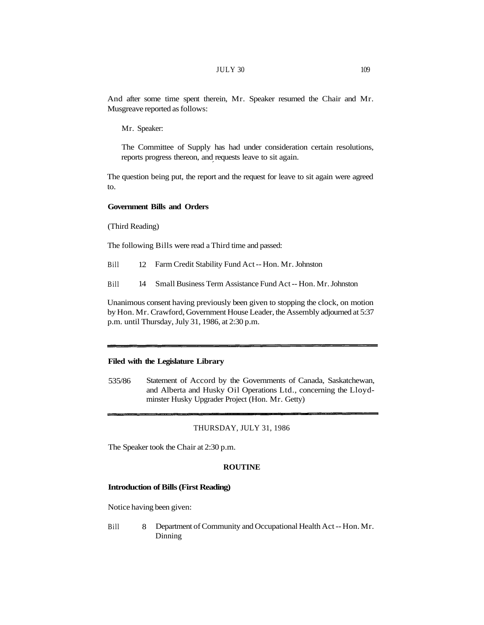And after some time spent therein, Mr. Speaker resumed the Chair and Mr. Musgreave reported as follows:

Mr. Speaker:

The Committee of Supply has had under consideration certain resolutions, reports progress thereon, and requests leave to sit again.

The question being put, the report and the request for leave to sit again were agreed to.

# **Government Bills and Orders**

(Third Reading)

The following Bills were read a Third time and passed:

Bill 12 Farm Credit Stability Fund Act -- Hon. Mr. Johnston

Bill 14 Small Business Term Assistance Fund Act -- Hon. Mr. Johnston

Unanimous consent having previously been given to stopping the clock, on motion by Hon. Mr. Crawford, Government House Leader, the Assembly adjourned at 5:37 p.m. until Thursday, July 31, 1986, at 2:30 p.m.

# **Filed with the Legislature Library**

535/86 Statement of Accord by the Governments of Canada, Saskatchewan, and Alberta and Husky Oil Operations Ltd., concerning the Lloydminster Husky Upgrader Project (Hon. Mr. Getty)

### THURSDAY, JULY 31, 1986

The Speaker took the Chair at 2:30 p.m.

#### **ROUTINE**

#### **Introduction of Bills (First Reading)**

Notice having been given:

Bill 8 Department of Community and Occupational Health Act -- Hon. Mr. Dinning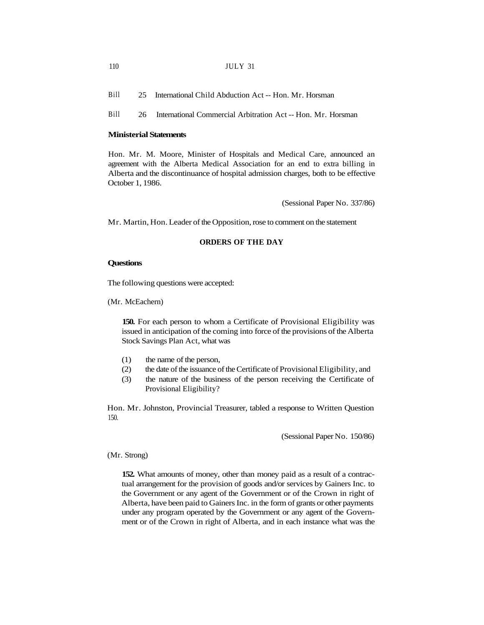Bill 25 International Child Abduction Act -- Hon. Mr. Horsman

Bill 26 International Commercial Arbitration Act -- Hon. Mr. Horsman

### **Ministerial Statements**

Hon. Mr. M. Moore, Minister of Hospitals and Medical Care, announced an agreement with the Alberta Medical Association for an end to extra billing in Alberta and the discontinuance of hospital admission charges, both to be effective October 1, 1986.

(Sessional Paper No. 337/86)

Mr. Martin, Hon. Leader of the Opposition, rose to comment on the statement

# **ORDERS OF THE DAY**

#### **Questions**

The following questions were accepted:

(Mr. McEachern)

**150.** For each person to whom a Certificate of Provisional Eligibility was issued in anticipation of the coming into force of the provisions of the Alberta Stock Savings Plan Act, what was

- (1) the name of the person,
- (2) the date of the issuance of the Certificate of Provisional Eligibility, and
- (3) the nature of the business of the person receiving the Certificate of Provisional Eligibility?

Hon. Mr. Johnston, Provincial Treasurer, tabled a response to Written Question 150.

(Sessional Paper No. 150/86)

(Mr. Strong)

**152.** What amounts of money, other than money paid as a result of a contractual arrangement for the provision of goods and/or services by Gainers Inc. to the Government or any agent of the Government or of the Crown in right of Alberta, have been paid to Gainers Inc. in the form of grants or other payments under any program operated by the Government or any agent of the Government or of the Crown in right of Alberta, and in each instance what was the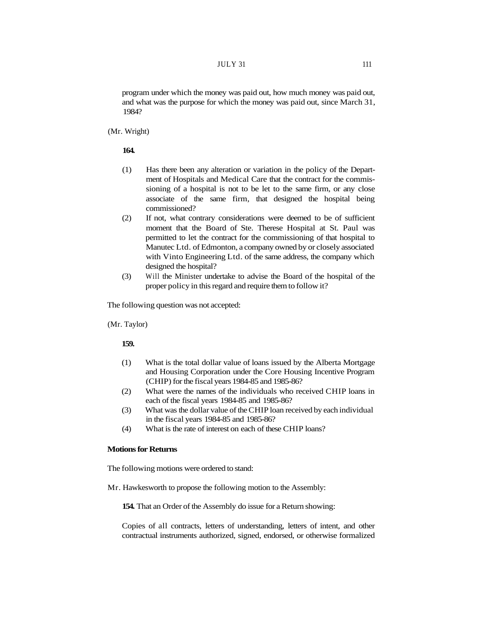program under which the money was paid out, how much money was paid out, and what was the purpose for which the money was paid out, since March 31, 1984?

(Mr. Wright)

#### **164.**

- (1) Has there been any alteration or variation in the policy of the Department of Hospitals and Medical Care that the contract for the commissioning of a hospital is not to be let to the same firm, or any close associate of the same firm, that designed the hospital being commissioned?
- (2) If not, what contrary considerations were deemed to be of sufficient moment that the Board of Ste. Therese Hospital at St. Paul was permitted to let the contract for the commissioning of that hospital to Manutec Ltd. of Edmonton, a company owned by or closely associated with Vinto Engineering Ltd. of the same address, the company which designed the hospital?
- (3) Will the Minister undertake to advise the Board of the hospital of the proper policy in this regard and require them to follow it?

The following question was not accepted:

(Mr. Taylor)

**159.** 

- (1) What is the total dollar value of loans issued by the Alberta Mortgage and Housing Corporation under the Core Housing Incentive Program (CHIP) for the fiscal years 1984-85 and 1985-86?
- (2) What were the names of the individuals who received CHIP loans in each of the fiscal years 1984-85 and 1985-86?
- (3) What was the dollar value of the CHIP loan received by each individual in the fiscal years 1984-85 and 1985-86?
- (4) What is the rate of interest on each of these CHIP loans?

#### **Motions for Returns**

The following motions were ordered to stand:

Mr. Hawkesworth to propose the following motion to the Assembly:

**154.** That an Order of the Assembly do issue for a Return showing:

Copies of all contracts, letters of understanding, letters of intent, and other contractual instruments authorized, signed, endorsed, or otherwise formalized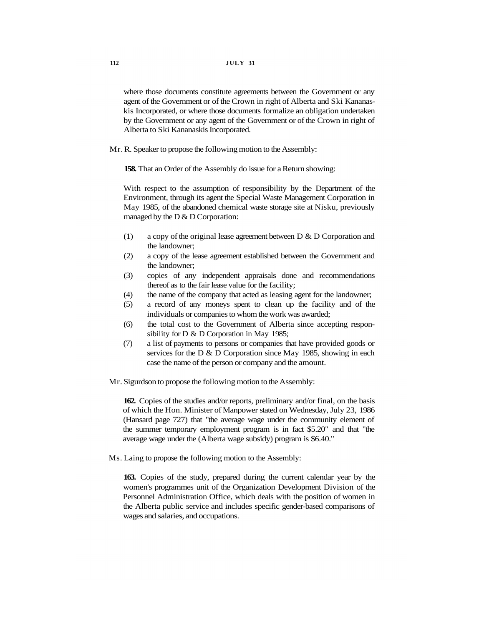where those documents constitute agreements between the Government or any agent of the Government or of the Crown in right of Alberta and Ski Kananaskis Incorporated, or where those documents formalize an obligation undertaken by the Government or any agent of the Government or of the Crown in right of Alberta to Ski Kananaskis Incorporated.

Mr. R. Speaker to propose the following motion to the Assembly:

**158.** That an Order of the Assembly do issue for a Return showing:

With respect to the assumption of responsibility by the Department of the Environment, through its agent the Special Waste Management Corporation in May 1985, of the abandoned chemical waste storage site at Nisku, previously managed by the  $D & D$  Corporation:

- (1) a copy of the original lease agreement between D & D Corporation and the landowner;
- (2) a copy of the lease agreement established between the Government and the landowner;
- (3) copies of any independent appraisals done and recommendations thereof as to the fair lease value for the facility;
- (4) the name of the company that acted as leasing agent for the landowner;
- (5) a record of any moneys spent to clean up the facility and of the individuals or companies to whom the work was awarded;
- (6) the total cost to the Government of Alberta since accepting responsibility for D & D Corporation in May 1985;
- (7) a list of payments to persons or companies that have provided goods or services for the D & D Corporation since May 1985, showing in each case the name of the person or company and the amount.

Mr. Sigurdson to propose the following motion to the Assembly:

**162.** Copies of the studies and/or reports, preliminary and/or final, on the basis of which the Hon. Minister of Manpower stated on Wednesday, July 23, 1986 (Hansard page 727) that "the average wage under the community element of the summer temporary employment program is in fact \$5.20" and that "the average wage under the (Alberta wage subsidy) program is \$6.40."

Ms. Laing to propose the following motion to the Assembly:

**163.** Copies of the study, prepared during the current calendar year by the women's programmes unit of the Organization Development Division of the Personnel Administration Office, which deals with the position of women in the Alberta public service and includes specific gender-based comparisons of wages and salaries, and occupations.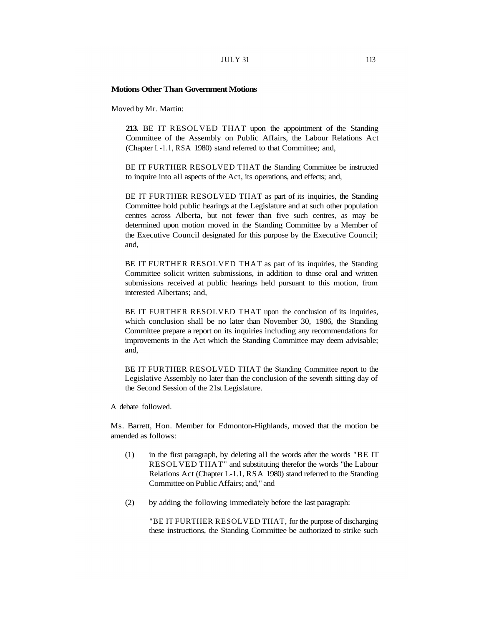### $JULY$  31 113

#### **Motions Other Than Government Motions**

Moved by Mr. Martin:

**213.** BE IT RESOLVED THAT upon the appointment of the Standing Committee of the Assembly on Public Affairs, the Labour Relations Act (Chapter L-l.l, RSA 1980) stand referred to that Committee; and,

BE IT FURTHER RESOLVED THAT the Standing Committee be instructed to inquire into all aspects of the Act, its operations, and effects; and,

BE IT FURTHER RESOLVED THAT as part of its inquiries, the Standing Committee hold public hearings at the Legislature and at such other population centres across Alberta, but not fewer than five such centres, as may be determined upon motion moved in the Standing Committee by a Member of the Executive Council designated for this purpose by the Executive Council; and,

BE IT FURTHER RESOLVED THAT as part of its inquiries, the Standing Committee solicit written submissions, in addition to those oral and written submissions received at public hearings held pursuant to this motion, from interested Albertans; and,

BE IT FURTHER RESOLVED THAT upon the conclusion of its inquiries, which conclusion shall be no later than November 30, 1986, the Standing Committee prepare a report on its inquiries including any recommendations for improvements in the Act which the Standing Committee may deem advisable; and,

BE IT FURTHER RESOLVED THAT the Standing Committee report to the Legislative Assembly no later than the conclusion of the seventh sitting day of the Second Session of the 21st Legislature.

A debate followed.

Ms. Barrett, Hon. Member for Edmonton-Highlands, moved that the motion be amended as follows:

- (1) in the first paragraph, by deleting all the words after the words "BE IT RESOLVED THAT" and substituting therefor the words "the Labour Relations Act (Chapter L-1.1, RSA 1980) stand referred to the Standing Committee on Public Affairs; and," and
- (2) by adding the following immediately before the last paragraph:

"BE IT FURTHER RESOLVED THAT, for the purpose of discharging these instructions, the Standing Committee be authorized to strike such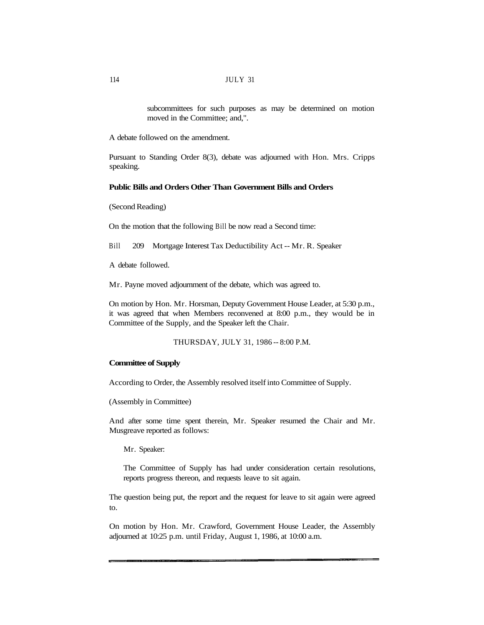subcommittees for such purposes as may be determined on motion moved in the Committee; and,".

A debate followed on the amendment.

Pursuant to Standing Order 8(3), debate was adjourned with Hon. Mrs. Cripps speaking.

### **Public Bills and Orders Other Than Government Bills and Orders**

(Second Reading)

On the motion that the following Bill be now read a Second time:

Bill 209 Mortgage Interest Tax Deductibility Act -- Mr. R. Speaker

A debate followed.

Mr. Payne moved adjournment of the debate, which was agreed to.

On motion by Hon. Mr. Horsman, Deputy Government House Leader, at 5:30 p.m., it was agreed that when Members reconvened at 8:00 p.m., they would be in Committee of the Supply, and the Speaker left the Chair.

THURSDAY, JULY 31, 1986 -- 8:00 P.M.

### **Committee of Supply**

According to Order, the Assembly resolved itself into Committee of Supply.

(Assembly in Committee)

And after some time spent therein, Mr. Speaker resumed the Chair and Mr. Musgreave reported as follows:

Mr. Speaker:

The Committee of Supply has had under consideration certain resolutions, reports progress thereon, and requests leave to sit again.

The question being put, the report and the request for leave to sit again were agreed to.

On motion by Hon. Mr. Crawford, Government House Leader, the Assembly adjourned at 10:25 p.m. until Friday, August 1, 1986, at 10:00 a.m.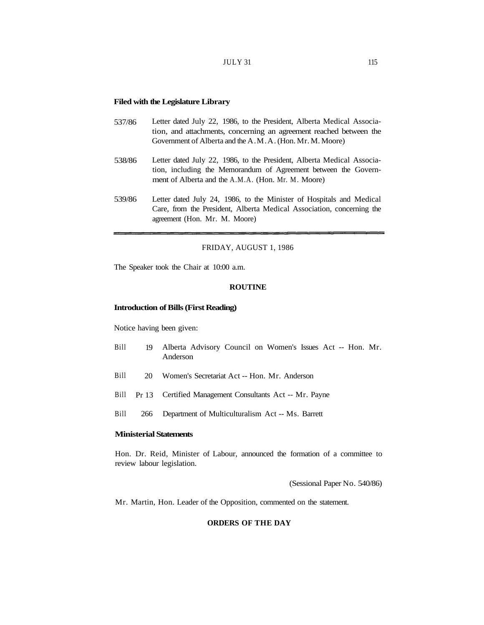### **Filed with the Legislature Library**

- 537/86 Letter dated July 22, 1986, to the President, Alberta Medical Association, and attachments, concerning an agreement reached between the Government of Alberta and the A.M.A. (Hon. Mr. M. Moore)
- 538/86 Letter dated July 22, 1986, to the President, Alberta Medical Association, including the Memorandum of Agreement between the Government of Alberta and the A.M.A. (Hon. Mr. M. Moore)
- 539/86 Letter dated July 24, 1986, to the Minister of Hospitals and Medical Care, from the President, Alberta Medical Association, concerning the agreement (Hon. Mr. M. Moore)

### FRIDAY, AUGUST 1, 1986

The Speaker took the Chair at 10:00 a.m.

#### **ROUTINE**

### **Introduction of Bills (First Reading)**

Notice having been given:

- Bill 19 Alberta Advisory Council on Women's Issues Act -- Hon. Mr. Anderson
- Bill 20 Women's Secretariat Act -- Hon. Mr. Anderson
- Bill Pr 13 Certified Management Consultants Act -- Mr. Payne
- Bill 266 Department of Multiculturalism Act -- Ms. Barrett

# **Ministerial Statements**

Hon. Dr. Reid, Minister of Labour, announced the formation of a committee to review labour legislation.

(Sessional Paper No. 540/86)

Mr. Martin, Hon. Leader of the Opposition, commented on the statement.

#### **ORDERS OF THE DAY**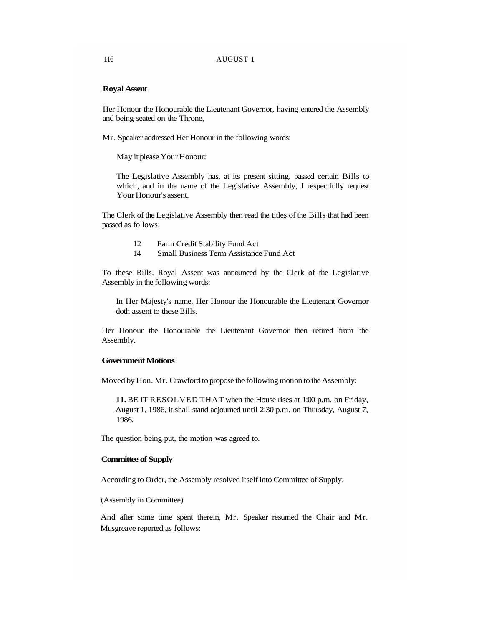### 116 AUGUST 1

### **Royal Assent**

Her Honour the Honourable the Lieutenant Governor, having entered the Assembly and being seated on the Throne,

Mr. Speaker addressed Her Honour in the following words:

May it please Your Honour:

The Legislative Assembly has, at its present sitting, passed certain Bills to which, and in the name of the Legislative Assembly, I respectfully request Your Honour's assent.

The Clerk of the Legislative Assembly then read the titles of the Bills that had been passed as follows:

- 12 Farm Credit Stability Fund Act
- 14 Small Business Term Assistance Fund Act

To these Bills, Royal Assent was announced by the Clerk of the Legislative Assembly in the following words:

In Her Majesty's name, Her Honour the Honourable the Lieutenant Governor doth assent to these Bills.

Her Honour the Honourable the Lieutenant Governor then retired from the Assembly.

# **Government Motions**

Moved by Hon. Mr. Crawford to propose the following motion to the Assembly:

**11.** BE IT RESOLVED THAT when the House rises at 1:00 p.m. on Friday, August 1, 1986, it shall stand adjourned until 2:30 p.m. on Thursday, August 7, 1986.

The question being put, the motion was agreed to.

# **Committee of Supply**

According to Order, the Assembly resolved itself into Committee of Supply.

(Assembly in Committee)

And after some time spent therein, Mr. Speaker resumed the Chair and Mr. Musgreave reported as follows: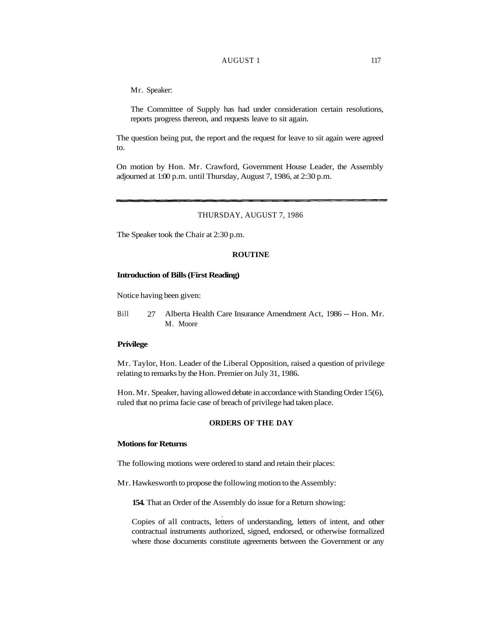### AUGUST 1 117

Mr. Speaker:

The Committee of Supply has had under consideration certain resolutions, reports progress thereon, and requests leave to sit again.

The question being put, the report and the request for leave to sit again were agreed to.

On motion by Hon. Mr. Crawford, Government House Leader, the Assembly adjourned at 1:00 p.m. until Thursday, August 7, 1986, at 2:30 p.m.

### THURSDAY, AUGUST 7, 1986

The Speaker took the Chair at 2:30 p.m.

#### **ROUTINE**

#### **Introduction of Bills (First Reading)**

Notice having been given:

Bill 27 Alberta Health Care Insurance Amendment Act, 1986 -- Hon. Mr. M. Moore

### **Privilege**

Mr. Taylor, Hon. Leader of the Liberal Opposition, raised a question of privilege relating to remarks by the Hon. Premier on July 31, 1986.

Hon. Mr. Speaker, having allowed debate in accordance with Standing Order 15(6), ruled that no prima facie case of breach of privilege had taken place.

### **ORDERS OF THE DAY**

#### **Motions for Returns**

The following motions were ordered to stand and retain their places:

Mr. Hawkesworth to propose the following motion to the Assembly:

**154.** That an Order of the Assembly do issue for a Return showing:

Copies of all contracts, letters of understanding, letters of intent, and other contractual instruments authorized, signed, endorsed, or otherwise formalized where those documents constitute agreements between the Government or any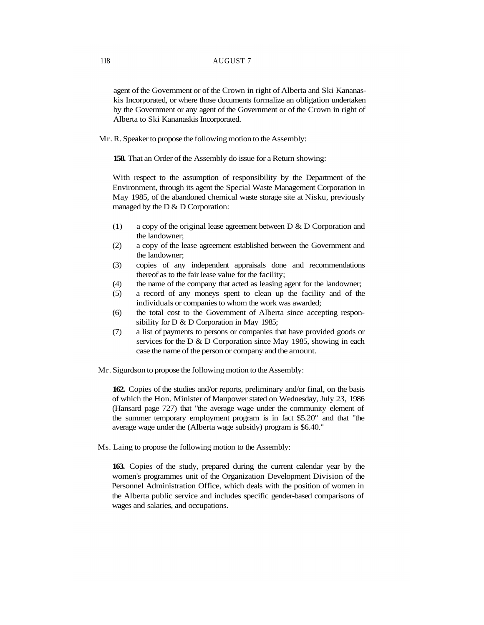# 118 AUGUST 7

agent of the Government or of the Crown in right of Alberta and Ski Kananaskis Incorporated, or where those documents formalize an obligation undertaken by the Government or any agent of the Government or of the Crown in right of Alberta to Ski Kananaskis Incorporated.

Mr. R. Speaker to propose the following motion to the Assembly:

**158.** That an Order of the Assembly do issue for a Return showing:

With respect to the assumption of responsibility by the Department of the Environment, through its agent the Special Waste Management Corporation in May 1985, of the abandoned chemical waste storage site at Nisku, previously managed by the  $D & D$  Corporation:

- (1) a copy of the original lease agreement between D & D Corporation and the landowner;
- (2) a copy of the lease agreement established between the Government and the landowner;
- (3) copies of any independent appraisals done and recommendations thereof as to the fair lease value for the facility;
- (4) the name of the company that acted as leasing agent for the landowner;
- (5) a record of any moneys spent to clean up the facility and of the individuals or companies to whom the work was awarded;
- (6) the total cost to the Government of Alberta since accepting responsibility for D & D Corporation in May 1985;
- (7) a list of payments to persons or companies that have provided goods or services for the D & D Corporation since May 1985, showing in each case the name of the person or company and the amount.
- Mr. Sigurdson to propose the following motion to the Assembly:

**162.** Copies of the studies and/or reports, preliminary and/or final, on the basis of which the Hon. Minister of Manpower stated on Wednesday, July 23, 1986 (Hansard page 727) that "the average wage under the community element of the summer temporary employment program is in fact \$5.20" and that "the average wage under the (Alberta wage subsidy) program is \$6.40."

Ms. Laing to propose the following motion to the Assembly:

**163.** Copies of the study, prepared during the current calendar year by the women's programmes unit of the Organization Development Division of the Personnel Administration Office, which deals with the position of women in the Alberta public service and includes specific gender-based comparisons of wages and salaries, and occupations.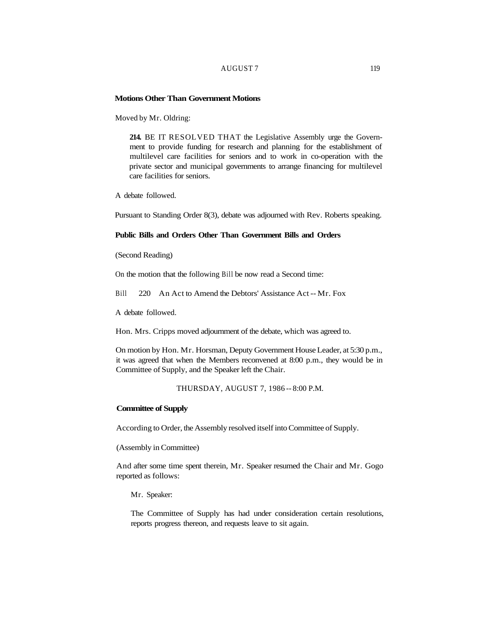#### AUGUST 7 119

#### **Motions Other Than Government Motions**

Moved by Mr. Oldring:

**214.** BE IT RESOLVED THAT the Legislative Assembly urge the Government to provide funding for research and planning for the establishment of multilevel care facilities for seniors and to work in co-operation with the private sector and municipal governments to arrange financing for multilevel care facilities for seniors.

A debate followed.

Pursuant to Standing Order 8(3), debate was adjourned with Rev. Roberts speaking.

## **Public Bills and Orders Other Than Government Bills and Orders**

(Second Reading)

On the motion that the following Bill be now read a Second time:

Bill 220 An Act to Amend the Debtors' Assistance Act -- Mr. Fox

A debate followed.

Hon. Mrs. Cripps moved adjournment of the debate, which was agreed to.

On motion by Hon. Mr. Horsman, Deputy Government House Leader, at 5:30 p.m., it was agreed that when the Members reconvened at 8:00 p.m., they would be in Committee of Supply, and the Speaker left the Chair.

THURSDAY, AUGUST 7, 1986 -- 8:00 P.M.

#### **Committee of Supply**

According to Order, the Assembly resolved itself into Committee of Supply.

(Assembly in Committee)

And after some time spent therein, Mr. Speaker resumed the Chair and Mr. Gogo reported as follows:

Mr. Speaker:

The Committee of Supply has had under consideration certain resolutions, reports progress thereon, and requests leave to sit again.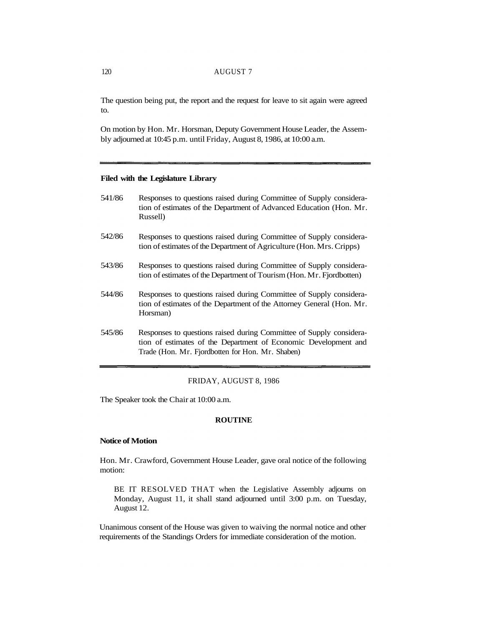# 120 AUGUST 7

The question being put, the report and the request for leave to sit again were agreed to.

On motion by Hon. Mr. Horsman, Deputy Government House Leader, the Assembly adjourned at 10:45 p.m. until Friday, August 8, 1986, at 10:00 a.m.

### **Filed with the Legislature Library**

- 541/86 Responses to questions raised during Committee of Supply consideration of estimates of the Department of Advanced Education (Hon. Mr. Russell)
- 542/86 Responses to questions raised during Committee of Supply consideration of estimates of the Department of Agriculture (Hon. Mrs. Cripps)
- 543/86 Responses to questions raised during Committee of Supply consideration of estimates of the Department of Tourism (Hon. Mr. Fjordbotten)
- 544/86 Responses to questions raised during Committee of Supply consideration of estimates of the Department of the Attorney General (Hon. Mr. Horsman)
- 545/86 Responses to questions raised during Committee of Supply consideration of estimates of the Department of Economic Development and Trade (Hon. Mr. Fjordbotten for Hon. Mr. Shaben)

### FRIDAY, AUGUST 8, 1986

The Speaker took the Chair at 10:00 a.m.

### **ROUTINE**

### **Notice of Motion**

Hon. Mr. Crawford, Government House Leader, gave oral notice of the following motion:

BE IT RESOLVED THAT when the Legislative Assembly adjourns on Monday, August 11, it shall stand adjourned until 3:00 p.m. on Tuesday, August 12.

Unanimous consent of the House was given to waiving the normal notice and other requirements of the Standings Orders for immediate consideration of the motion.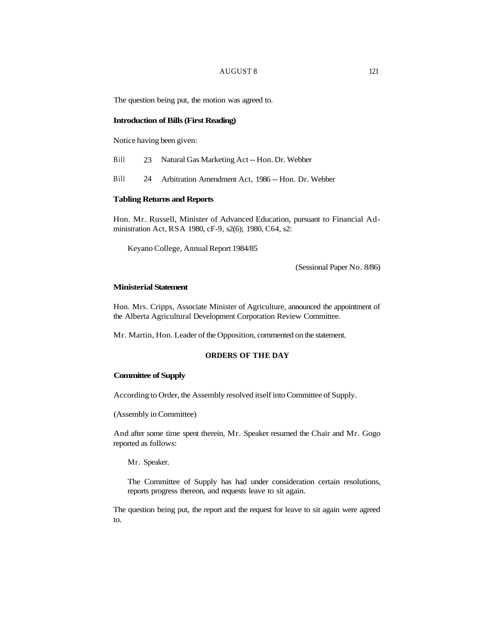## AUGUST 8 121

The question being put, the motion was agreed to.

#### **Introduction of Bills (First Reading)**

Notice having been given:

- Bill 23 Natural Gas Marketing Act -- Hon. Dr. Webber
- Bill 24 Arbitration Amendment Act, 1986 -- Hon. Dr. Webber

# **Tabling Returns and Reports**

Hon. Mr. Russell, Minister of Advanced Education, pursuant to Financial Administration Act, RSA 1980, cF-9, s2(6); 1980, C64, s2:

Keyano College, Annual Report 1984/85

(Sessional Paper No. 8/86)

# **Ministerial Statement**

Hon. Mrs. Cripps, Associate Minister of Agriculture, announced the appointment of the Alberta Agricultural Development Corporation Review Committee.

Mr. Martin, Hon. Leader of the Opposition, commented on the statement.

### **ORDERS OF THE DAY**

### **Committee of Supply**

According to Order, the Assembly resolved itself into Committee of Supply.

(Assembly in Committee)

And after some time spent therein, Mr. Speaker resumed the Chair and Mr. Gogo reported as follows:

Mr. Speaker.

The Committee of Supply has had under consideration certain resolutions, reports progress thereon, and requests leave to sit again.

The question being put, the report and the request for leave to sit again were agreed to.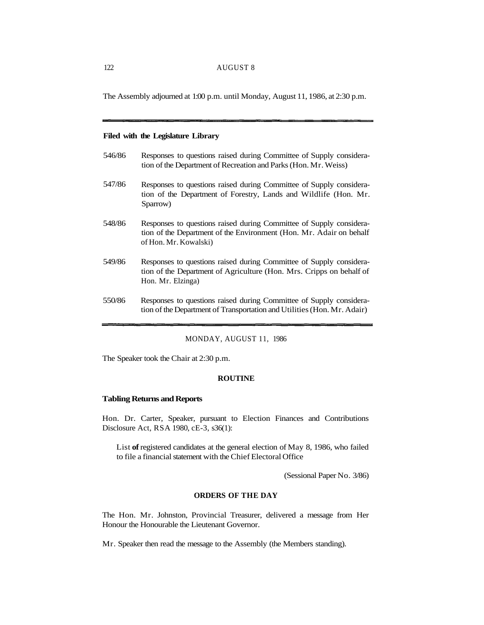The Assembly adjourned at 1:00 p.m. until Monday, August 11, 1986, at 2:30 p.m.

# **Filed with the Legislature Library**

| 546/86 | Responses to questions raised during Committee of Supply considera-<br>tion of the Department of Recreation and Parks (Hon. Mr. Weiss)                              |
|--------|---------------------------------------------------------------------------------------------------------------------------------------------------------------------|
| 547/86 | Responses to questions raised during Committee of Supply considera-<br>tion of the Department of Forestry, Lands and Wildlife (Hon. Mr.<br>Sparrow)                 |
| 548/86 | Responses to questions raised during Committee of Supply considera-<br>tion of the Department of the Environment (Hon. Mr. Adair on behalf<br>of Hon. Mr. Kowalski) |
| 549/86 | Responses to questions raised during Committee of Supply considera-<br>tion of the Department of Agriculture (Hon. Mrs. Cripps on behalf of<br>Hon. Mr. Elzinga)    |
| 550/86 | Responses to questions raised during Committee of Supply considera-<br>tion of the Department of Transportation and Utilities (Hon. Mr. Adair)                      |

# MONDAY, AUGUST 11, 1986

The Speaker took the Chair at 2:30 p.m.

### **ROUTINE**

### **Tabling Returns and Reports**

Hon. Dr. Carter, Speaker, pursuant to Election Finances and Contributions Disclosure Act, RSA 1980, cE-3, s36(1):

List **of** registered candidates at the general election of May 8, 1986, who failed to file a financial statement with the Chief Electoral Office

(Sessional Paper No. 3/86)

# **ORDERS OF THE DAY**

The Hon. Mr. Johnston, Provincial Treasurer, delivered a message from Her Honour the Honourable the Lieutenant Governor.

Mr. Speaker then read the message to the Assembly (the Members standing).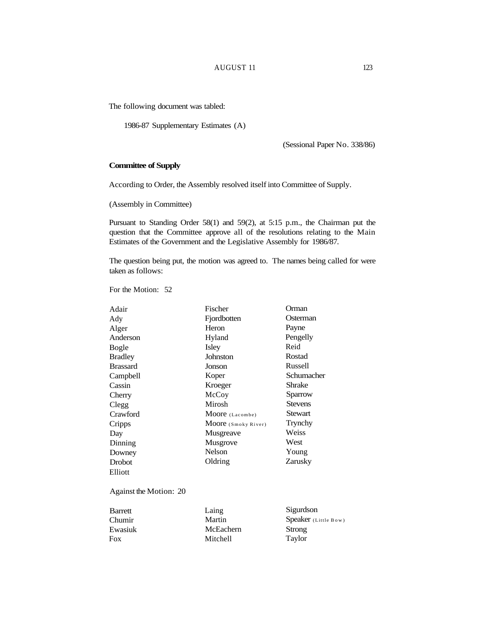# AUGUST 11 123

The following document was tabled:

1986-87 Supplementary Estimates (A)

(Sessional Paper No. 338/86)

# **Committee of Supply**

According to Order, the Assembly resolved itself into Committee of Supply.

(Assembly in Committee)

Pursuant to Standing Order 58(1) and 59(2), at 5:15 p.m., the Chairman put the question that the Committee approve all of the resolutions relating to the Main Estimates of the Government and the Legislative Assembly for 1986/87.

The question being put, the motion was agreed to. The names being called for were taken as follows:

For the Motion: 52

| Adair           | Fischer             | Orman          |
|-----------------|---------------------|----------------|
| Ady             | Fjordbotten         | Osterman       |
| Alger           | Heron               | Payne          |
| Anderson        | Hyland              | Pengelly       |
| Bogle           | Isley               | Reid           |
| Bradley         | Johnston            | Rostad         |
| <b>Brassard</b> | Jonson              | Russell        |
| Campbell        | Koper               | Schumacher     |
| Cassin          | Kroeger             | Shrake         |
| Cherry          | McCoy               | Sparrow        |
| Clegg           | Mirosh              | <b>Stevens</b> |
| Crawford        | Moore (Lacombe)     | Stewart        |
| Cripps          | Moore (Smoky River) | Trynchy        |
| Day             | Musgreave           | Weiss          |
| Dinning         | Musgrove            | West           |
| Downey          | Nelson              | Young          |
| Drobot          | Oldring             | Zarusky        |
| Elliott         |                     |                |
|                 |                     |                |
|                 |                     |                |

Against the Motion: 20

| <b>Barrett</b> | Laing     | Sigurdson             |
|----------------|-----------|-----------------------|
| Chumir         | Martin    | Speaker $(Littlebow)$ |
| Ewasiuk        | McEachern | Strong                |
| Fox            | Mitchell  | Taylor                |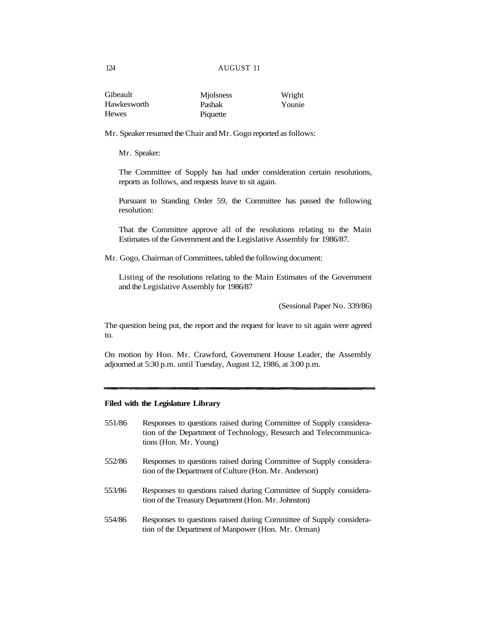#### 124 AUGUST 11

| Gibeault     | <b>Miolsness</b> | Wright |
|--------------|------------------|--------|
| Hawkesworth  | Pashak           | Younie |
| <b>Hewes</b> | Piquette         |        |

Mr. Speaker resumed the Chair and Mr. Gogo reported as follows:

Mr. Speaker:

The Committee of Supply has had under consideration certain resolutions, reports as follows, and requests leave to sit again.

Pursuant to Standing Order 59, the Committee has passed the following resolution:

That the Committee approve all of the resolutions relating to the Main Estimates of the Government and the Legislative Assembly for 1986/87.

Mr. Gogo, Chairman of Committees, tabled the following document:

Listing of the resolutions relating to the Main Estimates of the Government and the Legislative Assembly for 1986/87

(Sessional Paper No. 339/86)

The question being put, the report and the request for leave to sit again were agreed to.

On motion by Hon. Mr. Crawford, Government House Leader, the Assembly adjourned at 5:30 p.m. until Tuesday, August 12, 1986, at 3:00 p.m.

# **Filed with the Legislature Library**

- 551/86 Responses to questions raised during Committee of Supply consideration of the Department of Technology, Research and Telecommunications (Hon. Mr. Young)
- 552/86 Responses to questions raised during Committee of Supply consideration of the Department of Culture (Hon. Mr. Anderson)
- 553/86 Responses to questions raised during Committee of Supply consideration of the Treasury Department (Hon. Mr. Johnston)
- 554/86 Responses to questions raised during Committee of Supply consideration of the Department of Manpower (Hon. Mr. Orman)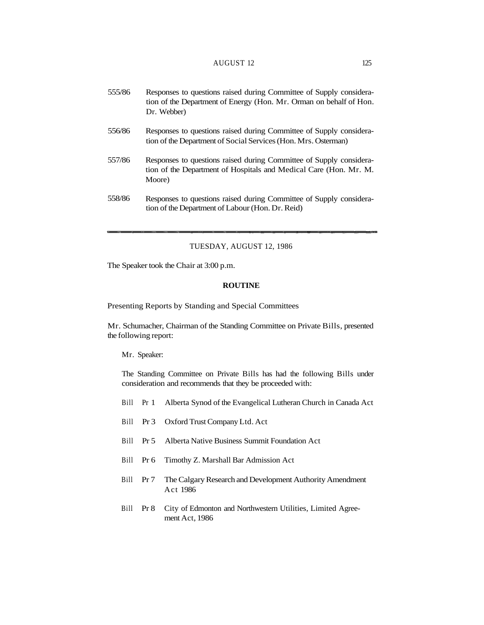| 555/86 | Responses to questions raised during Committee of Supply considera-<br>tion of the Department of Energy (Hon. Mr. Orman on behalf of Hon.<br>Dr. Webber) |
|--------|----------------------------------------------------------------------------------------------------------------------------------------------------------|
| 556/86 | Responses to questions raised during Committee of Supply considera-<br>tion of the Department of Social Services (Hon. Mrs. Osterman)                    |
| 557/86 | Responses to questions raised during Committee of Supply considera-<br>tion of the Department of Hospitals and Medical Care (Hon. Mr. M.<br>Moore)       |
| 558/86 | Responses to questions raised during Committee of Supply considera-<br>tion of the Department of Labour (Hon. Dr. Reid)                                  |

### TUESDAY, AUGUST 12, 1986

The Speaker took the Chair at 3:00 p.m.

### **ROUTINE**

Presenting Reports by Standing and Special Committees

Mr. Schumacher, Chairman of the Standing Committee on Private Bills, presented the following report:

### Mr. Speaker:

The Standing Committee on Private Bills has had the following Bills under consideration and recommends that they be proceeded with:

- Bill Pr 1 Alberta Synod of the Evangelical Lutheran Church in Canada Act
- Bill Pr 3 Oxford Trust Company Ltd. Act
- Bill Pr 5 Alberta Native Business Summit Foundation Act
- Bill Pr 6 Timothy Z. Marshall Bar Admission Act
- Bill Pr 7 The Calgary Research and Development Authority Amendment Act 1986
- Bill Pr 8 City of Edmonton and Northwestern Utilities, Limited Agreement Act, 1986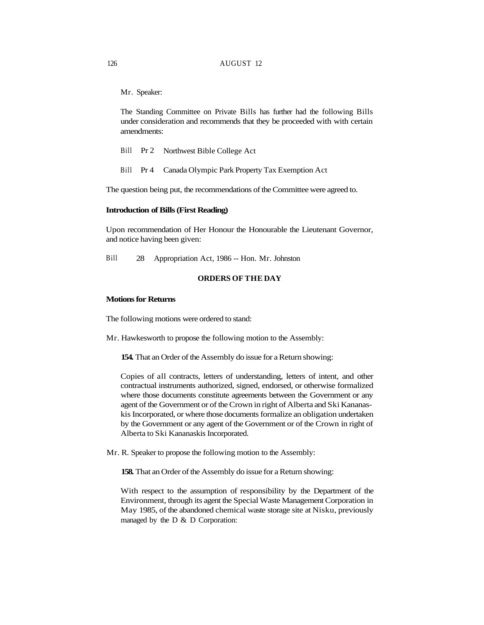Mr. Speaker:

The Standing Committee on Private Bills has further had the following Bills under consideration and recommends that they be proceeded with with certain amendments:

- Bill Pr 2 Northwest Bible College Act
- Bill Pr 4 Canada Olympic Park Property Tax Exemption Act

The question being put, the recommendations of the Committee were agreed to.

#### **Introduction of Bills (First Reading)**

Upon recommendation of Her Honour the Honourable the Lieutenant Governor, and notice having been given:

Bill 28 Appropriation Act, 1986 -- Hon. Mr. Johnston

### **ORDERS OF THE DAY**

### **Motions for Returns**

The following motions were ordered to stand:

Mr. Hawkesworth to propose the following motion to the Assembly:

**154.** That an Order of the Assembly do issue for a Return showing:

Copies of all contracts, letters of understanding, letters of intent, and other contractual instruments authorized, signed, endorsed, or otherwise formalized where those documents constitute agreements between the Government or any agent of the Government or of the Crown in right of Alberta and Ski Kananaskis Incorporated, or where those documents formalize an obligation undertaken by the Government or any agent of the Government or of the Crown in right of Alberta to Ski Kananaskis Incorporated.

Mr. R. Speaker to propose the following motion to the Assembly:

**158.** That an Order of the Assembly do issue for a Return showing:

With respect to the assumption of responsibility by the Department of the Environment, through its agent the Special Waste Management Corporation in May 1985, of the abandoned chemical waste storage site at Nisku, previously managed by the D & D Corporation: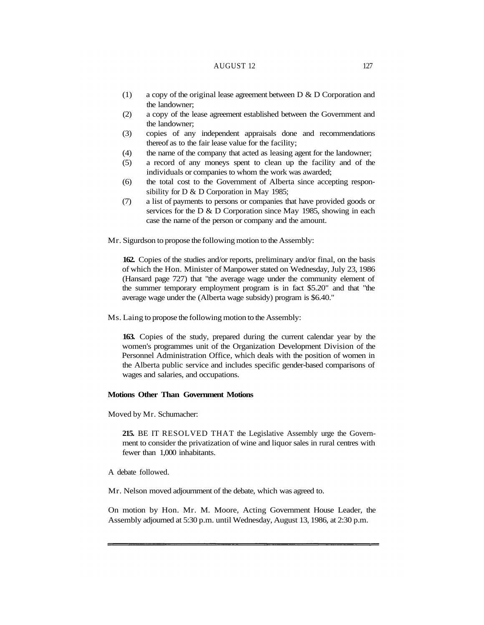# AUGUST 12 127

- (1) a copy of the original lease agreement between D & D Corporation and the landowner;
- (2) a copy of the lease agreement established between the Government and the landowner;
- (3) copies of any independent appraisals done and recommendations thereof as to the fair lease value for the facility;
- (4) the name of the company that acted as leasing agent for the landowner;
- (5) a record of any moneys spent to clean up the facility and of the individuals or companies to whom the work was awarded;
- (6) the total cost to the Government of Alberta since accepting responsibility for D & D Corporation in May 1985;
- (7) a list of payments to persons or companies that have provided goods or services for the D & D Corporation since May 1985, showing in each case the name of the person or company and the amount.

Mr. Sigurdson to propose the following motion to the Assembly:

**162.** Copies of the studies and/or reports, preliminary and/or final, on the basis of which the Hon. Minister of Manpower stated on Wednesday, July 23, 1986 (Hansard page 727) that "the average wage under the community element of the summer temporary employment program is in fact \$5.20" and that "the average wage under the (Alberta wage subsidy) program is \$6.40."

Ms. Laing to propose the following motion to the Assembly:

**163.** Copies of the study, prepared during the current calendar year by the women's programmes unit of the Organization Development Division of the Personnel Administration Office, which deals with the position of women in the Alberta public service and includes specific gender-based comparisons of wages and salaries, and occupations.

# **Motions Other Than Government Motions**

Moved by Mr. Schumacher:

**215.** BE IT RESOLVED THAT the Legislative Assembly urge the Government to consider the privatization of wine and liquor sales in rural centres with fewer than 1,000 inhabitants.

A debate followed.

Mr. Nelson moved adjournment of the debate, which was agreed to.

On motion by Hon. Mr. M. Moore, Acting Government House Leader, the Assembly adjourned at 5:30 p.m. until Wednesday, August 13, 1986, at 2:30 p.m.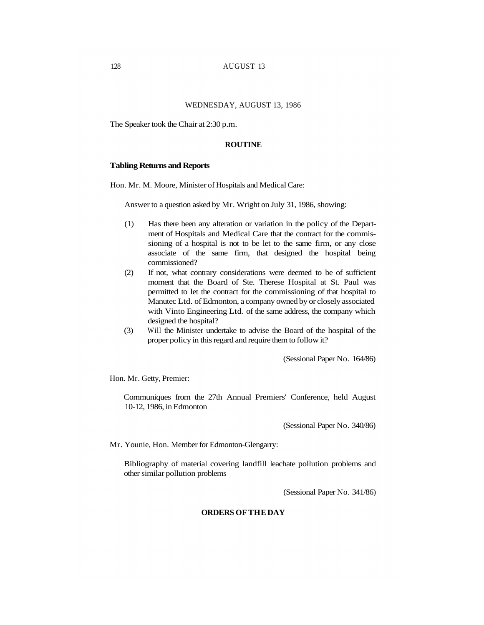# WEDNESDAY, AUGUST 13, 1986

The Speaker took the Chair at 2:30 p.m.

## **ROUTINE**

#### **Tabling Returns and Reports**

Hon. Mr. M. Moore, Minister of Hospitals and Medical Care:

Answer to a question asked by Mr. Wright on July 31, 1986, showing:

- (1) Has there been any alteration or variation in the policy of the Department of Hospitals and Medical Care that the contract for the commissioning of a hospital is not to be let to the same firm, or any close associate of the same firm, that designed the hospital being commissioned?
- (2) If not, what contrary considerations were deemed to be of sufficient moment that the Board of Ste. Therese Hospital at St. Paul was permitted to let the contract for the commissioning of that hospital to Manutec Ltd. of Edmonton, a company owned by or closely associated with Vinto Engineering Ltd. of the same address, the company which designed the hospital?
- (3) Will the Minister undertake to advise the Board of the hospital of the proper policy in this regard and require them to follow it?

(Sessional Paper No. 164/86)

Hon. Mr. Getty, Premier:

Communiques from the 27th Annual Premiers' Conference, held August 10-12, 1986, in Edmonton

(Sessional Paper No. 340/86)

Mr. Younie, Hon. Member for Edmonton-Glengarry:

Bibliography of material covering landfill leachate pollution problems and other similar pollution problems

(Sessional Paper No. 341/86)

# **ORDERS OF THE DAY**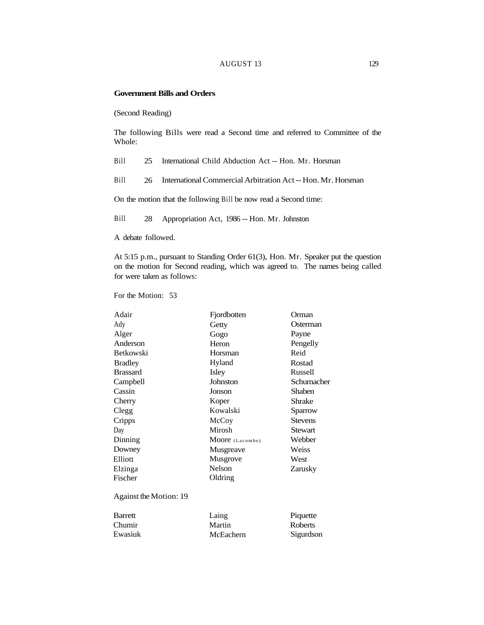### AUGUST 13 129

### **Government Bills and Orders**

(Second Reading)

The following Bills were read a Second time and referred to Committee of the Whole:

Bill 25 International Child Abduction Act -- Hon. Mr. Horsman

Bill 26 International Commercial Arbitration Act -- Hon. Mr. Horsman

On the motion that the following Bill be now read a Second time:

Bill 28 Appropriation Act, 1986 -- Hon. Mr. Johnston

A debate followed.

At 5:15 p.m., pursuant to Standing Order 61(3), Hon. Mr. Speaker put the question on the motion for Second reading, which was agreed to. The names being called for were taken as follows:

For the Motion: 53

| Adair                  | Fjordbotten     | Orman          |
|------------------------|-----------------|----------------|
| Ady                    | Getty           | Osterman       |
| Alger                  | Gogo            | Payne          |
| Anderson               | Heron           | Pengelly       |
| <b>Betkowski</b>       | Horsman         | Reid           |
| <b>Bradley</b>         | Hyland          | Rostad         |
| <b>Brassard</b>        | Isley           | Russell        |
| Campbell               | Johnston        | Schumacher     |
| Cassin                 | Jonson          | <b>Shaben</b>  |
| Cherry                 | Koper           | <b>Shrake</b>  |
| Clegg                  | Kowalski        | Sparrow        |
| Cripps                 | McCoy           | <b>Stevens</b> |
| Day                    | Mirosh          | Stewart        |
| Dinning                | Moore (Lacombe) | Webber         |
| Downey                 | Musgreave       | Weiss          |
| Elliott                | Musgrove        | West           |
| Elzinga                | Nelson          | Zarusky        |
| Fischer                | Oldring         |                |
| Against the Motion: 19 |                 |                |
| <b>Barrett</b>         | Laing           | Piquette       |
| Chumir                 | Martin          | Roberts        |
| Ewasiuk                | McEachern       | Sigurdson      |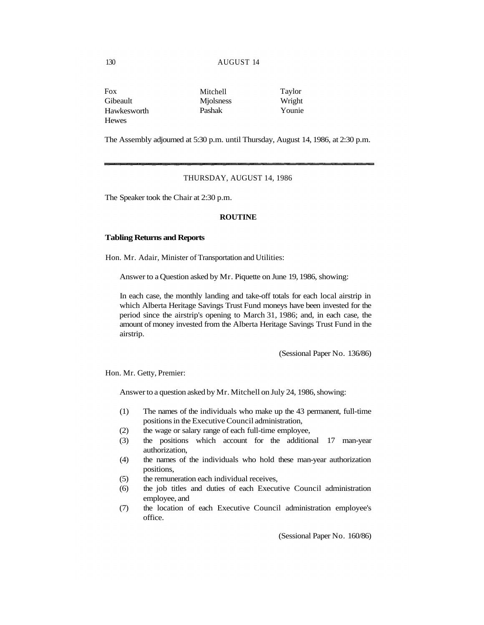#### 130 AUGUST 14

| Fox          | Mitchell         | Taylor |
|--------------|------------------|--------|
| Gibeault     | <b>Miolsness</b> | Wright |
| Hawkesworth  | Pashak           | Younie |
| <b>Hewes</b> |                  |        |

The Assembly adjourned at 5:30 p.m. until Thursday, August 14, 1986, at 2:30 p.m.

# THURSDAY, AUGUST 14, 1986

The Speaker took the Chair at 2:30 p.m.

# **ROUTINE**

#### **Tabling Returns and Reports**

Hon. Mr. Adair, Minister of Transportation and Utilities:

Answer to a Question asked by Mr. Piquette on June 19, 1986, showing:

In each case, the monthly landing and take-off totals for each local airstrip in which Alberta Heritage Savings Trust Fund moneys have been invested for the period since the airstrip's opening to March 31, 1986; and, in each case, the amount of money invested from the Alberta Heritage Savings Trust Fund in the airstrip.

(Sessional Paper No. 136/86)

Hon. Mr. Getty, Premier:

Answer to a question asked by Mr. Mitchell on July 24, 1986, showing:

- (1) The names of the individuals who make up the 43 permanent, full-time positions in the Executive Council administration,
- (2) the wage or salary range of each full-time employee,
- (3) the positions which account for the additional 17 man-year authorization,
- (4) the names of the individuals who hold these man-year authorization positions,
- (5) the remuneration each individual receives,
- (6) the job titles and duties of each Executive Council administration employee, and
- (7) the location of each Executive Council administration employee's office.

(Sessional Paper No. 160/86)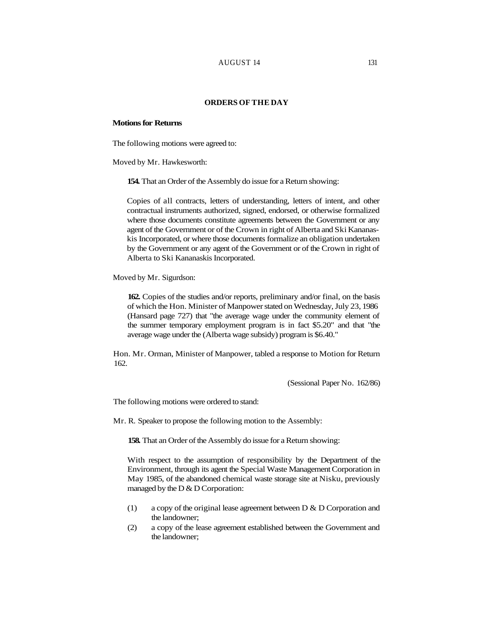### AUGUST 14 131

### **ORDERS OF THE DAY**

### **Motions for Returns**

The following motions were agreed to:

Moved by Mr. Hawkesworth:

**154.** That an Order of the Assembly do issue for a Return showing:

Copies of all contracts, letters of understanding, letters of intent, and other contractual instruments authorized, signed, endorsed, or otherwise formalized where those documents constitute agreements between the Government or any agent of the Government or of the Crown in right of Alberta and Ski Kananaskis Incorporated, or where those documents formalize an obligation undertaken by the Government or any agent of the Government or of the Crown in right of Alberta to Ski Kananaskis Incorporated.

Moved by Mr. Sigurdson:

**162.** Copies of the studies and/or reports, preliminary and/or final, on the basis of which the Hon. Minister of Manpower stated on Wednesday, July 23, 1986 (Hansard page 727) that "the average wage under the community element of the summer temporary employment program is in fact \$5.20" and that "the average wage under the (Alberta wage subsidy) program is \$6.40."

Hon. Mr. Orman, Minister of Manpower, tabled a response to Motion for Return 162.

(Sessional Paper No. 162/86)

The following motions were ordered to stand:

Mr. R. Speaker to propose the following motion to the Assembly:

**158.** That an Order of the Assembly do issue for a Return showing:

With respect to the assumption of responsibility by the Department of the Environment, through its agent the Special Waste Management Corporation in May 1985, of the abandoned chemical waste storage site at Nisku, previously managed by the D & D Corporation:

- (1) a copy of the original lease agreement between D & D Corporation and the landowner;
- (2) a copy of the lease agreement established between the Government and the landowner;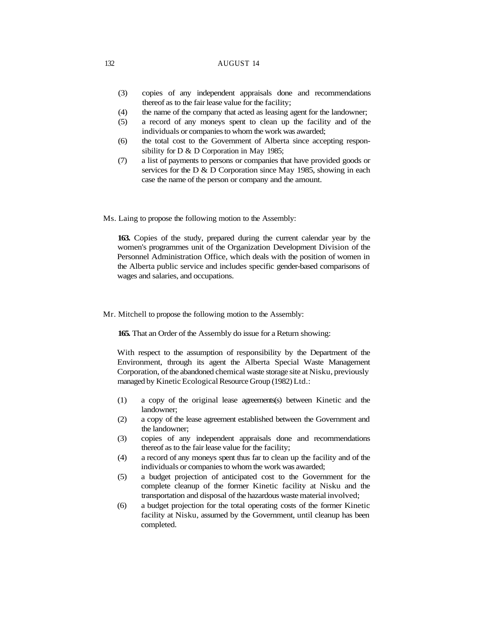# 132 AUGUST 14

- (3) copies of any independent appraisals done and recommendations thereof as to the fair lease value for the facility;
- (4) the name of the company that acted as leasing agent for the landowner;
- (5) a record of any moneys spent to clean up the facility and of the individuals or companies to whom the work was awarded;
- (6) the total cost to the Government of Alberta since accepting responsibility for D & D Corporation in May 1985;
- (7) a list of payments to persons or companies that have provided goods or services for the D & D Corporation since May 1985, showing in each case the name of the person or company and the amount.

Ms. Laing to propose the following motion to the Assembly:

**163.** Copies of the study, prepared during the current calendar year by the women's programmes unit of the Organization Development Division of the Personnel Administration Office, which deals with the position of women in the Alberta public service and includes specific gender-based comparisons of wages and salaries, and occupations.

Mr. Mitchell to propose the following motion to the Assembly:

**165.** That an Order of the Assembly do issue for a Return showing:

With respect to the assumption of responsibility by the Department of the Environment, through its agent the Alberta Special Waste Management Corporation, of the abandoned chemical waste storage site at Nisku, previously managed by Kinetic Ecological Resource Group (1982) Ltd.:

- (1) a copy of the original lease agreements(s) between Kinetic and the landowner;
- (2) a copy of the lease agreement established between the Government and the landowner;
- (3) copies of any independent appraisals done and recommendations thereof as to the fair lease value for the facility;
- (4) a record of any moneys spent thus far to clean up the facility and of the individuals or companies to whom the work was awarded;
- (5) a budget projection of anticipated cost to the Government for the complete cleanup of the former Kinetic facility at Nisku and the transportation and disposal of the hazardous waste material involved;
- (6) a budget projection for the total operating costs of the former Kinetic facility at Nisku, assumed by the Government, until cleanup has been completed.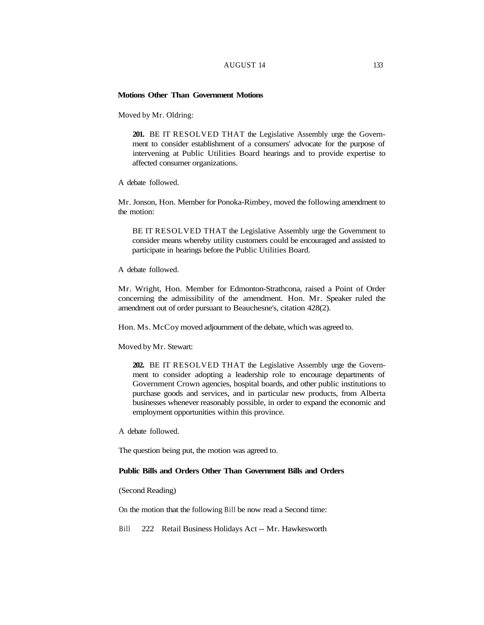# AUGUST 14 133

### **Motions Other Than Government Motions**

Moved by Mr. Oldring:

**201.** BE IT RESOLVED THAT the Legislative Assembly urge the Government to consider establishment of a consumers' advocate for the purpose of intervening at Public Utilities Board hearings and to provide expertise to affected consumer organizations.

A debate followed.

Mr. Jonson, Hon. Member for Ponoka-Rimbey, moved the following amendment to the motion:

BE IT RESOLVED THAT the Legislative Assembly urge the Government to consider means whereby utility customers could be encouraged and assisted to participate in hearings before the Public Utilities Board.

A debate followed.

Mr. Wright, Hon. Member for Edmonton-Strathcona, raised a Point of Order concerning the admissibility of the amendment. Hon. Mr. Speaker ruled the amendment out of order pursuant to Beauchesne's, citation 428(2).

Hon. Ms. McCoy moved adjournment of the debate, which was agreed to.

Moved by Mr. Stewart:

**202.** BE IT RESOLVED THAT the Legislative Assembly urge the Government to consider adopting a leadership role to encourage departments of Government Crown agencies, hospital boards, and other public institutions to purchase goods and services, and in particular new products, from Alberta businesses whenever reasonably possible, in order to expand the economic and employment opportunities within this province.

A debate followed.

The question being put, the motion was agreed to.

# **Public Bills and Orders Other Than Government Bills and Orders**

(Second Reading)

On the motion that the following Bill be now read a Second time:

Bill 222 Retail Business Holidays Act -- Mr. Hawkesworth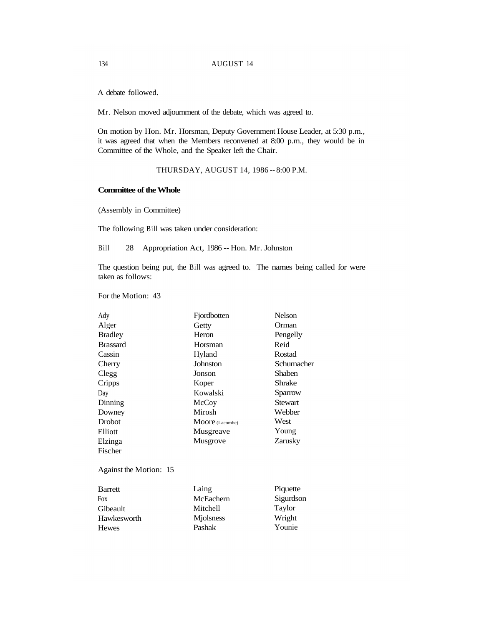A debate followed.

Mr. Nelson moved adjournment of the debate, which was agreed to.

On motion by Hon. Mr. Horsman, Deputy Government House Leader, at 5:30 p.m., it was agreed that when the Members reconvened at 8:00 p.m., they would be in Committee of the Whole, and the Speaker left the Chair.

THURSDAY, AUGUST 14, 1986 -- 8:00 P.M.

### **Committee of the Whole**

(Assembly in Committee)

The following Bill was taken under consideration:

Bill 28 Appropriation Act, 1986 -- Hon. Mr. Johnston

The question being put, the Bill was agreed to. The names being called for were taken as follows:

For the Motion: 43

| Ady                    | Fjordbotten     | Nelson         |
|------------------------|-----------------|----------------|
| Alger                  | Getty           | Orman          |
| <b>Bradley</b>         | Heron           | Pengelly       |
| <b>Brassard</b>        | Horsman         | Reid           |
| Cassin                 | Hyland          | Rostad         |
| Cherry                 | Johnston        | Schumacher     |
| Clegg                  | Jonson          | <b>Shaben</b>  |
| Cripps                 | Koper           | <b>Shrake</b>  |
| Day                    | Kowalski        | Sparrow        |
| Dinning                | McCoy           | <b>Stewart</b> |
| Downey                 | Mirosh          | Webber         |
| <b>Drobot</b>          | Moore (Lacombe) | West           |
| Elliott                | Musgreave       | Young          |
| Elzinga                | Musgrove        | Zarusky        |
| Fischer                |                 |                |
| Against the Motion: 15 |                 |                |
| <b>Barrett</b>         | Laing           | Piquette       |
| Fox                    | McEachern       | Sigurdson      |
| Gibeault               | Mitchell        | Taylor         |
| Hawkesworth            | Mjolsness       | Wright         |
| <b>Hewes</b>           | Pashak          | Younie         |
|                        |                 |                |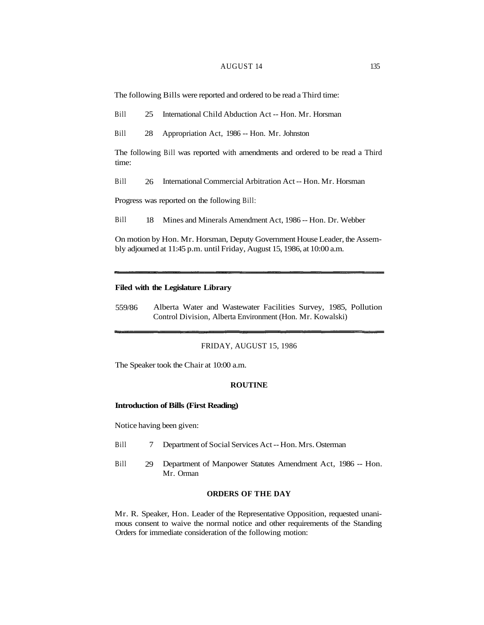#### AUGUST 14 135

The following Bills were reported and ordered to be read a Third time:

Bill 25 International Child Abduction Act -- Hon. Mr. Horsman

Bill 28 Appropriation Act, 1986 -- Hon. Mr. Johnston

The following Bill was reported with amendments and ordered to be read a Third time:

Bill 26 International Commercial Arbitration Act -- Hon. Mr. Horsman

Progress was reported on the following Bill:

Bill 18 Mines and Minerals Amendment Act, 1986 -- Hon. Dr. Webber

On motion by Hon. Mr. Horsman, Deputy Government House Leader, the Assembly adjourned at 11:45 p.m. until Friday, August 15, 1986, at 10:00 a.m.

# **Filed with the Legislature Library**

559/86 Alberta Water and Wastewater Facilities Survey, 1985, Pollution Control Division, Alberta Environment (Hon. Mr. Kowalski)

### FRIDAY, AUGUST 15, 1986

The Speaker took the Chair at 10:00 a.m.

#### **ROUTINE**

# **Introduction of Bills (First Reading)**

Notice having been given:

- Bill 7 Department of Social Services Act -- Hon. Mrs. Osterman
- Bill 29 Department of Manpower Statutes Amendment Act, 1986 -- Hon. Mr. Orman

### **ORDERS OF THE DAY**

Mr. R. Speaker, Hon. Leader of the Representative Opposition, requested unanimous consent to waive the normal notice and other requirements of the Standing Orders for immediate consideration of the following motion: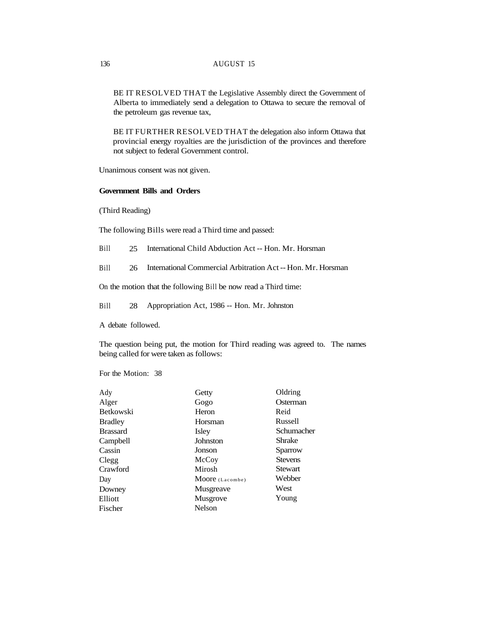# 136 AUGUST 15

BE IT RESOLVED THAT the Legislative Assembly direct the Government of Alberta to immediately send a delegation to Ottawa to secure the removal of the petroleum gas revenue tax,

BE IT FURTHER RESOLVED THAT the delegation also inform Ottawa that provincial energy royalties are the jurisdiction of the provinces and therefore not subject to federal Government control.

Unanimous consent was not given.

# **Government Bills and Orders**

(Third Reading)

The following Bills were read a Third time and passed:

Bill 25 International Child Abduction Act -- Hon. Mr. Horsman

Bill 26 International Commercial Arbitration Act -- Hon. Mr. Horsman

On the motion that the following Bill be now read a Third time:

Bill 28 Appropriation Act, 1986 -- Hon. Mr. Johnston

A debate followed.

The question being put, the motion for Third reading was agreed to. The names being called for were taken as follows:

For the Motion: 38

| Ady             | Getty           | Oldring        |
|-----------------|-----------------|----------------|
| Alger           | Gogo            | Osterman       |
| Betkowski       | Heron           | Reid           |
| <b>Bradley</b>  | Horsman         | Russell        |
| <b>Brassard</b> | Isley           | Schumacher     |
| Campbell        | Johnston        | Shrake         |
| Cassin          | Jonson          | Sparrow        |
| Clegg           | McCoy           | <b>Stevens</b> |
| Crawford        | Mirosh          | Stewart        |
| Day             | Moore (Lacombe) | Webber         |
| Downey          | Musgreave       | West           |
| Elliott         | <b>Musgrove</b> | Young          |
| Fischer         | Nelson          |                |
|                 |                 |                |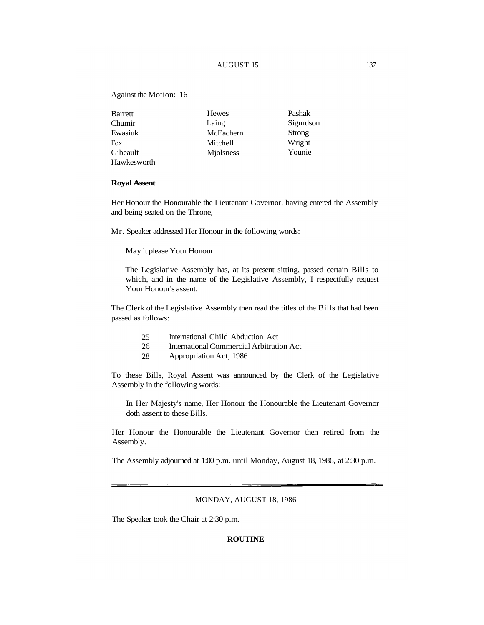# AUGUST 15 137

### Against the Motion: 16

| Barrett     | <b>Hewes</b> | Pashak    |
|-------------|--------------|-----------|
| Chumir      | Laing        | Sigurdson |
| Ewasiuk     | McEachern    | Strong    |
| <b>Fox</b>  | Mitchell     | Wright    |
| Gibeault    | Miolsness    | Younie    |
| Hawkesworth |              |           |

#### **Royal Assent**

Her Honour the Honourable the Lieutenant Governor, having entered the Assembly and being seated on the Throne,

Mr. Speaker addressed Her Honour in the following words:

May it please Your Honour:

The Legislative Assembly has, at its present sitting, passed certain Bills to which, and in the name of the Legislative Assembly, I respectfully request Your Honour's assent.

The Clerk of the Legislative Assembly then read the titles of the Bills that had been passed as follows:

- 25 International Child Abduction Act
- 26 International Commercial Arbitration Act
- 28 Appropriation Act, 1986

To these Bills, Royal Assent was announced by the Clerk of the Legislative Assembly in the following words:

In Her Majesty's name, Her Honour the Honourable the Lieutenant Governor doth assent to these Bills.

Her Honour the Honourable the Lieutenant Governor then retired from the Assembly.

The Assembly adjourned at 1:00 p.m. until Monday, August 18, 1986, at 2:30 p.m.

# MONDAY, AUGUST 18, 1986

The Speaker took the Chair at 2:30 p.m.

### **ROUTINE**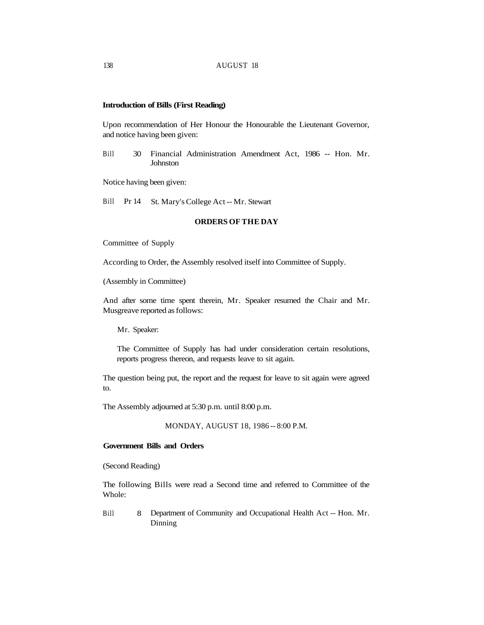# **Introduction of Bills (First Reading)**

Upon recommendation of Her Honour the Honourable the Lieutenant Governor, and notice having been given:

Bill 30 Financial Administration Amendment Act, 1986 -- Hon. Mr. **Johnston** 

Notice having been given:

Bill Pr 14 St. Mary's College Act -- Mr. Stewart

# **ORDERS OF THE DAY**

Committee of Supply

According to Order, the Assembly resolved itself into Committee of Supply.

(Assembly in Committee)

And after some time spent therein, Mr. Speaker resumed the Chair and Mr. Musgreave reported as follows:

Mr. Speaker:

The Committee of Supply has had under consideration certain resolutions, reports progress thereon, and requests leave to sit again.

The question being put, the report and the request for leave to sit again were agreed to.

The Assembly adjourned at 5:30 p.m. until 8:00 p.m.

MONDAY, AUGUST 18, 1986 -- 8:00 P.M.

#### **Government Bills and Orders**

(Second Reading)

The following Bills were read a Second time and referred to Committee of the Whole:

Bill 8 Department of Community and Occupational Health Act -- Hon. Mr. Dinning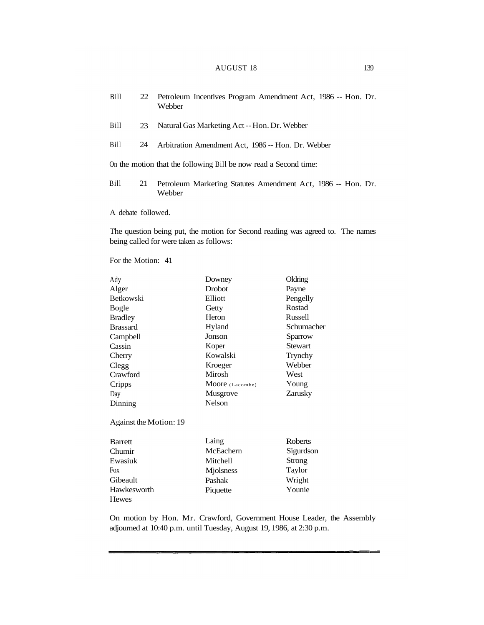| Bill                                                             | 22 | Petroleum Incentives Program Amendment Act, 1986 -- Hon. Dr.<br>Webber |  |  |  |  |
|------------------------------------------------------------------|----|------------------------------------------------------------------------|--|--|--|--|
| Bill                                                             | 23 | Natural Gas Marketing Act -- Hon. Dr. Webber                           |  |  |  |  |
| <b>Bill</b>                                                      | 24 | Arbitration Amendment Act, 1986 -- Hon. Dr. Webber                     |  |  |  |  |
| On the motion that the following Bill be now read a Second time: |    |                                                                        |  |  |  |  |
| <b>Bill</b>                                                      | 21 | Petroleum Marketing Statutes Amendment Act, 1986 -- Hon. Dr.<br>Webber |  |  |  |  |

A debate followed.

The question being put, the motion for Second reading was agreed to. The names being called for were taken as follows:

For the Motion: 41

| Ady                    | Downey          | Oldring        |
|------------------------|-----------------|----------------|
| Alger                  | <b>Drobot</b>   | Payne          |
| <b>Betkowski</b>       | Elliott         | Pengelly       |
| Bogle                  | Getty           | Rostad         |
| <b>Bradley</b>         | Heron           | Russell        |
| <b>Brassard</b>        | Hyland          | Schumacher     |
| Campbell               | Jonson          | Sparrow        |
| Cassin                 | Koper           | <b>Stewart</b> |
| Cherry                 | Kowalski        | Trynchy        |
| Clegg                  | Kroeger         | Webber         |
| Crawford               | Mirosh          | West           |
| Cripps                 | Moore (Lacombe) | Young          |
| Day                    | Musgrove        | Zarusky        |
| Dinning                | <b>Nelson</b>   |                |
| Against the Motion: 19 |                 |                |
| <b>Barrett</b>         | Laing           | <b>Roberts</b> |

| daneu       | <b>Lalliz</b> | <b>NUVELLS</b> |
|-------------|---------------|----------------|
| Chumir      | McEachern     | Sigurdson      |
| Ewasiuk     | Mitchell      | Strong         |
| Fox         | Miolsness     | Taylor         |
| Gibeault    | Pashak        | Wright         |
| Hawkesworth | Piquette      | Younie         |
| Hewes       |               |                |

On motion by Hon. Mr. Crawford, Government House Leader, the Assembly adjourned at 10:40 p.m. until Tuesday, August 19, 1986, at 2:30 p.m.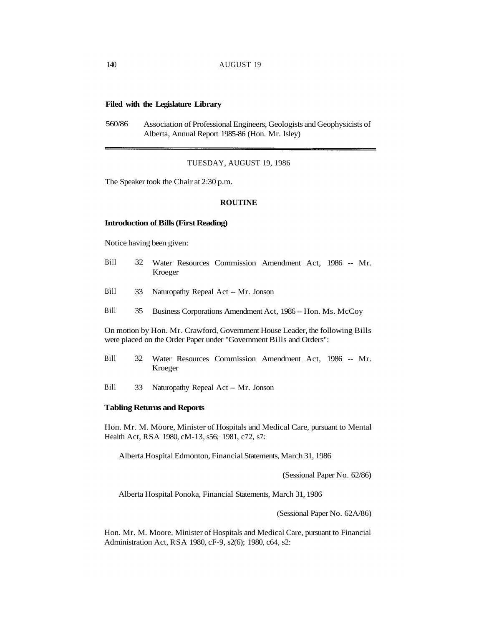# **Filed with the Legislature Library**

560/86 Association of Professional Engineers, Geologists and Geophysicists of Alberta, Annual Report 1985-86 (Hon. Mr. Isley)

#### TUESDAY, AUGUST 19, 1986

The Speaker took the Chair at 2:30 p.m.

### **ROUTINE**

#### **Introduction of Bills (First Reading)**

Notice having been given:

- Bill 32 Water Resources Commission Amendment Act, 1986 -- Mr. Kroeger
- Bill 33 Naturopathy Repeal Act -- Mr. Jonson
- Bill 35 Business Corporations Amendment Act, 1986 -- Hon. Ms. McCoy

On motion by Hon. Mr. Crawford, Government House Leader, the following Bills were placed on the Order Paper under "Government Bills and Orders":

- Bill 32 Water Resources Commission Amendment Act, 1986 -- Mr. Kroeger
- Bill 33 Naturopathy Repeal Act -- Mr. Jonson

### **Tabling Returns and Reports**

Hon. Mr. M. Moore, Minister of Hospitals and Medical Care, pursuant to Mental Health Act, RSA 1980, cM-13, s56; 1981, c72, s7:

Alberta Hospital Edmonton, Financial Statements, March 31, 1986

(Sessional Paper No. 62/86)

Alberta Hospital Ponoka, Financial Statements, March 31, 1986

(Sessional Paper No. 62A/86)

Hon. Mr. M. Moore, Minister of Hospitals and Medical Care, pursuant to Financial Administration Act, RSA 1980, cF-9, s2(6); 1980, c64, s2: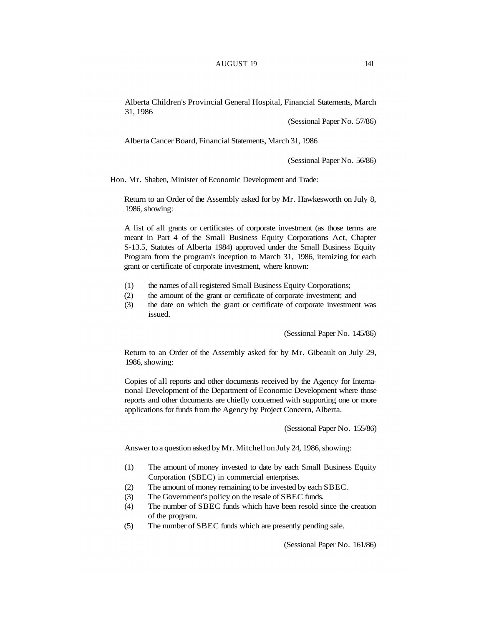Alberta Children's Provincial General Hospital, Financial Statements, March 31, 1986

(Sessional Paper No. 57/86)

Alberta Cancer Board, Financial Statements, March 31, 1986

(Sessional Paper No. 56/86)

Hon. Mr. Shaben, Minister of Economic Development and Trade:

Return to an Order of the Assembly asked for by Mr. Hawkesworth on July 8, 1986, showing:

A list of all grants or certificates of corporate investment (as those terms are meant in Part 4 of the Small Business Equity Corporations Act, Chapter S-13.5, Statutes of Alberta 1984) approved under the Small Business Equity Program from the program's inception to March 31, 1986, itemizing for each grant or certificate of corporate investment, where known:

- (1) the names of all registered Small Business Equity Corporations;
- (2) the amount of the grant or certificate of corporate investment; and
- (3) the date on which the grant or certificate of corporate investment was issued.

(Sessional Paper No. 145/86)

Return to an Order of the Assembly asked for by Mr. Gibeault on July 29, 1986, showing:

Copies of all reports and other documents received by the Agency for International Development of the Department of Economic Development where those reports and other documents are chiefly concerned with supporting one or more applications for funds from the Agency by Project Concern, Alberta.

(Sessional Paper No. 155/86)

Answer to a question asked by Mr. Mitchell on July 24, 1986, showing:

- (1) The amount of money invested to date by each Small Business Equity Corporation (SBEC) in commercial enterprises.
- (2) The amount of money remaining to be invested by each SBEC.
- (3) The Government's policy on the resale of SBEC funds.
- (4) The number of SBEC funds which have been resold since the creation of the program.
- (5) The number of SBEC funds which are presently pending sale.

(Sessional Paper No. 161/86)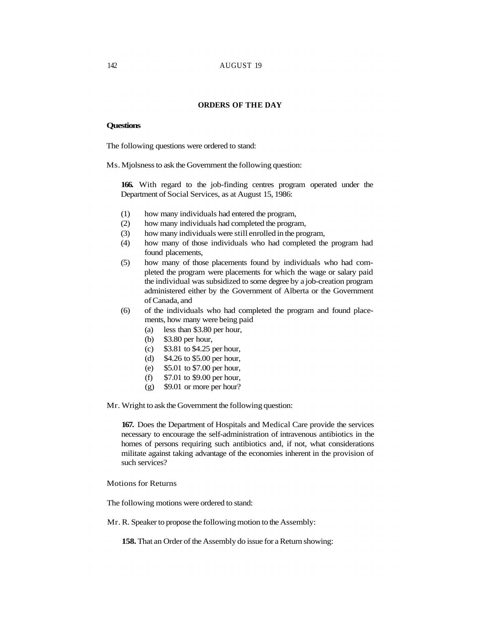## **ORDERS OF THE DAY**

# **Questions**

The following questions were ordered to stand:

Ms. Mjolsness to ask the Government the following question:

**166.** With regard to the job-finding centres program operated under the Department of Social Services, as at August 15, 1986:

- (1) how many individuals had entered the program,
- (2) how many individuals had completed the program,
- (3) how many individuals were still enrolled in the program,
- (4) how many of those individuals who had completed the program had found placements,
- (5) how many of those placements found by individuals who had completed the program were placements for which the wage or salary paid the individual was subsidized to some degree by a job-creation program administered either by the Government of Alberta or the Government of Canada, and
- (6) of the individuals who had completed the program and found placements, how many were being paid
	- (a) less than \$3.80 per hour,
	- (b) \$3.80 per hour,
	- (c) \$3.81 to \$4.25 per hour,
	- (d) \$4.26 to \$5.00 per hour,
	- (e) \$5.01 to \$7.00 per hour,
	- (f) \$7.01 to \$9.00 per hour,
	- (g) \$9.01 or more per hour?

Mr. Wright to ask the Government the following question:

**167.** Does the Department of Hospitals and Medical Care provide the services necessary to encourage the self-administration of intravenous antibiotics in the homes of persons requiring such antibiotics and, if not, what considerations militate against taking advantage of the economies inherent in the provision of such services?

Motions for Returns

The following motions were ordered to stand:

Mr. R. Speaker to propose the following motion to the Assembly:

**158.** That an Order of the Assembly do issue for a Return showing: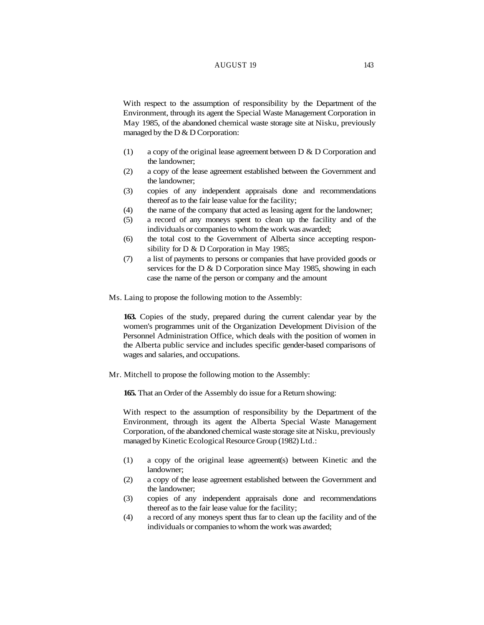## AUGUST 19 143

With respect to the assumption of responsibility by the Department of the Environment, through its agent the Special Waste Management Corporation in May 1985, of the abandoned chemical waste storage site at Nisku, previously managed by the  $D & D$  Corporation:

- (1) a copy of the original lease agreement between D & D Corporation and the landowner;
- (2) a copy of the lease agreement established between the Government and the landowner;
- (3) copies of any independent appraisals done and recommendations thereof as to the fair lease value for the facility;
- (4) the name of the company that acted as leasing agent for the landowner;
- (5) a record of any moneys spent to clean up the facility and of the individuals or companies to whom the work was awarded;
- (6) the total cost to the Government of Alberta since accepting responsibility for D & D Corporation in May 1985;
- (7) a list of payments to persons or companies that have provided goods or services for the D & D Corporation since May 1985, showing in each case the name of the person or company and the amount
- Ms. Laing to propose the following motion to the Assembly:

**163.** Copies of the study, prepared during the current calendar year by the women's programmes unit of the Organization Development Division of the Personnel Administration Office, which deals with the position of women in the Alberta public service and includes specific gender-based comparisons of wages and salaries, and occupations.

Mr. Mitchell to propose the following motion to the Assembly:

**165.** That an Order of the Assembly do issue for a Return showing:

With respect to the assumption of responsibility by the Department of the Environment, through its agent the Alberta Special Waste Management Corporation, of the abandoned chemical waste storage site at Nisku, previously managed by Kinetic Ecological Resource Group (1982) Ltd.:

- (1) a copy of the original lease agreement(s) between Kinetic and the landowner;
- (2) a copy of the lease agreement established between the Government and the landowner;
- (3) copies of any independent appraisals done and recommendations thereof as to the fair lease value for the facility;
- (4) a record of any moneys spent thus far to clean up the facility and of the individuals or companies to whom the work was awarded;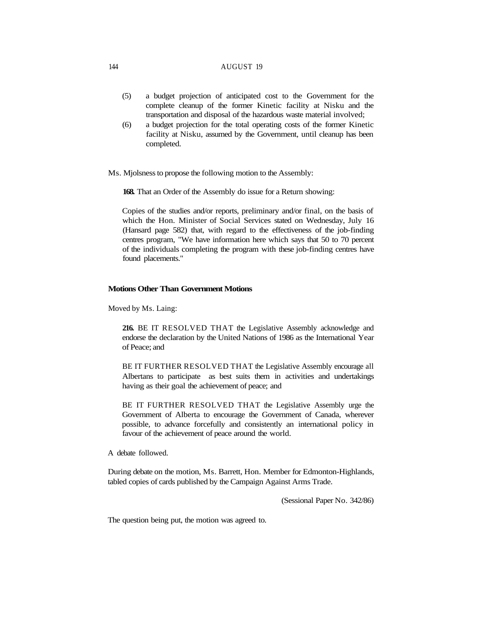- (5) a budget projection of anticipated cost to the Government for the complete cleanup of the former Kinetic facility at Nisku and the transportation and disposal of the hazardous waste material involved;
- (6) a budget projection for the total operating costs of the former Kinetic facility at Nisku, assumed by the Government, until cleanup has been completed.
- Ms. Mjolsness to propose the following motion to the Assembly:

**168.** That an Order of the Assembly do issue for a Return showing:

Copies of the studies and/or reports, preliminary and/or final, on the basis of which the Hon. Minister of Social Services stated on Wednesday, July 16 (Hansard page 582) that, with regard to the effectiveness of the job-finding centres program, "We have information here which says that 50 to 70 percent of the individuals completing the program with these job-finding centres have found placements."

#### **Motions Other Than Government Motions**

Moved by Ms. Laing:

**216.** BE IT RESOLVED THAT the Legislative Assembly acknowledge and endorse the declaration by the United Nations of 1986 as the International Year of Peace; and

BE IT FURTHER RESOLVED THAT the Legislative Assembly encourage all Albertans to participate as best suits them in activities and undertakings having as their goal the achievement of peace; and

BE IT FURTHER RESOLVED THAT the Legislative Assembly urge the Government of Alberta to encourage the Government of Canada, wherever possible, to advance forcefully and consistently an international policy in favour of the achievement of peace around the world.

# A debate followed.

During debate on the motion, Ms. Barrett, Hon. Member for Edmonton-Highlands, tabled copies of cards published by the Campaign Against Arms Trade.

(Sessional Paper No. 342/86)

The question being put, the motion was agreed to.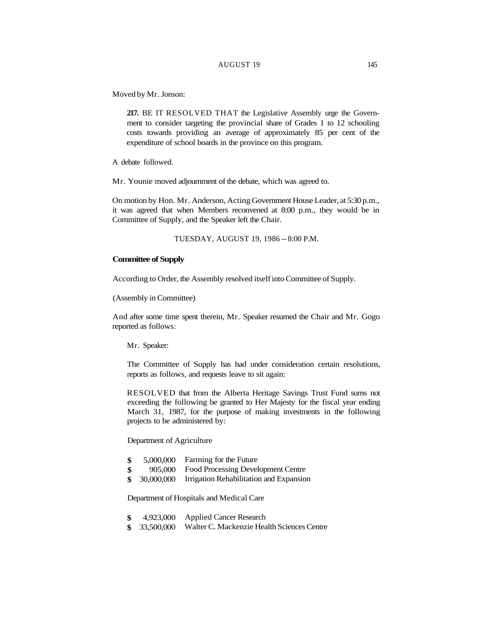## AUGUST 19 145

Moved by Mr. Jonson:

**217.** BE IT RESOLVED THAT the Legislative Assembly urge the Government to consider targeting the provincial share of Grades 1 to 12 schooling costs towards providing an average of approximately 85 per cent of the expenditure of school boards in the province on this program.

A debate followed.

Mr. Younie moved adjournment of the debate, which was agreed to.

On motion by Hon. Mr. Anderson, Acting Government House Leader, at 5:30 p.m., it was agreed that when Members reconvened at 8:00 p.m., they would be in Committee of Supply, and the Speaker left the Chair.

TUESDAY, AUGUST 19, 1986 -- 8:00 P.M.

## **Committee of Supply**

According to Order, the Assembly resolved itself into Committee of Supply.

(Assembly in Committee)

And after some time spent therein, Mr. Speaker resumed the Chair and Mr. Gogo reported as follows:

Mr. Speaker:

The Committee of Supply has had under consideration certain resolutions, reports as follows, and requests leave to sit again:

RESOLVED that from the Alberta Heritage Savings Trust Fund sums not exceeding the following be granted to Her Majesty for the fiscal year ending March 31, 1987, for the purpose of making investments in the following projects to be administered by:

Department of Agriculture

| -\$ | 5,000,000 | Farming for the Future |
|-----|-----------|------------------------|
|-----|-----------|------------------------|

- **\$**  905,000 Food Processing Development Centre
- **\$**  30,000,000 Irrigation Rehabilitation and Expansion

Department of Hospitals and Medical Care

- **\$**  4,923,000 Applied Cancer Research
- **\$**  33,500,000 Walter C. Mackenzie Health Sciences Centre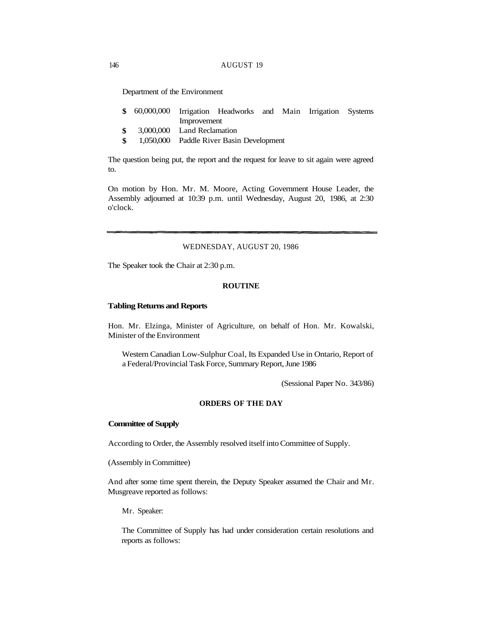Department of the Environment

- **\$** 60,000,000 Irrigation Headworks and Main Irrigation Systems Improvement
- **\$** 3,000,000 Land Reclamation
- **\$** 1,050,000 Paddle River Basin Development

The question being put, the report and the request for leave to sit again were agreed to.

On motion by Hon. Mr. M. Moore, Acting Government House Leader, the Assembly adjourned at 10:39 p.m. until Wednesday, August 20, 1986, at 2:30 o'clock.

## WEDNESDAY, AUGUST 20, 1986

The Speaker took the Chair at 2:30 p.m.

## **ROUTINE**

#### **Tabling Returns and Reports**

Hon. Mr. Elzinga, Minister of Agriculture, on behalf of Hon. Mr. Kowalski, Minister of the Environment

Western Canadian Low-Sulphur Coal, Its Expanded Use in Ontario, Report of a Federal/Provincial Task Force, Summary Report, June 1986

(Sessional Paper No. 343/86)

# **ORDERS OF THE DAY**

### **Committee of Supply**

According to Order, the Assembly resolved itself into Committee of Supply.

(Assembly in Committee)

And after some time spent therein, the Deputy Speaker assumed the Chair and Mr. Musgreave reported as follows:

Mr. Speaker:

The Committee of Supply has had under consideration certain resolutions and reports as follows: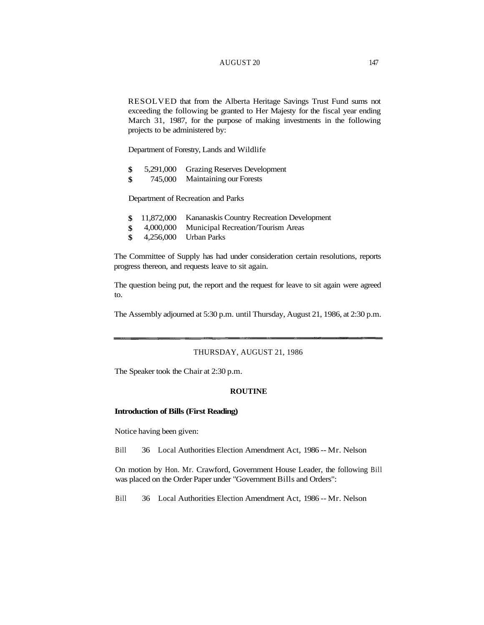#### AUGUST 20 147

RESOLVED that from the Alberta Heritage Savings Trust Fund sums not exceeding the following be granted to Her Majesty for the fiscal year ending March 31, 1987, for the purpose of making investments in the following projects to be administered by:

Department of Forestry, Lands and Wildlife

- **\$** 5,291,000 Grazing Reserves Development
- **\$** 745,000 Maintaining our Forests

Department of Recreation and Parks

- **\$** 11,872,000 Kananaskis Country Recreation Development
- **\$** 4,000,000 Municipal Recreation/Tourism Areas
- **\$** 4,256,000 Urban Parks

The Committee of Supply has had under consideration certain resolutions, reports progress thereon, and requests leave to sit again.

The question being put, the report and the request for leave to sit again were agreed to.

The Assembly adjourned at 5:30 p.m. until Thursday, August 21, 1986, at 2:30 p.m.

# THURSDAY, AUGUST 21, 1986

The Speaker took the Chair at 2:30 p.m.

## **ROUTINE**

#### **Introduction of Bills (First Reading)**

Notice having been given:

Bill 36 Local Authorities Election Amendment Act, 1986 -- Mr. Nelson

On motion by Hon. Mr. Crawford, Government House Leader, the following Bill was placed on the Order Paper under "Government Bills and Orders":

Bill 36 Local Authorities Election Amendment Act, 1986 -- Mr. Nelson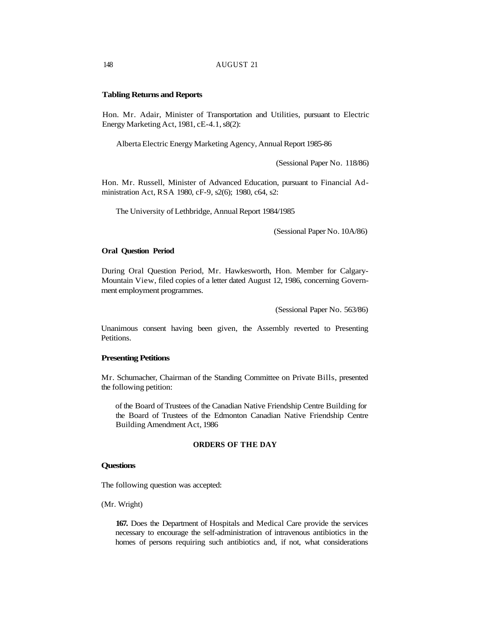#### **Tabling Returns and Reports**

Hon. Mr. Adair, Minister of Transportation and Utilities, pursuant to Electric Energy Marketing Act, 1981, cE-4.1, s8(2):

Alberta Electric Energy Marketing Agency, Annual Report 1985-86

(Sessional Paper No. 118/86)

Hon. Mr. Russell, Minister of Advanced Education, pursuant to Financial Administration Act, RSA 1980, cF-9, s2(6); 1980, c64, s2:

The University of Lethbridge, Annual Report 1984/1985

(Sessional Paper No. 10A/86)

#### **Oral Question Period**

During Oral Question Period, Mr. Hawkesworth, Hon. Member for Calgary-Mountain View, filed copies of a letter dated August 12, 1986, concerning Government employment programmes.

(Sessional Paper No. 563/86)

Unanimous consent having been given, the Assembly reverted to Presenting Petitions.

#### **Presenting Petitions**

Mr. Schumacher, Chairman of the Standing Committee on Private Bills, presented the following petition:

of the Board of Trustees of the Canadian Native Friendship Centre Building for the Board of Trustees of the Edmonton Canadian Native Friendship Centre Building Amendment Act, 1986

## **ORDERS OF THE DAY**

# **Questions**

The following question was accepted:

(Mr. Wright)

**167.** Does the Department of Hospitals and Medical Care provide the services necessary to encourage the self-administration of intravenous antibiotics in the homes of persons requiring such antibiotics and, if not, what considerations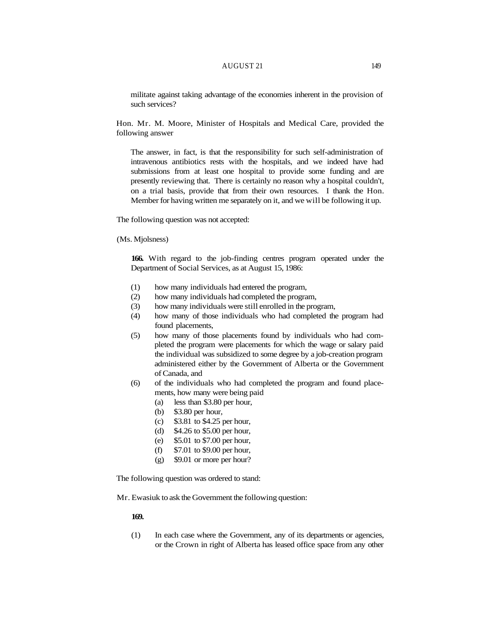## AUGUST 21 149

militate against taking advantage of the economies inherent in the provision of such services?

Hon. Mr. M. Moore, Minister of Hospitals and Medical Care, provided the following answer

The answer, in fact, is that the responsibility for such self-administration of intravenous antibiotics rests with the hospitals, and we indeed have had submissions from at least one hospital to provide some funding and are presently reviewing that. There is certainly no reason why a hospital couldn't, on a trial basis, provide that from their own resources. I thank the Hon. Member for having written me separately on it, and we will be following it up.

The following question was not accepted:

(Ms. Mjolsness)

**166.** With regard to the job-finding centres program operated under the Department of Social Services, as at August 15, 1986:

- (1) how many individuals had entered the program,
- (2) how many individuals had completed the program,
- (3) how many individuals were still enrolled in the program,
- (4) how many of those individuals who had completed the program had found placements,
- (5) how many of those placements found by individuals who had completed the program were placements for which the wage or salary paid the individual was subsidized to some degree by a job-creation program administered either by the Government of Alberta or the Government of Canada, and
- (6) of the individuals who had completed the program and found placements, how many were being paid
	- (a) less than \$3.80 per hour,
	- (b) \$3.80 per hour,
	- (c) \$3.81 to \$4.25 per hour,
	- (d) \$4.26 to \$5.00 per hour,
	- (e) \$5.01 to \$7.00 per hour,
	- (f) \$7.01 to \$9.00 per hour,
	- (g) \$9.01 or more per hour?

The following question was ordered to stand:

Mr. Ewasiuk to ask the Government the following question:

#### **169.**

(1) In each case where the Government, any of its departments or agencies, or the Crown in right of Alberta has leased office space from any other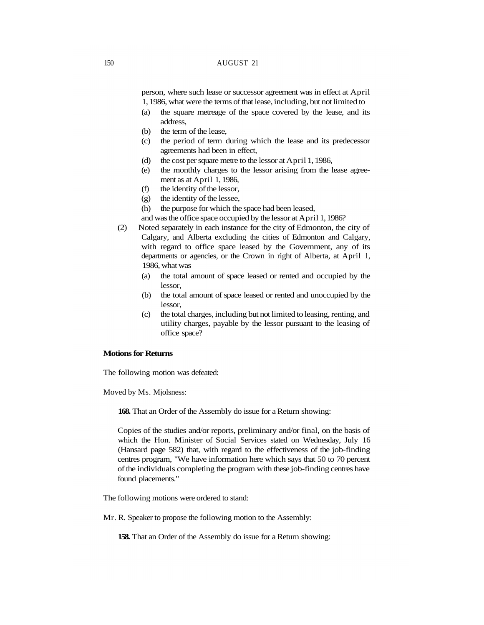person, where such lease or successor agreement was in effect at April 1, 1986, what were the terms of that lease, including, but not limited to

- (a) the square metreage of the space covered by the lease, and its address,
- (b) the term of the lease,
- (c) the period of term during which the lease and its predecessor agreements had been in effect,
- (d) the cost per square metre to the lessor at April 1, 1986,
- (e) the monthly charges to the lessor arising from the lease agreement as at April 1, 1986,
- (f) the identity of the lessor,
- (g) the identity of the lessee,
- (h) the purpose for which the space had been leased,
- and was the office space occupied by the lessor at April 1, 1986?
- (2) Noted separately in each instance for the city of Edmonton, the city of Calgary, and Alberta excluding the cities of Edmonton and Calgary, with regard to office space leased by the Government, any of its departments or agencies, or the Crown in right of Alberta, at April 1, 1986, what was
	- (a) the total amount of space leased or rented and occupied by the lessor,
	- (b) the total amount of space leased or rented and unoccupied by the lessor,
	- (c) the total charges, including but not limited to leasing, renting, and utility charges, payable by the lessor pursuant to the leasing of office space?

### **Motions for Returns**

The following motion was defeated:

Moved by Ms. Mjolsness:

**168.** That an Order of the Assembly do issue for a Return showing:

Copies of the studies and/or reports, preliminary and/or final, on the basis of which the Hon. Minister of Social Services stated on Wednesday, July 16 (Hansard page 582) that, with regard to the effectiveness of the job-finding centres program, "We have information here which says that 50 to 70 percent of the individuals completing the program with these job-finding centres have found placements."

The following motions were ordered to stand:

Mr. R. Speaker to propose the following motion to the Assembly:

**158.** That an Order of the Assembly do issue for a Return showing: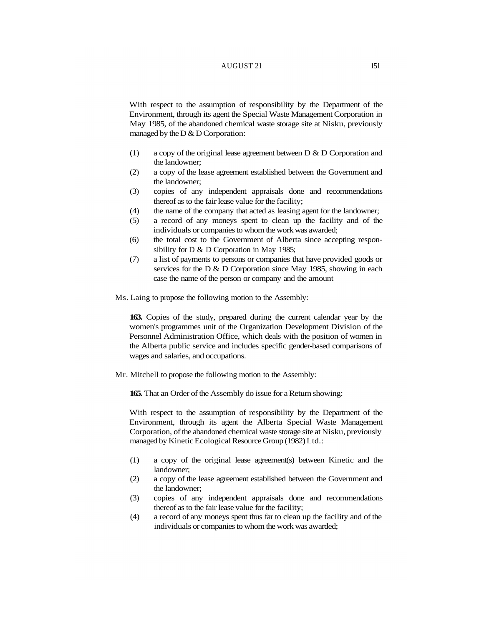# AUGUST 21 151

With respect to the assumption of responsibility by the Department of the Environment, through its agent the Special Waste Management Corporation in May 1985, of the abandoned chemical waste storage site at Nisku, previously managed by the  $D & D$  Corporation:

- (1) a copy of the original lease agreement between D & D Corporation and the landowner;
- (2) a copy of the lease agreement established between the Government and the landowner;
- (3) copies of any independent appraisals done and recommendations thereof as to the fair lease value for the facility;
- (4) the name of the company that acted as leasing agent for the landowner;
- (5) a record of any moneys spent to clean up the facility and of the individuals or companies to whom the work was awarded;
- (6) the total cost to the Government of Alberta since accepting responsibility for D & D Corporation in May 1985;
- (7) a list of payments to persons or companies that have provided goods or services for the D & D Corporation since May 1985, showing in each case the name of the person or company and the amount
- Ms. Laing to propose the following motion to the Assembly:

**163.** Copies of the study, prepared during the current calendar year by the women's programmes unit of the Organization Development Division of the Personnel Administration Office, which deals with the position of women in the Alberta public service and includes specific gender-based comparisons of wages and salaries, and occupations.

Mr. Mitchell to propose the following motion to the Assembly:

**165.** That an Order of the Assembly do issue for a Return showing:

With respect to the assumption of responsibility by the Department of the Environment, through its agent the Alberta Special Waste Management Corporation, of the abandoned chemical waste storage site at Nisku, previously managed by Kinetic Ecological Resource Group (1982) Ltd.:

- (1) a copy of the original lease agreement(s) between Kinetic and the landowner;
- (2) a copy of the lease agreement established between the Government and the landowner;
- (3) copies of any independent appraisals done and recommendations thereof as to the fair lease value for the facility;
- (4) a record of any moneys spent thus far to clean up the facility and of the individuals or companies to whom the work was awarded;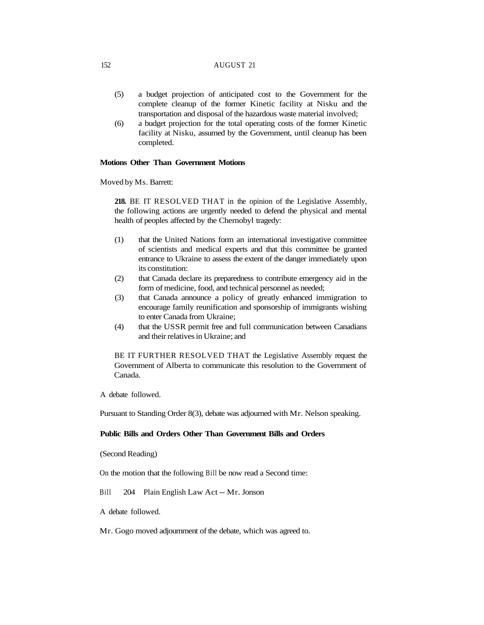- (5) a budget projection of anticipated cost to the Government for the complete cleanup of the former Kinetic facility at Nisku and the transportation and disposal of the hazardous waste material involved;
- (6) a budget projection for the total operating costs of the former Kinetic facility at Nisku, assumed by the Government, until cleanup has been completed.

#### **Motions Other Than Government Motions**

Moved by Ms. Barrett:

**218.** BE IT RESOLVED THAT in the opinion of the Legislative Assembly, the following actions are urgently needed to defend the physical and mental health of peoples affected by the Chernobyl tragedy:

- (1) that the United Nations form an international investigative committee of scientists and medical experts and that this committee be granted entrance to Ukraine to assess the extent of the danger immediately upon its constitution:
- (2) that Canada declare its preparedness to contribute emergency aid in the form of medicine, food, and technical personnel as needed;
- (3) that Canada announce a policy of greatly enhanced immigration to encourage family reunification and sponsorship of immigrants wishing to enter Canada from Ukraine;
- (4) that the USSR permit free and full communication between Canadians and their relatives in Ukraine; and

BE IT FURTHER RESOLVED THAT the Legislative Assembly request the Government of Alberta to communicate this resolution to the Government of Canada.

A debate followed.

Pursuant to Standing Order 8(3), debate was adjourned with Mr. Nelson speaking.

## **Public Bills and Orders Other Than Government Bills and Orders**

(Second Reading)

On the motion that the following Bill be now read a Second time:

Bill 204 Plain English Law Act -- Mr. Jonson

A debate followed.

Mr. Gogo moved adjournment of the debate, which was agreed to.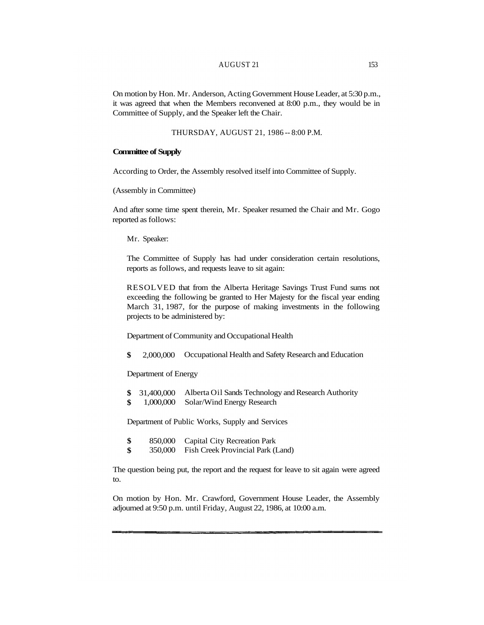# AUGUST 21 153

On motion by Hon. Mr. Anderson, Acting Government House Leader, at 5:30 p.m., it was agreed that when the Members reconvened at 8:00 p.m., they would be in Committee of Supply, and the Speaker left the Chair.

THURSDAY, AUGUST 21, 1986 -- 8:00 P.M.

### **Committee of Supply**

According to Order, the Assembly resolved itself into Committee of Supply.

(Assembly in Committee)

And after some time spent therein, Mr. Speaker resumed the Chair and Mr. Gogo reported as follows:

Mr. Speaker:

The Committee of Supply has had under consideration certain resolutions, reports as follows, and requests leave to sit again:

RESOLVED that from the Alberta Heritage Savings Trust Fund sums not exceeding the following be granted to Her Majesty for the fiscal year ending March 31, 1987, for the purpose of making investments in the following projects to be administered by:

Department of Community and Occupational Health

**\$** 2,000,000 Occupational Health and Safety Research and Education

Department of Energy

- **\$** 31,400,000 Alberta Oil Sands Technology and Research Authority
- **\$** 1,000,000 Solar/Wind Energy Research

Department of Public Works, Supply and Services

- **\$** 850,000 Capital City Recreation Park
- **\$** 350,000 Fish Creek Provincial Park (Land)

The question being put, the report and the request for leave to sit again were agreed to.

On motion by Hon. Mr. Crawford, Government House Leader, the Assembly adjourned at 9:50 p.m. until Friday, August 22, 1986, at 10:00 a.m.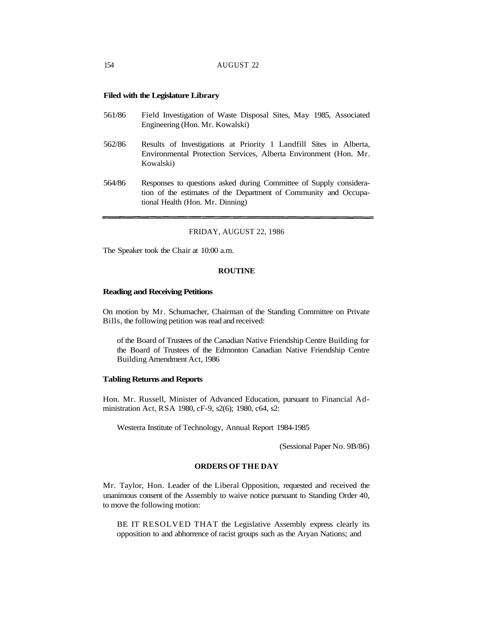### **Filed with the Legislature Library**

- 561/86 Field Investigation of Waste Disposal Sites, May 1985, Associated Engineering (Hon. Mr. Kowalski)
- 562/86 Results of Investigations at Priority 1 Landfill Sites in Alberta, Environmental Protection Services, Alberta Environment (Hon. Mr. Kowalski)
- 564/86 Responses to questions asked during Committee of Supply consideration of the estimates of the Department of Community and Occupational Health (Hon. Mr. Dinning)

#### FRIDAY, AUGUST 22, 1986

The Speaker took the Chair at 10:00 a.m.

#### **ROUTINE**

#### **Reading and Receiving Petitions**

On motion by Mr. Schumacher, Chairman of the Standing Committee on Private Bills, the following petition was read and received:

of the Board of Trustees of the Canadian Native Friendship Centre Building for the Board of Trustees of the Edmonton Canadian Native Friendship Centre Building Amendment Act, 1986

#### **Tabling Returns and Reports**

Hon. Mr. Russell, Minister of Advanced Education, pursuant to Financial Administration Act, RSA 1980, cF-9, s2(6); 1980, c64, s2:

Westerra Institute of Technology, Annual Report 1984-1985

(Sessional Paper No. 9B/86)

## **ORDERS OF THE DAY**

Mr. Taylor, Hon. Leader of the Liberal Opposition, requested and received the unanimous consent of the Assembly to waive notice pursuant to Standing Order 40, to move the following motion:

BE IT RESOLVED THAT the Legislative Assembly express clearly its opposition to and abhorrence of racist groups such as the Aryan Nations; and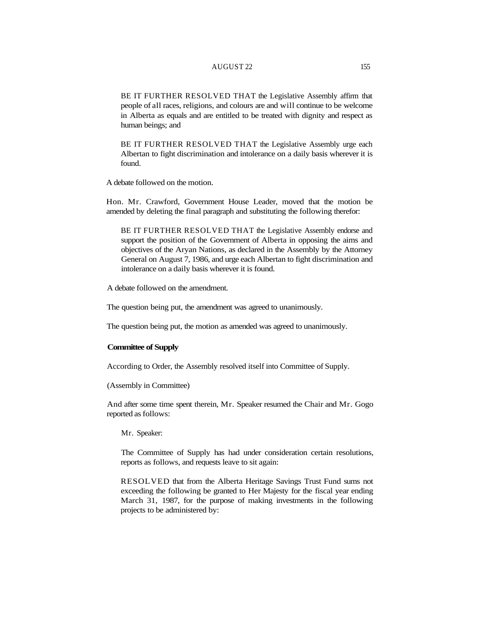#### AUGUST 22 155

BE IT FURTHER RESOLVED THAT the Legislative Assembly affirm that people of all races, religions, and colours are and will continue to be welcome in Alberta as equals and are entitled to be treated with dignity and respect as human beings; and

BE IT FURTHER RESOLVED THAT the Legislative Assembly urge each Albertan to fight discrimination and intolerance on a daily basis wherever it is found.

A debate followed on the motion.

Hon. Mr. Crawford, Government House Leader, moved that the motion be amended by deleting the final paragraph and substituting the following therefor:

BE IT FURTHER RESOLVED THAT the Legislative Assembly endorse and support the position of the Government of Alberta in opposing the aims and objectives of the Aryan Nations, as declared in the Assembly by the Attorney General on August 7, 1986, and urge each Albertan to fight discrimination and intolerance on a daily basis wherever it is found.

A debate followed on the amendment.

The question being put, the amendment was agreed to unanimously.

The question being put, the motion as amended was agreed to unanimously.

### **Committee of Supply**

According to Order, the Assembly resolved itself into Committee of Supply.

(Assembly in Committee)

And after some time spent therein, Mr. Speaker resumed the Chair and Mr. Gogo reported as follows:

Mr. Speaker:

The Committee of Supply has had under consideration certain resolutions, reports as follows, and requests leave to sit again:

RESOLVED that from the Alberta Heritage Savings Trust Fund sums not exceeding the following be granted to Her Majesty for the fiscal year ending March 31, 1987, for the purpose of making investments in the following projects to be administered by: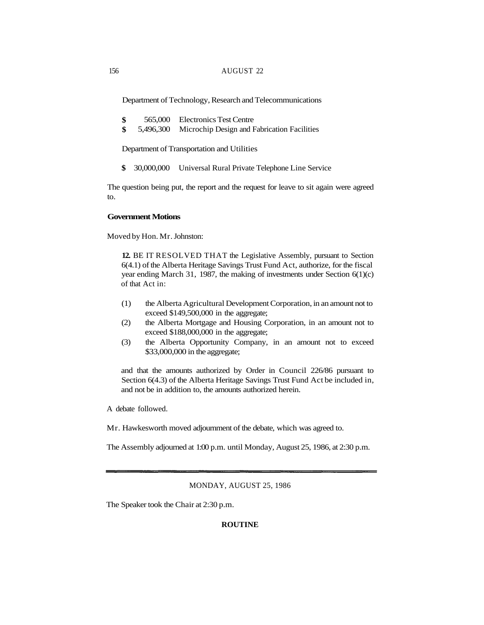Department of Technology, Research and Telecommunications

| \$       | 565,000 Electronics Test Centre |  |
|----------|---------------------------------|--|
| $     -$ |                                 |  |

**\$** 5,496,300 Microchip Design and Fabrication Facilities

Department of Transportation and Utilities

**\$** 30,000,000 Universal Rural Private Telephone Line Service

The question being put, the report and the request for leave to sit again were agreed to.

# **Government Motions**

Moved by Hon. Mr. Johnston:

**12.** BE IT RESOLVED THAT the Legislative Assembly, pursuant to Section 6(4.1) of the Alberta Heritage Savings Trust Fund Act, authorize, for the fiscal year ending March 31, 1987, the making of investments under Section 6(1)(c) of that Act in:

- (1) the Alberta Agricultural Development Corporation, in an amount not to exceed \$149,500,000 in the aggregate;
- (2) the Alberta Mortgage and Housing Corporation, in an amount not to exceed \$188,000,000 in the aggregate;
- (3) the Alberta Opportunity Company, in an amount not to exceed \$33,000,000 in the aggregate;

and that the amounts authorized by Order in Council 226/86 pursuant to Section 6(4.3) of the Alberta Heritage Savings Trust Fund Act be included in, and not be in addition to, the amounts authorized herein.

A debate followed.

Mr. Hawkesworth moved adjournment of the debate, which was agreed to.

The Assembly adjourned at 1:00 p.m. until Monday, August 25, 1986, at 2:30 p.m.

#### MONDAY, AUGUST 25, 1986

The Speaker took the Chair at 2:30 p.m.

# **ROUTINE**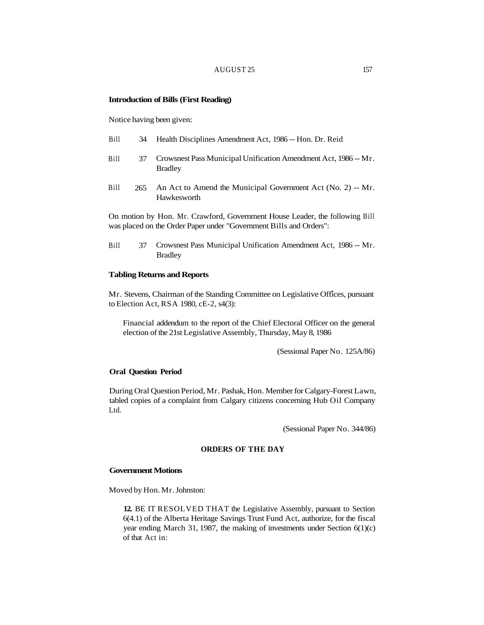## AUGUST 25 157

#### **Introduction of Bills (First Reading)**

Notice having been given:

- Bill 34 Health Disciplines Amendment Act, 1986 -- Hon. Dr. Reid
- Bill 37 Crowsnest Pass Municipal Unification Amendment Act, 1986 -- Mr. Bradley
- Bill 265 An Act to Amend the Municipal Government Act (No. 2) -- Mr. Hawkesworth

On motion by Hon. Mr. Crawford, Government House Leader, the following Bill was placed on the Order Paper under "Government Bills and Orders":

Bill 37 Crowsnest Pass Municipal Unification Amendment Act, 1986 -- Mr. Bradley

### **Tabling Returns and Reports**

Mr. Stevens, Chairman of the Standing Committee on Legislative Offices, pursuant to Election Act, RSA 1980, cE-2, s4(3):

Financial addendum to the report of the Chief Electoral Officer on the general election of the 21st Legislative Assembly, Thursday, May 8, 1986

(Sessional Paper No. 125A/86)

### **Oral Question Period**

During Oral Question Period, Mr. Pashak, Hon. Member for Calgary-Forest Lawn, tabled copies of a complaint from Calgary citizens concerning Hub Oil Company Ltd.

(Sessional Paper No. 344/86)

## **ORDERS OF THE DAY**

#### **Government Motions**

Moved by Hon. Mr. Johnston:

**12.** BE IT RESOLVED THAT the Legislative Assembly, pursuant to Section 6(4.1) of the Alberta Heritage Savings Trust Fund Act, authorize, for the fiscal year ending March 31, 1987, the making of investments under Section 6(1)(c) of that Act in: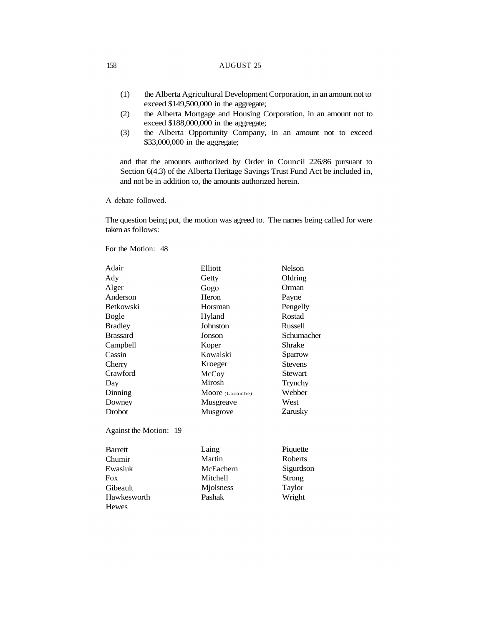- (1) the Alberta Agricultural Development Corporation, in an amount not to exceed \$149,500,000 in the aggregate;
- (2) the Alberta Mortgage and Housing Corporation, in an amount not to exceed \$188,000,000 in the aggregate;
- (3) the Alberta Opportunity Company, in an amount not to exceed \$33,000,000 in the aggregate;

and that the amounts authorized by Order in Council 226/86 pursuant to Section 6(4.3) of the Alberta Heritage Savings Trust Fund Act be included in, and not be in addition to, the amounts authorized herein.

A debate followed.

The question being put, the motion was agreed to. The names being called for were taken as follows:

For the Motion: 48

**Hewes** 

| Adair                  | Elliott         | <b>Nelson</b>  |
|------------------------|-----------------|----------------|
| Ady                    | Getty           | Oldring        |
| Alger                  | Gogo            | Orman          |
| Anderson               | Heron           | Payne          |
| <b>Betkowski</b>       | Horsman         | Pengelly       |
| Bogle                  | Hyland          | Rostad         |
| <b>Bradley</b>         | Johnston        | Russell        |
| <b>Brassard</b>        | Jonson          | Schumacher     |
| Campbell               | Koper           | Shrake         |
| Cassin                 | Kowalski        | Sparrow        |
| Cherry                 | Kroeger         | <b>Stevens</b> |
| Crawford               | McCoy           | <b>Stewart</b> |
| Day                    | Mirosh          | Trynchy        |
| Dinning                | Moore (Lacombe) | Webber         |
| Downey                 | Musgreave       | West           |
| <b>Drobot</b>          | Musgrove        | Zarusky        |
| Against the Motion: 19 |                 |                |
| <b>Barrett</b>         | Laing           | Piquette       |
| Chumir                 | Martin          | Roberts        |
| Ewasiuk                | McEachern       | Sigurdson      |
| <b>Fox</b>             | Mitchell        | Strong         |
| Gibeault               | Miolsness       | Taylor         |
| Hawkesworth            | Pashak          | Wright         |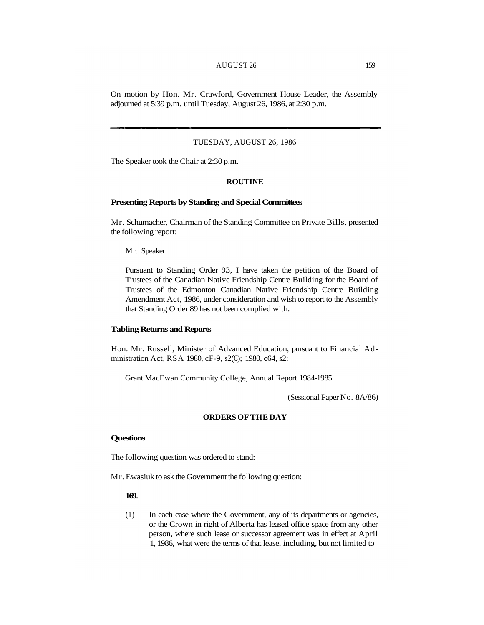## AUGUST 26 159

On motion by Hon. Mr. Crawford, Government House Leader, the Assembly adjourned at 5:39 p.m. until Tuesday, August 26, 1986, at 2:30 p.m.

### TUESDAY, AUGUST 26, 1986

The Speaker took the Chair at 2:30 p.m.

## **ROUTINE**

#### **Presenting Reports by Standing and Special Committees**

Mr. Schumacher, Chairman of the Standing Committee on Private Bills, presented the following report:

Mr. Speaker:

Pursuant to Standing Order 93, I have taken the petition of the Board of Trustees of the Canadian Native Friendship Centre Building for the Board of Trustees of the Edmonton Canadian Native Friendship Centre Building Amendment Act, 1986, under consideration and wish to report to the Assembly that Standing Order 89 has not been complied with.

## **Tabling Returns and Reports**

Hon. Mr. Russell, Minister of Advanced Education, pursuant to Financial Administration Act, RSA 1980, cF-9, s2(6); 1980, c64, s2:

Grant MacEwan Community College, Annual Report 1984-1985

(Sessional Paper No. 8A/86)

# **ORDERS OF THE DAY**

# **Questions**

The following question was ordered to stand:

Mr. Ewasiuk to ask the Government the following question:

## **169.**

(1) In each case where the Government, any of its departments or agencies, or the Crown in right of Alberta has leased office space from any other person, where such lease or successor agreement was in effect at April 1, 1986, what were the terms of that lease, including, but not limited to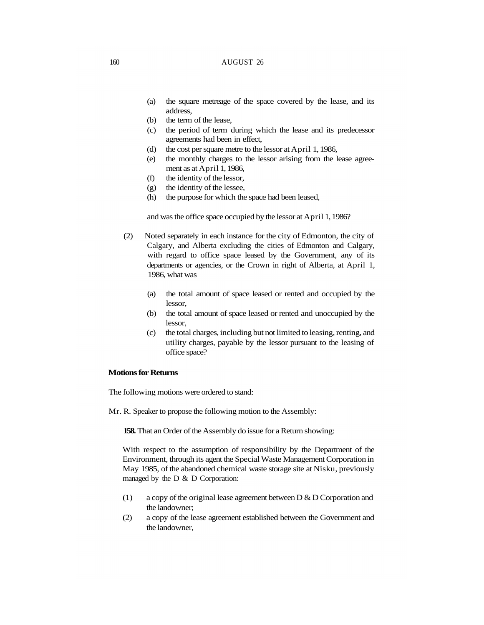- (a) the square metreage of the space covered by the lease, and its address,
- (b) the term of the lease,
- (c) the period of term during which the lease and its predecessor agreements had been in effect,
- (d) the cost per square metre to the lessor at April 1, 1986,
- (e) the monthly charges to the lessor arising from the lease agreement as at April 1, 1986,
- (f) the identity of the lessor,
- (g) the identity of the lessee,
- (h) the purpose for which the space had been leased,

and was the office space occupied by the lessor at April 1, 1986?

- (2) Noted separately in each instance for the city of Edmonton, the city of Calgary, and Alberta excluding the cities of Edmonton and Calgary, with regard to office space leased by the Government, any of its departments or agencies, or the Crown in right of Alberta, at April 1, 1986, what was
	- (a) the total amount of space leased or rented and occupied by the lessor,
	- (b) the total amount of space leased or rented and unoccupied by the lessor,
	- (c) the total charges, including but not limited to leasing, renting, and utility charges, payable by the lessor pursuant to the leasing of office space?

#### **Motions for Returns**

The following motions were ordered to stand:

Mr. R. Speaker to propose the following motion to the Assembly:

**158.** That an Order of the Assembly do issue for a Return showing:

With respect to the assumption of responsibility by the Department of the Environment, through its agent the Special Waste Management Corporation in May 1985, of the abandoned chemical waste storage site at Nisku, previously managed by the  $D & D$  Corporation:

- (1) a copy of the original lease agreement between D & D Corporation and the landowner;
- (2) a copy of the lease agreement established between the Government and the landowner,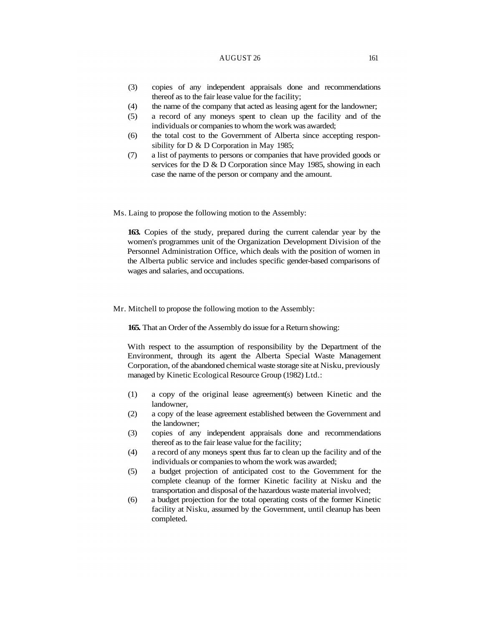#### AUGUST 26 161

- (3) copies of any independent appraisals done and recommendations thereof as to the fair lease value for the facility;
- (4) the name of the company that acted as leasing agent for the landowner;
- (5) a record of any moneys spent to clean up the facility and of the individuals or companies to whom the work was awarded;
- (6) the total cost to the Government of Alberta since accepting responsibility for D & D Corporation in May 1985;
- (7) a list of payments to persons or companies that have provided goods or services for the D & D Corporation since May 1985, showing in each case the name of the person or company and the amount.

Ms. Laing to propose the following motion to the Assembly:

**163.** Copies of the study, prepared during the current calendar year by the women's programmes unit of the Organization Development Division of the Personnel Administration Office, which deals with the position of women in the Alberta public service and includes specific gender-based comparisons of wages and salaries, and occupations.

Mr. Mitchell to propose the following motion to the Assembly:

**165.** That an Order of the Assembly do issue for a Return showing:

With respect to the assumption of responsibility by the Department of the Environment, through its agent the Alberta Special Waste Management Corporation, of the abandoned chemical waste storage site at Nisku, previously managed by Kinetic Ecological Resource Group (1982) Ltd.:

- (1) a copy of the original lease agreement(s) between Kinetic and the landowner,
- (2) a copy of the lease agreement established between the Government and the landowner;
- (3) copies of any independent appraisals done and recommendations thereof as to the fair lease value for the facility;
- (4) a record of any moneys spent thus far to clean up the facility and of the individuals or companies to whom the work was awarded;
- (5) a budget projection of anticipated cost to the Government for the complete cleanup of the former Kinetic facility at Nisku and the transportation and disposal of the hazardous waste material involved;
- (6) a budget projection for the total operating costs of the former Kinetic facility at Nisku, assumed by the Government, until cleanup has been completed.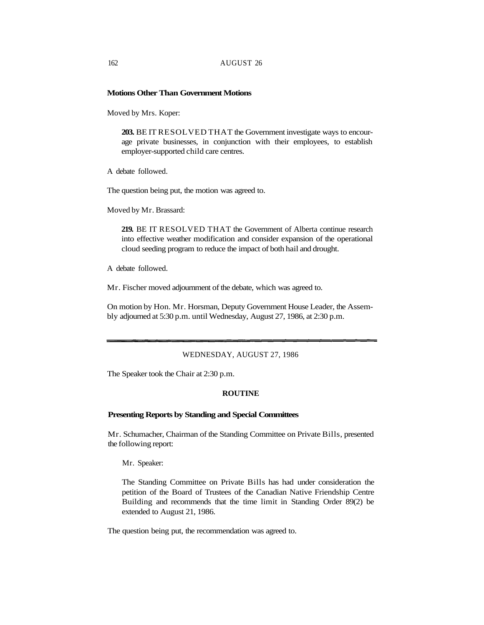### **Motions Other Than Government Motions**

Moved by Mrs. Koper:

**203.** BE IT RESOLVED THAT the Government investigate ways to encourage private businesses, in conjunction with their employees, to establish employer-supported child care centres.

A debate followed.

The question being put, the motion was agreed to.

Moved by Mr. Brassard:

**219.** BE IT RESOLVED THAT the Government of Alberta continue research into effective weather modification and consider expansion of the operational cloud seeding program to reduce the impact of both hail and drought.

A debate followed.

Mr. Fischer moved adjournment of the debate, which was agreed to.

On motion by Hon. Mr. Horsman, Deputy Government House Leader, the Assembly adjourned at 5:30 p.m. until Wednesday, August 27, 1986, at 2:30 p.m.

### WEDNESDAY, AUGUST 27, 1986

The Speaker took the Chair at 2:30 p.m.

#### **ROUTINE**

#### **Presenting Reports by Standing and Special Committees**

Mr. Schumacher, Chairman of the Standing Committee on Private Bills, presented the following report:

Mr. Speaker:

The Standing Committee on Private Bills has had under consideration the petition of the Board of Trustees of the Canadian Native Friendship Centre Building and recommends that the time limit in Standing Order 89(2) be extended to August 21, 1986.

The question being put, the recommendation was agreed to.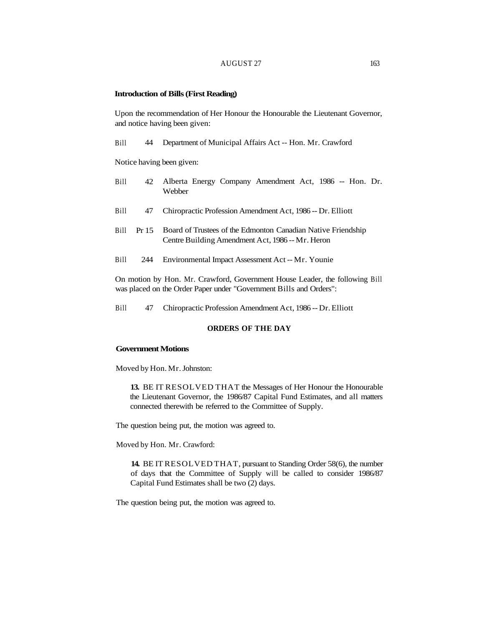#### AUGUST 27 163

#### **Introduction of Bills (First Reading)**

Upon the recommendation of Her Honour the Honourable the Lieutenant Governor, and notice having been given:

Bill 44 Department of Municipal Affairs Act -- Hon. Mr. Crawford

Notice having been given:

- Bill 42 Alberta Energy Company Amendment Act, 1986 -- Hon. Dr. Webber
- Bill 47 Chiropractic Profession Amendment Act, 1986 -- Dr. Elliott
- Bill Pr 15 Board of Trustees of the Edmonton Canadian Native Friendship Centre Building Amendment Act, 1986 -- Mr. Heron
- Bill 244 Environmental Impact Assessment Act -- Mr. Younie

On motion by Hon. Mr. Crawford, Government House Leader, the following Bill was placed on the Order Paper under "Government Bills and Orders":

Bill 47 Chiropractic Profession Amendment Act, 1986 -- Dr. Elliott

# **ORDERS OF THE DAY**

#### **Government Motions**

Moved by Hon. Mr. Johnston:

**13.** BE IT RESOLVED THAT the Messages of Her Honour the Honourable the Lieutenant Governor, the 1986/87 Capital Fund Estimates, and all matters connected therewith be referred to the Committee of Supply.

The question being put, the motion was agreed to.

Moved by Hon. Mr. Crawford:

**14.** BE IT RESOLVED THAT, pursuant to Standing Order 58(6), the number of days that the Committee of Supply will be called to consider 1986/87 Capital Fund Estimates shall be two (2) days.

The question being put, the motion was agreed to.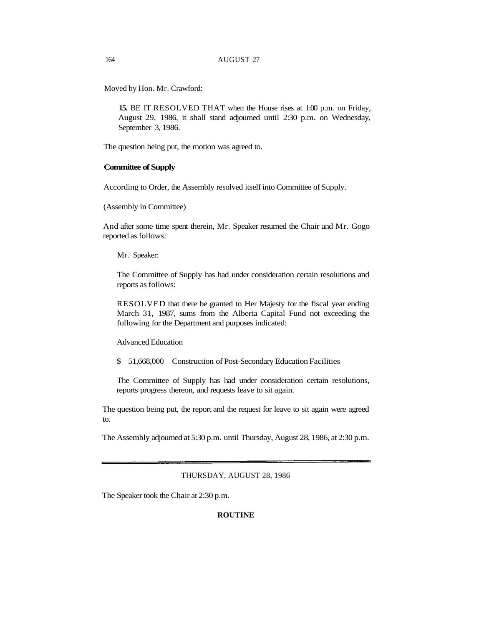Moved by Hon. Mr. Crawford:

**15.** BE IT RESOLVED THAT when the House rises at 1:00 p.m. on Friday, August 29, 1986, it shall stand adjourned until 2:30 p.m. on Wednesday, September 3, 1986.

The question being put, the motion was agreed to.

# **Committee of Supply**

According to Order, the Assembly resolved itself into Committee of Supply.

(Assembly in Committee)

And after some time spent therein, Mr. Speaker resumed the Chair and Mr. Gogo reported as follows:

Mr. Speaker:

The Committee of Supply has had under consideration certain resolutions and reports as follows:

RESOLVED that there be granted to Her Majesty for the fiscal year ending March 31, 1987, sums from the Alberta Capital Fund not exceeding the following for the Department and purposes indicated:

Advanced Education

\$ 51,668,000 Construction of Post-Secondary Education Facilities

The Committee of Supply has had under consideration certain resolutions, reports progress thereon, and requests leave to sit again.

The question being put, the report and the request for leave to sit again were agreed to.

The Assembly adjourned at 5:30 p.m. until Thursday, August 28, 1986, at 2:30 p.m.

THURSDAY, AUGUST 28, 1986

The Speaker took the Chair at 2:30 p.m.

#### **ROUTINE**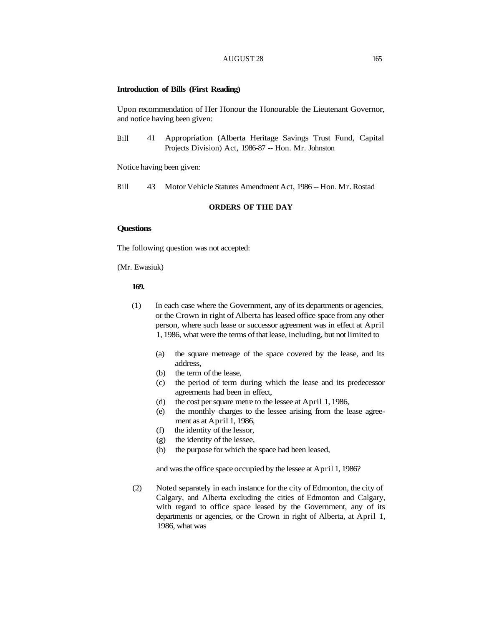### AUGUST 28 165

#### **Introduction of Bills (First Reading)**

Upon recommendation of Her Honour the Honourable the Lieutenant Governor, and notice having been given:

Bill 41 Appropriation (Alberta Heritage Savings Trust Fund, Capital Projects Division) Act, 1986-87 -- Hon. Mr. Johnston

Notice having been given:

Bill 43 Motor Vehicle Statutes Amendment Act, 1986 -- Hon. Mr. Rostad

## **ORDERS OF THE DAY**

### **Questions**

The following question was not accepted:

(Mr. Ewasiuk)

# **169.**

- (1) In each case where the Government, any of its departments or agencies, or the Crown in right of Alberta has leased office space from any other person, where such lease or successor agreement was in effect at April 1, 1986, what were the terms of that lease, including, but not limited to
	- (a) the square metreage of the space covered by the lease, and its address,
	- (b) the term of the lease,
	- (c) the period of term during which the lease and its predecessor agreements had been in effect,
	- (d) the cost per square metre to the lessee at April 1, 1986,
	- (e) the monthly charges to the lessee arising from the lease agreement as at April 1, 1986,
	- (f) the identity of the lessor,
	- (g) the identity of the lessee,
	- (h) the purpose for which the space had been leased,

and was the office space occupied by the lessee at April 1, 1986?

(2) Noted separately in each instance for the city of Edmonton, the city of Calgary, and Alberta excluding the cities of Edmonton and Calgary, with regard to office space leased by the Government, any of its departments or agencies, or the Crown in right of Alberta, at April 1, 1986, what was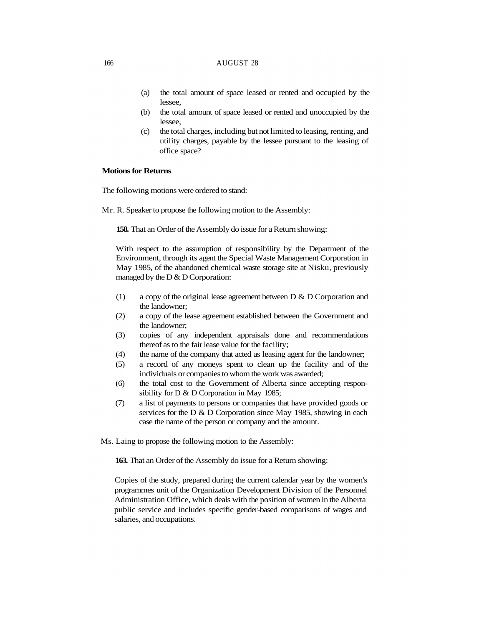- (a) the total amount of space leased or rented and occupied by the lessee,
- (b) the total amount of space leased or rented and unoccupied by the lessee,
- (c) the total charges, including but not limited to leasing, renting, and utility charges, payable by the lessee pursuant to the leasing of office space?

## **Motions for Returns**

The following motions were ordered to stand:

Mr. R. Speaker to propose the following motion to the Assembly:

**158.** That an Order of the Assembly do issue for a Return showing:

With respect to the assumption of responsibility by the Department of the Environment, through its agent the Special Waste Management Corporation in May 1985, of the abandoned chemical waste storage site at Nisku, previously managed by the D & D Corporation:

- (1) a copy of the original lease agreement between D & D Corporation and the landowner;
- (2) a copy of the lease agreement established between the Government and the landowner;
- (3) copies of any independent appraisals done and recommendations thereof as to the fair lease value for the facility;
- (4) the name of the company that acted as leasing agent for the landowner;
- (5) a record of any moneys spent to clean up the facility and of the individuals or companies to whom the work was awarded;
- (6) the total cost to the Government of Alberta since accepting responsibility for D & D Corporation in May 1985;
- (7) a list of payments to persons or companies that have provided goods or services for the D & D Corporation since May 1985, showing in each case the name of the person or company and the amount.

Ms. Laing to propose the following motion to the Assembly:

**163.** That an Order of the Assembly do issue for a Return showing:

Copies of the study, prepared during the current calendar year by the women's programmes unit of the Organization Development Division of the Personnel Administration Office, which deals with the position of women in the Alberta public service and includes specific gender-based comparisons of wages and salaries, and occupations.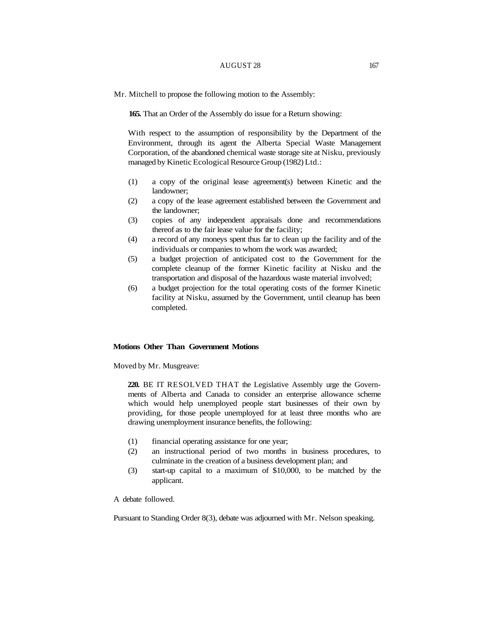## AUGUST 28 167

Mr. Mitchell to propose the following motion to the Assembly:

**165.** That an Order of the Assembly do issue for a Return showing:

With respect to the assumption of responsibility by the Department of the Environment, through its agent the Alberta Special Waste Management Corporation, of the abandoned chemical waste storage site at Nisku, previously managed by Kinetic Ecological Resource Group (1982) Ltd.:

- (1) a copy of the original lease agreement(s) between Kinetic and the landowner;
- (2) a copy of the lease agreement established between the Government and the landowner;
- (3) copies of any independent appraisals done and recommendations thereof as to the fair lease value for the facility;
- (4) a record of any moneys spent thus far to clean up the facility and of the individuals or companies to whom the work was awarded;
- (5) a budget projection of anticipated cost to the Government for the complete cleanup of the former Kinetic facility at Nisku and the transportation and disposal of the hazardous waste material involved;
- (6) a budget projection for the total operating costs of the former Kinetic facility at Nisku, assumed by the Government, until cleanup has been completed.

## **Motions Other Than Government Motions**

Moved by Mr. Musgreave:

**220.** BE IT RESOLVED THAT the Legislative Assembly urge the Governments of Alberta and Canada to consider an enterprise allowance scheme which would help unemployed people start businesses of their own by providing, for those people unemployed for at least three months who are drawing unemployment insurance benefits, the following:

- (1) financial operating assistance for one year;
- (2) an instructional period of two months in business procedures, to culminate in the creation of a business development plan; and
- (3) start-up capital to a maximum of \$10,000, to be matched by the applicant.

A debate followed.

Pursuant to Standing Order 8(3), debate was adjourned with Mr. Nelson speaking.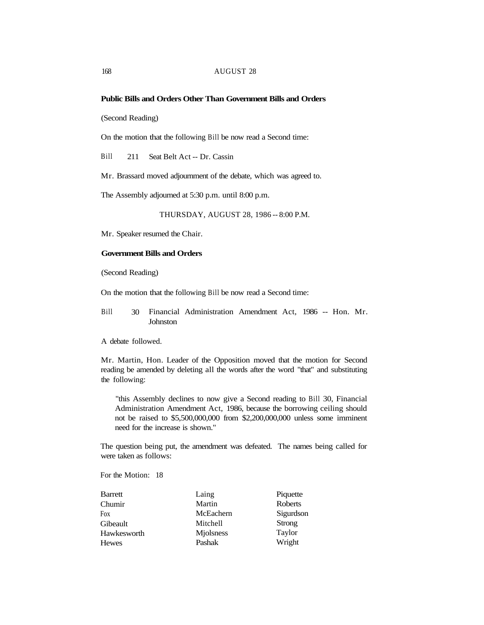# **Public Bills and Orders Other Than Government Bills and Orders**

(Second Reading)

On the motion that the following Bill be now read a Second time:

Bill 211 Seat Belt Act -- Dr. Cassin

Mr. Brassard moved adjournment of the debate, which was agreed to.

The Assembly adjourned at 5:30 p.m. until 8:00 p.m.

THURSDAY, AUGUST 28, 1986 -- 8:00 P.M.

Mr. Speaker resumed the Chair.

## **Government Bills and Orders**

(Second Reading)

On the motion that the following Bill be now read a Second time:

Bill 30 Financial Administration Amendment Act, 1986 -- Hon. Mr. **Johnston** 

A debate followed.

Mr. Martin, Hon. Leader of the Opposition moved that the motion for Second reading be amended by deleting all the words after the word "that" and substituting the following:

"this Assembly declines to now give a Second reading to Bill 30, Financial Administration Amendment Act, 1986, because the borrowing ceiling should not be raised to \$5,500,000,000 from \$2,200,000,000 unless some imminent need for the increase is shown."

The question being put, the amendment was defeated. The names being called for were taken as follows:

For the Motion: 18

| <b>Barrett</b> | Laing     | Piquette       |
|----------------|-----------|----------------|
| Chumir         | Martin    | <b>Roberts</b> |
| Fox            | McEachern | Sigurdson      |
| Gibeault       | Mitchell  | Strong         |
| Hawkesworth    | Miolsness | Taylor         |
| <b>Hewes</b>   | Pashak    | Wright         |
|                |           |                |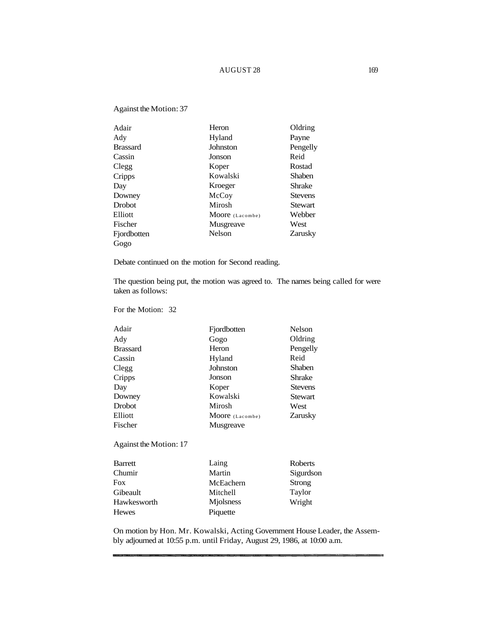# AUGUST 28 169

# Against the Motion: 37

| Adair           | Heron           | Oldring        |
|-----------------|-----------------|----------------|
| Ady             | Hyland          | Payne          |
| <b>Brassard</b> | Johnston        | Pengelly       |
| Cassin          | Jonson          | Reid           |
| Clegg           | Koper           | Rostad         |
| Cripps          | Kowalski        | Shaben         |
| Day             | Kroeger         | Shrake         |
| Downey          | McCoy           | <b>Stevens</b> |
| Drobot          | Mirosh          | <b>Stewart</b> |
| Elliott         | Moore (Lacombe) | Webber         |
| Fischer         | Musgreave       | West           |
| Fjordbotten     | Nelson          | Zarusky        |
| Gogo            |                 |                |

Debate continued on the motion for Second reading.

The question being put, the motion was agreed to. The names being called for were taken as follows:

For the Motion: 32

Hewes

| Adair                  | Fjordbotten     | <b>Nelson</b>  |
|------------------------|-----------------|----------------|
| Ady                    | Gogo            | Oldring        |
| <b>Brassard</b>        | Heron           | Pengelly       |
| Cassin                 | Hyland          | Reid           |
| Clegg                  | Johnston        | Shaben         |
| Cripps                 | Jonson          | Shrake         |
| Day                    | Koper           | <b>Stevens</b> |
| Downey                 | Kowalski        | <b>Stewart</b> |
| Drobot                 | Mirosh          | West           |
| Elliott                | Moore (Lacombe) | Zarusky        |
| Fischer                | Musgreave       |                |
| Against the Motion: 17 |                 |                |
| <b>Barrett</b>         | Laing           | <b>Roberts</b> |
| Chumir                 | Martin          | Sigurdson      |
| <b>Fox</b>             | McEachern       | <b>Strong</b>  |
| Gibeault               | Mitchell        | Taylor         |
| Hawkesworth            | Miolsness       | Wright         |

Piquette

On motion by Hon. Mr. Kowalski, Acting Government House Leader, the Assembly adjourned at 10:55 p.m. until Friday, August 29, 1986, at 10:00 a.m.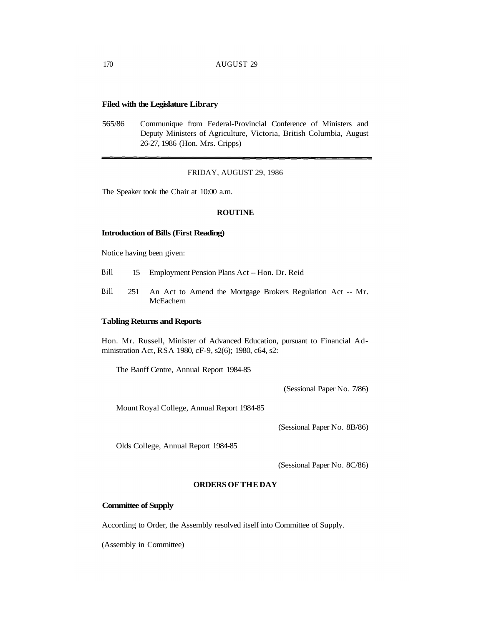# **Filed with the Legislature Library**

565/86 Communique from Federal-Provincial Conference of Ministers and Deputy Ministers of Agriculture, Victoria, British Columbia, August 26-27, 1986 (Hon. Mrs. Cripps)

#### FRIDAY, AUGUST 29, 1986

The Speaker took the Chair at 10:00 a.m.

## **ROUTINE**

#### **Introduction of Bills (First Reading)**

Notice having been given:

- Bill 15 Employment Pension Plans Act -- Hon. Dr. Reid
- Bill 251 An Act to Amend the Mortgage Brokers Regulation Act -- Mr. McEachern

## **Tabling Returns and Reports**

Hon. Mr. Russell, Minister of Advanced Education, pursuant to Financial Administration Act, RSA 1980, cF-9, s2(6); 1980, c64, s2:

The Banff Centre, Annual Report 1984-85

(Sessional Paper No. 7/86)

Mount Royal College, Annual Report 1984-85

(Sessional Paper No. 8B/86)

Olds College, Annual Report 1984-85

(Sessional Paper No. 8C/86)

## **ORDERS OF THE DAY**

## **Committee of Supply**

According to Order, the Assembly resolved itself into Committee of Supply.

(Assembly in Committee)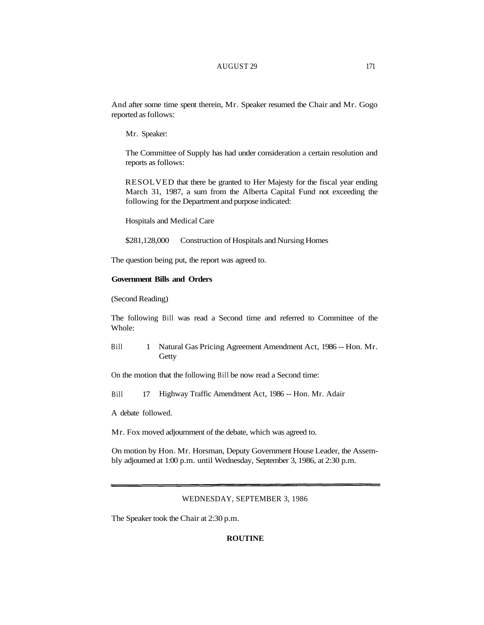## AUGUST 29 171

And after some time spent therein, Mr. Speaker resumed the Chair and Mr. Gogo reported as follows:

Mr. Speaker:

The Committee of Supply has had under consideration a certain resolution and reports as follows:

RESOLVED that there be granted to Her Majesty for the fiscal year ending March 31, 1987, a sum from the Alberta Capital Fund not exceeding the following for the Department and purpose indicated:

Hospitals and Medical Care

\$281,128,000 Construction of Hospitals and Nursing Homes

The question being put, the report was agreed to.

## **Government Bills and Orders**

(Second Reading)

The following Bill was read a Second time and referred to Committee of the Whole:

Bill 1 Natural Gas Pricing Agreement Amendment Act, 1986 -- Hon. Mr. **Getty** 

On the motion that the following Bill be now read a Second time:

Bill 17 Highway Traffic Amendment Act, 1986 -- Hon. Mr. Adair

A debate followed.

Mr. Fox moved adjournment of the debate, which was agreed to.

On motion by Hon. Mr. Horsman, Deputy Government House Leader, the Assembly adjourned at 1:00 p.m. until Wednesday, September 3, 1986, at 2:30 p.m.

WEDNESDAY, SEPTEMBER 3, 1986

The Speaker took the Chair at 2:30 p.m.

# **ROUTINE**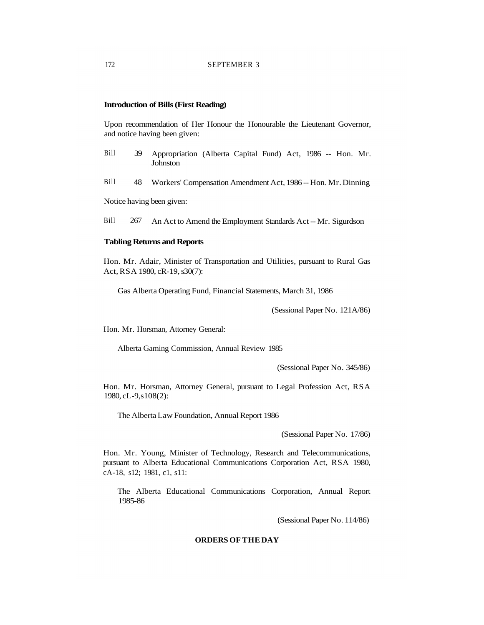# **Introduction of Bills (First Reading)**

Upon recommendation of Her Honour the Honourable the Lieutenant Governor, and notice having been given:

- Bill 39 Appropriation (Alberta Capital Fund) Act, 1986 -- Hon. Mr. **Johnston**
- Bill 48 Workers' Compensation Amendment Act, 1986 -- Hon. Mr. Dinning

Notice having been given:

Bill 267 An Act to Amend the Employment Standards Act -- Mr. Sigurdson

#### **Tabling Returns and Reports**

Hon. Mr. Adair, Minister of Transportation and Utilities, pursuant to Rural Gas Act, RSA 1980, cR-19, s30(7):

Gas Alberta Operating Fund, Financial Statements, March 31, 1986

(Sessional Paper No. 121A/86)

Hon. Mr. Horsman, Attorney General:

Alberta Gaming Commission, Annual Review 1985

(Sessional Paper No. 345/86)

Hon. Mr. Horsman, Attorney General, pursuant to Legal Profession Act, RSA 1980, cL-9,s108(2):

The Alberta Law Foundation, Annual Report 1986

(Sessional Paper No. 17/86)

Hon. Mr. Young, Minister of Technology, Research and Telecommunications, pursuant to Alberta Educational Communications Corporation Act, RSA 1980, cA-18, s12; 1981, c1, s11:

The Alberta Educational Communications Corporation, Annual Report 1985-86

(Sessional Paper No. 114/86)

## **ORDERS OF THE DAY**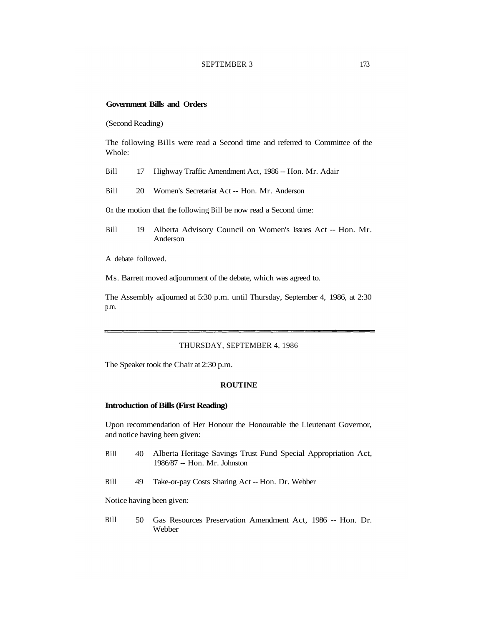## SEPTEMBER 3 173

## **Government Bills and Orders**

(Second Reading)

The following Bills were read a Second time and referred to Committee of the Whole:

- Bill 17 Highway Traffic Amendment Act, 1986 -- Hon. Mr. Adair
- Bill 20 Women's Secretariat Act -- Hon. Mr. Anderson

On the motion that the following Bill be now read a Second time:

Bill 19 Alberta Advisory Council on Women's Issues Act -- Hon. Mr. Anderson

A debate followed.

Ms. Barrett moved adjournment of the debate, which was agreed to.

The Assembly adjourned at 5:30 p.m. until Thursday, September 4, 1986, at 2:30 p.m.

### THURSDAY, SEPTEMBER 4, 1986

The Speaker took the Chair at 2:30 p.m.

#### **ROUTINE**

### **Introduction of Bills (First Reading)**

Upon recommendation of Her Honour the Honourable the Lieutenant Governor, and notice having been given:

- Bill 40 Alberta Heritage Savings Trust Fund Special Appropriation Act, 1986/87 -- Hon. Mr. Johnston
- Bill 49 Take-or-pay Costs Sharing Act -- Hon. Dr. Webber

Notice having been given:

Bill 50 Gas Resources Preservation Amendment Act, 1986 -- Hon. Dr. Webber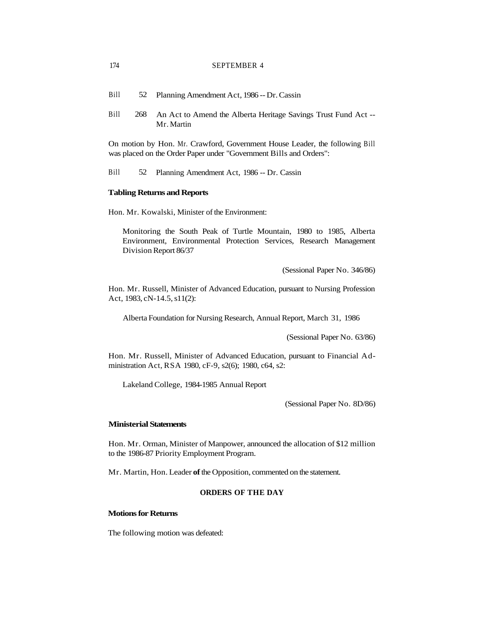## 174 SEPTEMBER 4

| Bill |  | Planning Amendment Act, 1986 -- Dr. Cassin |
|------|--|--------------------------------------------|
|------|--|--------------------------------------------|

Bill 268 An Act to Amend the Alberta Heritage Savings Trust Fund Act -- Mr. Martin

On motion by Hon. Mr. Crawford, Government House Leader, the following Bill was placed on the Order Paper under "Government Bills and Orders":

Bill 52 Planning Amendment Act, 1986 -- Dr. Cassin

#### **Tabling Returns and Reports**

Hon. Mr. Kowalski, Minister of the Environment:

Monitoring the South Peak of Turtle Mountain, 1980 to 1985, Alberta Environment, Environmental Protection Services, Research Management Division Report 86/37

(Sessional Paper No. 346/86)

Hon. Mr. Russell, Minister of Advanced Education, pursuant to Nursing Profession Act, 1983, cN-14.5, s11(2):

Alberta Foundation for Nursing Research, Annual Report, March 31, 1986

(Sessional Paper No. 63/86)

Hon. Mr. Russell, Minister of Advanced Education, pursuant to Financial Administration Act, RSA 1980, cF-9, s2(6); 1980, c64, s2:

Lakeland College, 1984-1985 Annual Report

(Sessional Paper No. 8D/86)

# **Ministerial Statements**

Hon. Mr. Orman, Minister of Manpower, announced the allocation of \$12 million to the 1986-87 Priority Employment Program.

Mr. Martin, Hon. Leader **of** the Opposition, commented on the statement.

## **ORDERS OF THE DAY**

### **Motions for Returns**

The following motion was defeated: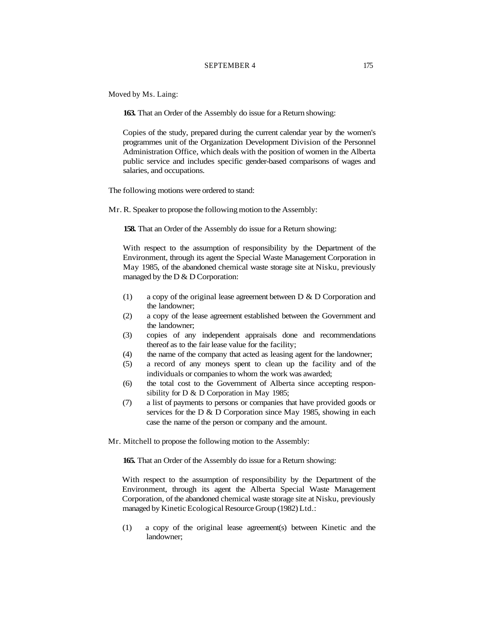## SEPTEMBER 4 175

Moved by Ms. Laing:

**163.** That an Order of the Assembly do issue for a Return showing:

Copies of the study, prepared during the current calendar year by the women's programmes unit of the Organization Development Division of the Personnel Administration Office, which deals with the position of women in the Alberta public service and includes specific gender-based comparisons of wages and salaries, and occupations.

The following motions were ordered to stand:

Mr. R. Speaker to propose the following motion to the Assembly:

**158.** That an Order of the Assembly do issue for a Return showing:

With respect to the assumption of responsibility by the Department of the Environment, through its agent the Special Waste Management Corporation in May 1985, of the abandoned chemical waste storage site at Nisku, previously managed by the  $D & D$  Corporation:

- (1) a copy of the original lease agreement between D & D Corporation and the landowner;
- (2) a copy of the lease agreement established between the Government and the landowner;
- (3) copies of any independent appraisals done and recommendations thereof as to the fair lease value for the facility;
- (4) the name of the company that acted as leasing agent for the landowner;
- (5) a record of any moneys spent to clean up the facility and of the individuals or companies to whom the work was awarded;
- (6) the total cost to the Government of Alberta since accepting responsibility for D & D Corporation in May 1985;
- (7) a list of payments to persons or companies that have provided goods or services for the D & D Corporation since May 1985, showing in each case the name of the person or company and the amount.
- Mr. Mitchell to propose the following motion to the Assembly:

**165.** That an Order of the Assembly do issue for a Return showing:

With respect to the assumption of responsibility by the Department of the Environment, through its agent the Alberta Special Waste Management Corporation, of the abandoned chemical waste storage site at Nisku, previously managed by Kinetic Ecological Resource Group (1982) Ltd.:

(1) a copy of the original lease agreement(s) between Kinetic and the landowner;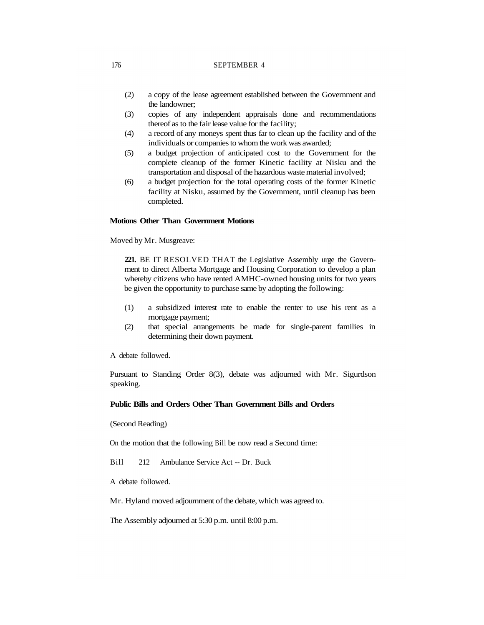## 176 SEPTEMBER 4

- (2) a copy of the lease agreement established between the Government and the landowner;
- (3) copies of any independent appraisals done and recommendations thereof as to the fair lease value for the facility;
- (4) a record of any moneys spent thus far to clean up the facility and of the individuals or companies to whom the work was awarded;
- (5) a budget projection of anticipated cost to the Government for the complete cleanup of the former Kinetic facility at Nisku and the transportation and disposal of the hazardous waste material involved;
- (6) a budget projection for the total operating costs of the former Kinetic facility at Nisku, assumed by the Government, until cleanup has been completed.

## **Motions Other Than Government Motions**

Moved by Mr. Musgreave:

**221.** BE IT RESOLVED THAT the Legislative Assembly urge the Government to direct Alberta Mortgage and Housing Corporation to develop a plan whereby citizens who have rented AMHC-owned housing units for two years be given the opportunity to purchase same by adopting the following:

- (1) a subsidized interest rate to enable the renter to use his rent as a mortgage payment;
- (2) that special arrangements be made for single-parent families in determining their down payment.

A debate followed.

Pursuant to Standing Order 8(3), debate was adjourned with Mr. Sigurdson speaking.

# **Public Bills and Orders Other Than Government Bills and Orders**

(Second Reading)

On the motion that the following Bill be now read a Second time:

Bill 212 Ambulance Service Act -- Dr. Buck

A debate followed.

Mr. Hyland moved adjournment of the debate, which was agreed to.

The Assembly adjourned at 5:30 p.m. until 8:00 p.m.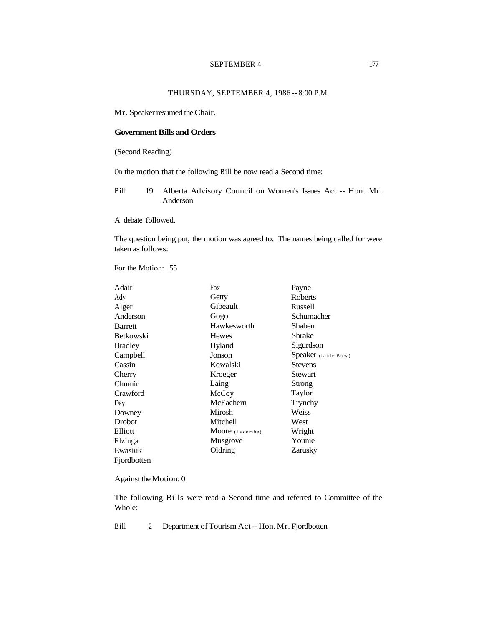# SEPTEMBER 4 177

# THURSDAY, SEPTEMBER 4, 1986 -- 8:00 P.M.

Mr. Speaker resumed the Chair.

# **Government Bills and Orders**

(Second Reading)

On the motion that the following Bill be now read a Second time:

Bill 19 Alberta Advisory Council on Women's Issues Act -- Hon. Mr. Anderson

A debate followed.

The question being put, the motion was agreed to. The names being called for were taken as follows:

For the Motion: 55

| Adair            | Fox             | Payne                |
|------------------|-----------------|----------------------|
| Ady              | Getty           | Roberts              |
| Alger            | Gibeault        | Russell              |
| Anderson         | Gogo            | Schumacher           |
| <b>Barrett</b>   | Hawkesworth     | <b>Shaben</b>        |
| <b>Betkowski</b> | <b>Hewes</b>    | Shrake               |
| <b>Bradley</b>   | Hyland          | Sigurdson            |
| Campbell         | Jonson          | Speaker (Little Bow) |
| Cassin           | Kowalski        | <b>Stevens</b>       |
| Cherry           | Kroeger         | Stewart              |
| Chumir           | Laing           | Strong               |
| Crawford         | McCoy           | Taylor               |
| Day              | McEachern       | Trynchy              |
| Downey           | Mirosh          | Weiss                |
| Drobot           | Mitchell        | West                 |
| Elliott          | Moore (Lacombe) | Wright               |
| Elzinga          | Musgrove        | Younie               |
| Ewasiuk          | Oldring         | Zarusky              |
| Fjordbotten      |                 |                      |

Against the Motion: 0

The following Bills were read a Second time and referred to Committee of the Whole:

Bill 2 Department of Tourism Act -- Hon. Mr. Fjordbotten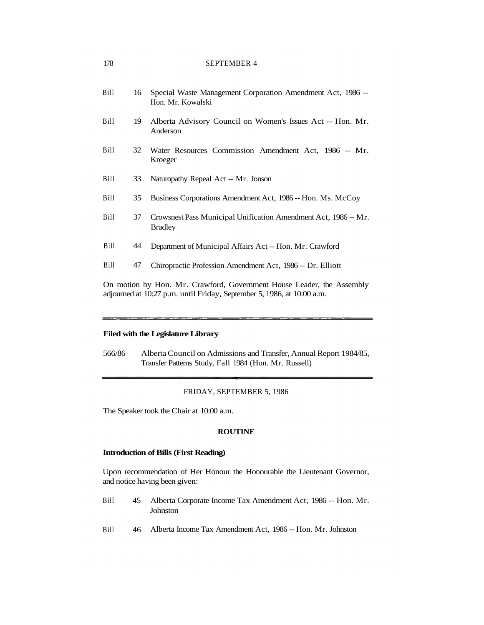| Bill        | 16 | Special Waste Management Corporation Amendment Act, 1986 --<br>Hon. Mr. Kowalski  |
|-------------|----|-----------------------------------------------------------------------------------|
| Bill        | 19 | Alberta Advisory Council on Women's Issues Act -- Hon. Mr.<br>Anderson            |
| Bill        | 32 | Water Resources Commission Amendment Act, 1986 -- Mr.<br>Kroeger                  |
| Bill        | 33 | Naturopathy Repeal Act -- Mr. Jonson                                              |
| Bill        | 35 | Business Corporations Amendment Act, 1986 -- Hon. Ms. McCoy                       |
| Bill        | 37 | Crowsnest Pass Municipal Unification Amendment Act, 1986 -- Mr.<br><b>Bradley</b> |
| <b>Bill</b> | 44 | Department of Municipal Affairs Act -- Hon. Mr. Crawford                          |
| <b>Bill</b> | 47 | Chiropractic Profession Amendment Act, 1986 -- Dr. Elliott                        |
|             |    | On motion by Hon Mr. Crawford Government House Leader, the Assembly               |

On motion by Hon. Mr. Crawford, Government House Leader, the Assembly adjourned at 10:27 p.m. until Friday, September 5, 1986, at 10:00 a.m.

# **Filed with the Legislature Library**

566/86 Alberta Council on Admissions and Transfer, Annual Report 1984/85, Transfer Patterns Study, Fall 1984 (Hon. Mr. Russell)

### FRIDAY, SEPTEMBER 5, 1986

The Speaker took the Chair at 10:00 a.m.

#### **ROUTINE**

### **Introduction of Bills (First Reading)**

Upon recommendation of Her Honour the Honourable the Lieutenant Governor, and notice having been given:

- Bill 45 Alberta Corporate Income Tax Amendment Act, 1986 -- Hon. Mr. Johnston
- Bill 46 Alberta Income Tax Amendment Act, 1986 -- Hon. Mr. Johnston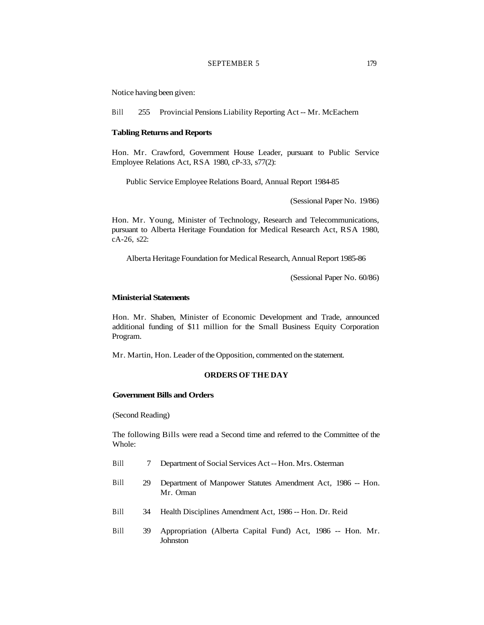# SEPTEMBER 5 179

Notice having been given:

Bill 255 Provincial Pensions Liability Reporting Act -- Mr. McEachern

#### **Tabling Returns and Reports**

Hon. Mr. Crawford, Government House Leader, pursuant to Public Service Employee Relations Act, RSA 1980, cP-33, s77(2):

Public Service Employee Relations Board, Annual Report 1984-85

(Sessional Paper No. 19/86)

Hon. Mr. Young, Minister of Technology, Research and Telecommunications, pursuant to Alberta Heritage Foundation for Medical Research Act, RSA 1980, cA-26, s22:

Alberta Heritage Foundation for Medical Research, Annual Report 1985-86

(Sessional Paper No. 60/86)

#### **Ministerial Statements**

Hon. Mr. Shaben, Minister of Economic Development and Trade, announced additional funding of \$11 million for the Small Business Equity Corporation Program.

Mr. Martin, Hon. Leader of the Opposition, commented on the statement.

# **ORDERS OF THE DAY**

# **Government Bills and Orders**

(Second Reading)

The following Bills were read a Second time and referred to the Committee of the Whole:

- Bill 7 Department of Social Services Act -- Hon. Mrs. Osterman
- Bill 29 Department of Manpower Statutes Amendment Act, 1986 -- Hon. Mr. Orman
- Bill 34 Health Disciplines Amendment Act, 1986 -- Hon. Dr. Reid
- Bill 39 Appropriation (Alberta Capital Fund) Act, 1986 -- Hon. Mr. Johnston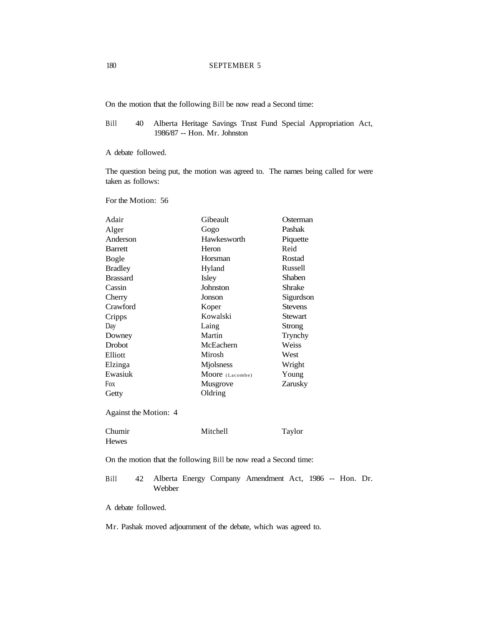On the motion that the following Bill be now read a Second time:

Bill 40 Alberta Heritage Savings Trust Fund Special Appropriation Act, 1986/87 -- Hon. Mr. Johnston

A debate followed.

The question being put, the motion was agreed to. The names being called for were taken as follows:

For the Motion: 56

| Adair                                                            | Gibeault        | Osterman                                               |
|------------------------------------------------------------------|-----------------|--------------------------------------------------------|
| Alger                                                            | Gogo            | Pashak                                                 |
| Anderson                                                         | Hawkesworth     | Piquette                                               |
| <b>Barrett</b>                                                   | Heron           | Reid                                                   |
| <b>Bogle</b>                                                     | Horsman         | Rostad                                                 |
| <b>Bradley</b>                                                   | Hyland          | <b>Russell</b>                                         |
| <b>Brassard</b>                                                  | Isley           | Shaben                                                 |
| Cassin                                                           | <b>Johnston</b> | <b>Shrake</b>                                          |
| Cherry                                                           | Jonson          | Sigurdson                                              |
| Crawford                                                         | Koper           | <b>Stevens</b>                                         |
| Cripps                                                           | Kowalski        | <b>Stewart</b>                                         |
| Day                                                              | Laing           | <b>Strong</b>                                          |
| Downey                                                           | Martin          | Trynchy                                                |
| Drobot                                                           | McEachern       | Weiss                                                  |
| Elliott                                                          | Mirosh          | West                                                   |
| Elzinga                                                          | Mjolsness       | Wright                                                 |
| Ewasiuk                                                          | Moore (Lacombe) | Young                                                  |
| Fox                                                              | Musgrove        | Zarusky                                                |
| Getty                                                            | Oldring         |                                                        |
| Against the Motion: 4                                            |                 |                                                        |
| Chumir<br><b>Hewes</b>                                           | Mitchell        | Taylor                                                 |
| On the motion that the following Bill be now read a Second time: |                 |                                                        |
| <b>Bill</b><br>42<br>Webber                                      |                 | Alberta Energy Company Amendment Act, 1986 -- Hon. Dr. |
| A debate followed.                                               |                 |                                                        |

Mr. Pashak moved adjournment of the debate, which was agreed to.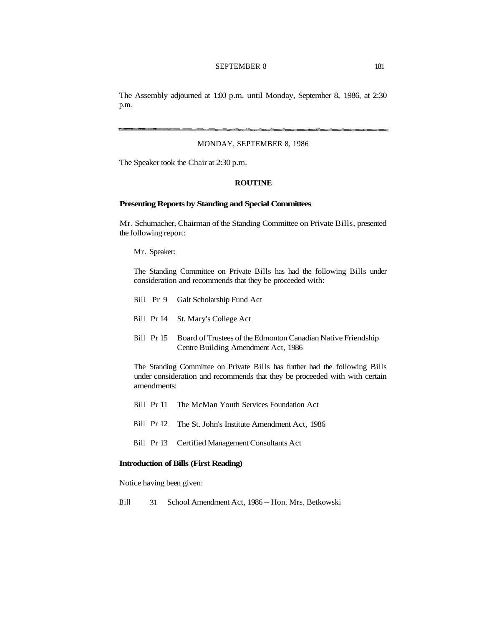### SEPTEMBER 8 181

The Assembly adjourned at 1:00 p.m. until Monday, September 8, 1986, at 2:30 p.m.

#### MONDAY, SEPTEMBER 8, 1986

The Speaker took the Chair at 2:30 p.m.

# **ROUTINE**

### **Presenting Reports by Standing and Special Committees**

Mr. Schumacher, Chairman of the Standing Committee on Private Bills, presented the following report:

Mr. Speaker:

The Standing Committee on Private Bills has had the following Bills under consideration and recommends that they be proceeded with:

- Bill Pr 9 Galt Scholarship Fund Act
- Bill Pr 14 St. Mary's College Act
- Bill Pr 15 Board of Trustees of the Edmonton Canadian Native Friendship Centre Building Amendment Act, 1986

The Standing Committee on Private Bills has further had the following Bills under consideration and recommends that they be proceeded with with certain amendments:

- Bill Pr 11 The McMan Youth Services Foundation Act
- Bill Pr 12 The St. John's Institute Amendment Act, 1986
- Bill Pr 13 Certified Management Consultants Act

#### **Introduction of Bills (First Reading)**

Notice having been given:

Bill 31 School Amendment Act, 1986 -- Hon. Mrs. Betkowski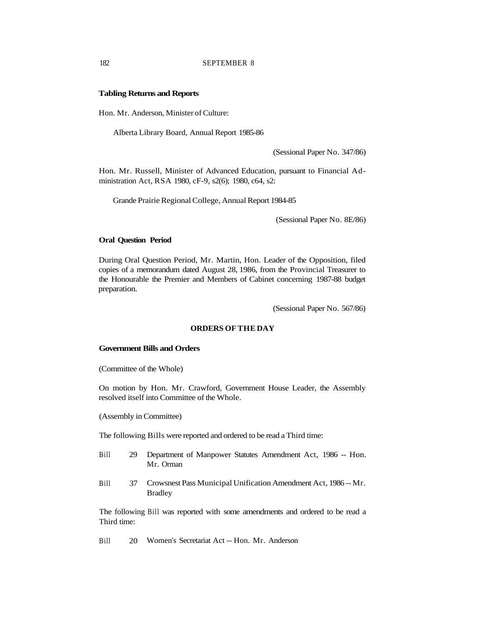#### **Tabling Returns and Reports**

Hon. Mr. Anderson, Minister of Culture:

Alberta Library Board, Annual Report 1985-86

(Sessional Paper No. 347/86)

Hon. Mr. Russell, Minister of Advanced Education, pursuant to Financial Administration Act, RSA 1980, cF-9, s2(6); 1980, c64, s2:

Grande Prairie Regional College, Annual Report 1984-85

(Sessional Paper No. 8E/86)

### **Oral Question Period**

During Oral Question Period, Mr. Martin, Hon. Leader of the Opposition, filed copies of a memorandum dated August 28, 1986, from the Provincial Treasurer to the Honourable the Premier and Members of Cabinet concerning 1987-88 budget preparation.

(Sessional Paper No. 567/86)

# **ORDERS OF THE DAY**

### **Government Bills and Orders**

(Committee of the Whole)

On motion by Hon. Mr. Crawford, Government House Leader, the Assembly resolved itself into Committee of the Whole.

(Assembly in Committee)

The following Bills were reported and ordered to be read a Third time:

- Bill 29 Department of Manpower Statutes Amendment Act, 1986 -- Hon. Mr. Orman
- Bill 37 Crowsnest Pass Municipal Unification Amendment Act, 1986 -- Mr. **Bradley**

The following Bill was reported with some amendments and ordered to be read a Third time:

Bill 20 Women's Secretariat Act -- Hon. Mr. Anderson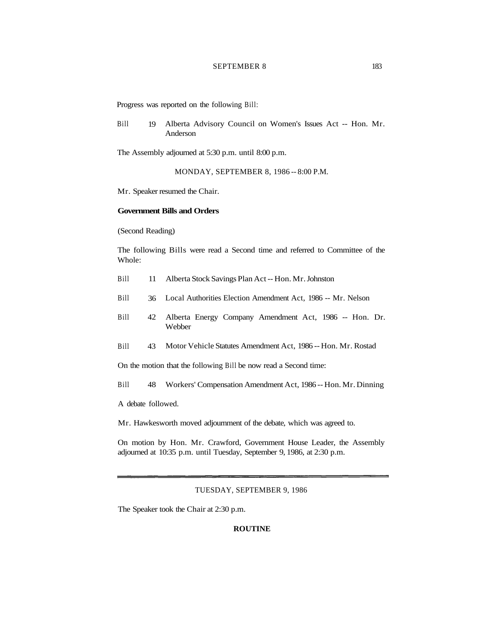### SEPTEMBER 8 183

Progress was reported on the following Bill:

Bill 19 Alberta Advisory Council on Women's Issues Act -- Hon. Mr. Anderson

The Assembly adjourned at 5:30 p.m. until 8:00 p.m.

MONDAY, SEPTEMBER 8, 1986 -- 8:00 P.M.

Mr. Speaker resumed the Chair.

# **Government Bills and Orders**

(Second Reading)

The following Bills were read a Second time and referred to Committee of the Whole:

- Bill 11 Alberta Stock Savings Plan Act -- Hon. Mr. Johnston
- Bill 36 Local Authorities Election Amendment Act, 1986 -- Mr. Nelson
- Bill 42 Alberta Energy Company Amendment Act, 1986 -- Hon. Dr. Webber
- Bill 43 Motor Vehicle Statutes Amendment Act, 1986 -- Hon. Mr. Rostad

On the motion that the following Bill be now read a Second time:

Bill 48 Workers' Compensation Amendment Act, 1986 -- Hon. Mr. Dinning

A debate followed.

Mr. Hawkesworth moved adjournment of the debate, which was agreed to.

On motion by Hon. Mr. Crawford, Government House Leader, the Assembly adjourned at 10:35 p.m. until Tuesday, September 9, 1986, at 2:30 p.m.

# TUESDAY, SEPTEMBER 9, 1986

The Speaker took the Chair at 2:30 p.m.

# **ROUTINE**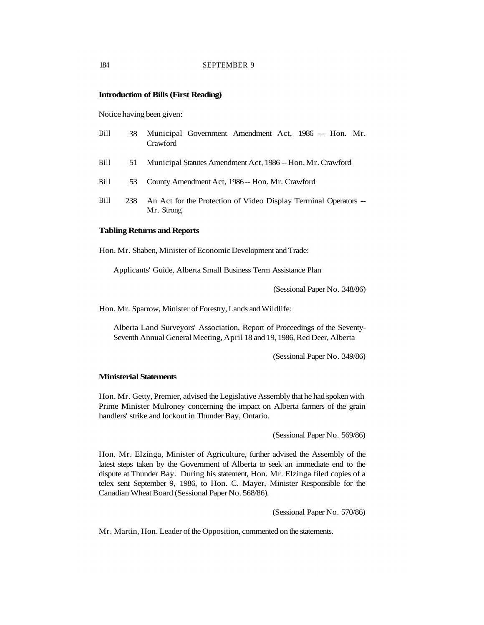# **Introduction of Bills (First Reading)**

Notice having been given:

| Bill | 38  | Municipal Government Amendment Act, 1986 -- Hon. Mr.<br>Crawford               |
|------|-----|--------------------------------------------------------------------------------|
| Bill | 51  | Municipal Statutes Amendment Act, 1986 -- Hon. Mr. Crawford                    |
| Bill | 53  | County Amendment Act, 1986 -- Hon. Mr. Crawford                                |
| Bill | 238 | An Act for the Protection of Video Display Terminal Operators --<br>Mr. Strong |

#### **Tabling Returns and Reports**

Hon. Mr. Shaben, Minister of Economic Development and Trade:

Applicants' Guide, Alberta Small Business Term Assistance Plan

(Sessional Paper No. 348/86)

Hon. Mr. Sparrow, Minister of Forestry, Lands and Wildlife:

Alberta Land Surveyors' Association, Report of Proceedings of the Seventy-Seventh Annual General Meeting, April 18 and 19, 1986, Red Deer, Alberta

(Sessional Paper No. 349/86)

#### **Ministerial Statements**

Hon. Mr. Getty, Premier, advised the Legislative Assembly that he had spoken with Prime Minister Mulroney concerning the impact on Alberta farmers of the grain handlers' strike and lockout in Thunder Bay, Ontario.

(Sessional Paper No. 569/86)

Hon. Mr. Elzinga, Minister of Agriculture, further advised the Assembly of the latest steps taken by the Government of Alberta to seek an immediate end to the dispute at Thunder Bay. During his statement, Hon. Mr. Elzinga filed copies of a telex sent September 9, 1986, to Hon. C. Mayer, Minister Responsible for the Canadian Wheat Board (Sessional Paper No. 568/86).

(Sessional Paper No. 570/86)

Mr. Martin, Hon. Leader of the Opposition, commented on the statements.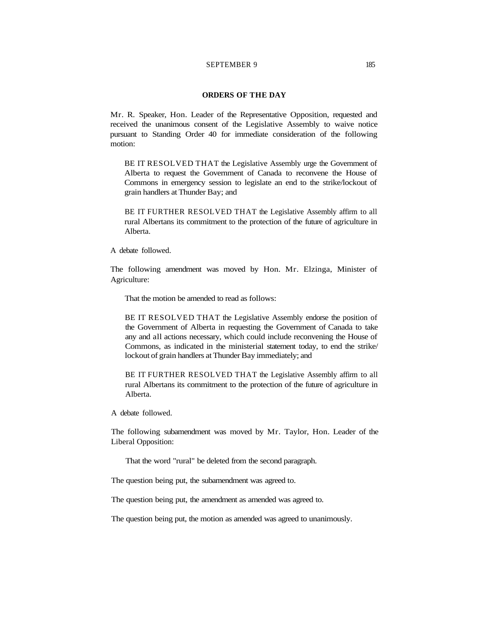# SEPTEMBER 9 185

### **ORDERS OF THE DAY**

Mr. R. Speaker, Hon. Leader of the Representative Opposition, requested and received the unanimous consent of the Legislative Assembly to waive notice pursuant to Standing Order 40 for immediate consideration of the following motion:

BE IT RESOLVED THAT the Legislative Assembly urge the Government of Alberta to request the Government of Canada to reconvene the House of Commons in emergency session to legislate an end to the strike/lockout of grain handlers at Thunder Bay; and

BE IT FURTHER RESOLVED THAT the Legislative Assembly affirm to all rural Albertans its commitment to the protection of the future of agriculture in Alberta.

A debate followed.

The following amendment was moved by Hon. Mr. Elzinga, Minister of Agriculture:

That the motion be amended to read as follows:

BE IT RESOLVED THAT the Legislative Assembly endorse the position of the Government of Alberta in requesting the Government of Canada to take any and all actions necessary, which could include reconvening the House of Commons, as indicated in the ministerial statement today, to end the strike/ lockout of grain handlers at Thunder Bay immediately; and

BE IT FURTHER RESOLVED THAT the Legislative Assembly affirm to all rural Albertans its commitment to the protection of the future of agriculture in Alberta.

A debate followed.

The following subamendment was moved by Mr. Taylor, Hon. Leader of the Liberal Opposition:

That the word "rural" be deleted from the second paragraph.

The question being put, the subamendment was agreed to.

The question being put, the amendment as amended was agreed to.

The question being put, the motion as amended was agreed to unanimously.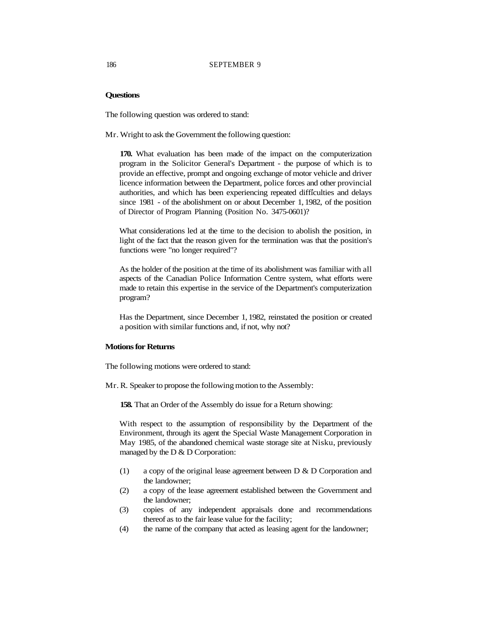# **Questions**

The following question was ordered to stand:

Mr. Wright to ask the Government the following question:

**170.** What evaluation has been made of the impact on the computerization program in the Solicitor General's Department - the purpose of which is to provide an effective, prompt and ongoing exchange of motor vehicle and driver licence information between the Department, police forces and other provincial authorities, and which has been experiencing repeated difficulties and delays since 1981 - of the abolishment on or about December 1, 1982, of the position of Director of Program Planning (Position No. 3475-0601)?

What considerations led at the time to the decision to abolish the position, in light of the fact that the reason given for the termination was that the position's functions were "no longer required"?

As the holder of the position at the time of its abolishment was familiar with all aspects of the Canadian Police Information Centre system, what efforts were made to retain this expertise in the service of the Department's computerization program?

Has the Department, since December 1, 1982, reinstated the position or created a position with similar functions and, if not, why not?

# **Motions for Returns**

The following motions were ordered to stand:

Mr. R. Speaker to propose the following motion to the Assembly:

**158.** That an Order of the Assembly do issue for a Return showing:

With respect to the assumption of responsibility by the Department of the Environment, through its agent the Special Waste Management Corporation in May 1985, of the abandoned chemical waste storage site at Nisku, previously managed by the D & D Corporation:

- (1) a copy of the original lease agreement between D & D Corporation and the landowner;
- (2) a copy of the lease agreement established between the Government and the landowner;
- (3) copies of any independent appraisals done and recommendations thereof as to the fair lease value for the facility;
- (4) the name of the company that acted as leasing agent for the landowner;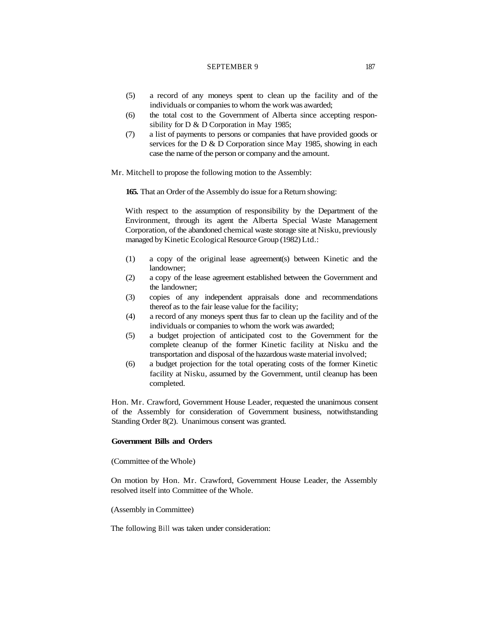#### SEPTEMBER 9 187

- (5) a record of any moneys spent to clean up the facility and of the individuals or companies to whom the work was awarded;
- (6) the total cost to the Government of Alberta since accepting responsibility for D & D Corporation in May 1985;
- (7) a list of payments to persons or companies that have provided goods or services for the D & D Corporation since May 1985, showing in each case the name of the person or company and the amount.

Mr. Mitchell to propose the following motion to the Assembly:

**165.** That an Order of the Assembly do issue for a Return showing:

With respect to the assumption of responsibility by the Department of the Environment, through its agent the Alberta Special Waste Management Corporation, of the abandoned chemical waste storage site at Nisku, previously managed by Kinetic Ecological Resource Group (1982) Ltd.:

- (1) a copy of the original lease agreement(s) between Kinetic and the landowner;
- (2) a copy of the lease agreement established between the Government and the landowner;
- (3) copies of any independent appraisals done and recommendations thereof as to the fair lease value for the facility;
- (4) a record of any moneys spent thus far to clean up the facility and of the individuals or companies to whom the work was awarded;
- (5) a budget projection of anticipated cost to the Government for the complete cleanup of the former Kinetic facility at Nisku and the transportation and disposal of the hazardous waste material involved;
- (6) a budget projection for the total operating costs of the former Kinetic facility at Nisku, assumed by the Government, until cleanup has been completed.

Hon. Mr. Crawford, Government House Leader, requested the unanimous consent of the Assembly for consideration of Government business, notwithstanding Standing Order 8(2). Unanimous consent was granted.

#### **Government Bills and Orders**

(Committee of the Whole)

On motion by Hon. Mr. Crawford, Government House Leader, the Assembly resolved itself into Committee of the Whole.

(Assembly in Committee)

The following Bill was taken under consideration: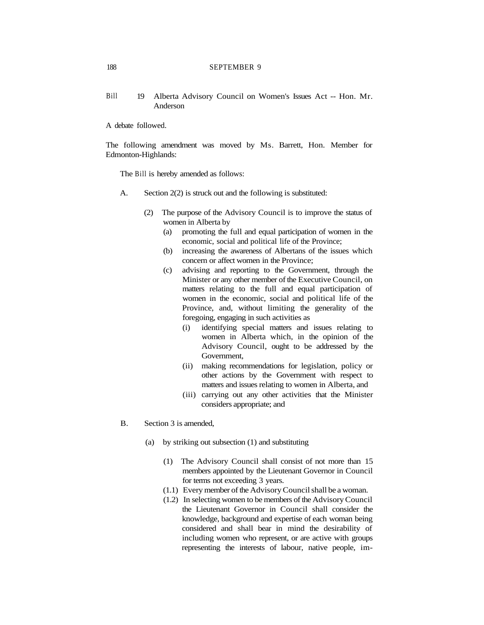Bill 19 Alberta Advisory Council on Women's Issues Act -- Hon. Mr. Anderson

A debate followed.

The following amendment was moved by Ms. Barrett, Hon. Member for Edmonton-Highlands:

The Bill is hereby amended as follows:

- A. Section 2(2) is struck out and the following is substituted:
	- (2) The purpose of the Advisory Council is to improve the status of women in Alberta by
		- (a) promoting the full and equal participation of women in the economic, social and political life of the Province;
		- (b) increasing the awareness of Albertans of the issues which concern or affect women in the Province;
		- (c) advising and reporting to the Government, through the Minister or any other member of the Executive Council, on matters relating to the full and equal participation of women in the economic, social and political life of the Province, and, without limiting the generality of the foregoing, engaging in such activities as
			- (i) identifying special matters and issues relating to women in Alberta which, in the opinion of the Advisory Council, ought to be addressed by the Government,
			- (ii) making recommendations for legislation, policy or other actions by the Government with respect to matters and issues relating to women in Alberta, and
			- (iii) carrying out any other activities that the Minister considers appropriate; and
- B. Section 3 is amended,
	- (a) by striking out subsection (1) and substituting
		- (1) The Advisory Council shall consist of not more than 15 members appointed by the Lieutenant Governor in Council for terms not exceeding 3 years.
		- (1.1) Every member of the Advisory Council shall be a woman.
		- (1.2) In selecting women to be members of the Advisory Council the Lieutenant Governor in Council shall consider the knowledge, background and expertise of each woman being considered and shall bear in mind the desirability of including women who represent, or are active with groups representing the interests of labour, native people, im-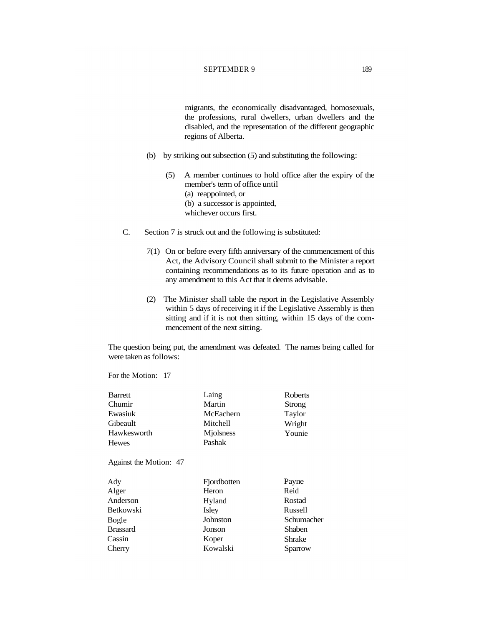### SEPTEMBER 9 189

migrants, the economically disadvantaged, homosexuals, the professions, rural dwellers, urban dwellers and the disabled, and the representation of the different geographic regions of Alberta.

- (b) by striking out subsection (5) and substituting the following:
	- (5) A member continues to hold office after the expiry of the member's term of office until (a) reappointed, or (b) a successor is appointed, whichever occurs first.
- C. Section 7 is struck out and the following is substituted:
	- 7(1) On or before every fifth anniversary of the commencement of this Act, the Advisory Council shall submit to the Minister a report containing recommendations as to its future operation and as to any amendment to this Act that it deems advisable.
	- (2) The Minister shall table the report in the Legislative Assembly within 5 days of receiving it if the Legislative Assembly is then sitting and if it is not then sitting, within 15 days of the commencement of the next sitting.

The question being put, the amendment was defeated. The names being called for were taken as follows:

| <b>Barrett</b>         | Laing       | <b>Roberts</b> |
|------------------------|-------------|----------------|
| Chumir                 | Martin      | Strong         |
| Ewasiuk                | McEachern   | Taylor         |
| Gibeault               | Mitchell    | Wright         |
| Hawkesworth            | Miolsness   | Younie         |
| <b>Hewes</b>           | Pashak      |                |
| Against the Motion: 47 |             |                |
| Ady                    | Fjordbotten | Payne          |
| Alger                  | Heron       | Reid           |
| Anderson               | Hyland      | Rostad         |
| <b>Betkowski</b>       | Isley       | Russell        |
| Bogle                  | Johnston    | Schumacher     |
| <b>Brassard</b>        | Jonson      | Shaben         |
| Cassin                 | Koper       | Shrake         |
| Cherry                 | Kowalski    | Sparrow        |
|                        |             |                |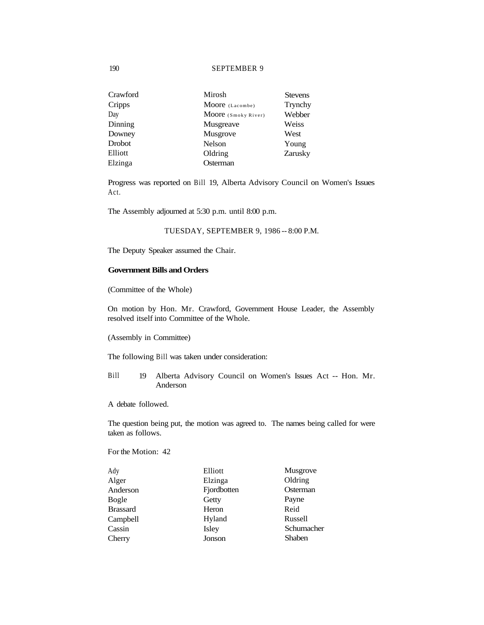| Crawford | Mirosh              | <b>Stevens</b> |
|----------|---------------------|----------------|
| Cripps   | Moore (Lacombe)     | Trynchy        |
| Day      | Moore (Smoky River) | Webber         |
| Dinning  | Musgreave           | Weiss          |
| Downey   | Musgrove            | West           |
| Drobot   | Nelson              | Young          |
| Elliott  | Oldring             | Zarusky        |
| Elzinga  | Osterman            |                |

Progress was reported on Bill 19, Alberta Advisory Council on Women's Issues Act.

The Assembly adjourned at 5:30 p.m. until 8:00 p.m.

### TUESDAY, SEPTEMBER 9, 1986 -- 8:00 P.M.

The Deputy Speaker assumed the Chair.

# **Government Bills and Orders**

(Committee of the Whole)

On motion by Hon. Mr. Crawford, Government House Leader, the Assembly resolved itself into Committee of the Whole.

(Assembly in Committee)

The following Bill was taken under consideration:

- Bill 19 Alberta Advisory Council on Women's Issues Act -- Hon. Mr. Anderson
- A debate followed.

The question being put, the motion was agreed to. The names being called for were taken as follows.

| Ady             | Elliott     | Musgrove      |
|-----------------|-------------|---------------|
| Alger           | Elzinga     | Oldring       |
| Anderson        | Fjordbotten | Osterman      |
| Bogle           | Getty       | Payne         |
| <b>Brassard</b> | Heron       | Reid          |
| Campbell        | Hyland      | Russell       |
| Cassin          | Isley       | Schumacher    |
| Cherry          | Jonson      | <b>Shaben</b> |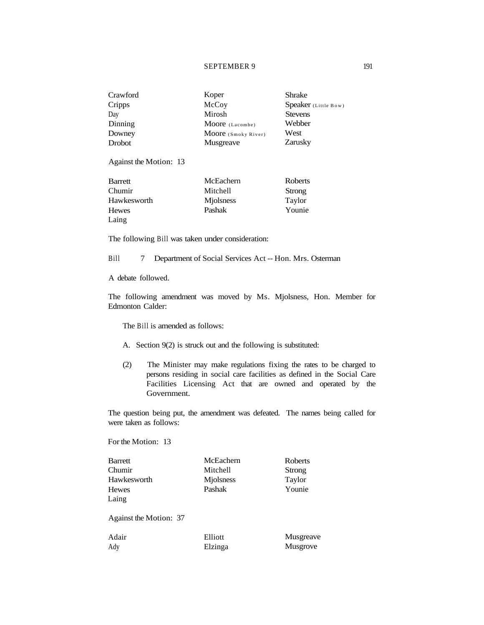### SEPTEMBER 9 191

| Crawford | Koper               | Shrake               |
|----------|---------------------|----------------------|
| Cripps   | McCoy               | Speaker (Little Bow) |
| Day      | Mirosh              | <b>Stevens</b>       |
| Dinning  | Moore (Lacombe)     | Webber               |
| Downey   | Moore (Smoky River) | West                 |
| Drobot   | Musgreave           | Zarusky              |

Against the Motion: 13

| Barrett      | McEachern | Roberts |
|--------------|-----------|---------|
| Chumir       | Mitchell  | Strong  |
| Hawkesworth  | Miolsness | Taylor  |
| <b>Hewes</b> | Pashak    | Younie  |
| Laing        |           |         |

The following Bill was taken under consideration:

Bill 7 Department of Social Services Act -- Hon. Mrs. Osterman

A debate followed.

The following amendment was moved by Ms. Mjolsness, Hon. Member for Edmonton Calder:

The Bill is amended as follows:

- A. Section 9(2) is struck out and the following is substituted:
- (2) The Minister may make regulations fixing the rates to be charged to persons residing in social care facilities as defined in the Social Care Facilities Licensing Act that are owned and operated by the Government.

The question being put, the amendment was defeated. The names being called for were taken as follows:

| <b>Barrett</b>         | McEachern | Roberts   |
|------------------------|-----------|-----------|
| Chumir                 | Mitchell  | Strong    |
| Hawkesworth            | Miolsness | Taylor    |
| <b>Hewes</b>           | Pashak    | Younie    |
| Laing                  |           |           |
| Against the Motion: 37 |           |           |
| Adair                  | Elliott   | Musgreave |
| Ady                    | Elzinga   | Musgrove  |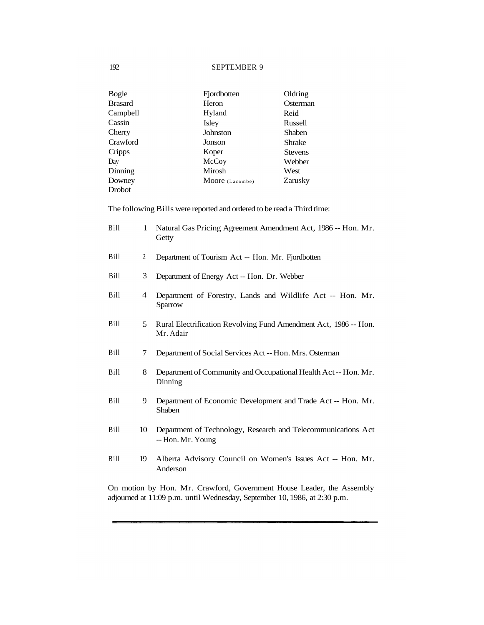| Bogle          | Fjordbotten     | Oldring        |
|----------------|-----------------|----------------|
| <b>Brasard</b> | Heron           | Osterman       |
| Campbell       | Hyland          | Reid           |
| Cassin         | Isley           | Russell        |
| Cherry         | Johnston        | <b>Shaben</b>  |
| Crawford       | Jonson          | <b>Shrake</b>  |
| Cripps         | Koper           | <b>Stevens</b> |
| Day            | McCoy           | Webber         |
| Dinning        | Mirosh          | West           |
| Downey         | Moore (Lacombe) | Zarusky        |
| Drobot         |                 |                |

The following Bills were reported and ordered to be read a Third time:

| Bill | 1  | Natural Gas Pricing Agreement Amendment Act, 1986 -- Hon. Mr.<br>Getty             |
|------|----|------------------------------------------------------------------------------------|
| Bill | 2  | Department of Tourism Act -- Hon. Mr. Fjordbotten                                  |
| Bill | 3  | Department of Energy Act -- Hon. Dr. Webber                                        |
| Bill | 4  | Department of Forestry, Lands and Wildlife Act -- Hon. Mr.<br>Sparrow              |
| Bill | 5  | Rural Electrification Revolving Fund Amendment Act, 1986 -- Hon.<br>Mr. Adair      |
| Bill | 7  | Department of Social Services Act -- Hon. Mrs. Osterman                            |
| Bill | 8  | Department of Community and Occupational Health Act -- Hon. Mr.<br>Dinning         |
| Bill | 9  | Department of Economic Development and Trade Act -- Hon. Mr.<br><b>Shaben</b>      |
| Bill | 10 | Department of Technology, Research and Telecommunications Act<br>-- Hon. Mr. Young |
| Bill | 19 | Alberta Advisory Council on Women's Issues Act -- Hon. Mr.<br>Anderson             |

On motion by Hon. Mr. Crawford, Government House Leader, the Assembly adjourned at 11:09 p.m. until Wednesday, September 10, 1986, at 2:30 p.m.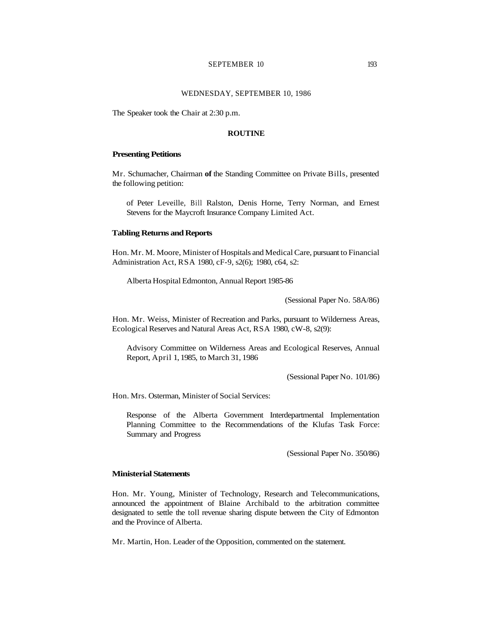#### SEPTEMBER 10 193

#### WEDNESDAY, SEPTEMBER 10, 1986

The Speaker took the Chair at 2:30 p.m.

#### **ROUTINE**

#### **Presenting Petitions**

Mr. Schumacher, Chairman **of** the Standing Committee on Private Bills, presented the following petition:

of Peter Leveille, Bill Ralston, Denis Horne, Terry Norman, and Ernest Stevens for the Maycroft Insurance Company Limited Act.

#### **Tabling Returns and Reports**

Hon. Mr. M. Moore, Minister of Hospitals and Medical Care, pursuant to Financial Administration Act, RSA 1980, cF-9, s2(6); 1980, c64, s2:

Alberta Hospital Edmonton, Annual Report 1985-86

(Sessional Paper No. 58A/86)

Hon. Mr. Weiss, Minister of Recreation and Parks, pursuant to Wilderness Areas, Ecological Reserves and Natural Areas Act, RSA 1980, cW-8, s2(9):

Advisory Committee on Wilderness Areas and Ecological Reserves, Annual Report, April 1, 1985, to March 31, 1986

(Sessional Paper No. 101/86)

Hon. Mrs. Osterman, Minister of Social Services:

Response of the Alberta Government Interdepartmental Implementation Planning Committee to the Recommendations of the Klufas Task Force: Summary and Progress

(Sessional Paper No. 350/86)

### **Ministerial Statements**

Hon. Mr. Young, Minister of Technology, Research and Telecommunications, announced the appointment of Blaine Archibald to the arbitration committee designated to settle the toll revenue sharing dispute between the City of Edmonton and the Province of Alberta.

Mr. Martin, Hon. Leader of the Opposition, commented on the statement.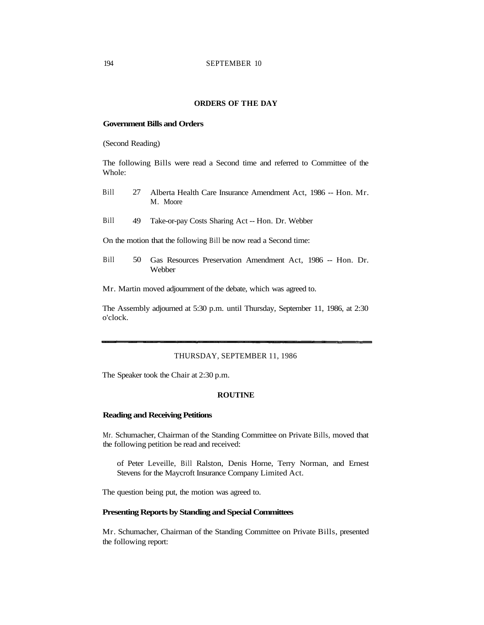# **ORDERS OF THE DAY**

# **Government Bills and Orders**

(Second Reading)

The following Bills were read a Second time and referred to Committee of the Whole:

- Bill 27 Alberta Health Care Insurance Amendment Act, 1986 -- Hon. Mr. M. Moore
- Bill 49 Take-or-pay Costs Sharing Act -- Hon. Dr. Webber

On the motion that the following Bill be now read a Second time:

Bill 50 Gas Resources Preservation Amendment Act, 1986 -- Hon. Dr. Webber

Mr. Martin moved adjournment of the debate, which was agreed to.

The Assembly adjourned at 5:30 p.m. until Thursday, September 11, 1986, at 2:30 o'clock.

#### THURSDAY, SEPTEMBER 11, 1986

The Speaker took the Chair at 2:30 p.m.

# **ROUTINE**

#### **Reading and Receiving Petitions**

Mr. Schumacher, Chairman of the Standing Committee on Private Bills, moved that the following petition be read and received:

of Peter Leveille, Bill Ralston, Denis Horne, Terry Norman, and Ernest Stevens for the Maycroft Insurance Company Limited Act.

The question being put, the motion was agreed to.

# **Presenting Reports by Standing and Special Committees**

Mr. Schumacher, Chairman of the Standing Committee on Private Bills, presented the following report: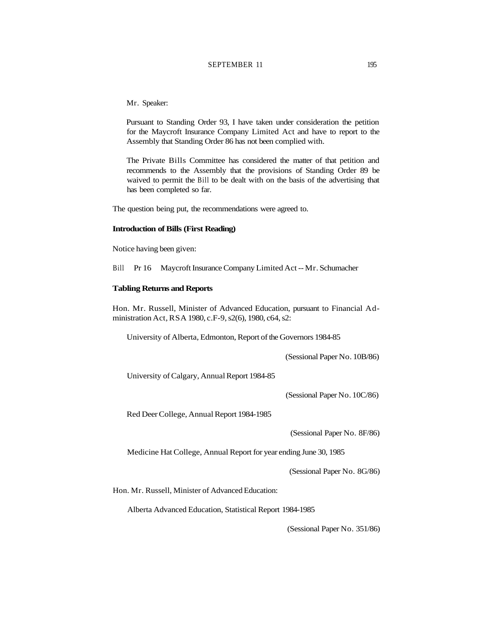Mr. Speaker:

Pursuant to Standing Order 93, I have taken under consideration the petition for the Maycroft Insurance Company Limited Act and have to report to the Assembly that Standing Order 86 has not been complied with.

The Private Bills Committee has considered the matter of that petition and recommends to the Assembly that the provisions of Standing Order 89 be waived to permit the Bill to be dealt with on the basis of the advertising that has been completed so far.

The question being put, the recommendations were agreed to.

#### **Introduction of Bills (First Reading)**

Notice having been given:

Bill Pr 16 Maycroft Insurance Company Limited Act -- Mr. Schumacher

### **Tabling Returns and Reports**

Hon. Mr. Russell, Minister of Advanced Education, pursuant to Financial Administration Act, RSA 1980, c.F-9, s2(6), 1980, c64, s2:

University of Alberta, Edmonton, Report of the Governors 1984-85

(Sessional Paper No. 10B/86)

University of Calgary, Annual Report 1984-85

(Sessional Paper No. 10C/86)

Red Deer College, Annual Report 1984-1985

(Sessional Paper No. 8F/86)

Medicine Hat College, Annual Report for year ending June 30, 1985

(Sessional Paper No. 8G/86)

Hon. Mr. Russell, Minister of Advanced Education:

Alberta Advanced Education, Statistical Report 1984-1985

(Sessional Paper No. 351/86)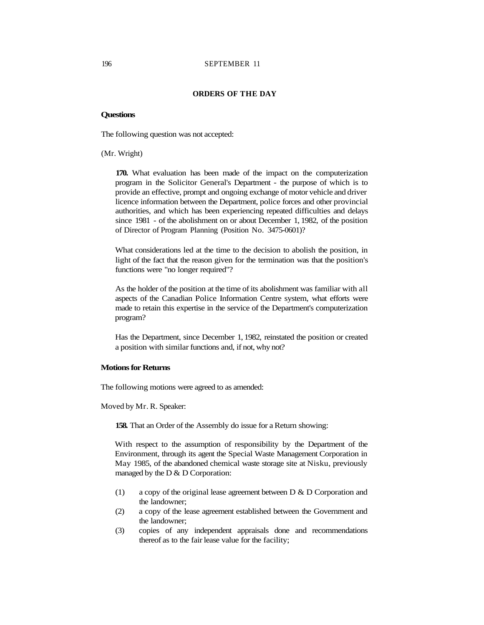#### **ORDERS OF THE DAY**

#### **Questions**

The following question was not accepted:

(Mr. Wright)

**170.** What evaluation has been made of the impact on the computerization program in the Solicitor General's Department - the purpose of which is to provide an effective, prompt and ongoing exchange of motor vehicle and driver licence information between the Department, police forces and other provincial authorities, and which has been experiencing repeated difficulties and delays since 1981 - of the abolishment on or about December 1, 1982, of the position of Director of Program Planning (Position No. 3475-0601)?

What considerations led at the time to the decision to abolish the position, in light of the fact that the reason given for the termination was that the position's functions were "no longer required"?

As the holder of the position at the time of its abolishment was familiar with all aspects of the Canadian Police Information Centre system, what efforts were made to retain this expertise in the service of the Department's computerization program?

Has the Department, since December 1, 1982, reinstated the position or created a position with similar functions and, if not, why not?

#### **Motions for Returns**

The following motions were agreed to as amended:

Moved by Mr. R. Speaker:

**158.** That an Order of the Assembly do issue for a Return showing:

With respect to the assumption of responsibility by the Department of the Environment, through its agent the Special Waste Management Corporation in May 1985, of the abandoned chemical waste storage site at Nisku, previously managed by the D & D Corporation:

- (1) a copy of the original lease agreement between D & D Corporation and the landowner;
- (2) a copy of the lease agreement established between the Government and the landowner;
- (3) copies of any independent appraisals done and recommendations thereof as to the fair lease value for the facility;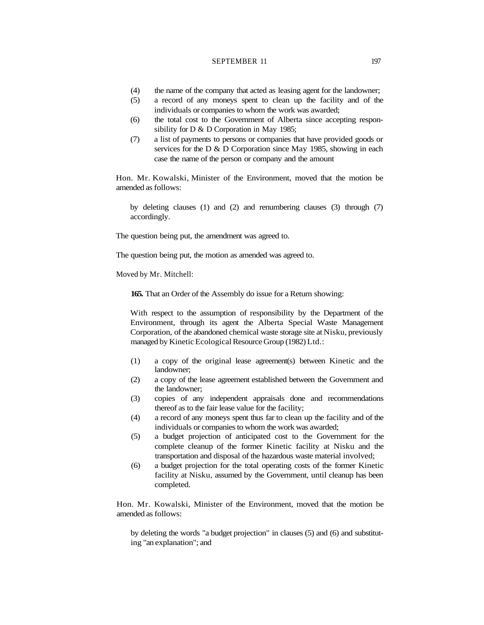# SEPTEMBER 11 197

- (4) the name of the company that acted as leasing agent for the landowner;
- (5) a record of any moneys spent to clean up the facility and of the individuals or companies to whom the work was awarded;
- (6) the total cost to the Government of Alberta since accepting responsibility for D & D Corporation in May 1985;
- (7) a list of payments to persons or companies that have provided goods or services for the D & D Corporation since May 1985, showing in each case the name of the person or company and the amount

Hon. Mr. Kowalski, Minister of the Environment, moved that the motion be amended as follows:

by deleting clauses (1) and (2) and renumbering clauses (3) through (7) accordingly.

The question being put, the amendment was agreed to.

The question being put, the motion as amended was agreed to.

Moved by Mr. Mitchell:

**165.** That an Order of the Assembly do issue for a Return showing:

With respect to the assumption of responsibility by the Department of the Environment, through its agent the Alberta Special Waste Management Corporation, of the abandoned chemical waste storage site at Nisku, previously managed by Kinetic Ecological Resource Group (1982) Ltd.:

- (1) a copy of the original lease agreement(s) between Kinetic and the landowner;
- (2) a copy of the lease agreement established between the Government and the landowner;
- (3) copies of any independent appraisals done and recommendations thereof as to the fair lease value for the facility;
- (4) a record of any moneys spent thus far to clean up the facility and of the individuals or companies to whom the work was awarded;
- (5) a budget projection of anticipated cost to the Government for the complete cleanup of the former Kinetic facility at Nisku and the transportation and disposal of the hazardous waste material involved;
- (6) a budget projection for the total operating costs of the former Kinetic facility at Nisku, assumed by the Government, until cleanup has been completed.

Hon. Mr. Kowalski, Minister of the Environment, moved that the motion be amended as follows:

by deleting the words "a budget projection" in clauses (5) and (6) and substituting "an explanation"; and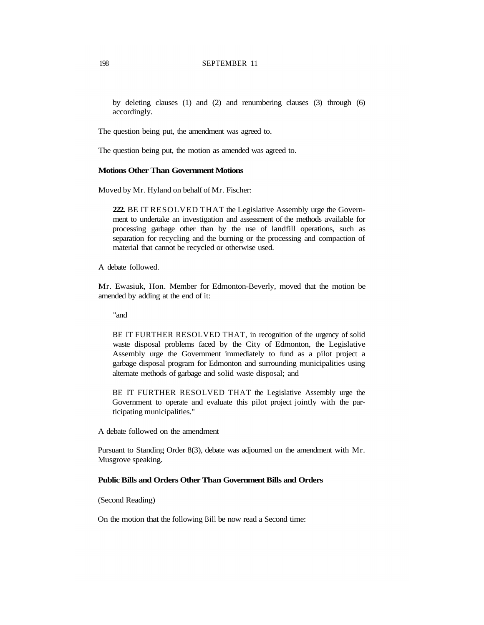by deleting clauses (1) and (2) and renumbering clauses (3) through (6) accordingly.

The question being put, the amendment was agreed to.

The question being put, the motion as amended was agreed to.

# **Motions Other Than Government Motions**

Moved by Mr. Hyland on behalf of Mr. Fischer:

**222.** BE IT RESOLVED THAT the Legislative Assembly urge the Government to undertake an investigation and assessment of the methods available for processing garbage other than by the use of landfill operations, such as separation for recycling and the burning or the processing and compaction of material that cannot be recycled or otherwise used.

A debate followed.

Mr. Ewasiuk, Hon. Member for Edmonton-Beverly, moved that the motion be amended by adding at the end of it:

"and

BE IT FURTHER RESOLVED THAT, in recognition of the urgency of solid waste disposal problems faced by the City of Edmonton, the Legislative Assembly urge the Government immediately to fund as a pilot project a garbage disposal program for Edmonton and surrounding municipalities using alternate methods of garbage and solid waste disposal; and

BE IT FURTHER RESOLVED THAT the Legislative Assembly urge the Government to operate and evaluate this pilot project jointly with the participating municipalities."

A debate followed on the amendment

Pursuant to Standing Order 8(3), debate was adjourned on the amendment with Mr. Musgrove speaking.

# **Public Bills and Orders Other Than Government Bills and Orders**

(Second Reading)

On the motion that the following Bill be now read a Second time: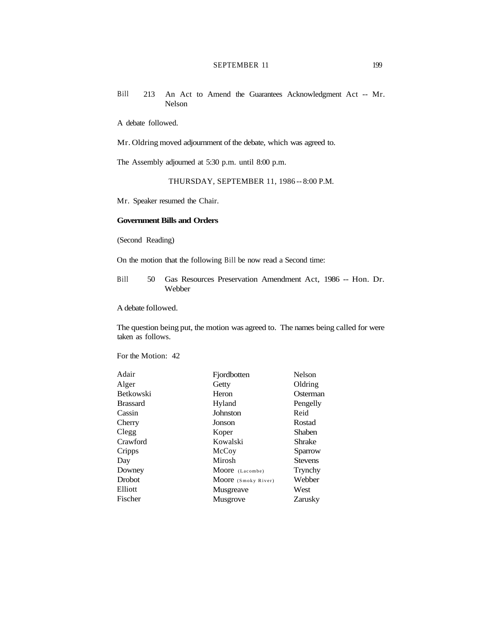# SEPTEMBER 11 199

Bill 213 An Act to Amend the Guarantees Acknowledgment Act -- Mr. Nelson

A debate followed.

Mr. Oldring moved adjournment of the debate, which was agreed to.

The Assembly adjourned at 5:30 p.m. until 8:00 p.m.

THURSDAY, SEPTEMBER 11, 1986 -- 8:00 P.M.

Mr. Speaker resumed the Chair.

### **Government Bills and Orders**

(Second Reading)

On the motion that the following Bill be now read a Second time:

Bill 50 Gas Resources Preservation Amendment Act, 1986 -- Hon. Dr. Webber

A debate followed.

The question being put, the motion was agreed to. The names being called for were taken as follows.

| Fjordbotten         | Nelson         |
|---------------------|----------------|
| Getty               | Oldring        |
| Heron               | Osterman       |
| Hyland              | Pengelly       |
| Johnston            | Reid           |
| Jonson              | Rostad         |
| Koper               | Shaben         |
| Kowalski            | Shrake         |
| McCoy               | Sparrow        |
| Mirosh              | <b>Stevens</b> |
| Moore (Lacombe)     | Trynchy        |
| Moore (Smoky River) | Webber         |
| Musgreave           | West           |
| Musgrove            | Zarusky        |
|                     |                |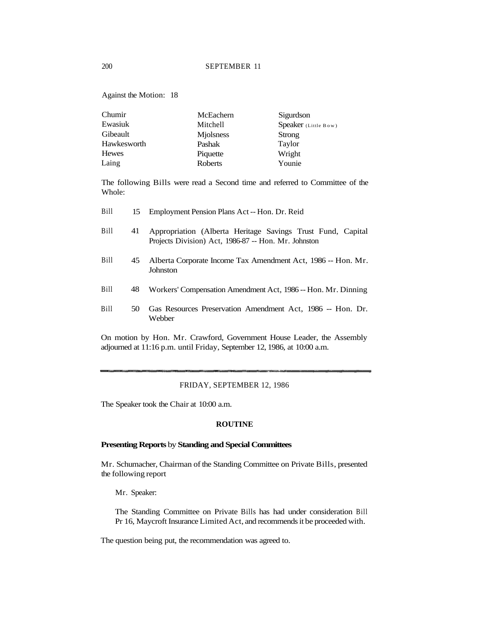Against the Motion: 18

| Chumir       | McEachern | Sigurdson            |
|--------------|-----------|----------------------|
| Ewasiuk      | Mitchell  | Speaker (Little Bow) |
| Gibeault     | Miolsness | Strong               |
| Hawkesworth  | Pashak    | Taylor               |
| <b>Hewes</b> | Piquette  | Wright               |
| Laing        | Roberts   | Younie               |

The following Bills were read a Second time and referred to Committee of the Whole:

| <b>Bill</b> | 15 | Employment Pension Plans Act -- Hon. Dr. Reid                                                                       |
|-------------|----|---------------------------------------------------------------------------------------------------------------------|
| Bill        | 41 | Appropriation (Alberta Heritage Savings Trust Fund, Capital<br>Projects Division) Act, 1986-87 -- Hon. Mr. Johnston |
| Bill        | 45 | Alberta Corporate Income Tax Amendment Act, 1986 -- Hon. Mr.<br>Johnston                                            |
| Bill        | 48 | Workers' Compensation Amendment Act, 1986 -- Hon. Mr. Dinning                                                       |
| Bill        | 50 | Gas Resources Preservation Amendment Act, 1986 -- Hon. Dr.<br>Webber                                                |
|             |    | $\mathbf{v}$                                                                                                        |

On motion by Hon. Mr. Crawford, Government House Leader, the Assembly adjourned at 11:16 p.m. until Friday, September 12, 1986, at 10:00 a.m.

### FRIDAY, SEPTEMBER 12, 1986

The Speaker took the Chair at 10:00 a.m.

# **ROUTINE**

### **Presenting Reports** by **Standing and Special Committees**

Mr. Schumacher, Chairman of the Standing Committee on Private Bills, presented the following report

Mr. Speaker:

The Standing Committee on Private Bills has had under consideration Bill Pr 16, Maycroft Insurance Limited Act, and recommends it be proceeded with.

The question being put, the recommendation was agreed to.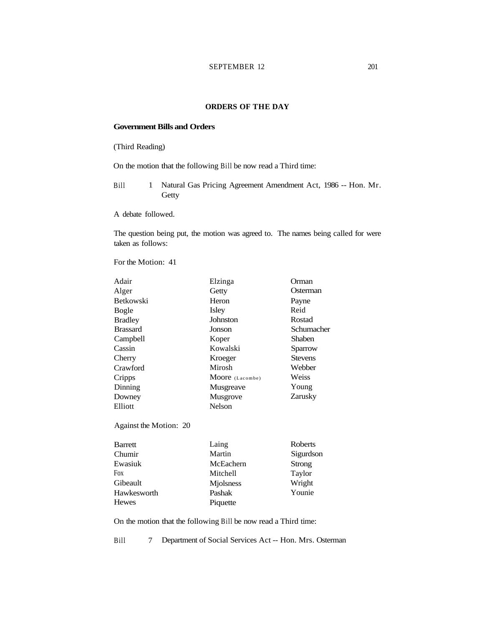# **ORDERS OF THE DAY**

# **Government Bills and Orders**

# (Third Reading)

On the motion that the following Bill be now read a Third time:

Bill 1 Natural Gas Pricing Agreement Amendment Act, 1986 -- Hon. Mr. Getty

A debate followed.

The question being put, the motion was agreed to. The names being called for were taken as follows:

For the Motion: 41

| Adair            | Elzinga         | Orman          |
|------------------|-----------------|----------------|
| Alger            | Getty           | Osterman       |
| <b>Betkowski</b> | Heron           | Payne          |
| Bogle            | Isley           | Reid           |
| <b>Bradley</b>   | Johnston        | Rostad         |
| <b>Brassard</b>  | Jonson          | Schumacher     |
| Campbell         | Koper           | <b>Shaben</b>  |
| Cassin           | Kowalski        | Sparrow        |
| Cherry           | Kroeger         | <b>Stevens</b> |
| Crawford         | Mirosh          | Webber         |
| Cripps           | Moore (Lacombe) | Weiss          |
| Dinning          | Musgreave       | Young          |
| Downey           | Musgrove        | Zarusky        |
| Elliott          | Nelson          |                |
|                  |                 |                |
|                  |                 |                |

Against the Motion: 20

| Barrett      | Laing     | Roberts       |
|--------------|-----------|---------------|
| Chumir       | Martin    | Sigurdson     |
| Ewasiuk      | McEachern | <b>Strong</b> |
| Fox          | Mitchell  | Taylor        |
| Gibeault     | Miolsness | Wright        |
| Hawkesworth  | Pashak    | Younie        |
| <b>Hewes</b> | Piquette  |               |

On the motion that the following Bill be now read a Third time:

Bill 7 Department of Social Services Act -- Hon. Mrs. Osterman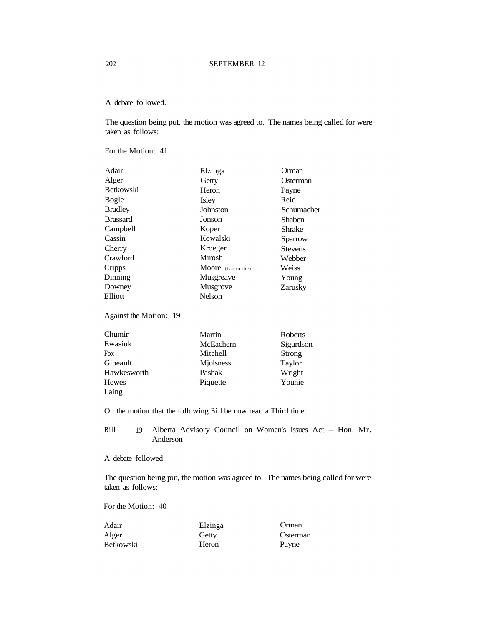A debate followed.

The question being put, the motion was agreed to. The names being called for were taken as follows:

For the Motion: 41

| Adair            | Elzinga         | Orman          |
|------------------|-----------------|----------------|
| Alger            | Getty           | Osterman       |
| <b>Betkowski</b> | Heron           | Payne          |
| Bogle            | Isley           | Reid           |
| <b>Bradley</b>   | Johnston        | Schumacher     |
| <b>Brassard</b>  | Jonson          | Shaben         |
| Campbell         | Koper           | <b>Shrake</b>  |
| Cassin           | Kowalski        | Sparrow        |
| Cherry           | Kroeger         | <b>Stevens</b> |
| Crawford         | Mirosh          | Webber         |
| Cripps           | Moore (Lacombe) | Weiss          |
| Dinning          | Musgreave       | Young          |
| Downey           | Musgrove        | Zarusky        |
| Elliott          | Nelson          |                |
|                  |                 |                |

Against the Motion: 19

| Chumir       | Martin    | Roberts   |
|--------------|-----------|-----------|
| Ewasiuk      | McEachern | Sigurdson |
| Fox          | Mitchell  | Strong    |
| Gibeault     | Miolsness | Taylor    |
| Hawkesworth  | Pashak    | Wright    |
| <b>Hewes</b> | Piquette  | Younie    |
| Laing        |           |           |

On the motion that the following Bill be now read a Third time:

Bill 19 Alberta Advisory Council on Women's Issues Act -- Hon. Mr. Anderson

A debate followed.

The question being put, the motion was agreed to. The names being called for were taken as follows:

| Adair            | Elzinga | Orman    |
|------------------|---------|----------|
| Alger            | Getty   | Osterman |
| <b>Betkowski</b> | Heron   | Payne    |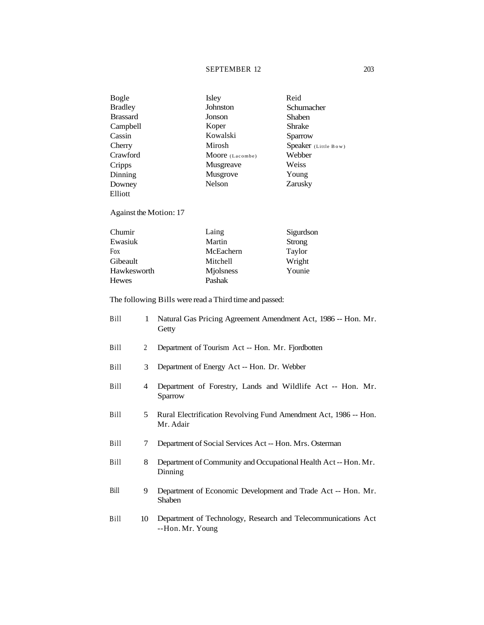# SEPTEMBER 12 203

| Bogle           | Isley           | Reid                 |
|-----------------|-----------------|----------------------|
| <b>Bradley</b>  | Johnston        | Schumacher           |
| <b>Brassard</b> | Jonson          | Shaben               |
| Campbell        | Koper           | Shrake               |
| Cassin          | Kowalski        | Sparrow              |
| Cherry          | Mirosh          | Speaker (Little Bow) |
| Crawford        | Moore (Lacombe) | Webber               |
| Cripps          | Musgreave       | Weiss                |
| Dinning         | Musgrove        | Young                |
| Downey          | Nelson          | Zarusky              |
| Elliott         |                 |                      |

Against the Motion: 17

| Chumir       | Laing     | Sigurdson |
|--------------|-----------|-----------|
| Ewasiuk      | Martin    | Strong    |
| <b>Fox</b>   | McEachern | Taylor    |
| Gibeault     | Mitchell  | Wright    |
| Hawkesworth  | Miolsness | Younie    |
| <b>Hewes</b> | Pashak    |           |

The following Bills were read a Third time and passed:

| Bill | 1              | Natural Gas Pricing Agreement Amendment Act, 1986 -- Hon. Mr.<br>Getty            |
|------|----------------|-----------------------------------------------------------------------------------|
| Bill | $\overline{2}$ | Department of Tourism Act -- Hon. Mr. Fjordbotten                                 |
| Bill | 3              | Department of Energy Act -- Hon. Dr. Webber                                       |
| Bill | 4              | Department of Forestry, Lands and Wildlife Act -- Hon. Mr.<br>Sparrow             |
| Bill | 5              | Rural Electrification Revolving Fund Amendment Act, 1986 -- Hon.<br>Mr. Adair     |
| Bill | 7              | Department of Social Services Act -- Hon. Mrs. Osterman                           |
| Bill | 8              | Department of Community and Occupational Health Act--Hon. Mr.<br>Dinning          |
| Bill | 9              | Department of Economic Development and Trade Act -- Hon. Mr.<br>Shaben            |
| Bill | 10             | Department of Technology, Research and Telecommunications Act<br>--Hon. Mr. Young |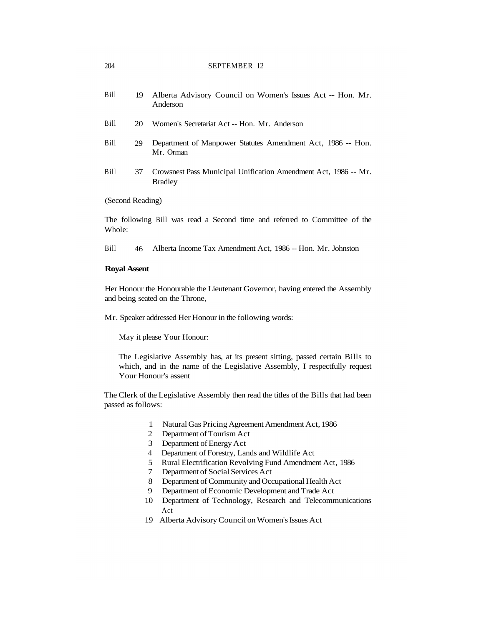| Bill | 19 Alberta Advisory Council on Women's Issues Act -- Hon. Mr. |
|------|---------------------------------------------------------------|
|      | Anderson                                                      |

- Bill 20 Women's Secretariat Act -- Hon. Mr. Anderson
- Bill 29 Department of Manpower Statutes Amendment Act, 1986 -- Hon. Mr. Orman
- Bill 37 Crowsnest Pass Municipal Unification Amendment Act, 1986 -- Mr. Bradley

#### (Second Reading)

The following Bill was read a Second time and referred to Committee of the Whole:

Bill 46 Alberta Income Tax Amendment Act, 1986 -- Hon. Mr. Johnston

# **Royal Assent**

Her Honour the Honourable the Lieutenant Governor, having entered the Assembly and being seated on the Throne,

Mr. Speaker addressed Her Honour in the following words:

May it please Your Honour:

The Legislative Assembly has, at its present sitting, passed certain Bills to which, and in the name of the Legislative Assembly, I respectfully request Your Honour's assent

The Clerk of the Legislative Assembly then read the titles of the Bills that had been passed as follows:

- 1 Natural Gas Pricing Agreement Amendment Act, 1986
- 2 Department of Tourism Act
- 3 Department of Energy Act
- 4 Department of Forestry, Lands and Wildlife Act
- 5 Rural Electrification Revolving Fund Amendment Act, 1986
- 7 Department of Social Services Act
- 8 Department of Community and Occupational Health Act
- 9 Department of Economic Development and Trade Act
- 10 Department of Technology, Research and Telecommunications Act
- 19 Alberta Advisory Council on Women's Issues Act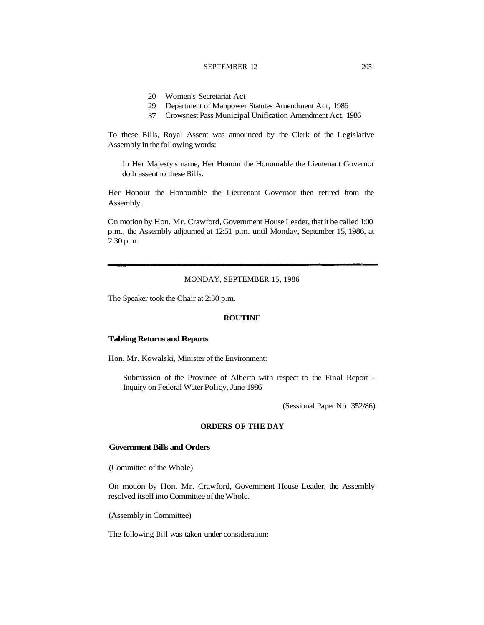#### SEPTEMBER 12 205

- 20 Women's Secretariat Act
- 29 Department of Manpower Statutes Amendment Act, 1986
- 37 Crowsnest Pass Municipal Unification Amendment Act, 1986

To these Bills, Royal Assent was announced by the Clerk of the Legislative Assembly in the following words:

In Her Majesty's name, Her Honour the Honourable the Lieutenant Governor doth assent to these Bills.

Her Honour the Honourable the Lieutenant Governor then retired from the Assembly.

On motion by Hon. Mr. Crawford, Government House Leader, that it be called 1:00 p.m., the Assembly adjourned at 12:51 p.m. until Monday, September 15, 1986, at 2:30 p.m.

#### MONDAY, SEPTEMBER 15, 1986

The Speaker took the Chair at 2:30 p.m.

# **ROUTINE**

# **Tabling Returns and Reports**

Hon. Mr. Kowalski, Minister of the Environment:

Submission of the Province of Alberta with respect to the Final Report - Inquiry on Federal Water Policy, June 1986

(Sessional Paper No. 352/86)

# **ORDERS OF THE DAY**

### **Government Bills and Orders**

(Committee of the Whole)

On motion by Hon. Mr. Crawford, Government House Leader, the Assembly resolved itself into Committee of the Whole.

(Assembly in Committee)

The following Bill was taken under consideration: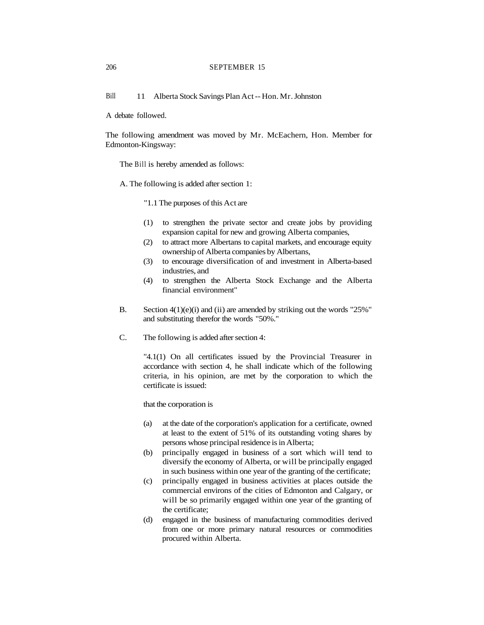Bill 11 Alberta Stock Savings Plan Act -- Hon. Mr. Johnston

A debate followed.

The following amendment was moved by Mr. McEachern, Hon. Member for Edmonton-Kingsway:

The Bill is hereby amended as follows:

A. The following is added after section 1:

"1.1 The purposes of this Act are

- (1) to strengthen the private sector and create jobs by providing expansion capital for new and growing Alberta companies,
- (2) to attract more Albertans to capital markets, and encourage equity ownership of Alberta companies by Albertans,
- (3) to encourage diversification of and investment in Alberta-based industries, and
- (4) to strengthen the Alberta Stock Exchange and the Alberta financial environment"
- B. Section 4(1)(e)(i) and (ii) are amended by striking out the words "25%" and substituting therefor the words "50%."
- C. The following is added after section 4:

"4.1(1) On all certificates issued by the Provincial Treasurer in accordance with section 4, he shall indicate which of the following criteria, in his opinion, are met by the corporation to which the certificate is issued:

that the corporation is

- (a) at the date of the corporation's application for a certificate, owned at least to the extent of 51% of its outstanding voting shares by persons whose principal residence is in Alberta;
- (b) principally engaged in business of a sort which will tend to diversify the economy of Alberta, or will be principally engaged in such business within one year of the granting of the certificate;
- (c) principally engaged in business activities at places outside the commercial environs of the cities of Edmonton and Calgary, or will be so primarily engaged within one year of the granting of the certificate;
- (d) engaged in the business of manufacturing commodities derived from one or more primary natural resources or commodities procured within Alberta.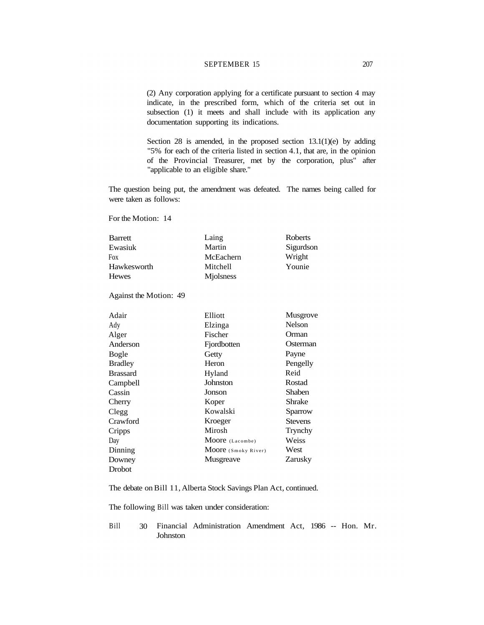#### SEPTEMBER 15 207

(2) Any corporation applying for a certificate pursuant to section 4 may indicate, in the prescribed form, which of the criteria set out in subsection (1) it meets and shall include with its application any documentation supporting its indications.

Section 28 is amended, in the proposed section 13.1(1)(e) by adding "5% for each of the criteria listed in section 4.1, that are, in the opinion of the Provincial Treasurer, met by the corporation, plus" after "applicable to an eligible share."

The question being put, the amendment was defeated. The names being called for were taken as follows:

For the Motion: 14

| Barrett     | Laing             | Roberts   |
|-------------|-------------------|-----------|
| Ewasiuk     | Martin            | Sigurdson |
| Fox         | McEachern         | Wright    |
| Hawkesworth | Mitchell          | Younie    |
| Hewes       | <b>M</b> jolsness |           |
|             |                   |           |

Against the Motion: 49

| Adair           | Elliott             | <b>Musgrove</b> |
|-----------------|---------------------|-----------------|
| Ady             | Elzinga             | <b>Nelson</b>   |
| Alger           | Fischer             | Orman           |
| Anderson        | Fjordbotten         | Osterman        |
| <b>Bogle</b>    | Getty               | Payne           |
| <b>Bradley</b>  | Heron               | Pengelly        |
| <b>Brassard</b> | Hyland              | Reid            |
| Campbell        | Johnston            | Rostad          |
| Cassin          | Jonson              | Shaben          |
| Cherry          | Koper               | Shrake          |
| Clegg           | Kowalski            | Sparrow         |
| Crawford        | Kroeger             | <b>Stevens</b>  |
| Cripps          | Mirosh              | Trynchy         |
| Day             | Moore (Lacombe)     | Weiss           |
| Dinning         | Moore (Smoky River) | West            |
| Downey          | Musgreave           | Zarusky         |
| Drobot          |                     |                 |

The debate on Bill 11, Alberta Stock Savings Plan Act, continued.

The following Bill was taken under consideration:

Bill 30 Financial Administration Amendment Act, 1986 -- Hon. Mr. Johnston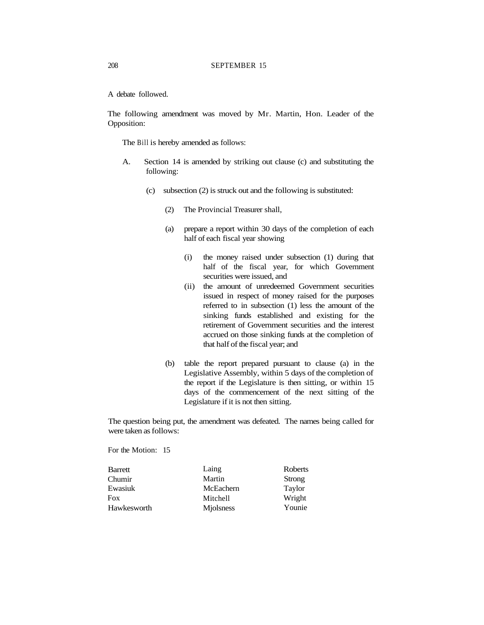A debate followed.

The following amendment was moved by Mr. Martin, Hon. Leader of the Opposition:

The Bill is hereby amended as follows:

- A. Section 14 is amended by striking out clause (c) and substituting the following:
	- (c) subsection (2) is struck out and the following is substituted:
		- (2) The Provincial Treasurer shall,
		- (a) prepare a report within 30 days of the completion of each half of each fiscal year showing
			- (i) the money raised under subsection (1) during that half of the fiscal year, for which Government securities were issued, and
			- (ii) the amount of unredeemed Government securities issued in respect of money raised for the purposes referred to in subsection (1) less the amount of the sinking funds established and existing for the retirement of Government securities and the interest accrued on those sinking funds at the completion of that half of the fiscal year; and
		- (b) table the report prepared pursuant to clause (a) in the Legislative Assembly, within 5 days of the completion of the report if the Legislature is then sitting, or within 15 days of the commencement of the next sitting of the Legislature if it is not then sitting.

The question being put, the amendment was defeated. The names being called for were taken as follows:

| Barrett     | Laing           | Roberts |
|-------------|-----------------|---------|
| Chumir      | Martin          | Strong  |
| Ewasiuk     | McEachern       | Taylor  |
| Fox         | <b>Mitchell</b> | Wright  |
| Hawkesworth | Miolsness       | Younie  |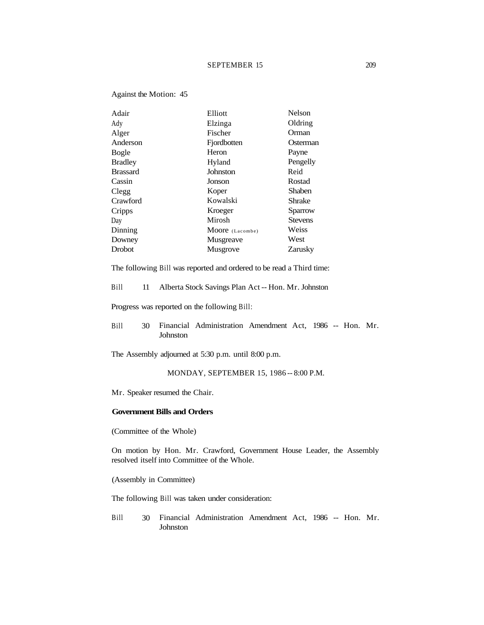# SEPTEMBER 15 209

| Adair           | Elliott         | Nelson         |
|-----------------|-----------------|----------------|
| Ady             | Elzinga         | Oldring        |
| Alger           | Fischer         | Orman          |
| Anderson        | Fjordbotten     | Osterman       |
| Bogle           | Heron           | Payne          |
| <b>Bradley</b>  | Hyland          | Pengelly       |
| <b>Brassard</b> | Johnston        | Reid           |
| Cassin          | Jonson          | Rostad         |
| Clegg           | Koper           | Shaben         |
| Crawford        | Kowalski        | Shrake         |
| Cripps          | Kroeger         | Sparrow        |
| Day             | Mirosh          | <b>Stevens</b> |
| Dinning         | Moore (Lacombe) | Weiss          |
| Downey          | Musgreave       | West           |
| Drobot          | Musgrove        | Zarusky        |
|                 |                 |                |

The following Bill was reported and ordered to be read a Third time:

Bill 11 Alberta Stock Savings Plan Act -- Hon. Mr. Johnston

Progress was reported on the following Bill:

Bill 30 Financial Administration Amendment Act, 1986 -- Hon. Mr. Johnston

The Assembly adjourned at 5:30 p.m. until 8:00 p.m.

MONDAY, SEPTEMBER 15, 1986 -- 8:00 P.M.

Mr. Speaker resumed the Chair.

#### **Government Bills and Orders**

(Committee of the Whole)

Against the Motion: 45

On motion by Hon. Mr. Crawford, Government House Leader, the Assembly resolved itself into Committee of the Whole.

(Assembly in Committee)

The following Bill was taken under consideration:

Bill 30 Financial Administration Amendment Act, 1986 -- Hon. Mr. Johnston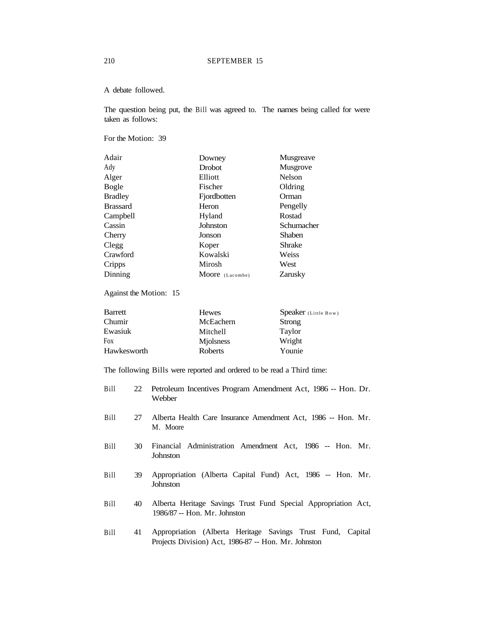#### A debate followed.

The question being put, the Bill was agreed to. The names being called for were taken as follows:

For the Motion: 39

| Downey          | Musgreave     |
|-----------------|---------------|
| <b>Drobot</b>   | Musgrove      |
| Elliott         | <b>Nelson</b> |
| Fischer         | Oldring       |
| Fjordbotten     | Orman         |
| Heron           | Pengelly      |
| Hyland          | Rostad        |
| Johnston        | Schumacher    |
| Jonson          | <b>Shaben</b> |
| Koper           | Shrake        |
| Kowalski        | Weiss         |
| Mirosh          | West          |
| Moore (Lacombe) | Zarusky       |
|                 |               |

Against the Motion: 15

| Barrett     | <b>Hewes</b> | Speaker (Little Bow) |
|-------------|--------------|----------------------|
| Chumir      | McEachern    | Strong               |
| Ewasiuk     | Mitchell     | Taylor               |
| Fox         | Miolsness    | Wright               |
| Hawkesworth | Roberts      | Younie               |

The following Bills were reported and ordered to be read a Third time:

| Bill | 22 Petroleum Incentives Program Amendment Act, 1986 -- Hon. Dr. |
|------|-----------------------------------------------------------------|
|      | Webber                                                          |

- Bill 27 Alberta Health Care Insurance Amendment Act, 1986 -- Hon. Mr. M. Moore
- Bill 30 Financial Administration Amendment Act, 1986 -- Hon. Mr. Johnston
- Bill 39 Appropriation (Alberta Capital Fund) Act, 1986 -- Hon. Mr. Johnston
- Bill 40 Alberta Heritage Savings Trust Fund Special Appropriation Act, 1986/87 -- Hon. Mr. Johnston
- Bill 41 Appropriation (Alberta Heritage Savings Trust Fund, Capital Projects Division) Act, 1986-87 -- Hon. Mr. Johnston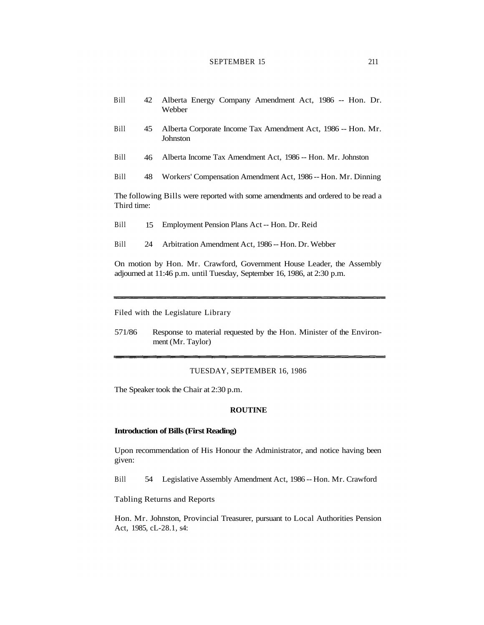# SEPTEMBER 15 211

| <b>Bill</b> |  |        |  | 42 Alberta Energy Company Amendment Act, 1986 -- Hon. Dr. |  |  |  |
|-------------|--|--------|--|-----------------------------------------------------------|--|--|--|
|             |  | Webber |  |                                                           |  |  |  |

- Bill 45 Alberta Corporate Income Tax Amendment Act, 1986 -- Hon. Mr. **Johnston**
- Bill 46 Alberta Income Tax Amendment Act, 1986 -- Hon. Mr. Johnston
- Bill 48 Workers' Compensation Amendment Act, 1986 -- Hon. Mr. Dinning

The following Bills were reported with some amendments and ordered to be read a Third time:

- Bill 15 Employment Pension Plans Act -- Hon. Dr. Reid
- Bill 24 Arbitration Amendment Act, 1986 -- Hon. Dr. Webber

On motion by Hon. Mr. Crawford, Government House Leader, the Assembly adjourned at 11:46 p.m. until Tuesday, September 16, 1986, at 2:30 p.m.

Filed with the Legislature Library

571/86 Response to material requested by the Hon. Minister of the Environment (Mr. Taylor)

#### TUESDAY, SEPTEMBER 16, 1986

The Speaker took the Chair at 2:30 p.m.

#### **ROUTINE**

#### **Introduction of Bills (First Reading)**

Upon recommendation of His Honour the Administrator, and notice having been given:

Bill 54 Legislative Assembly Amendment Act, 1986 -- Hon. Mr. Crawford

Tabling Returns and Reports

Hon. Mr. Johnston, Provincial Treasurer, pursuant to Local Authorities Pension Act, 1985, cL-28.1, s4: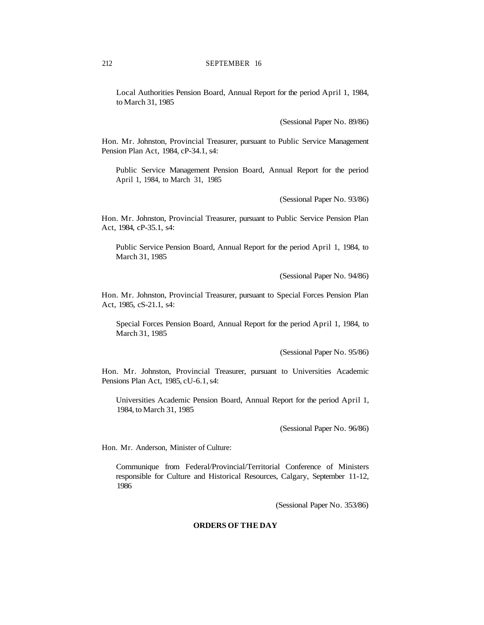Local Authorities Pension Board, Annual Report for the period April 1, 1984, to March 31, 1985

(Sessional Paper No. 89/86)

Hon. Mr. Johnston, Provincial Treasurer, pursuant to Public Service Management Pension Plan Act, 1984, cP-34.1, s4:

Public Service Management Pension Board, Annual Report for the period April 1, 1984, to March 31, 1985

(Sessional Paper No. 93/86)

Hon. Mr. Johnston, Provincial Treasurer, pursuant to Public Service Pension Plan Act, 1984, cP-35.1, s4:

Public Service Pension Board, Annual Report for the period April 1, 1984, to March 31, 1985

(Sessional Paper No. 94/86)

Hon. Mr. Johnston, Provincial Treasurer, pursuant to Special Forces Pension Plan Act, 1985, cS-21.1, s4:

Special Forces Pension Board, Annual Report for the period April 1, 1984, to March 31, 1985

(Sessional Paper No. 95/86)

Hon. Mr. Johnston, Provincial Treasurer, pursuant to Universities Academic Pensions Plan Act, 1985, cU-6.1, s4:

Universities Academic Pension Board, Annual Report for the period April 1, 1984, to March 31, 1985

(Sessional Paper No. 96/86)

Hon. Mr. Anderson, Minister of Culture:

Communique from Federal/Provincial/Territorial Conference of Ministers responsible for Culture and Historical Resources, Calgary, September 11-12, 1986

(Sessional Paper No. 353/86)

# **ORDERS OF THE DAY**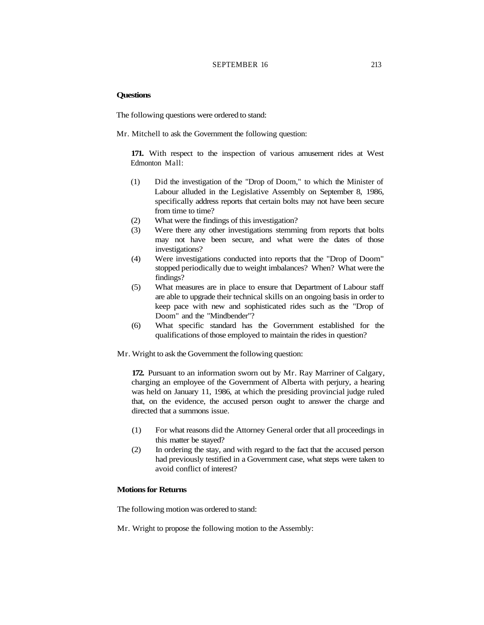# SEPTEMBER 16 213

# **Questions**

The following questions were ordered to stand:

Mr. Mitchell to ask the Government the following question:

**171.** With respect to the inspection of various amusement rides at West Edmonton Mall:

- (1) Did the investigation of the "Drop of Doom," to which the Minister of Labour alluded in the Legislative Assembly on September 8, 1986, specifically address reports that certain bolts may not have been secure from time to time?
- (2) What were the findings of this investigation?
- (3) Were there any other investigations stemming from reports that bolts may not have been secure, and what were the dates of those investigations?
- (4) Were investigations conducted into reports that the "Drop of Doom" stopped periodically due to weight imbalances? When? What were the findings?
- (5) What measures are in place to ensure that Department of Labour staff are able to upgrade their technical skills on an ongoing basis in order to keep pace with new and sophisticated rides such as the "Drop of Doom" and the "Mindbender"?
- (6) What specific standard has the Government established for the qualifications of those employed to maintain the rides in question?

Mr. Wright to ask the Government the following question:

**172.** Pursuant to an information sworn out by Mr. Ray Marriner of Calgary, charging an employee of the Government of Alberta with perjury, a hearing was held on January 11, 1986, at which the presiding provincial judge ruled that, on the evidence, the accused person ought to answer the charge and directed that a summons issue.

- (1) For what reasons did the Attorney General order that all proceedings in this matter be stayed?
- (2) In ordering the stay, and with regard to the fact that the accused person had previously testified in a Government case, what steps were taken to avoid conflict of interest?

## **Motions for Returns**

The following motion was ordered to stand:

Mr. Wright to propose the following motion to the Assembly: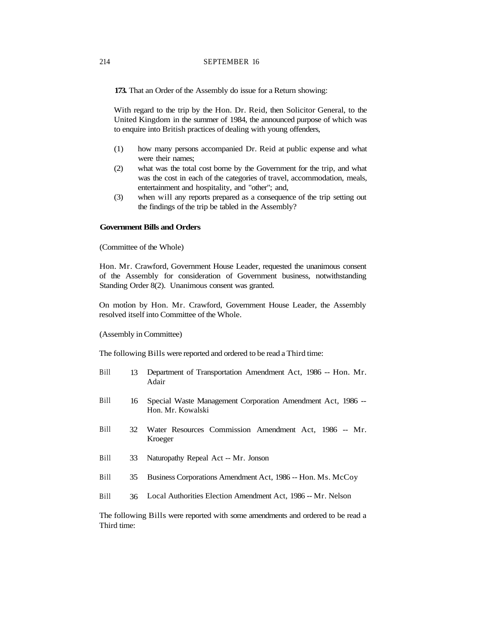**173.** That an Order of the Assembly do issue for a Return showing:

With regard to the trip by the Hon. Dr. Reid, then Solicitor General, to the United Kingdom in the summer of 1984, the announced purpose of which was to enquire into British practices of dealing with young offenders,

- (1) how many persons accompanied Dr. Reid at public expense and what were their names;
- (2) what was the total cost borne by the Government for the trip, and what was the cost in each of the categories of travel, accommodation, meals, entertainment and hospitality, and "other"; and,
- (3) when will any reports prepared as a consequence of the trip setting out the findings of the trip be tabled in the Assembly?

#### **Government Bills and Orders**

(Committee of the Whole)

Hon. Mr. Crawford, Government House Leader, requested the unanimous consent of the Assembly for consideration of Government business, notwithstanding Standing Order 8(2). Unanimous consent was granted.

On motion by Hon. Mr. Crawford, Government House Leader, the Assembly resolved itself into Committee of the Whole.

(Assembly in Committee)

The following Bills were reported and ordered to be read a Third time:

- Bill 13 Department of Transportation Amendment Act, 1986 -- Hon. Mr. Adair
- Bill 16 Special Waste Management Corporation Amendment Act, 1986 -- Hon. Mr. Kowalski
- Bill 32 Water Resources Commission Amendment Act, 1986 -- Mr. Kroeger
- Bill 33 Naturopathy Repeal Act -- Mr. Jonson
- Bill 35 Business Corporations Amendment Act, 1986 -- Hon. Ms. McCoy
- Bill 36 Local Authorities Election Amendment Act, 1986 -- Mr. Nelson

The following Bills were reported with some amendments and ordered to be read a Third time: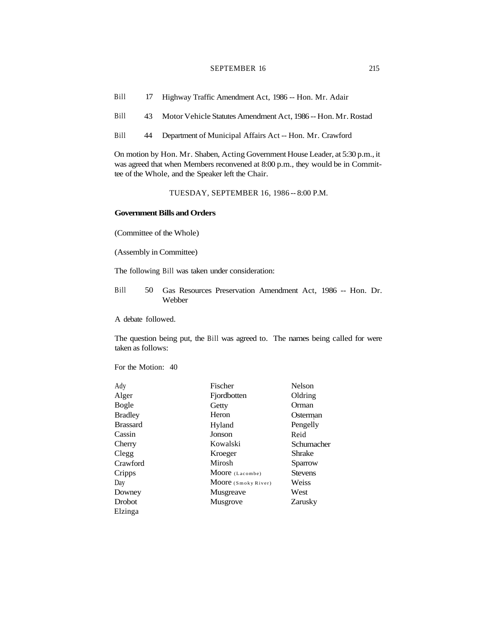#### SEPTEMBER 16 215

- Bill 17 Highway Traffic Amendment Act, 1986 -- Hon. Mr. Adair
- Bill 43 Motor Vehicle Statutes Amendment Act, 1986 -- Hon. Mr. Rostad
- Bill 44 Department of Municipal Affairs Act -- Hon. Mr. Crawford

On motion by Hon. Mr. Shaben, Acting Government House Leader, at 5:30 p.m., it was agreed that when Members reconvened at 8:00 p.m., they would be in Committee of the Whole, and the Speaker left the Chair.

TUESDAY, SEPTEMBER 16, 1986 -- 8:00 P.M.

# **Government Bills and Orders**

(Committee of the Whole)

(Assembly in Committee)

The following Bill was taken under consideration:

Bill 50 Gas Resources Preservation Amendment Act, 1986 -- Hon. Dr. Webber

A debate followed.

The question being put, the Bill was agreed to. The names being called for were taken as follows:

For the Motion: 40

| Ady             | Fischer             | <b>Nelson</b>  |
|-----------------|---------------------|----------------|
| Alger           | Fjordbotten         | Oldring        |
| Bogle           | Getty               | Orman          |
| <b>Bradley</b>  | Heron               | Osterman       |
| <b>Brassard</b> | Hyland              | Pengelly       |
| Cassin          | Jonson              | Reid           |
| Cherry          | Kowalski            | Schumacher     |
| Clegg           | Kroeger             | Shrake         |
| Crawford        | Mirosh              | Sparrow        |
| Cripps          | Moore (Lacombe)     | <b>Stevens</b> |
| Day             | Moore (Smoky River) | Weiss          |
| Downey          | Musgreave           | West           |
| Drobot          | Musgrove            | Zarusky        |
| Elzinga         |                     |                |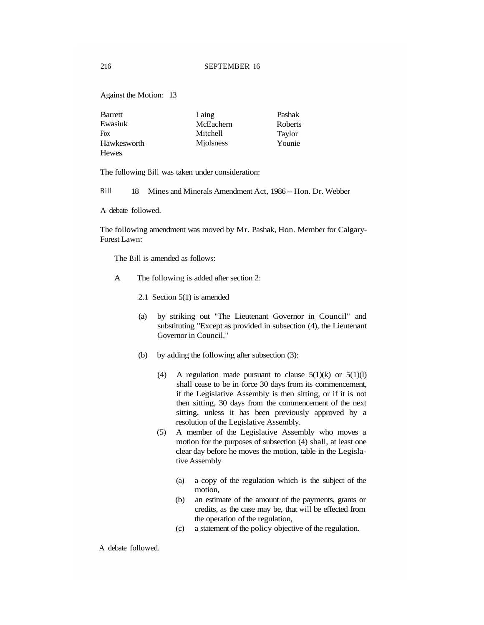Against the Motion: 13

| Barrett      | Laing            | Pashak  |
|--------------|------------------|---------|
| Ewasiuk      | McEachern        | Roberts |
| Fox          | <b>Mitchell</b>  | Taylor  |
| Hawkesworth  | <b>Miolsness</b> | Younie  |
| <b>Hewes</b> |                  |         |

The following Bill was taken under consideration:

Bill 18 Mines and Minerals Amendment Act, 1986 -- Hon. Dr. Webber

A debate followed.

The following amendment was moved by Mr. Pashak, Hon. Member for Calgary-Forest Lawn:

The Bill is amended as follows:

- A The following is added after section 2:
	- 2.1 Section 5(1) is amended
	- (a) by striking out "The Lieutenant Governor in Council" and substituting "Except as provided in subsection (4), the Lieutenant Governor in Council,"
	- (b) by adding the following after subsection (3):
		- (4) A regulation made pursuant to clause  $5(1)(k)$  or  $5(1)(l)$ shall cease to be in force 30 days from its commencement, if the Legislative Assembly is then sitting, or if it is not then sitting, 30 days from the commencement of the next sitting, unless it has been previously approved by a resolution of the Legislative Assembly.
		- (5) A member of the Legislative Assembly who moves a motion for the purposes of subsection (4) shall, at least one clear day before he moves the motion, table in the Legislative Assembly
			- (a) a copy of the regulation which is the subject of the motion,
			- (b) an estimate of the amount of the payments, grants or credits, as the case may be, that will be effected from the operation of the regulation,
			- (c) a statement of the policy objective of the regulation.

A debate followed.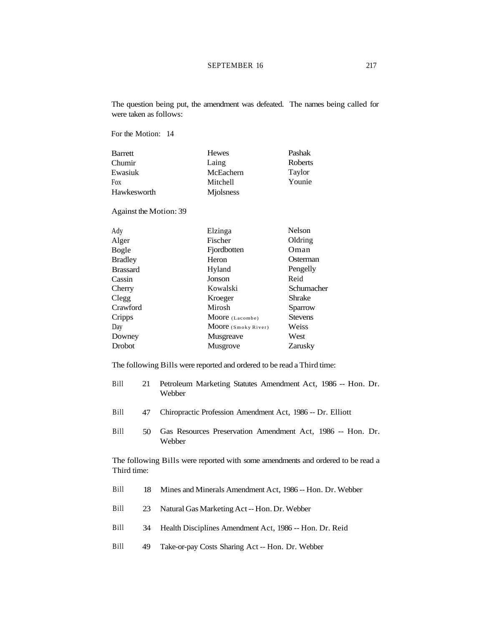The question being put, the amendment was defeated. The names being called for were taken as follows:

For the Motion: 14

| Barrett     | <b>Hewes</b> | Pashak  |
|-------------|--------------|---------|
| Chumir      | Laing        | Roberts |
| Ewasiuk     | McEachern    | Taylor  |
| <b>Fox</b>  | Mitchell     | Younie  |
| Hawkesworth | Miolsness    |         |

Against the Motion: 39

| Ady             | Elzinga             | <b>Nelson</b>  |
|-----------------|---------------------|----------------|
| Alger           | Fischer             | Oldring        |
| Bogle           | Fjordbotten         | Oman           |
| <b>Bradley</b>  | Heron               | Osterman       |
| <b>Brassard</b> | Hyland              | Pengelly       |
| Cassin          | Jonson              | Reid           |
| Cherry          | Kowalski            | Schumacher     |
| Clegg           | Kroeger             | <b>Shrake</b>  |
| Crawford        | Mirosh              | Sparrow        |
| Cripps          | Moore (Lacombe)     | <b>Stevens</b> |
| Day             | Moore (Smoky River) | Weiss          |
| Downey          | Musgreave           | West           |
| <b>Drobot</b>   | Musgrove            | Zarusky        |

The following Bills were reported and ordered to be read a Third time:

| Bill | 21 Petroleum Marketing Statutes Amendment Act, 1986 -- Hon. Dr. |
|------|-----------------------------------------------------------------|
|      | Webber                                                          |

- Bill 47 Chiropractic Profession Amendment Act, 1986 -- Dr. Elliott
- Bill 50 Gas Resources Preservation Amendment Act, 1986 -- Hon. Dr. Webber

The following Bills were reported with some amendments and ordered to be read a Third time:

- Bill 18 Mines and Minerals Amendment Act, 1986 -- Hon. Dr. Webber
- Bill 23 Natural Gas Marketing Act -- Hon. Dr. Webber
- Bill 34 Health Disciplines Amendment Act, 1986 -- Hon. Dr. Reid
- Bill 49 Take-or-pay Costs Sharing Act -- Hon. Dr. Webber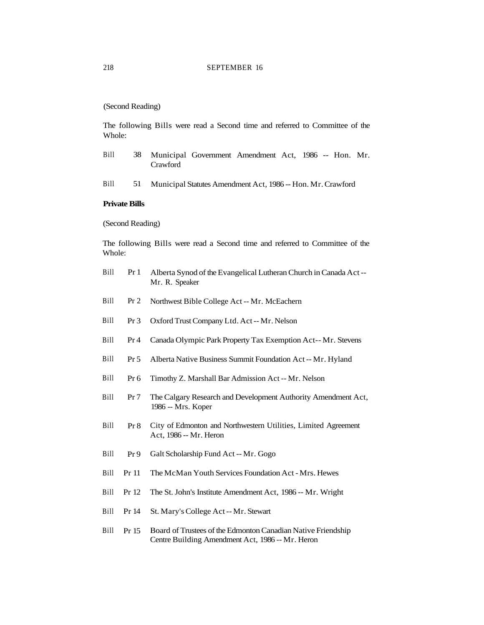(Second Reading)

The following Bills were read a Second time and referred to Committee of the Whole:

- Bill 38 Municipal Government Amendment Act, 1986 -- Hon. Mr. Crawford
- Bill 51 Municipal Statutes Amendment Act, 1986 -- Hon. Mr. Crawford

#### **Private Bills**

(Second Reading)

The following Bills were read a Second time and referred to Committee of the Whole:

- Bill Pr 1 Alberta Synod of the Evangelical Lutheran Church in Canada Act -- Mr. R. Speaker
- Bill Pr 2 Northwest Bible College Act -- Mr. McEachern
- Bill Pr 3 Oxford Trust Company Ltd. Act -- Mr. Nelson
- Bill Pr 4 Canada Olympic Park Property Tax Exemption Act-- Mr. Stevens
- Bill Pr 5 Alberta Native Business Summit Foundation Act -- Mr. Hyland
- Bill Pr 6 Timothy Z. Marshall Bar Admission Act -- Mr. Nelson
- Bill Pr 7 The Calgary Research and Development Authority Amendment Act, 1986 -- Mrs. Koper
- Bill Pr 8 City of Edmonton and Northwestern Utilities, Limited Agreement Act, 1986 -- Mr. Heron
- Bill Pr 9 Galt Scholarship Fund Act -- Mr. Gogo
- Bill Pr 11 The McMan Youth Services Foundation Act Mrs. Hewes
- Bill Pr 12 The St. John's Institute Amendment Act, 1986 -- Mr. Wright
- Bill Pr 14 St. Mary's College Act -- Mr. Stewart
- Bill Pr 15 Board of Trustees of the Edmonton Canadian Native Friendship Centre Building Amendment Act, 1986 -- Mr. Heron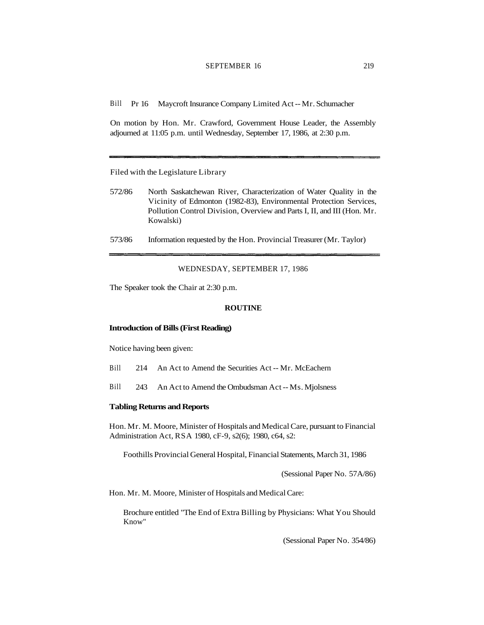# SEPTEMBER 16 219

Bill Pr 16 Maycroft Insurance Company Limited Act -- Mr. Schumacher

On motion by Hon. Mr. Crawford, Government House Leader, the Assembly adjourned at 11:05 p.m. until Wednesday, September 17, 1986, at 2:30 p.m.

Filed with the Legislature Library

- 572/86 North Saskatchewan River, Characterization of Water Quality in the Vicinity of Edmonton (1982-83), Environmental Protection Services, Pollution Control Division, Overview and Parts I, II, and III (Hon. Mr. Kowalski)
- 573/86 Information requested by the Hon. Provincial Treasurer (Mr. Taylor)

WEDNESDAY, SEPTEMBER 17, 1986

The Speaker took the Chair at 2:30 p.m.

#### **ROUTINE**

#### **Introduction of Bills (First Reading)**

Notice having been given:

- Bill 214 An Act to Amend the Securities Act -- Mr. McEachern
- Bill 243 An Act to Amend the Ombudsman Act -- Ms. Mjolsness

#### **Tabling Returns and Reports**

Hon. Mr. M. Moore, Minister of Hospitals and Medical Care, pursuant to Financial Administration Act, RSA 1980, cF-9, s2(6); 1980, c64, s2:

Foothills Provincial General Hospital, Financial Statements, March 31, 1986

(Sessional Paper No. 57A/86)

Hon. Mr. M. Moore, Minister of Hospitals and Medical Care:

Brochure entitled "The End of Extra Billing by Physicians: What You Should Know"

(Sessional Paper No. 354/86)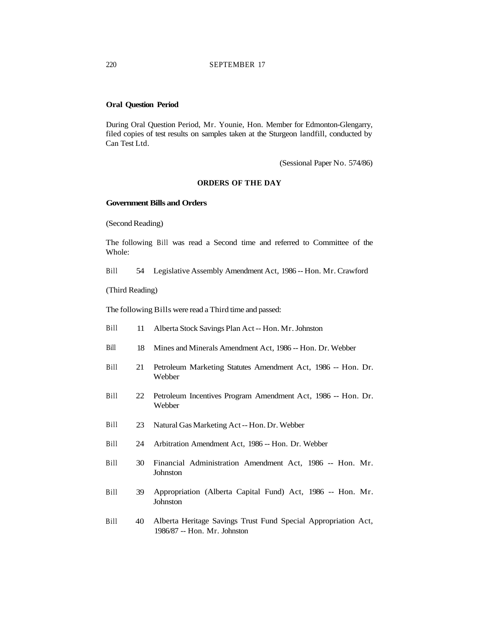# **Oral Question Period**

During Oral Question Period, Mr. Younie, Hon. Member for Edmonton-Glengarry, filed copies of test results on samples taken at the Sturgeon landfill, conducted by Can Test Ltd.

(Sessional Paper No. 574/86)

## **ORDERS OF THE DAY**

## **Government Bills and Orders**

(Second Reading)

The following Bill was read a Second time and referred to Committee of the Whole:

Bill 54 Legislative Assembly Amendment Act, 1986 -- Hon. Mr. Crawford

(Third Reading)

The following Bills were read a Third time and passed:

- Bill 11 Alberta Stock Savings Plan Act -- Hon. Mr. Johnston
- Bill 18 Mines and Minerals Amendment Act, 1986 -- Hon. Dr. Webber
- Bill 21 Petroleum Marketing Statutes Amendment Act, 1986 -- Hon. Dr. Webber
- Bill 22 Petroleum Incentives Program Amendment Act, 1986 -- Hon. Dr. Webber
- Bill 23 Natural Gas Marketing Act -- Hon. Dr. Webber
- Bill 24 Arbitration Amendment Act, 1986 -- Hon. Dr. Webber
- Bill 30 Financial Administration Amendment Act, 1986 -- Hon. Mr. Johnston
- Bill 39 Appropriation (Alberta Capital Fund) Act, 1986 -- Hon. Mr. Johnston
- Bill 40 Alberta Heritage Savings Trust Fund Special Appropriation Act, 1986/87 -- Hon. Mr. Johnston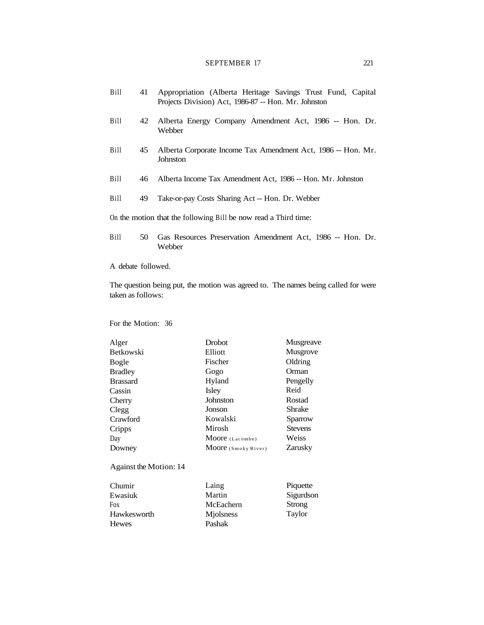# SEPTEMBER 17 221

| Bill | 41 | Appropriation (Alberta Heritage Savings Trust Fund, Capital<br>Projects Division) Act, 1986-87 -- Hon. Mr. Johnston |
|------|----|---------------------------------------------------------------------------------------------------------------------|
| Bill | 42 | Alberta Energy Company Amendment Act, 1986 -- Hon. Dr.<br>Webber                                                    |
| Bill | 45 | Alberta Corporate Income Tax Amendment Act, 1986 -- Hon. Mr.<br>Johnston                                            |
| Bill | 46 | Alberta Income Tax Amendment Act, 1986 -- Hon. Mr. Johnston                                                         |
| Bill | 49 | Take-or-pay Costs Sharing Act -- Hon. Dr. Webber                                                                    |
|      |    | On the motion that the following Bill be now read a Third time:                                                     |
| Bill | 50 | Gas Resources Preservation Amendment Act, 1986 -- Hon. Dr.<br>Webber                                                |

A debate followed.

The question being put, the motion was agreed to. The names being called for were taken as follows:

# For the Motion: 36

| Alger                  | <b>Drobot</b>       | Musgreave      |
|------------------------|---------------------|----------------|
| <b>Betkowski</b>       | Elliott             | Musgrove       |
| Bogle                  | Fischer             | Oldring        |
| <b>Bradley</b>         | Gogo                | Orman          |
| <b>Brassard</b>        | Hyland              | Pengelly       |
| Cassin                 | Isley               | Reid           |
| Cherry                 | Johnston            | Rostad         |
| Clegg                  | Jonson              | Shrake         |
| Crawford               | Kowalski            | Sparrow        |
| Cripps                 | Mirosh              | <b>Stevens</b> |
| Day                    | Moore (Lacombe)     | Weiss          |
| Downey                 | Moore (Smoky River) | Zarusky        |
| Against the Motion: 14 |                     |                |
| Chumir                 | Laing               | Piquette       |
| Ewasiuk                | Martin              | Sigurdson      |
| Fox                    | McEachern           | Strong         |
| Hawkesworth            | Miolsness           | Taylor         |
| <b>Hewes</b>           | Pashak              |                |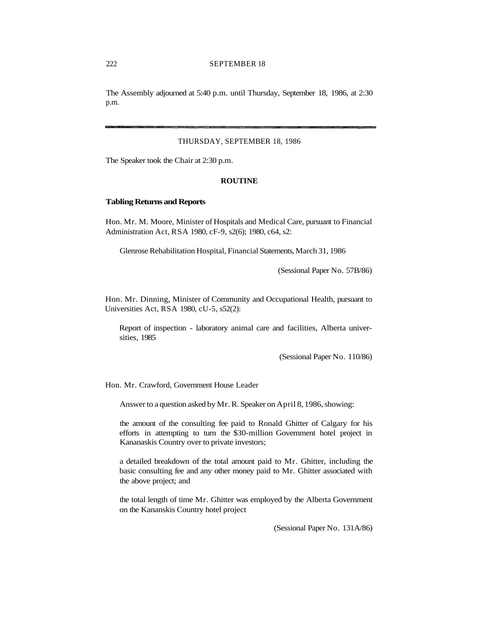The Assembly adjourned at 5:40 p.m. until Thursday, September 18, 1986, at 2:30 p.m.

## THURSDAY, SEPTEMBER 18, 1986

The Speaker took the Chair at 2:30 p.m.

## **ROUTINE**

#### **Tabling Returns and Reports**

Hon. Mr. M. Moore, Minister of Hospitals and Medical Care, pursuant to Financial Administration Act, RSA 1980, cF-9, s2(6); 1980, c64, s2:

Glenrose Rehabilitation Hospital, Financial Statements, March 31, 1986

(Sessional Paper No. 57B/86)

Hon. Mr. Dinning, Minister of Community and Occupational Health, pursuant to Universities Act, RSA 1980, cU-5, s52(2):

Report of inspection - laboratory animal care and facilities, Alberta universities, 1985

(Sessional Paper No. 110/86)

Hon. Mr. Crawford, Government House Leader

Answer to a question asked by Mr. R. Speaker on April 8, 1986, showing:

the amount of the consulting fee paid to Ronald Ghitter of Calgary for his efforts in attempting to turn the \$30-million Government hotel project in Kananaskis Country over to private investors;

a detailed breakdown of the total amount paid to Mr. Ghitter, including the basic consulting fee and any other money paid to Mr. Ghitter associated with the above project; and

the total length of time Mr. Ghitter was employed by the Alberta Government on the Kananskis Country hotel project

(Sessional Paper No. 131A/86)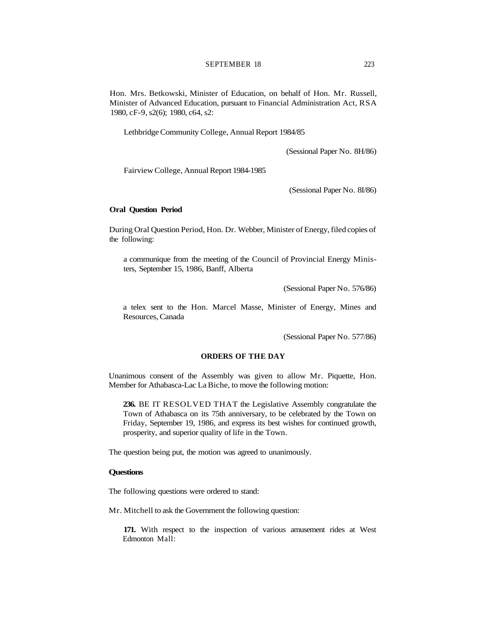Hon. Mrs. Betkowski, Minister of Education, on behalf of Hon. Mr. Russell, Minister of Advanced Education, pursuant to Financial Administration Act, RSA 1980, cF-9, s2(6); 1980, c64, s2:

Lethbridge Community College, Annual Report 1984/85

(Sessional Paper No. 8H/86)

Fairview College, Annual Report 1984-1985

(Sessional Paper No. 8I/86)

#### **Oral Question Period**

During Oral Question Period, Hon. Dr. Webber, Minister of Energy, filed copies of the following:

a communique from the meeting of the Council of Provincial Energy Ministers, September 15, 1986, Banff, Alberta

(Sessional Paper No. 576/86)

a telex sent to the Hon. Marcel Masse, Minister of Energy, Mines and Resources, Canada

(Sessional Paper No. 577/86)

## **ORDERS OF THE DAY**

Unanimous consent of the Assembly was given to allow Mr. Piquette, Hon. Member for Athabasca-Lac La Biche, to move the following motion:

**236.** BE IT RESOLVED THAT the Legislative Assembly congratulate the Town of Athabasca on its 75th anniversary, to be celebrated by the Town on Friday, September 19, 1986, and express its best wishes for continued growth, prosperity, and superior quality of life in the Town.

The question being put, the motion was agreed to unanimously.

# **Questions**

The following questions were ordered to stand:

Mr. Mitchell to ask the Government the following question:

**171.** With respect to the inspection of various amusement rides at West Edmonton Mall: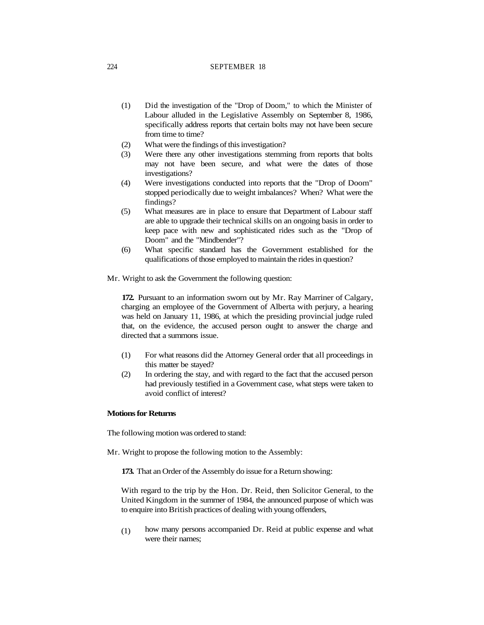- (1) Did the investigation of the "Drop of Doom," to which the Minister of Labour alluded in the Legislative Assembly on September 8, 1986, specifically address reports that certain bolts may not have been secure from time to time?
- (2) What were the findings of this investigation?
- (3) Were there any other investigations stemming from reports that bolts may not have been secure, and what were the dates of those investigations?
- (4) Were investigations conducted into reports that the "Drop of Doom" stopped periodically due to weight imbalances? When? What were the findings?
- (5) What measures are in place to ensure that Department of Labour staff are able to upgrade their technical skills on an ongoing basis in order to keep pace with new and sophisticated rides such as the "Drop of Doom" and the "Mindbender"?
- (6) What specific standard has the Government established for the qualifications of those employed to maintain the rides in question?
- Mr. Wright to ask the Government the following question:

**172.** Pursuant to an information sworn out by Mr. Ray Marriner of Calgary, charging an employee of the Government of Alberta with perjury, a hearing was held on January 11, 1986, at which the presiding provincial judge ruled that, on the evidence, the accused person ought to answer the charge and directed that a summons issue.

- (1) For what reasons did the Attorney General order that all proceedings in this matter be stayed?
- (2) In ordering the stay, and with regard to the fact that the accused person had previously testified in a Government case, what steps were taken to avoid conflict of interest?

# **Motions for Returns**

The following motion was ordered to stand:

Mr. Wright to propose the following motion to the Assembly:

**173.** That an Order of the Assembly do issue for a Return showing:

With regard to the trip by the Hon. Dr. Reid, then Solicitor General, to the United Kingdom in the summer of 1984, the announced purpose of which was to enquire into British practices of dealing with young offenders,

(1) how many persons accompanied Dr. Reid at public expense and what were their names;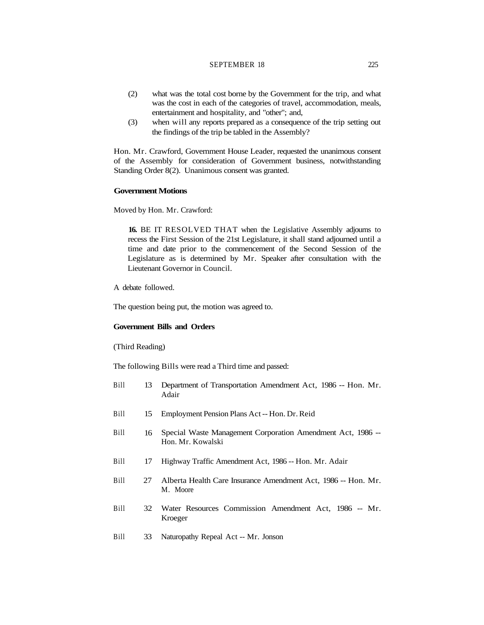## SEPTEMBER 18 225

- (2) what was the total cost borne by the Government for the trip, and what was the cost in each of the categories of travel, accommodation, meals, entertainment and hospitality, and "other"; and,
- (3) when will any reports prepared as a consequence of the trip setting out the findings of the trip be tabled in the Assembly?

Hon. Mr. Crawford, Government House Leader, requested the unanimous consent of the Assembly for consideration of Government business, notwithstanding Standing Order 8(2). Unanimous consent was granted.

# **Government Motions**

Moved by Hon. Mr. Crawford:

**16.** BE IT RESOLVED THAT when the Legislative Assembly adjourns to recess the First Session of the 21st Legislature, it shall stand adjourned until a time and date prior to the commencement of the Second Session of the Legislature as is determined by Mr. Speaker after consultation with the Lieutenant Governor in Council.

A debate followed.

The question being put, the motion was agreed to.

# **Government Bills and Orders**

(Third Reading)

The following Bills were read a Third time and passed:

| Bill | 13 | Department of Transportation Amendment Act, 1986 -- Hon. Mr.<br>Adair            |
|------|----|----------------------------------------------------------------------------------|
| Bill | 15 | Employment Pension Plans Act -- Hon. Dr. Reid                                    |
| Bill | 16 | Special Waste Management Corporation Amendment Act, 1986 --<br>Hon. Mr. Kowalski |
| Bill | 17 | Highway Traffic Amendment Act, 1986 -- Hon. Mr. Adair                            |
| Bill | 27 | Alberta Health Care Insurance Amendment Act, 1986 -- Hon. Mr.<br>M. Moore        |
| Bill | 32 | Water Resources Commission Amendment Act, 1986 -- Mr.<br>Kroeger                 |
| Bill | 33 | Naturopathy Repeal Act -- Mr. Jonson                                             |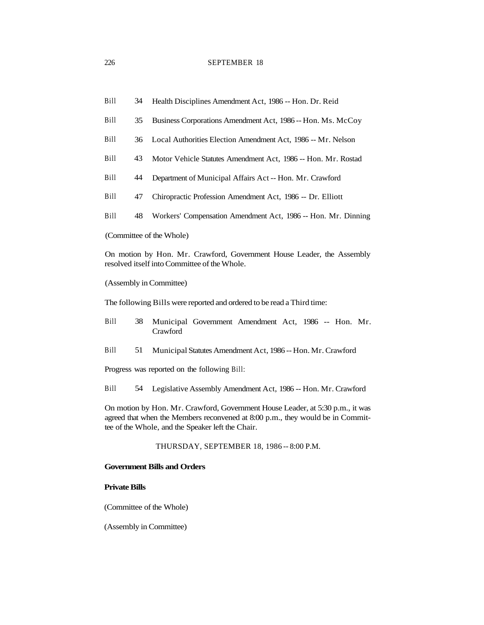- Bill 34 Health Disciplines Amendment Act, 1986 -- Hon. Dr. Reid
- Bill 35 Business Corporations Amendment Act, 1986 -- Hon. Ms. McCoy
- Bill 36 Local Authorities Election Amendment Act, 1986 -- Mr. Nelson
- Bill 43 Motor Vehicle Statutes Amendment Act, 1986 -- Hon. Mr. Rostad
- Bill 44 Department of Municipal Affairs Act -- Hon. Mr. Crawford
- Bill 47 Chiropractic Profession Amendment Act, 1986 -- Dr. Elliott
- Bill 48 Workers' Compensation Amendment Act, 1986 -- Hon. Mr. Dinning

(Committee of the Whole)

On motion by Hon. Mr. Crawford, Government House Leader, the Assembly resolved itself into Committee of the Whole.

### (Assembly in Committee)

The following Bills were reported and ordered to be read a Third time:

- Bill 38 Municipal Government Amendment Act, 1986 -- Hon. Mr. Crawford
- Bill 51 Municipal Statutes Amendment Act, 1986 -- Hon. Mr. Crawford

Progress was reported on the following Bill:

Bill 54 Legislative Assembly Amendment Act, 1986 -- Hon. Mr. Crawford

On motion by Hon. Mr. Crawford, Government House Leader, at 5:30 p.m., it was agreed that when the Members reconvened at 8:00 p.m., they would be in Committee of the Whole, and the Speaker left the Chair.

THURSDAY, SEPTEMBER 18, 1986 -- 8:00 P.M.

#### **Government Bills and Orders**

# **Private Bills**

(Committee of the Whole)

(Assembly in Committee)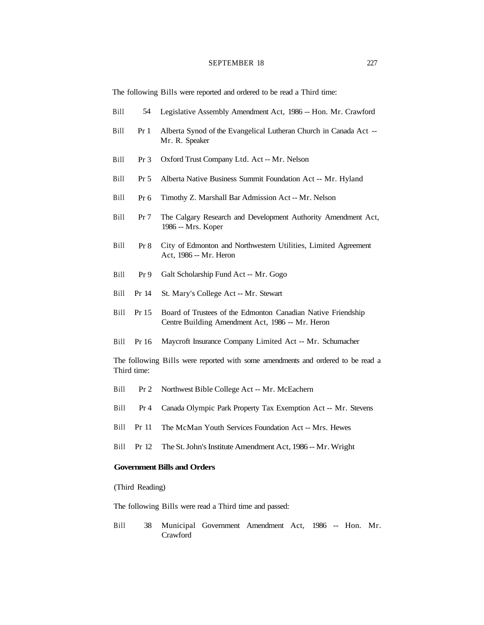## SEPTEMBER 18 227

The following Bills were reported and ordered to be read a Third time:

- Bill 54 Legislative Assembly Amendment Act, 1986 -- Hon. Mr. Crawford
- Bill Pr 1 Alberta Synod of the Evangelical Lutheran Church in Canada Act --Mr. R. Speaker
- Bill Pr 3 Oxford Trust Company Ltd. Act -- Mr. Nelson
- Bill Pr 5 Alberta Native Business Summit Foundation Act -- Mr. Hyland
- Bill Pr 6 Timothy Z. Marshall Bar Admission Act -- Mr. Nelson
- Bill Pr 7 The Calgary Research and Development Authority Amendment Act, 1986 -- Mrs. Koper
- Bill Pr 8 City of Edmonton and Northwestern Utilities, Limited Agreement Act, 1986 -- Mr. Heron
- Bill Pr 9 Galt Scholarship Fund Act -- Mr. Gogo
- Bill Pr 14 St. Mary's College Act -- Mr. Stewart
- Bill Pr 15 Board of Trustees of the Edmonton Canadian Native Friendship Centre Building Amendment Act, 1986 -- Mr. Heron
- Bill Pr 16 Maycroft Insurance Company Limited Act -- Mr. Schumacher

The following Bills were reported with some amendments and ordered to be read a Third time:

- Bill Pr 2 Northwest Bible College Act -- Mr. McEachern
- Bill Pr 4 Canada Olympic Park Property Tax Exemption Act -- Mr. Stevens
- Bill Pr 11 The McMan Youth Services Foundation Act -- Mrs. Hewes
- Bill Pr 12 The St. John's Institute Amendment Act, 1986 -- Mr. Wright

# **Government Bills and Orders**

(Third Reading)

The following Bills were read a Third time and passed:

Bill 38 Municipal Government Amendment Act, 1986 -- Hon. Mr. Crawford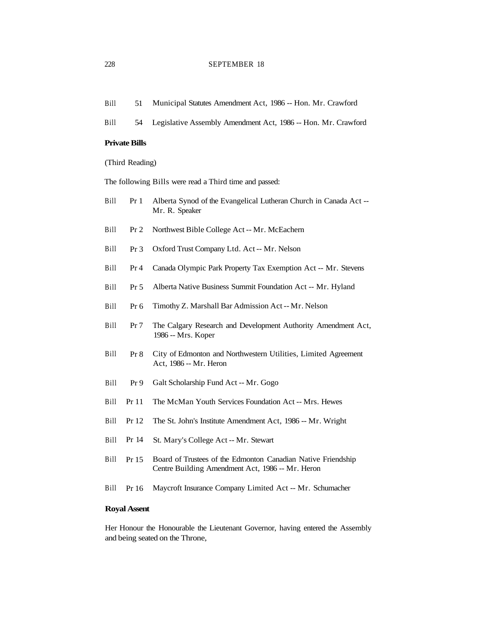| Municipal Statutes Amendment Act, 1986 -- Hon. Mr. Crawford<br>Bill<br>51 |  |
|---------------------------------------------------------------------------|--|
|---------------------------------------------------------------------------|--|

Bill 54 Legislative Assembly Amendment Act, 1986 -- Hon. Mr. Crawford

# **Private Bills**

(Third Reading)

The following Bills were read a Third time and passed:

- Bill Pr 1 Alberta Synod of the Evangelical Lutheran Church in Canada Act --Mr. R. Speaker
- Bill Pr 2 Northwest Bible College Act -- Mr. McEachern
- Bill Pr 3 Oxford Trust Company Ltd. Act -- Mr. Nelson
- Bill Pr 4 Canada Olympic Park Property Tax Exemption Act -- Mr. Stevens
- Bill Pr 5 Alberta Native Business Summit Foundation Act -- Mr. Hyland
- Bill Pr 6 Timothy Z. Marshall Bar Admission Act -- Mr. Nelson
- Bill Pr 7 The Calgary Research and Development Authority Amendment Act, 1986 -- Mrs. Koper
- Bill Pr 8 City of Edmonton and Northwestern Utilities, Limited Agreement Act, 1986 -- Mr. Heron
- Bill Pr 9 Galt Scholarship Fund Act -- Mr. Gogo
- Bill Pr 11 The McMan Youth Services Foundation Act -- Mrs. Hewes
- Bill Pr 12 The St. John's Institute Amendment Act, 1986 -- Mr. Wright
- Bill Pr 14 St. Mary's College Act -- Mr. Stewart
- Bill Pr 15 Board of Trustees of the Edmonton Canadian Native Friendship Centre Building Amendment Act, 1986 -- Mr. Heron
- Bill Pr 16 Maycroft Insurance Company Limited Act -- Mr. Schumacher

# **Royal Assent**

Her Honour the Honourable the Lieutenant Governor, having entered the Assembly and being seated on the Throne,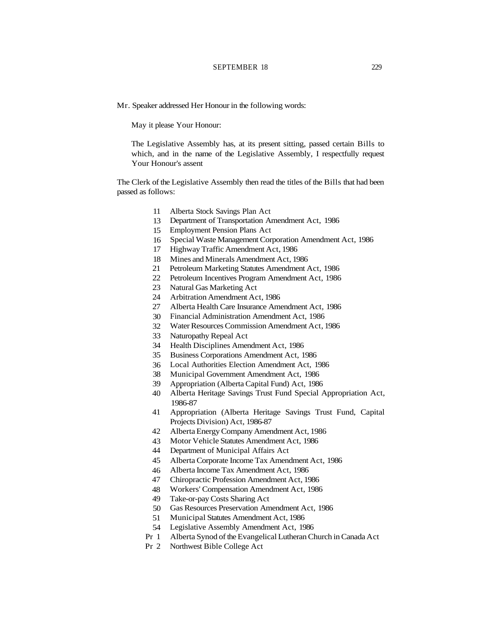#### SEPTEMBER 18 229

Mr. Speaker addressed Her Honour in the following words:

May it please Your Honour:

The Legislative Assembly has, at its present sitting, passed certain Bills to which, and in the name of the Legislative Assembly, I respectfully request Your Honour's assent

The Clerk of the Legislative Assembly then read the titles of the Bills that had been passed as follows:

- 11 Alberta Stock Savings Plan Act
- 13 Department of Transportation Amendment Act, 1986
- 15 Employment Pension Plans Act
- 16 Special Waste Management Corporation Amendment Act, 1986
- 17 Highway Traffic Amendment Act, 1986
- 18 Mines and Minerals Amendment Act, 1986
- 21 Petroleum Marketing Statutes Amendment Act, 1986
- 22 Petroleum Incentives Program Amendment Act, 1986
- 23 Natural Gas Marketing Act
- 24 Arbitration Amendment Act, 1986
- 27 Alberta Health Care Insurance Amendment Act, 1986
- 30 Financial Administration Amendment Act, 1986
- 32 Water Resources Commission Amendment Act, 1986
- 33 Naturopathy Repeal Act
- 34 Health Disciplines Amendment Act, 1986
- 35 Business Corporations Amendment Act, 1986
- 36 Local Authorities Election Amendment Act, 1986
- 38 Municipal Government Amendment Act, 1986
- 39 Appropriation (Alberta Capital Fund) Act, 1986
- 40 Alberta Heritage Savings Trust Fund Special Appropriation Act, 1986-87
- 41 Appropriation (Alberta Heritage Savings Trust Fund, Capital Projects Division) Act, 1986-87
- 42 Alberta Energy Company Amendment Act, 1986
- 43 Motor Vehicle Statutes Amendment Act, 1986
- 44 Department of Municipal Affairs Act
- 45 Alberta Corporate Income Tax Amendment Act, 1986
- 46 Alberta Income Tax Amendment Act, 1986
- 47 Chiropractic Profession Amendment Act, 1986
- 48 Workers' Compensation Amendment Act, 1986
- 49 Take-or-pay Costs Sharing Act
- 50 Gas Resources Preservation Amendment Act, 1986
- 51 Municipal Statutes Amendment Act, 1986
- 54 Legislative Assembly Amendment Act, 1986
- Pr 1 Alberta Synod of the Evangelical Lutheran Church in Canada Act
- Pr 2 Northwest Bible College Act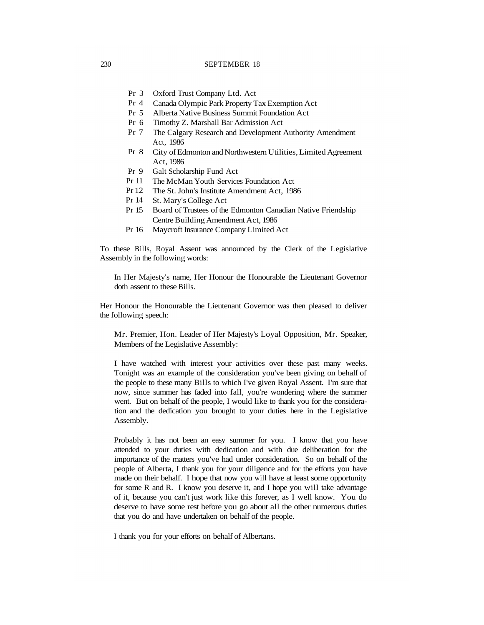- Pr 3 Oxford Trust Company Ltd. Act
- Pr 4 Canada Olympic Park Property Tax Exemption Act
- Pr 5 Alberta Native Business Summit Foundation Act
- Pr 6 Timothy Z. Marshall Bar Admission Act
- Pr 7 The Calgary Research and Development Authority Amendment Act, 1986
- Pr 8 City of Edmonton and Northwestern Utilities, Limited Agreement Act, 1986
- Pr 9 Galt Scholarship Fund Act
- Pr 11 The McMan Youth Services Foundation Act
- Pr 12 The St. John's Institute Amendment Act, 1986
- Pr 14 St. Mary's College Act
- Pr 15 Board of Trustees of the Edmonton Canadian Native Friendship Centre Building Amendment Act, 1986
- Pr 16 Maycroft Insurance Company Limited Act

To these Bills, Royal Assent was announced by the Clerk of the Legislative Assembly in the following words:

In Her Majesty's name, Her Honour the Honourable the Lieutenant Governor doth assent to these Bills.

Her Honour the Honourable the Lieutenant Governor was then pleased to deliver the following speech:

Mr. Premier, Hon. Leader of Her Majesty's Loyal Opposition, Mr. Speaker, Members of the Legislative Assembly:

I have watched with interest your activities over these past many weeks. Tonight was an example of the consideration you've been giving on behalf of the people to these many Bills to which I've given Royal Assent. I'm sure that now, since summer has faded into fall, you're wondering where the summer went. But on behalf of the people, I would like to thank you for the consideration and the dedication you brought to your duties here in the Legislative Assembly.

Probably it has not been an easy summer for you. I know that you have attended to your duties with dedication and with due deliberation for the importance of the matters you've had under consideration. So on behalf of the people of Alberta, I thank you for your diligence and for the efforts you have made on their behalf. I hope that now you will have at least some opportunity for some R and R. I know you deserve it, and I hope you will take advantage of it, because you can't just work like this forever, as I well know. You do deserve to have some rest before you go about all the other numerous duties that you do and have undertaken on behalf of the people.

I thank you for your efforts on behalf of Albertans.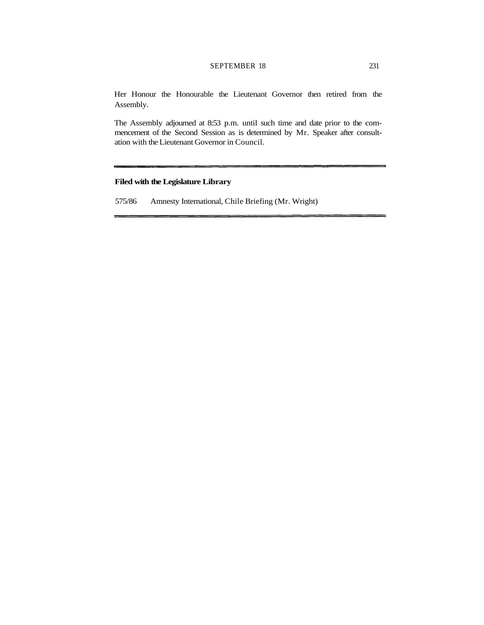# SEPTEMBER 18 231

Her Honour the Honourable the Lieutenant Governor then retired from the Assembly.

The Assembly adjourned at 8:53 p.m. until such time and date prior to the commencement of the Second Session as is determined by Mr. Speaker after consultation with the Lieutenant Governor in Council.

# **Filed with the Legislature Library**

575/86 Amnesty International, Chile Briefing (Mr. Wright)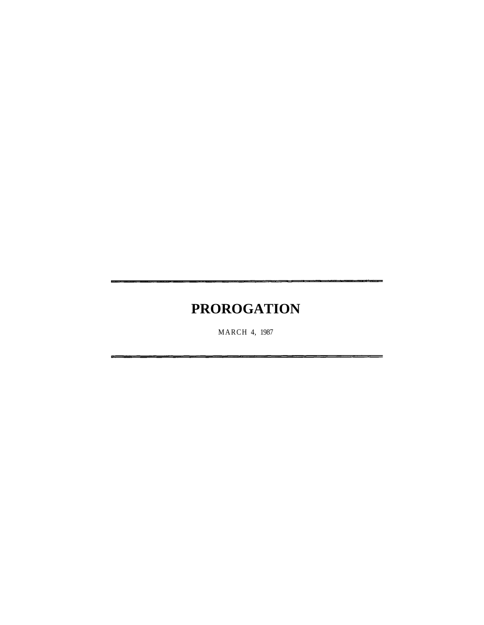# **PROROGATION**

MARCH 4, 1987